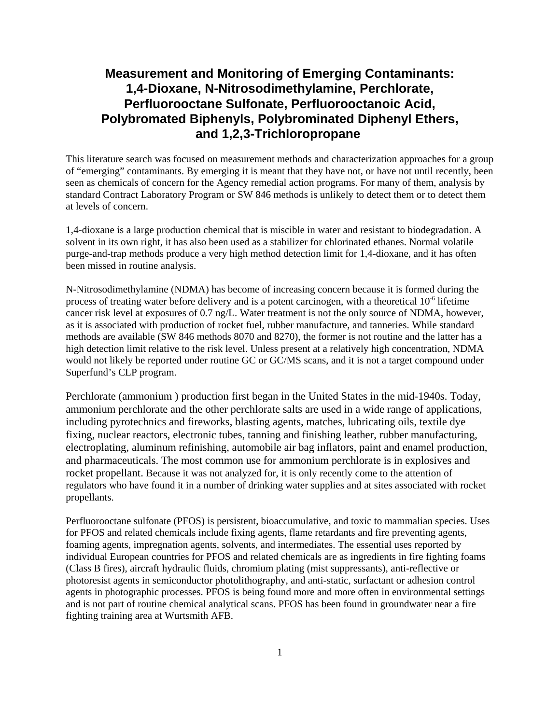# **Measurement and Monitoring of Emerging Contaminants: 1,4-Dioxane, N-Nitrosodimethylamine, Perchlorate, Perfluorooctane Sulfonate, Perfluorooctanoic Acid, Polybromated Biphenyls, Polybrominated Diphenyl Ethers, and 1,2,3-Trichloropropane**

This literature search was focused on measurement methods and characterization approaches for a group of "emerging" contaminants. By emerging it is meant that they have not, or have not until recently, been seen as chemicals of concern for the Agency remedial action programs. For many of them, analysis by standard Contract Laboratory Program or SW 846 methods is unlikely to detect them or to detect them at levels of concern.

1,4-dioxane is a large production chemical that is miscible in water and resistant to biodegradation. A solvent in its own right, it has also been used as a stabilizer for chlorinated ethanes. Normal volatile purge-and-trap methods produce a very high method detection limit for 1,4-dioxane, and it has often been missed in routine analysis.

N-Nitrosodimethylamine (NDMA) has become of increasing concern because it is formed during the process of treating water before delivery and is a potent carcinogen, with a theoretical  $10<sup>-6</sup>$  lifetime cancer risk level at exposures of 0.7 ng/L. Water treatment is not the only source of NDMA, however, as it is associated with production of rocket fuel, rubber manufacture, and tanneries. While standard methods are available (SW 846 methods 8070 and 8270), the former is not routine and the latter has a high detection limit relative to the risk level. Unless present at a relatively high concentration, NDMA would not likely be reported under routine GC or GC/MS scans, and it is not a target compound under Superfund's CLP program.

Perchlorate (ammonium ) production first began in the United States in the mid-1940s. Today, ammonium perchlorate and the other perchlorate salts are used in a wide range of applications, including pyrotechnics and fireworks, blasting agents, matches, lubricating oils, textile dye fixing, nuclear reactors, electronic tubes, tanning and finishing leather, rubber manufacturing, electroplating, aluminum refinishing, automobile air bag inflators, paint and enamel production, and pharmaceuticals. The most common use for ammonium perchlorate is in explosives and rocket propellant. Because it was not analyzed for, it is only recently come to the attention of regulators who have found it in a number of drinking water supplies and at sites associated with rocket propellants.

Perfluorooctane sulfonate (PFOS) is persistent, bioaccumulative, and toxic to mammalian species. Uses for PFOS and related chemicals include fixing agents, flame retardants and fire preventing agents, foaming agents, impregnation agents, solvents, and intermediates. The essential uses reported by individual European countries for PFOS and related chemicals are as ingredients in fire fighting foams (Class B fires), aircraft hydraulic fluids, chromium plating (mist suppressants), anti-reflective or photoresist agents in semiconductor photolithography, and anti-static, surfactant or adhesion control agents in photographic processes. PFOS is being found more and more often in environmental settings and is not part of routine chemical analytical scans. PFOS has been found in groundwater near a fire fighting training area at Wurtsmith AFB.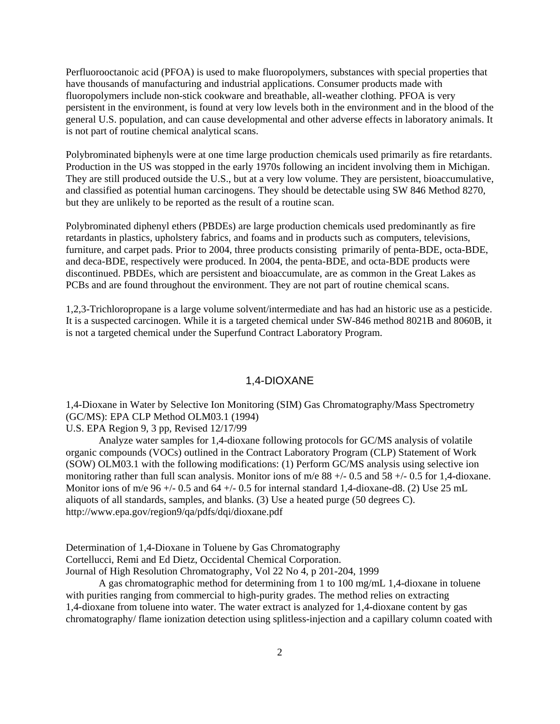Perfluorooctanoic acid (PFOA) is used to make fluoropolymers, substances with special properties that have thousands of manufacturing and industrial applications. Consumer products made with fluoropolymers include non-stick cookware and breathable, all-weather clothing. PFOA is very persistent in the environment, is found at very low levels both in the environment and in the blood of the general U.S. population, and can cause developmental and other adverse effects in laboratory animals. It is not part of routine chemical analytical scans.

Polybrominated biphenyls were at one time large production chemicals used primarily as fire retardants. Production in the US was stopped in the early 1970s following an incident involving them in Michigan. They are still produced outside the U.S., but at a very low volume. They are persistent, bioaccumulative, and classified as potential human carcinogens. They should be detectable using SW 846 Method 8270, but they are unlikely to be reported as the result of a routine scan.

Polybrominated diphenyl ethers (PBDEs) are large production chemicals used predominantly as fire retardants in plastics, upholstery fabrics, and foams and in products such as computers, televisions, furniture, and carpet pads. Prior to 2004, three products consisting primarily of penta-BDE, octa-BDE, and deca-BDE, respectively were produced. In 2004, the penta-BDE, and octa-BDE products were discontinued. PBDEs, which are persistent and bioaccumulate, are as common in the Great Lakes as PCBs and are found throughout the environment. They are not part of routine chemical scans.

1,2,3-Trichloropropane is a large volume solvent/intermediate and has had an historic use as a pesticide. It is a suspected carcinogen. While it is a targeted chemical under SW-846 method 8021B and 8060B, it is not a targeted chemical under the Superfund Contract Laboratory Program.

### 1,4-DIOXANE

1,4-Dioxane in Water by Selective Ion Monitoring (SIM) Gas Chromatography/Mass Spectrometry (GC/MS): EPA CLP Method OLM03.1 (1994)

U.S. EPA Region 9, 3 pp, Revised 12/17/99

Analyze water samples for 1,4-dioxane following protocols for GC/MS analysis of volatile organic compounds (VOCs) outlined in the Contract Laboratory Program (CLP) Statement of Work (SOW) OLM03.1 with the following modifications: (1) Perform GC/MS analysis using selective ion monitoring rather than full scan analysis. Monitor ions of m/e 88 +/- 0.5 and 58 +/- 0.5 for 1,4-dioxane. Monitor ions of m/e  $96 +/- 0.5$  and  $64 +/- 0.5$  for internal standard 1,4-dioxane-d8. (2) Use 25 mL aliquots of all standards, samples, and blanks. (3) Use a heated purge (50 degrees C). <http://www.epa.gov/region9/qa/pdfs/dqi/dioxane.pdf>

Determination of 1,4-Dioxane in Toluene by Gas Chromatography Cortellucci, Remi and Ed Dietz, Occidental Chemical Corporation.

Journal of High Resolution Chromatography, Vol 22 No 4, p 201-204, 1999

A gas chromatographic method for determining from 1 to 100 mg/mL 1,4-dioxane in toluene with purities ranging from commercial to high-purity grades. The method relies on extracting 1,4-dioxane from toluene into water. The water extract is analyzed for 1,4-dioxane content by gas chromatography/ flame ionization detection using splitless-injection and a capillary column coated with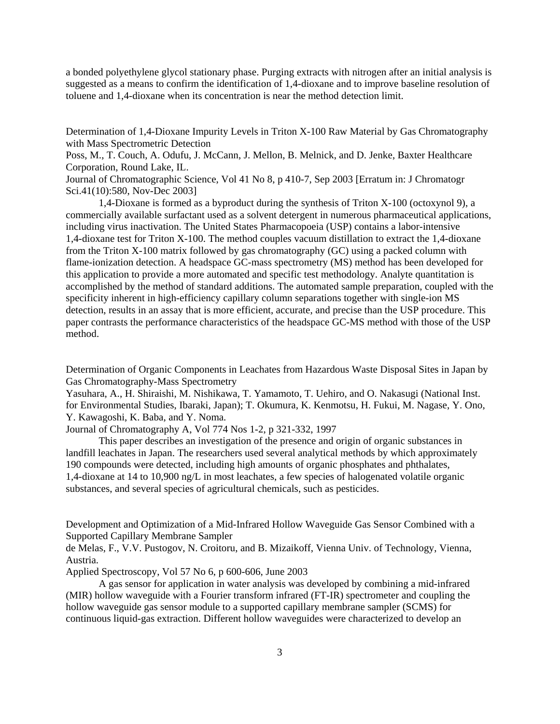a bonded polyethylene glycol stationary phase. Purging extracts with nitrogen after an initial analysis is suggested as a means to confirm the identification of 1,4-dioxane and to improve baseline resolution of toluene and 1,4-dioxane when its concentration is near the method detection limit.

Determination of 1,4-Dioxane Impurity Levels in Triton X-100 Raw Material by Gas Chromatography with Mass Spectrometric Detection

Poss, M., T. Couch, A. Odufu, J. McCann, J. Mellon, B. Melnick, and D. Jenke, Baxter Healthcare Corporation, Round Lake, IL.

Journal of Chromatographic Science, Vol 41 No 8, p 410-7, Sep 2003 [Erratum in: J Chromatogr Sci.41(10):580, Nov-Dec 2003]

1,4-Dioxane is formed as a byproduct during the synthesis of Triton X-100 (octoxynol 9), a commercially available surfactant used as a solvent detergent in numerous pharmaceutical applications, including virus inactivation. The United States Pharmacopoeia (USP) contains a labor-intensive 1,4-dioxane test for Triton X-100. The method couples vacuum distillation to extract the 1,4-dioxane from the Triton X-100 matrix followed by gas chromatography (GC) using a packed column with flame-ionization detection. A headspace GC-mass spectrometry (MS) method has been developed for this application to provide a more automated and specific test methodology. Analyte quantitation is accomplished by the method of standard additions. The automated sample preparation, coupled with the specificity inherent in high-efficiency capillary column separations together with single-ion MS detection, results in an assay that is more efficient, accurate, and precise than the USP procedure. This paper contrasts the performance characteristics of the headspace GC-MS method with those of the USP method.

Determination of Organic Components in Leachates from Hazardous Waste Disposal Sites in Japan by Gas Chromatography-Mass Spectrometry

Yasuhara, A., H. Shiraishi, M. Nishikawa, T. Yamamoto, T. Uehiro, and O. Nakasugi (National Inst. for Environmental Studies, Ibaraki, Japan); T. Okumura, K. Kenmotsu, H. Fukui, M. Nagase, Y. Ono, Y. Kawagoshi, K. Baba, and Y. Noma.

Journal of Chromatography A, Vol 774 Nos 1-2, p 321-332, 1997

This paper describes an investigation of the presence and origin of organic substances in landfill leachates in Japan. The researchers used several analytical methods by which approximately 190 compounds were detected, including high amounts of organic phosphates and phthalates, 1,4-dioxane at 14 to 10,900 ng/L in most leachates, a few species of halogenated volatile organic substances, and several species of agricultural chemicals, such as pesticides.

Development and Optimization of a Mid-Infrared Hollow Waveguide Gas Sensor Combined with a Supported Capillary Membrane Sampler

de Melas, F., V.V. Pustogov, N. Croitoru, and B. Mizaikoff, Vienna Univ. of Technology, Vienna, Austria.

Applied Spectroscopy, Vol 57 No 6, p 600-606, June 2003

A gas sensor for application in water analysis was developed by combining a mid-infrared (MIR) hollow waveguide with a Fourier transform infrared (FT-IR) spectrometer and coupling the hollow waveguide gas sensor module to a supported capillary membrane sampler (SCMS) for continuous liquid-gas extraction. Different hollow waveguides were characterized to develop an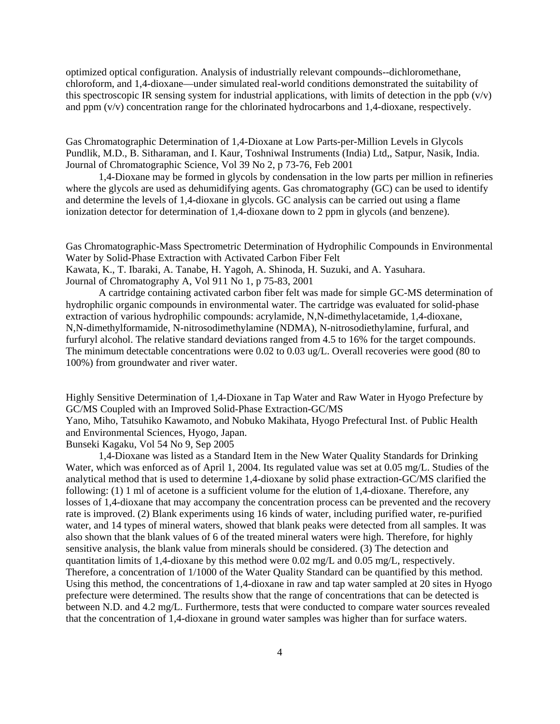optimized optical configuration. Analysis of industrially relevant compounds--dichloromethane, chloroform, and 1,4-dioxane—under simulated real-world conditions demonstrated the suitability of this spectroscopic IR sensing system for industrial applications, with limits of detection in the ppb  $(v/v)$ and ppm (v/v) concentration range for the chlorinated hydrocarbons and 1,4-dioxane, respectively.

Gas Chromatographic Determination of 1,4-Dioxane at Low Parts-per-Million Levels in Glycols Pundlik, M.D., B. Sitharaman, and I. Kaur, Toshniwal Instruments (India) Ltd,, Satpur, Nasik, India. Journal of Chromatographic Science, Vol 39 No 2, p 73-76, Feb 2001

1,4-Dioxane may be formed in glycols by condensation in the low parts per million in refineries where the glycols are used as dehumidifying agents. Gas chromatography (GC) can be used to identify and determine the levels of 1,4-dioxane in glycols. GC analysis can be carried out using a flame ionization detector for determination of 1,4-dioxane down to 2 ppm in glycols (and benzene).

Gas Chromatographic-Mass Spectrometric Determination of Hydrophilic Compounds in Environmental Water by Solid-Phase Extraction with Activated Carbon Fiber Felt Kawata, K., T. Ibaraki, A. Tanabe, H. Yagoh, A. Shinoda, H. Suzuki, and A. Yasuhara.

Journal of Chromatography A, Vol 911 No 1, p 75-83, 2001

A cartridge containing activated carbon fiber felt was made for simple GC-MS determination of hydrophilic organic compounds in environmental water. The cartridge was evaluated for solid-phase extraction of various hydrophilic compounds: acrylamide, N,N-dimethylacetamide, 1,4-dioxane, N,N-dimethylformamide, N-nitrosodimethylamine (NDMA), N-nitrosodiethylamine, furfural, and furfuryl alcohol. The relative standard deviations ranged from 4.5 to 16% for the target compounds. The minimum detectable concentrations were 0.02 to 0.03 ug/L. Overall recoveries were good (80 to 100%) from groundwater and river water.

Highly Sensitive Determination of 1,4-Dioxane in Tap Water and Raw Water in Hyogo Prefecture by GC/MS Coupled with an Improved Solid-Phase Extraction-GC/MS Yano, Miho, Tatsuhiko Kawamoto, and Nobuko Makihata, Hyogo Prefectural Inst. of Public Health and Environmental Sciences, Hyogo, Japan.

Bunseki Kagaku, Vol 54 No 9, Sep 2005

1,4-Dioxane was listed as a Standard Item in the New Water Quality Standards for Drinking Water, which was enforced as of April 1, 2004. Its regulated value was set at 0.05 mg/L. Studies of the analytical method that is used to determine 1,4-dioxane by solid phase extraction-GC/MS clarified the following: (1) 1 ml of acetone is a sufficient volume for the elution of 1,4-dioxane. Therefore, any losses of 1,4-dioxane that may accompany the concentration process can be prevented and the recovery rate is improved. (2) Blank experiments using 16 kinds of water, including purified water, re-purified water, and 14 types of mineral waters, showed that blank peaks were detected from all samples. It was also shown that the blank values of 6 of the treated mineral waters were high. Therefore, for highly sensitive analysis, the blank value from minerals should be considered. (3) The detection and quantitation limits of 1,4-dioxane by this method were  $0.02 \text{ mg/L}$  and  $0.05 \text{ mg/L}$ , respectively. Therefore, a concentration of 1/1000 of the Water Quality Standard can be quantified by this method. Using this method, the concentrations of 1,4-dioxane in raw and tap water sampled at 20 sites in Hyogo prefecture were determined. The results show that the range of concentrations that can be detected is between N.D. and 4.2 mg/L. Furthermore, tests that were conducted to compare water sources revealed that the concentration of 1,4-dioxane in ground water samples was higher than for surface waters.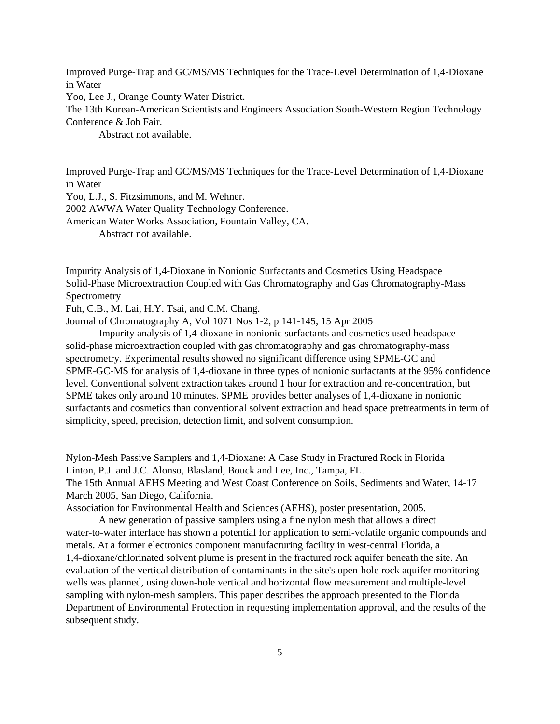Improved Purge-Trap and GC/MS/MS Techniques for the Trace-Level Determination of 1,4-Dioxane in Water

Yoo, Lee J., Orange County Water District.

The 13th Korean-American Scientists and Engineers Association South-Western Region Technology Conference & Job Fair.

Abstract not available.

Improved Purge-Trap and GC/MS/MS Techniques for the Trace-Level Determination of 1,4-Dioxane in Water

Yoo, L.J., S. Fitzsimmons, and M. Wehner.

2002 AWWA Water Quality Technology Conference.

American Water Works Association, Fountain Valley, CA.

Abstract not available.

Impurity Analysis of 1,4-Dioxane in Nonionic Surfactants and Cosmetics Using Headspace Solid-Phase Microextraction Coupled with Gas Chromatography and Gas Chromatography-Mass Spectrometry

Fuh, C.B., M. Lai, H.Y. Tsai, and C.M. Chang.

Journal of Chromatography A, Vol 1071 Nos 1-2, p 141-145, 15 Apr 2005

Impurity analysis of 1,4-dioxane in nonionic surfactants and cosmetics used headspace solid-phase microextraction coupled with gas chromatography and gas chromatography-mass spectrometry. Experimental results showed no significant difference using SPME-GC and SPME-GC-MS for analysis of 1,4-dioxane in three types of nonionic surfactants at the 95% confidence level. Conventional solvent extraction takes around 1 hour for extraction and re-concentration, but SPME takes only around 10 minutes. SPME provides better analyses of 1,4-dioxane in nonionic surfactants and cosmetics than conventional solvent extraction and head space pretreatments in term of simplicity, speed, precision, detection limit, and solvent consumption.

Nylon-Mesh Passive Samplers and 1,4-Dioxane: A Case Study in Fractured Rock in Florida Linton, P.J. and J.C. Alonso, Blasland, Bouck and Lee, Inc., Tampa, FL. The 15th Annual AEHS Meeting and West Coast Conference on Soils, Sediments and Water, 14-17 March 2005, San Diego, California.

Association for Environmental Health and Sciences (AEHS), poster presentation, 2005.

A new generation of passive samplers using a fine nylon mesh that allows a direct water-to-water interface has shown a potential for application to semi-volatile organic compounds and metals. At a former electronics component manufacturing facility in west-central Florida, a 1,4-dioxane/chlorinated solvent plume is present in the fractured rock aquifer beneath the site. An evaluation of the vertical distribution of contaminants in the site's open-hole rock aquifer monitoring wells was planned, using down-hole vertical and horizontal flow measurement and multiple-level sampling with nylon-mesh samplers. This paper describes the approach presented to the Florida Department of Environmental Protection in requesting implementation approval, and the results of the subsequent study.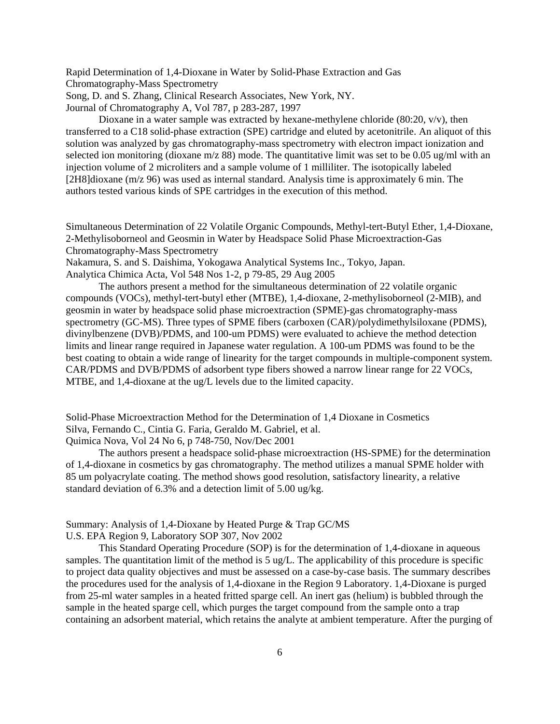Rapid Determination of 1,4-Dioxane in Water by Solid-Phase Extraction and Gas Chromatography-Mass Spectrometry Song, D. and S. Zhang, Clinical Research Associates, New York, NY.

Journal of Chromatography A, Vol 787, p 283-287, 1997

Dioxane in a water sample was extracted by hexane-methylene chloride  $(80:20, v/v)$ , then transferred to a C18 solid-phase extraction (SPE) cartridge and eluted by acetonitrile. An aliquot of this solution was analyzed by gas chromatography-mass spectrometry with electron impact ionization and selected ion monitoring (dioxane m/z 88) mode. The quantitative limit was set to be 0.05 ug/ml with an injection volume of 2 microliters and a sample volume of 1 milliliter. The isotopically labeled [2H8]dioxane (m/z 96) was used as internal standard. Analysis time is approximately 6 min. The authors tested various kinds of SPE cartridges in the execution of this method.

Simultaneous Determination of 22 Volatile Organic Compounds, Methyl-tert-Butyl Ether, 1,4-Dioxane, 2-Methylisoborneol and Geosmin in Water by Headspace Solid Phase Microextraction-Gas Chromatography-Mass Spectrometry

Nakamura, S. and S. Daishima, Yokogawa Analytical Systems Inc., Tokyo, Japan.

Analytica Chimica Acta, Vol 548 Nos 1-2, p 79-85, 29 Aug 2005

The authors present a method for the simultaneous determination of 22 volatile organic compounds (VOCs), methyl-tert-butyl ether (MTBE), 1,4-dioxane, 2-methylisoborneol (2-MIB), and geosmin in water by headspace solid phase microextraction (SPME)-gas chromatography-mass spectrometry (GC-MS). Three types of SPME fibers (carboxen (CAR)/polydimethylsiloxane (PDMS), divinylbenzene (DVB)/PDMS, and 100-um PDMS) were evaluated to achieve the method detection limits and linear range required in Japanese water regulation. A 100-um PDMS was found to be the best coating to obtain a wide range of linearity for the target compounds in multiple-component system. CAR/PDMS and DVB/PDMS of adsorbent type fibers showed a narrow linear range for 22 VOCs, MTBE, and 1,4-dioxane at the ug/L levels due to the limited capacity.

Solid-Phase Microextraction Method for the Determination of 1,4 Dioxane in Cosmetics Silva, Fernando C., Cintia G. Faria, Geraldo M. Gabriel, et al. Quimica Nova, Vol 24 No 6, p 748-750, Nov/Dec 2001

The authors present a headspace solid-phase microextraction (HS-SPME) for the determination of 1,4-dioxane in cosmetics by gas chromatography. The method utilizes a manual SPME holder with 85 um polyacrylate coating. The method shows good resolution, satisfactory linearity, a relative standard deviation of 6.3% and a detection limit of 5.00 ug/kg.

Summary: Analysis of 1,4-Dioxane by Heated Purge & Trap GC/MS U.S. EPA Region 9, Laboratory SOP 307, Nov 2002

This Standard Operating Procedure (SOP) is for the determination of 1,4-dioxane in aqueous

samples. The quantitation limit of the method is 5 ug/L. The applicability of this procedure is specific to project data quality objectives and must be assessed on a case-by-case basis. The summary describes the procedures used for the analysis of 1,4-dioxane in the Region 9 Laboratory. 1,4-Dioxane is purged from 25-ml water samples in a heated fritted sparge cell. An inert gas (helium) is bubbled through the sample in the heated sparge cell, which purges the target compound from the sample onto a trap containing an adsorbent material, which retains the analyte at ambient temperature. After the purging of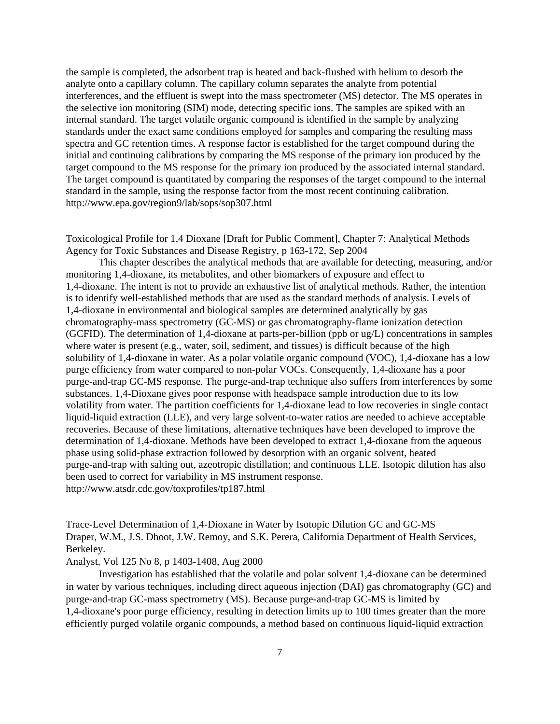the sample is completed, the adsorbent trap is heated and back-flushed with helium to desorb the analyte onto a capillary column. The capillary column separates the analyte from potential interferences, and the effluent is swept into the mass spectrometer (MS) detector. The MS operates in the selective ion monitoring (SIM) mode, detecting specific ions. The samples are spiked with an internal standard. The target volatile organic compound is identified in the sample by analyzing standards under the exact same conditions employed for samples and comparing the resulting mass spectra and GC retention times. A response factor is established for the target compound during the initial and continuing calibrations by comparing the MS response of the primary ion produced by the target compound to the MS response for the primary ion produced by the associated internal standard. The target compound is quantitated by comparing the responses of the target compound to the internal standard in the sample, using the response factor from the most recent continuing calibration. <http://www.epa.gov/region9/lab/sops/sop307.html>

Toxicological Profile for 1,4 Dioxane [Draft for Public Comment], Chapter 7: Analytical Methods Agency for Toxic Substances and Disease Registry, p 163-172, Sep 2004

This chapter describes the analytical methods that are available for detecting, measuring, and/or monitoring 1,4-dioxane, its metabolites, and other biomarkers of exposure and effect to 1,4-dioxane. The intent is not to provide an exhaustive list of analytical methods. Rather, the intention is to identify well-established methods that are used as the standard methods of analysis. Levels of 1,4-dioxane in environmental and biological samples are determined analytically by gas chromatography-mass spectrometry (GC-MS) or gas chromatography-flame ionization detection (GCFID). The determination of 1,4-dioxane at parts-per-billion (ppb or ug/L) concentrations in samples where water is present (e.g., water, soil, sediment, and tissues) is difficult because of the high solubility of 1,4-dioxane in water. As a polar volatile organic compound (VOC), 1,4-dioxane has a low purge efficiency from water compared to non-polar VOCs. Consequently, 1,4-dioxane has a poor purge-and-trap GC-MS response. The purge-and-trap technique also suffers from interferences by some substances. 1,4-Dioxane gives poor response with headspace sample introduction due to its low volatility from water. The partition coefficients for 1,4-dioxane lead to low recoveries in single contact liquid-liquid extraction (LLE), and very large solvent-to-water ratios are needed to achieve acceptable recoveries. Because of these limitations, alternative techniques have been developed to improve the determination of 1,4-dioxane. Methods have been developed to extract 1,4-dioxane from the aqueous phase using solid-phase extraction followed by desorption with an organic solvent, heated purge-and-trap with salting out, azeotropic distillation; and continuous LLE. Isotopic dilution has also been used to correct for variability in MS instrument response. <http://www.atsdr.cdc.gov/toxprofiles/tp187.html>

Trace-Level Determination of 1,4-Dioxane in Water by Isotopic Dilution GC and GC-MS Draper, W.M., J.S. Dhoot, J.W. Remoy, and S.K. Perera, California Department of Health Services, Berkeley.

### Analyst, Vol 125 No 8, p 1403-1408, Aug 2000

Investigation has established that the volatile and polar solvent 1,4-dioxane can be determined in water by various techniques, including direct aqueous injection (DAI) gas chromatography (GC) and purge-and-trap GC-mass spectrometry (MS). Because purge-and-trap GC-MS is limited by 1,4-dioxane's poor purge efficiency, resulting in detection limits up to 100 times greater than the more efficiently purged volatile organic compounds, a method based on continuous liquid-liquid extraction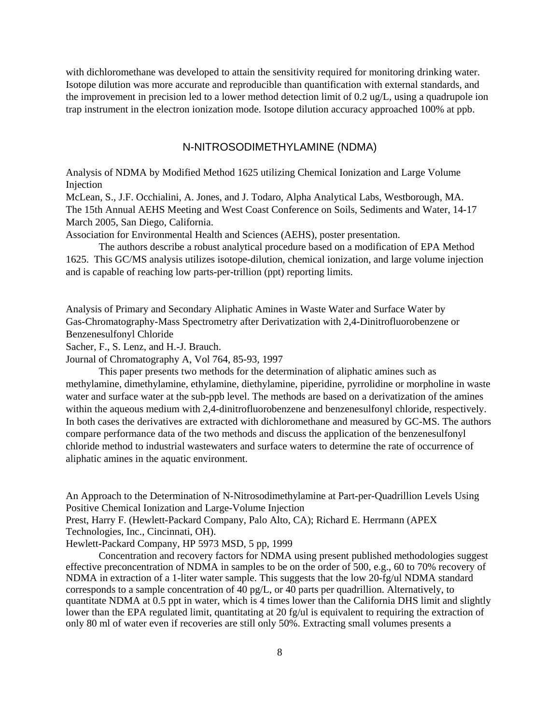with dichloromethane was developed to attain the sensitivity required for monitoring drinking water. Isotope dilution was more accurate and reproducible than quantification with external standards, and the improvement in precision led to a lower method detection limit of 0.2 ug/L, using a quadrupole ion trap instrument in the electron ionization mode. Isotope dilution accuracy approached 100% at ppb.

## N-NITROSODIMETHYLAMINE (NDMA)

Analysis of NDMA by Modified Method 1625 utilizing Chemical Ionization and Large Volume Injection

McLean, S., J.F. Occhialini, A. Jones, and J. Todaro, Alpha Analytical Labs, Westborough, MA. The 15th Annual AEHS Meeting and West Coast Conference on Soils, Sediments and Water, 14-17 March 2005, San Diego, California.

Association for Environmental Health and Sciences (AEHS), poster presentation.

The authors describe a robust analytical procedure based on a modification of EPA Method 1625. This GC/MS analysis utilizes isotope-dilution, chemical ionization, and large volume injection and is capable of reaching low parts-per-trillion (ppt) reporting limits.

Analysis of Primary and Secondary Aliphatic Amines in Waste Water and Surface Water by Gas-Chromatography-Mass Spectrometry after Derivatization with 2,4-Dinitrofluorobenzene or Benzenesulfonyl Chloride

Sacher, F., S. Lenz, and H.-J. Brauch.

Journal of Chromatography A, Vol 764, 85-93, 1997

This paper presents two methods for the determination of aliphatic amines such as methylamine, dimethylamine, ethylamine, diethylamine, piperidine, pyrrolidine or morpholine in waste water and surface water at the sub-ppb level. The methods are based on a derivatization of the amines within the aqueous medium with 2,4-dinitrofluorobenzene and benzenesulfonyl chloride, respectively. In both cases the derivatives are extracted with dichloromethane and measured by GC-MS. The authors compare performance data of the two methods and discuss the application of the benzenesulfonyl chloride method to industrial wastewaters and surface waters to determine the rate of occurrence of aliphatic amines in the aquatic environment.

An Approach to the Determination of N-Nitrosodimethylamine at Part-per-Quadrillion Levels Using Positive Chemical Ionization and Large-Volume Injection

Prest, Harry F. (Hewlett-Packard Company, Palo Alto, CA); Richard E. Herrmann (APEX Technologies, Inc., Cincinnati, OH).

Hewlett-Packard Company, HP 5973 MSD, 5 pp, 1999

Concentration and recovery factors for NDMA using present published methodologies suggest effective preconcentration of NDMA in samples to be on the order of 500, e.g., 60 to 70% recovery of NDMA in extraction of a 1-liter water sample. This suggests that the low 20-fg/ul NDMA standard corresponds to a sample concentration of 40 pg/L, or 40 parts per quadrillion. Alternatively, to quantitate NDMA at 0.5 ppt in water, which is 4 times lower than the California DHS limit and slightly lower than the EPA regulated limit, quantitating at 20 fg/ul is equivalent to requiring the extraction of only 80 ml of water even if recoveries are still only 50%. Extracting small volumes presents a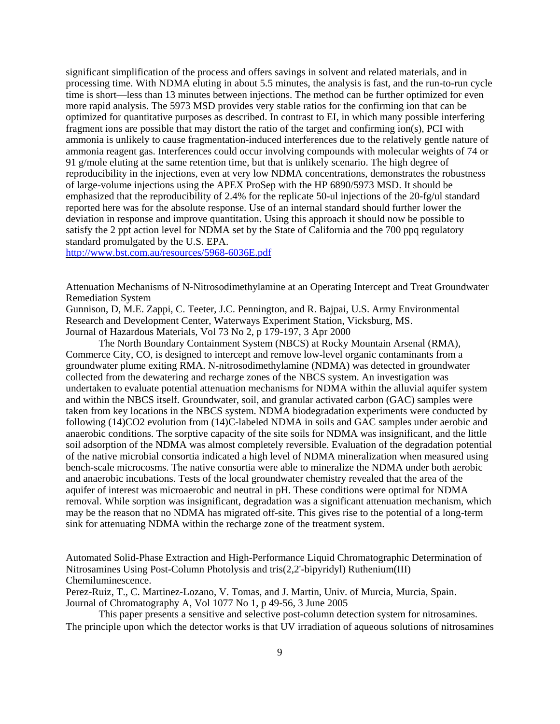significant simplification of the process and offers savings in solvent and related materials, and in processing time. With NDMA eluting in about 5.5 minutes, the analysis is fast, and the run-to-run cycle time is short—less than 13 minutes between injections. The method can be further optimized for even more rapid analysis. The 5973 MSD provides very stable ratios for the confirming ion that can be optimized for quantitative purposes as described. In contrast to EI, in which many possible interfering fragment ions are possible that may distort the ratio of the target and confirming ion(s), PCI with ammonia is unlikely to cause fragmentation-induced interferences due to the relatively gentle nature of ammonia reagent gas. Interferences could occur involving compounds with molecular weights of 74 or 91 g/mole eluting at the same retention time, but that is unlikely scenario. The high degree of reproducibility in the injections, even at very low NDMA concentrations, demonstrates the robustness of large-volume injections using the APEX ProSep with the HP 6890/5973 MSD. It should be emphasized that the reproducibility of 2.4% for the replicate 50-ul injections of the 20-fg/ul standard reported here was for the absolute response. Use of an internal standard should further lower the deviation in response and improve quantitation. Using this approach it should now be possible to satisfy the 2 ppt action level for NDMA set by the State of California and the 700 ppq regulatory standard promulgated by the U.S. EPA.

<http://www.bst.com.au/resources/5968-6036E.pdf>

Attenuation Mechanisms of N-Nitrosodimethylamine at an Operating Intercept and Treat Groundwater Remediation System

Gunnison, D, M.E. Zappi, C. Teeter, J.C. Pennington, and R. Bajpai, U.S. Army Environmental Research and Development Center, Waterways Experiment Station, Vicksburg, MS. Journal of Hazardous Materials, Vol 73 No 2, p 179-197, 3 Apr 2000

The North Boundary Containment System (NBCS) at Rocky Mountain Arsenal (RMA), Commerce City, CO, is designed to intercept and remove low-level organic contaminants from a groundwater plume exiting RMA. N-nitrosodimethylamine (NDMA) was detected in groundwater collected from the dewatering and recharge zones of the NBCS system. An investigation was undertaken to evaluate potential attenuation mechanisms for NDMA within the alluvial aquifer system and within the NBCS itself. Groundwater, soil, and granular activated carbon (GAC) samples were taken from key locations in the NBCS system. NDMA biodegradation experiments were conducted by following (14)CO2 evolution from (14)C-labeled NDMA in soils and GAC samples under aerobic and anaerobic conditions. The sorptive capacity of the site soils for NDMA was insignificant, and the little soil adsorption of the NDMA was almost completely reversible. Evaluation of the degradation potential of the native microbial consortia indicated a high level of NDMA mineralization when measured using bench-scale microcosms. The native consortia were able to mineralize the NDMA under both aerobic and anaerobic incubations. Tests of the local groundwater chemistry revealed that the area of the aquifer of interest was microaerobic and neutral in pH. These conditions were optimal for NDMA removal. While sorption was insignificant, degradation was a significant attenuation mechanism, which may be the reason that no NDMA has migrated off-site. This gives rise to the potential of a long-term sink for attenuating NDMA within the recharge zone of the treatment system.

Automated Solid-Phase Extraction and High-Performance Liquid Chromatographic Determination of Nitrosamines Using Post-Column Photolysis and tris(2,2'-bipyridyl) Ruthenium(III) Chemiluminescence.

Perez-Ruiz, T., C. Martinez-Lozano, V. Tomas, and J. Martin, Univ. of Murcia, Murcia, Spain. Journal of Chromatography A, Vol 1077 No 1, p 49-56, 3 June 2005

This paper presents a sensitive and selective post-column detection system for nitrosamines. The principle upon which the detector works is that UV irradiation of aqueous solutions of nitrosamines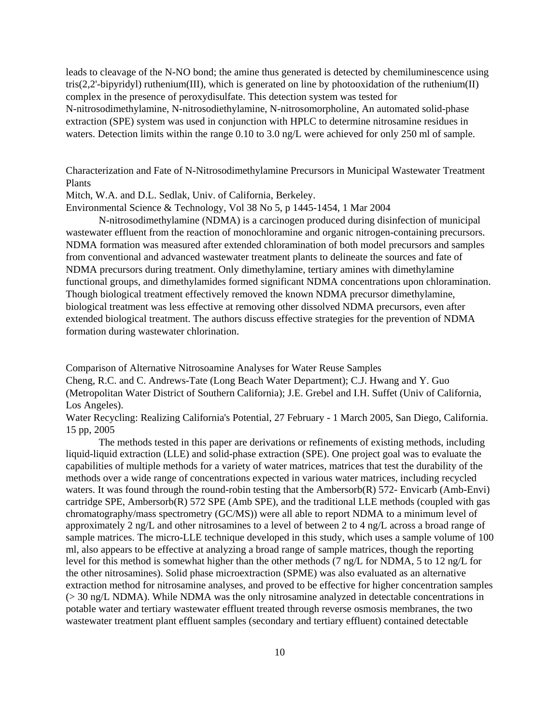leads to cleavage of the N-NO bond; the amine thus generated is detected by chemiluminescence using tris(2,2'-bipyridyl) ruthenium(III), which is generated on line by photooxidation of the ruthenium(II) complex in the presence of peroxydisulfate. This detection system was tested for N-nitrosodimethylamine, N-nitrosodiethylamine, N-nitrosomorpholine, An automated solid-phase extraction (SPE) system was used in conjunction with HPLC to determine nitrosamine residues in waters. Detection limits within the range 0.10 to 3.0 ng/L were achieved for only 250 ml of sample.

Characterization and Fate of N-Nitrosodimethylamine Precursors in Municipal Wastewater Treatment Plants

Mitch, W.A. and D.L. Sedlak, Univ. of California, Berkeley.

Environmental Science & Technology, Vol 38 No 5, p 1445-1454, 1 Mar 2004

N-nitrosodimethylamine (NDMA) is a carcinogen produced during disinfection of municipal wastewater effluent from the reaction of monochloramine and organic nitrogen-containing precursors. NDMA formation was measured after extended chloramination of both model precursors and samples from conventional and advanced wastewater treatment plants to delineate the sources and fate of NDMA precursors during treatment. Only dimethylamine, tertiary amines with dimethylamine functional groups, and dimethylamides formed significant NDMA concentrations upon chloramination. Though biological treatment effectively removed the known NDMA precursor dimethylamine, biological treatment was less effective at removing other dissolved NDMA precursors, even after extended biological treatment. The authors discuss effective strategies for the prevention of NDMA formation during wastewater chlorination.

Comparison of Alternative Nitrosoamine Analyses for Water Reuse Samples

Cheng, R.C. and C. Andrews-Tate (Long Beach Water Department); C.J. Hwang and Y. Guo (Metropolitan Water District of Southern California); J.E. Grebel and I.H. Suffet (Univ of California, Los Angeles).

Water Recycling: Realizing California's Potential, 27 February - 1 March 2005, San Diego, California. 15 pp, 2005

The methods tested in this paper are derivations or refinements of existing methods, including liquid-liquid extraction (LLE) and solid-phase extraction (SPE). One project goal was to evaluate the capabilities of multiple methods for a variety of water matrices, matrices that test the durability of the methods over a wide range of concentrations expected in various water matrices, including recycled waters. It was found through the round-robin testing that the Ambersorb(R) 572- Envicarb (Amb-Envi) cartridge SPE, Ambersorb(R) 572 SPE (Amb SPE), and the traditional LLE methods (coupled with gas chromatography/mass spectrometry (GC/MS)) were all able to report NDMA to a minimum level of approximately 2 ng/L and other nitrosamines to a level of between 2 to 4 ng/L across a broad range of sample matrices. The micro-LLE technique developed in this study, which uses a sample volume of 100 ml, also appears to be effective at analyzing a broad range of sample matrices, though the reporting level for this method is somewhat higher than the other methods (7 ng/L for NDMA, 5 to 12 ng/L for the other nitrosamines). Solid phase microextraction (SPME) was also evaluated as an alternative extraction method for nitrosamine analyses, and proved to be effective for higher concentration samples (> 30 ng/L NDMA). While NDMA was the only nitrosamine analyzed in detectable concentrations in potable water and tertiary wastewater effluent treated through reverse osmosis membranes, the two wastewater treatment plant effluent samples (secondary and tertiary effluent) contained detectable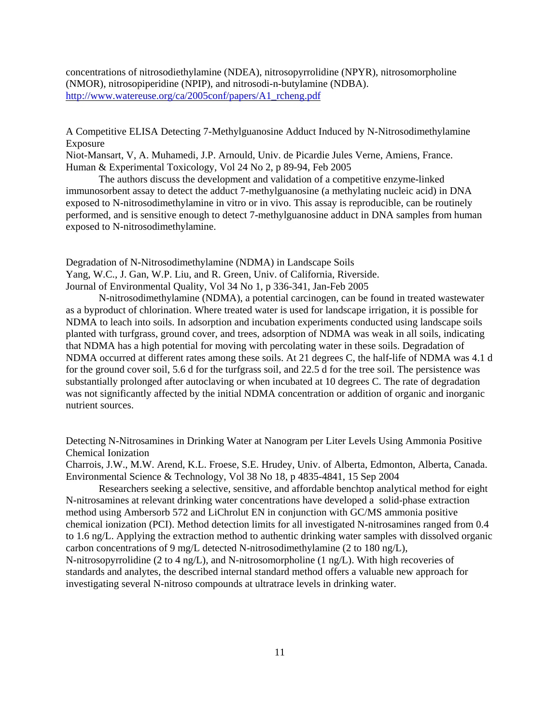concentrations of nitrosodiethylamine (NDEA), nitrosopyrrolidine (NPYR), nitrosomorpholine (NMOR), nitrosopiperidine (NPIP), and nitrosodi-n-butylamine (NDBA). [http://www.watereuse.org/ca/2005conf/papers/A1\\_rcheng.pdf](http://www.watereuse.org/ca/2005conf/papers/A1_rcheng.pdf) 

A Competitive ELISA Detecting 7-Methylguanosine Adduct Induced by N-Nitrosodimethylamine Exposure

Niot-Mansart, V, A. Muhamedi, J.P. Arnould, Univ. de Picardie Jules Verne, Amiens, France. Human & Experimental Toxicology, Vol 24 No 2, p 89-94, Feb 2005

The authors discuss the development and validation of a competitive enzyme-linked immunosorbent assay to detect the adduct 7-methylguanosine (a methylating nucleic acid) in DNA exposed to N-nitrosodimethylamine in vitro or in vivo. This assay is reproducible, can be routinely performed, and is sensitive enough to detect 7-methylguanosine adduct in DNA samples from human exposed to N-nitrosodimethylamine.

Degradation of N-Nitrosodimethylamine (NDMA) in Landscape Soils Yang, W.C., J. Gan, W.P. Liu, and R. Green, Univ. of California, Riverside. Journal of Environmental Quality, Vol 34 No 1, p 336-341, Jan-Feb 2005

N-nitrosodimethylamine (NDMA), a potential carcinogen, can be found in treated wastewater as a byproduct of chlorination. Where treated water is used for landscape irrigation, it is possible for NDMA to leach into soils. In adsorption and incubation experiments conducted using landscape soils planted with turfgrass, ground cover, and trees, adsorption of NDMA was weak in all soils, indicating that NDMA has a high potential for moving with percolating water in these soils. Degradation of NDMA occurred at different rates among these soils. At 21 degrees C, the half-life of NDMA was 4.1 d for the ground cover soil, 5.6 d for the turfgrass soil, and 22.5 d for the tree soil. The persistence was substantially prolonged after autoclaving or when incubated at 10 degrees C. The rate of degradation was not significantly affected by the initial NDMA concentration or addition of organic and inorganic nutrient sources.

Detecting N-Nitrosamines in Drinking Water at Nanogram per Liter Levels Using Ammonia Positive Chemical Ionization

Charrois, J.W., M.W. Arend, K.L. Froese, S.E. Hrudey, Univ. of Alberta, Edmonton, Alberta, Canada. Environmental Science & Technology, Vol 38 No 18, p 4835-4841, 15 Sep 2004

Researchers seeking a selective, sensitive, and affordable benchtop analytical method for eight N-nitrosamines at relevant drinking water concentrations have developed a solid-phase extraction method using Ambersorb 572 and LiChrolut EN in conjunction with GC/MS ammonia positive chemical ionization (PCI). Method detection limits for all investigated N-nitrosamines ranged from 0.4 to 1.6 ng/L. Applying the extraction method to authentic drinking water samples with dissolved organic carbon concentrations of 9 mg/L detected N-nitrosodimethylamine (2 to 180 ng/L), N-nitrosopyrrolidine (2 to 4 ng/L), and N-nitrosomorpholine (1 ng/L). With high recoveries of standards and analytes, the described internal standard method offers a valuable new approach for investigating several N-nitroso compounds at ultratrace levels in drinking water.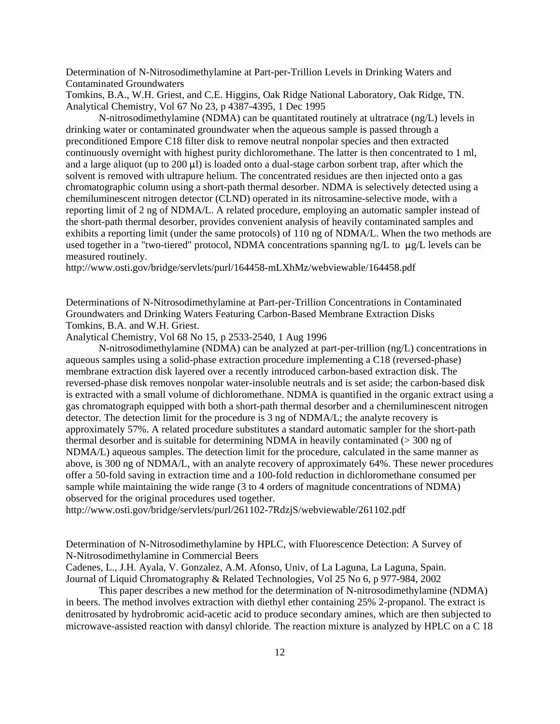Determination of N-Nitrosodimethylamine at Part-per-Trillion Levels in Drinking Waters and Contaminated Groundwaters

Tomkins, B.A., W.H. Griest, and C.E. Higgins, Oak Ridge National Laboratory, Oak Ridge, TN. Analytical Chemistry, Vol 67 No 23, p 4387-4395, 1 Dec 1995

N-nitrosodimethylamine (NDMA) can be quantitated routinely at ultratrace (ng/L) levels in drinking water or contaminated groundwater when the aqueous sample is passed through a preconditioned Empore C18 filter disk to remove neutral nonpolar species and then extracted continuously overnight with highest purity dichloromethane. The latter is then concentrated to 1 ml, and a large aliquot (up to  $200 \mu l$ ) is loaded onto a dual-stage carbon sorbent trap, after which the solvent is removed with ultrapure helium. The concentrated residues are then injected onto a gas chromatographic column using a short-path thermal desorber. NDMA is selectively detected using a chemiluminescent nitrogen detector (CLND) operated in its nitrosamine-selective mode, with a reporting limit of 2 ng of NDMA/L. A related procedure, employing an automatic sampler instead of the short-path thermal desorber, provides convenient analysis of heavily contaminated samples and exhibits a reporting limit (under the same protocols) of 110 ng of NDMA/L. When the two methods are used together in a "two-tiered" protocol, NDMA concentrations spanning  $ng/L$  to  $\mu g/L$  levels can be measured routinely.

<http://www.osti.gov/bridge/servlets/purl/164458-mLXhMz/webviewable/164458.pdf>

Determinations of N-Nitrosodimethylamine at Part-per-Trillion Concentrations in Contaminated Groundwaters and Drinking Waters Featuring Carbon-Based Membrane Extraction Disks Tomkins, B.A. and W.H. Griest.

Analytical Chemistry, Vol 68 No 15, p 2533-2540, 1 Aug 1996

N-nitrosodimethylamine (NDMA) can be analyzed at part-per-trillion (ng/L) concentrations in aqueous samples using a solid-phase extraction procedure implementing a C18 (reversed-phase) membrane extraction disk layered over a recently introduced carbon-based extraction disk. The reversed-phase disk removes nonpolar water-insoluble neutrals and is set aside; the carbon-based disk is extracted with a small volume of dichloromethane. NDMA is quantified in the organic extract using a gas chromatograph equipped with both a short-path thermal desorber and a chemiluminescent nitrogen detector. The detection limit for the procedure is 3 ng of NDMA/L; the analyte recovery is approximately 57%. A related procedure substitutes a standard automatic sampler for the short-path thermal desorber and is suitable for determining NDMA in heavily contaminated (> 300 ng of NDMA/L) aqueous samples. The detection limit for the procedure, calculated in the same manner as above, is 300 ng of NDMA/L, with an analyte recovery of approximately 64%. These newer procedures offer a 50-fold saving in extraction time and a 100-fold reduction in dichloromethane consumed per sample while maintaining the wide range (3 to 4 orders of magnitude concentrations of NDMA) observed for the original procedures used together.

<http://www.osti.gov/bridge/servlets/purl/261102-7RdzjS/webviewable/261102.pdf>

Determination of N-Nitrosodimethylamine by HPLC, with Fluorescence Detection: A Survey of N-Nitrosodimethylamine in Commercial Beers

Cadenes, L., J.H. Ayala, V. Gonzalez, A.M. Afonso, Univ, of La Laguna, La Laguna, Spain. Journal of Liquid Chromatography & Related Technologies, Vol 25 No 6, p 977-984, 2002

This paper describes a new method for the determination of N-nitrosodimethylamine (NDMA) in beers. The method involves extraction with diethyl ether containing 25% 2-propanol. The extract is denitrosated by hydrobromic acid-acetic acid to produce secondary amines, which are then subjected to microwave-assisted reaction with dansyl chloride. The reaction mixture is analyzed by HPLC on a C 18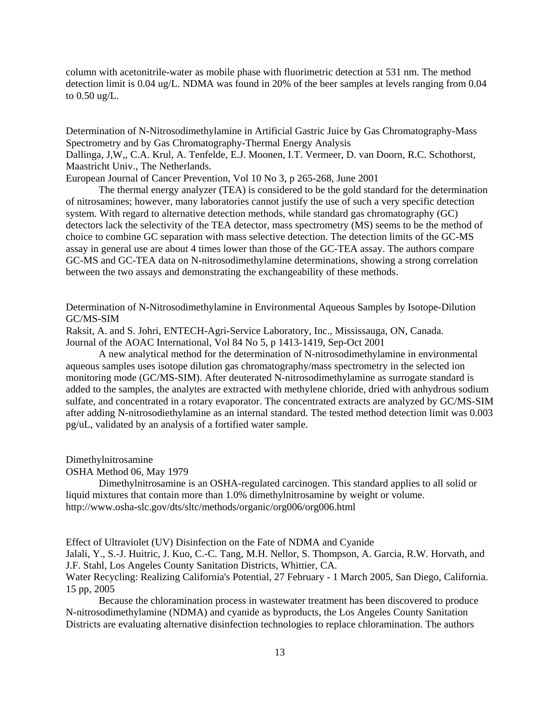column with acetonitrile-water as mobile phase with fluorimetric detection at 531 nm. The method detection limit is 0.04 ug/L. NDMA was found in 20% of the beer samples at levels ranging from 0.04 to 0.50 ug/L.

Determination of N-Nitrosodimethylamine in Artificial Gastric Juice by Gas Chromatography-Mass Spectrometry and by Gas Chromatography-Thermal Energy Analysis Dallinga, J,W,, C.A. Krul, A. Tenfelde, E.J. Moonen, I.T. Vermeer, D. van Doorn, R.C. Schothorst, Maastricht Univ., The Netherlands.

European Journal of Cancer Prevention, Vol 10 No 3, p 265-268, June 2001

The thermal energy analyzer (TEA) is considered to be the gold standard for the determination of nitrosamines; however, many laboratories cannot justify the use of such a very specific detection system. With regard to alternative detection methods, while standard gas chromatography (GC) detectors lack the selectivity of the TEA detector, mass spectrometry (MS) seems to be the method of choice to combine GC separation with mass selective detection. The detection limits of the GC-MS assay in general use are about 4 times lower than those of the GC-TEA assay. The authors compare GC-MS and GC-TEA data on N-nitrosodimethylamine determinations, showing a strong correlation between the two assays and demonstrating the exchangeability of these methods.

Determination of N-Nitrosodimethylamine in Environmental Aqueous Samples by Isotope-Dilution GC/MS-SIM

Raksit, A. and S. Johri, ENTECH-Agri-Service Laboratory, Inc., Mississauga, ON, Canada. Journal of the AOAC International, Vol 84 No 5, p 1413-1419, Sep-Oct 2001

A new analytical method for the determination of N-nitrosodimethylamine in environmental aqueous samples uses isotope dilution gas chromatography/mass spectrometry in the selected ion monitoring mode (GC/MS-SIM). After deuterated N-nitrosodimethylamine as surrogate standard is added to the samples, the analytes are extracted with methylene chloride, dried with anhydrous sodium sulfate, and concentrated in a rotary evaporator. The concentrated extracts are analyzed by GC/MS-SIM after adding N-nitrosodiethylamine as an internal standard. The tested method detection limit was 0.003 pg/uL, validated by an analysis of a fortified water sample.

Dimethylnitrosamine

OSHA Method 06, May 1979

Dimethylnitrosamine is an OSHA-regulated carcinogen. This standard applies to all solid or liquid mixtures that contain more than 1.0% dimethylnitrosamine by weight or volume. <http://www.osha-slc.gov/dts/sltc/methods/organic/org006/org006.html>

Effect of Ultraviolet (UV) Disinfection on the Fate of NDMA and Cyanide

Jalali, Y., S.-J. Huitric, J. Kuo, C.-C. Tang, M.H. Nellor, S. Thompson, A. Garcia, R.W. Horvath, and J.F. Stahl, Los Angeles County Sanitation Districts, Whittier, CA.

Water Recycling: Realizing California's Potential, 27 February - 1 March 2005, San Diego, California. 15 pp, 2005

Because the chloramination process in wastewater treatment has been discovered to produce N-nitrosodimethylamine (NDMA) and cyanide as byproducts, the Los Angeles County Sanitation Districts are evaluating alternative disinfection technologies to replace chloramination. The authors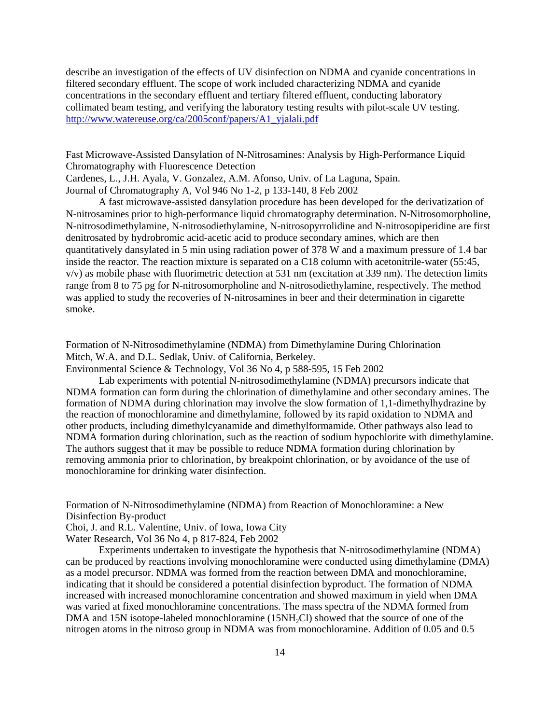describe an investigation of the effects of UV disinfection on NDMA and cyanide concentrations in filtered secondary effluent. The scope of work included characterizing NDMA and cyanide concentrations in the secondary effluent and tertiary filtered effluent, conducting laboratory collimated beam testing, and verifying the laboratory testing results with pilot-scale UV testing. [http://www.watereuse.org/ca/2005conf/papers/A1\\_yjalali.pdf](http://www.watereuse.org/ca/2005conf/papers/A1_yjalali.pdf)

Fast Microwave-Assisted Dansylation of N-Nitrosamines: Analysis by High-Performance Liquid Chromatography with Fluorescence Detection Cardenes, L., J.H. Ayala, V. Gonzalez, A.M. Afonso, Univ. of La Laguna, Spain. Journal of Chromatography A, Vol 946 No 1-2, p 133-140, 8 Feb 2002

A fast microwave-assisted dansylation procedure has been developed for the derivatization of N-nitrosamines prior to high-performance liquid chromatography determination. N-Nitrosomorpholine, N-nitrosodimethylamine, N-nitrosodiethylamine, N-nitrosopyrrolidine and N-nitrosopiperidine are first denitrosated by hydrobromic acid-acetic acid to produce secondary amines, which are then quantitatively dansylated in 5 min using radiation power of 378 W and a maximum pressure of 1.4 bar inside the reactor. The reaction mixture is separated on a C18 column with acetonitrile-water (55:45, v/v) as mobile phase with fluorimetric detection at 531 nm (excitation at 339 nm). The detection limits range from 8 to 75 pg for N-nitrosomorpholine and N-nitrosodiethylamine, respectively. The method was applied to study the recoveries of N-nitrosamines in beer and their determination in cigarette smoke.

Formation of N-Nitrosodimethylamine (NDMA) from Dimethylamine During Chlorination Mitch, W.A. and D.L. Sedlak, Univ. of California, Berkeley.

Environmental Science & Technology, Vol 36 No 4, p 588-595, 15 Feb 2002

Lab experiments with potential N-nitrosodimethylamine (NDMA) precursors indicate that NDMA formation can form during the chlorination of dimethylamine and other secondary amines. The formation of NDMA during chlorination may involve the slow formation of 1,1-dimethylhydrazine by the reaction of monochloramine and dimethylamine, followed by its rapid oxidation to NDMA and other products, including dimethylcyanamide and dimethylformamide. Other pathways also lead to NDMA formation during chlorination, such as the reaction of sodium hypochlorite with dimethylamine. The authors suggest that it may be possible to reduce NDMA formation during chlorination by removing ammonia prior to chlorination, by breakpoint chlorination, or by avoidance of the use of monochloramine for drinking water disinfection.

Formation of N-Nitrosodimethylamine (NDMA) from Reaction of Monochloramine: a New Disinfection By-product

Choi, J. and R.L. Valentine, Univ. of Iowa, Iowa City

Water Research, Vol 36 No 4, p 817-824, Feb 2002

Experiments undertaken to investigate the hypothesis that N-nitrosodimethylamine (NDMA) can be produced by reactions involving monochloramine were conducted using dimethylamine (DMA) as a model precursor. NDMA was formed from the reaction between DMA and monochloramine, indicating that it should be considered a potential disinfection byproduct. The formation of NDMA increased with increased monochloramine concentration and showed maximum in yield when DMA was varied at fixed monochloramine concentrations. The mass spectra of the NDMA formed from DMA and 15N isotope-labeled monochloramine (15NH<sub>2</sub>Cl) showed that the source of one of the nitrogen atoms in the nitroso group in NDMA was from monochloramine. Addition of 0.05 and 0.5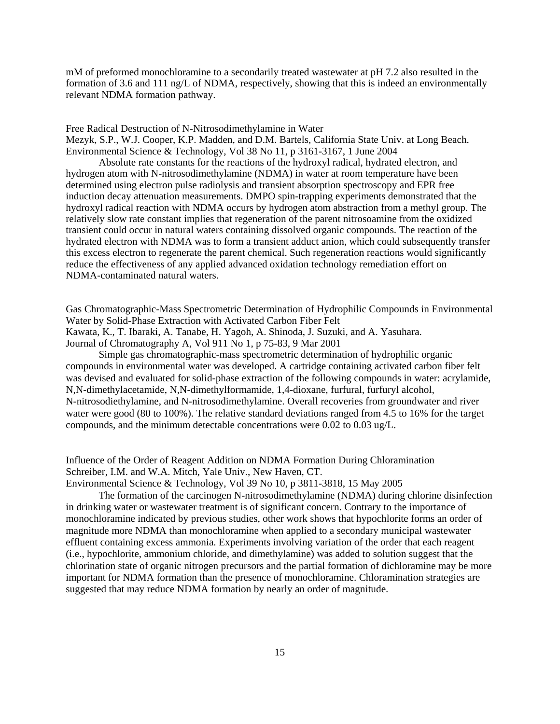mM of preformed monochloramine to a secondarily treated wastewater at pH 7.2 also resulted in the formation of 3.6 and 111 ng/L of NDMA, respectively, showing that this is indeed an environmentally relevant NDMA formation pathway.

Free Radical Destruction of N-Nitrosodimethylamine in Water

Mezyk, S.P., W.J. Cooper, K.P. Madden, and D.M. Bartels, California State Univ. at Long Beach. Environmental Science & Technology, Vol 38 No 11, p 3161-3167, 1 June 2004

Absolute rate constants for the reactions of the hydroxyl radical, hydrated electron, and hydrogen atom with N-nitrosodimethylamine (NDMA) in water at room temperature have been determined using electron pulse radiolysis and transient absorption spectroscopy and EPR free induction decay attenuation measurements. DMPO spin-trapping experiments demonstrated that the hydroxyl radical reaction with NDMA occurs by hydrogen atom abstraction from a methyl group. The relatively slow rate constant implies that regeneration of the parent nitrosoamine from the oxidized transient could occur in natural waters containing dissolved organic compounds. The reaction of the hydrated electron with NDMA was to form a transient adduct anion, which could subsequently transfer this excess electron to regenerate the parent chemical. Such regeneration reactions would significantly reduce the effectiveness of any applied advanced oxidation technology remediation effort on NDMA-contaminated natural waters.

Gas Chromatographic-Mass Spectrometric Determination of Hydrophilic Compounds in Environmental Water by Solid-Phase Extraction with Activated Carbon Fiber Felt Kawata, K., T. Ibaraki, A. Tanabe, H. Yagoh, A. Shinoda, J. Suzuki, and A. Yasuhara. Journal of Chromatography A, Vol 911 No 1, p 75-83, 9 Mar 2001

Simple gas chromatographic-mass spectrometric determination of hydrophilic organic compounds in environmental water was developed. A cartridge containing activated carbon fiber felt was devised and evaluated for solid-phase extraction of the following compounds in water: acrylamide, N,N-dimethylacetamide, N,N-dimethylformamide, 1,4-dioxane, furfural, furfuryl alcohol, N-nitrosodiethylamine, and N-nitrosodimethylamine. Overall recoveries from groundwater and river water were good (80 to 100%). The relative standard deviations ranged from 4.5 to 16% for the target compounds, and the minimum detectable concentrations were 0.02 to 0.03 ug/L.

Influence of the Order of Reagent Addition on NDMA Formation During Chloramination Schreiber, I.M. and W.A. Mitch, Yale Univ., New Haven, CT.

Environmental Science & Technology, Vol 39 No 10, p 3811-3818, 15 May 2005

The formation of the carcinogen N-nitrosodimethylamine (NDMA) during chlorine disinfection in drinking water or wastewater treatment is of significant concern. Contrary to the importance of monochloramine indicated by previous studies, other work shows that hypochlorite forms an order of magnitude more NDMA than monochloramine when applied to a secondary municipal wastewater effluent containing excess ammonia. Experiments involving variation of the order that each reagent (i.e., hypochlorite, ammonium chloride, and dimethylamine) was added to solution suggest that the chlorination state of organic nitrogen precursors and the partial formation of dichloramine may be more important for NDMA formation than the presence of monochloramine. Chloramination strategies are suggested that may reduce NDMA formation by nearly an order of magnitude.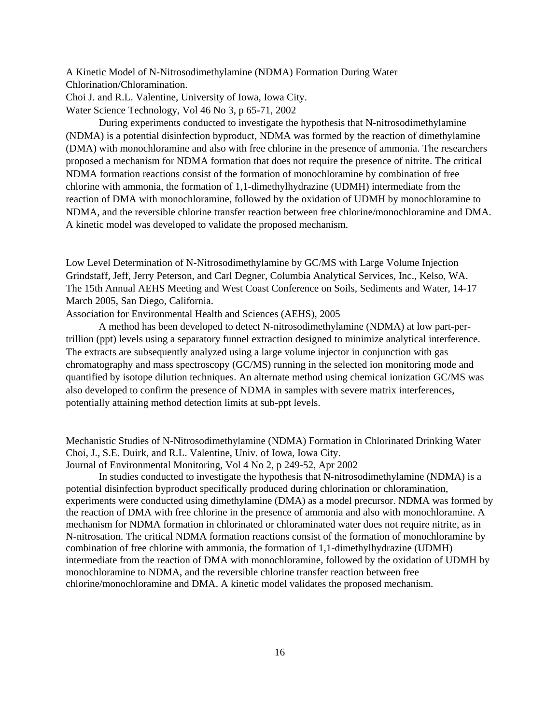A Kinetic Model of N-Nitrosodimethylamine (NDMA) Formation During Water Chlorination/Chloramination.

Choi J. and R.L. Valentine, University of Iowa, Iowa City.

Water Science Technology, Vol 46 No 3, p 65-71, 2002

During experiments conducted to investigate the hypothesis that N-nitrosodimethylamine (NDMA) is a potential disinfection byproduct, NDMA was formed by the reaction of dimethylamine (DMA) with monochloramine and also with free chlorine in the presence of ammonia. The researchers proposed a mechanism for NDMA formation that does not require the presence of nitrite. The critical NDMA formation reactions consist of the formation of monochloramine by combination of free chlorine with ammonia, the formation of 1,1-dimethylhydrazine (UDMH) intermediate from the reaction of DMA with monochloramine, followed by the oxidation of UDMH by monochloramine to NDMA, and the reversible chlorine transfer reaction between free chlorine/monochloramine and DMA. A kinetic model was developed to validate the proposed mechanism.

Low Level Determination of N-Nitrosodimethylamine by GC/MS with Large Volume Injection Grindstaff, Jeff, Jerry Peterson, and Carl Degner, Columbia Analytical Services, Inc., Kelso, WA. The 15th Annual AEHS Meeting and West Coast Conference on Soils, Sediments and Water, 14-17 March 2005, San Diego, California.

Association for Environmental Health and Sciences (AEHS), 2005

A method has been developed to detect N-nitrosodimethylamine (NDMA) at low part-pertrillion (ppt) levels using a separatory funnel extraction designed to minimize analytical interference. The extracts are subsequently analyzed using a large volume injector in conjunction with gas chromatography and mass spectroscopy (GC/MS) running in the selected ion monitoring mode and quantified by isotope dilution techniques. An alternate method using chemical ionization GC/MS was also developed to confirm the presence of NDMA in samples with severe matrix interferences, potentially attaining method detection limits at sub-ppt levels.

Mechanistic Studies of N-Nitrosodimethylamine (NDMA) Formation in Chlorinated Drinking Water Choi, J., S.E. Duirk, and R.L. Valentine, Univ. of Iowa, Iowa City.

Journal of Environmental Monitoring, Vol 4 No 2, p 249-52, Apr 2002

In studies conducted to investigate the hypothesis that N-nitrosodimethylamine (NDMA) is a potential disinfection byproduct specifically produced during chlorination or chloramination, experiments were conducted using dimethylamine (DMA) as a model precursor. NDMA was formed by the reaction of DMA with free chlorine in the presence of ammonia and also with monochloramine. A mechanism for NDMA formation in chlorinated or chloraminated water does not require nitrite, as in N-nitrosation. The critical NDMA formation reactions consist of the formation of monochloramine by combination of free chlorine with ammonia, the formation of 1,1-dimethylhydrazine (UDMH) intermediate from the reaction of DMA with monochloramine, followed by the oxidation of UDMH by monochloramine to NDMA, and the reversible chlorine transfer reaction between free chlorine/monochloramine and DMA. A kinetic model validates the proposed mechanism.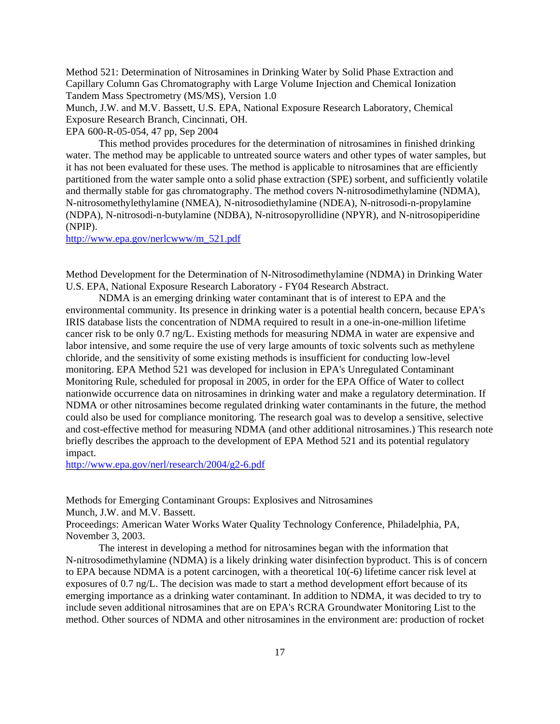Method 521: Determination of Nitrosamines in Drinking Water by Solid Phase Extraction and Capillary Column Gas Chromatography with Large Volume Injection and Chemical Ionization Tandem Mass Spectrometry (MS/MS), Version 1.0

Munch, J.W. and M.V. Bassett, U.S. EPA, National Exposure Research Laboratory, Chemical Exposure Research Branch, Cincinnati, OH.

EPA 600-R-05-054, 47 pp, Sep 2004

This method provides procedures for the determination of nitrosamines in finished drinking water. The method may be applicable to untreated source waters and other types of water samples, but it has not been evaluated for these uses. The method is applicable to nitrosamines that are efficiently partitioned from the water sample onto a solid phase extraction (SPE) sorbent, and sufficiently volatile and thermally stable for gas chromatography. The method covers N-nitrosodimethylamine (NDMA), N-nitrosomethylethylamine (NMEA), N-nitrosodiethylamine (NDEA), N-nitrosodi-n-propylamine (NDPA), N-nitrosodi-n-butylamine (NDBA), N-nitrosopyrollidine (NPYR), and N-nitrosopiperidine (NPIP).

[http://www.epa.gov/nerlcwww/m\\_521.pdf](http://www.epa.gov/nerlcwww/m_521.pdf)

Method Development for the Determination of N-Nitrosodimethylamine (NDMA) in Drinking Water U.S. EPA, National Exposure Research Laboratory - FY04 Research Abstract.

NDMA is an emerging drinking water contaminant that is of interest to EPA and the environmental community. Its presence in drinking water is a potential health concern, because EPA's IRIS database lists the concentration of NDMA required to result in a one-in-one-million lifetime cancer risk to be only 0.7 ng/L. Existing methods for measuring NDMA in water are expensive and labor intensive, and some require the use of very large amounts of toxic solvents such as methylene chloride, and the sensitivity of some existing methods is insufficient for conducting low-level monitoring. EPA Method 521 was developed for inclusion in EPA's Unregulated Contaminant Monitoring Rule, scheduled for proposal in 2005, in order for the EPA Office of Water to collect nationwide occurrence data on nitrosamines in drinking water and make a regulatory determination. If NDMA or other nitrosamines become regulated drinking water contaminants in the future, the method could also be used for compliance monitoring. The research goal was to develop a sensitive, selective and cost-effective method for measuring NDMA (and other additional nitrosamines.) This research note briefly describes the approach to the development of EPA Method 521 and its potential regulatory impact.

<http://www.epa.gov/nerl/research/2004/g2-6.pdf>

Methods for Emerging Contaminant Groups: Explosives and Nitrosamines Munch, J.W. and M.V. Bassett.

Proceedings: American Water Works Water Quality Technology Conference, Philadelphia, PA, November 3, 2003.

The interest in developing a method for nitrosamines began with the information that N-nitrosodimethylamine (NDMA) is a likely drinking water disinfection byproduct. This is of concern to EPA because NDMA is a potent carcinogen, with a theoretical 10(-6) lifetime cancer risk level at exposures of 0.7 ng/L. The decision was made to start a method development effort because of its emerging importance as a drinking water contaminant. In addition to NDMA, it was decided to try to include seven additional nitrosamines that are on EPA's RCRA Groundwater Monitoring List to the method. Other sources of NDMA and other nitrosamines in the environment are: production of rocket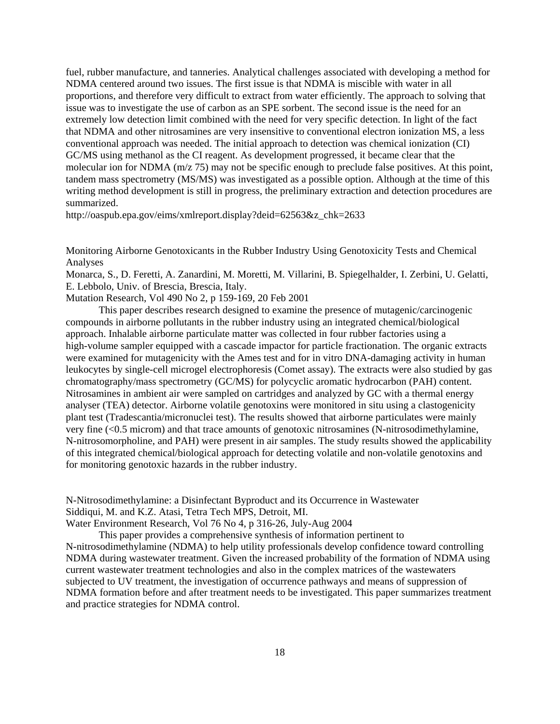fuel, rubber manufacture, and tanneries. Analytical challenges associated with developing a method for NDMA centered around two issues. The first issue is that NDMA is miscible with water in all proportions, and therefore very difficult to extract from water efficiently. The approach to solving that issue was to investigate the use of carbon as an SPE sorbent. The second issue is the need for an extremely low detection limit combined with the need for very specific detection. In light of the fact that NDMA and other nitrosamines are very insensitive to conventional electron ionization MS, a less conventional approach was needed. The initial approach to detection was chemical ionization (CI) GC/MS using methanol as the CI reagent. As development progressed, it became clear that the molecular ion for NDMA (m/z 75) may not be specific enough to preclude false positives. At this point, tandem mass spectrometry (MS/MS) was investigated as a possible option. Although at the time of this writing method development is still in progress, the preliminary extraction and detection procedures are summarized.

[http://oaspub.epa.gov/eims/xmlreport.display?deid=62563&z\\_chk=2633](http://oaspub.epa.gov/eims/xmlreport.display?deid=62563&z_chk=2633)

Monitoring Airborne Genotoxicants in the Rubber Industry Using Genotoxicity Tests and Chemical Analyses

Monarca, S., D. Feretti, A. Zanardini, M. Moretti, M. Villarini, B. Spiegelhalder, I. Zerbini, U. Gelatti, E. Lebbolo, Univ. of Brescia, Brescia, Italy.

Mutation Research, Vol 490 No 2, p 159-169, 20 Feb 2001

This paper describes research designed to examine the presence of mutagenic/carcinogenic compounds in airborne pollutants in the rubber industry using an integrated chemical/biological approach. Inhalable airborne particulate matter was collected in four rubber factories using a high-volume sampler equipped with a cascade impactor for particle fractionation. The organic extracts were examined for mutagenicity with the Ames test and for in vitro DNA-damaging activity in human leukocytes by single-cell microgel electrophoresis (Comet assay). The extracts were also studied by gas chromatography/mass spectrometry (GC/MS) for polycyclic aromatic hydrocarbon (PAH) content. Nitrosamines in ambient air were sampled on cartridges and analyzed by GC with a thermal energy analyser (TEA) detector. Airborne volatile genotoxins were monitored in situ using a clastogenicity plant test (Tradescantia/micronuclei test). The results showed that airborne particulates were mainly very fine (<0.5 microm) and that trace amounts of genotoxic nitrosamines (N-nitrosodimethylamine, N-nitrosomorpholine, and PAH) were present in air samples. The study results showed the applicability of this integrated chemical/biological approach for detecting volatile and non-volatile genotoxins and for monitoring genotoxic hazards in the rubber industry.

N-Nitrosodimethylamine: a Disinfectant Byproduct and its Occurrence in Wastewater Siddiqui, M. and K.Z. Atasi, Tetra Tech MPS, Detroit, MI.

Water Environment Research, Vol 76 No 4, p 316-26, July-Aug 2004

This paper provides a comprehensive synthesis of information pertinent to N-nitrosodimethylamine (NDMA) to help utility professionals develop confidence toward controlling NDMA during wastewater treatment. Given the increased probability of the formation of NDMA using current wastewater treatment technologies and also in the complex matrices of the wastewaters subjected to UV treatment, the investigation of occurrence pathways and means of suppression of NDMA formation before and after treatment needs to be investigated. This paper summarizes treatment and practice strategies for NDMA control.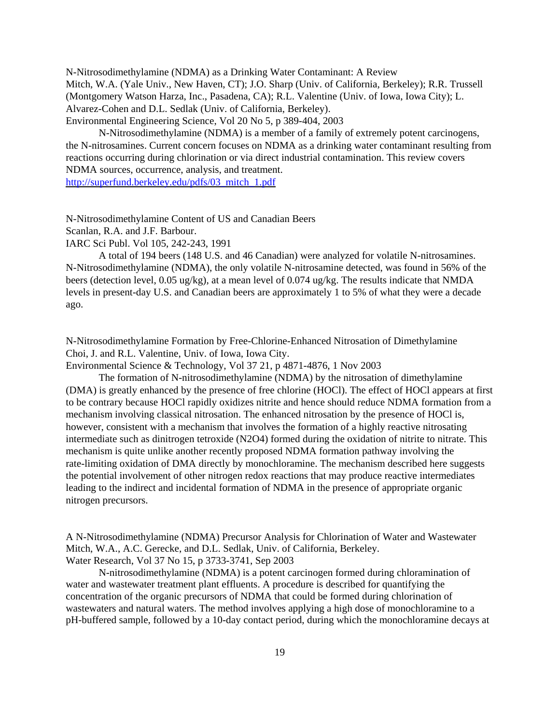N-Nitrosodimethylamine (NDMA) as a Drinking Water Contaminant: A Review Mitch, W.A. (Yale Univ., New Haven, CT); J.O. Sharp (Univ. of California, Berkeley); R.R. Trussell (Montgomery Watson Harza, Inc., Pasadena, CA); R.L. Valentine (Univ. of Iowa, Iowa City); L. Alvarez-Cohen and D.L. Sedlak (Univ. of California, Berkeley). Environmental Engineering Science, Vol 20 No 5, p 389-404, 2003

N-Nitrosodimethylamine (NDMA) is a member of a family of extremely potent carcinogens, the N-nitrosamines. Current concern focuses on NDMA as a drinking water contaminant resulting from reactions occurring during chlorination or via direct industrial contamination. This review covers NDMA sources, occurrence, analysis, and treatment.

[http://superfund.berkeley.edu/pdfs/03\\_mitch\\_1.pdf](http://superfund.berkeley.edu/pdfs/03_mitch_1.pdf)

N-Nitrosodimethylamine Content of US and Canadian Beers Scanlan, R.A. and J.F. Barbour.

IARC Sci Publ. Vol 105, 242-243, 1991

A total of 194 beers (148 U.S. and 46 Canadian) were analyzed for volatile N-nitrosamines. N-Nitrosodimethylamine (NDMA), the only volatile N-nitrosamine detected, was found in 56% of the beers (detection level, 0.05 ug/kg), at a mean level of 0.074 ug/kg. The results indicate that NMDA levels in present-day U.S. and Canadian beers are approximately 1 to 5% of what they were a decade ago.

N-Nitrosodimethylamine Formation by Free-Chlorine-Enhanced Nitrosation of Dimethylamine Choi, J. and R.L. Valentine, Univ. of Iowa, Iowa City.

Environmental Science & Technology, Vol 37 21, p 4871-4876, 1 Nov 2003

The formation of N-nitrosodimethylamine (NDMA) by the nitrosation of dimethylamine (DMA) is greatly enhanced by the presence of free chlorine (HOCl). The effect of HOCl appears at first to be contrary because HOCl rapidly oxidizes nitrite and hence should reduce NDMA formation from a mechanism involving classical nitrosation. The enhanced nitrosation by the presence of HOCl is, however, consistent with a mechanism that involves the formation of a highly reactive nitrosating intermediate such as dinitrogen tetroxide (N2O4) formed during the oxidation of nitrite to nitrate. This mechanism is quite unlike another recently proposed NDMA formation pathway involving the rate-limiting oxidation of DMA directly by monochloramine. The mechanism described here suggests the potential involvement of other nitrogen redox reactions that may produce reactive intermediates leading to the indirect and incidental formation of NDMA in the presence of appropriate organic nitrogen precursors.

A N-Nitrosodimethylamine (NDMA) Precursor Analysis for Chlorination of Water and Wastewater Mitch, W.A., A.C. Gerecke, and D.L. Sedlak, Univ. of California, Berkeley. Water Research, Vol 37 No 15, p 3733-3741, Sep 2003

N-nitrosodimethylamine (NDMA) is a potent carcinogen formed during chloramination of water and wastewater treatment plant effluents. A procedure is described for quantifying the concentration of the organic precursors of NDMA that could be formed during chlorination of wastewaters and natural waters. The method involves applying a high dose of monochloramine to a pH-buffered sample, followed by a 10-day contact period, during which the monochloramine decays at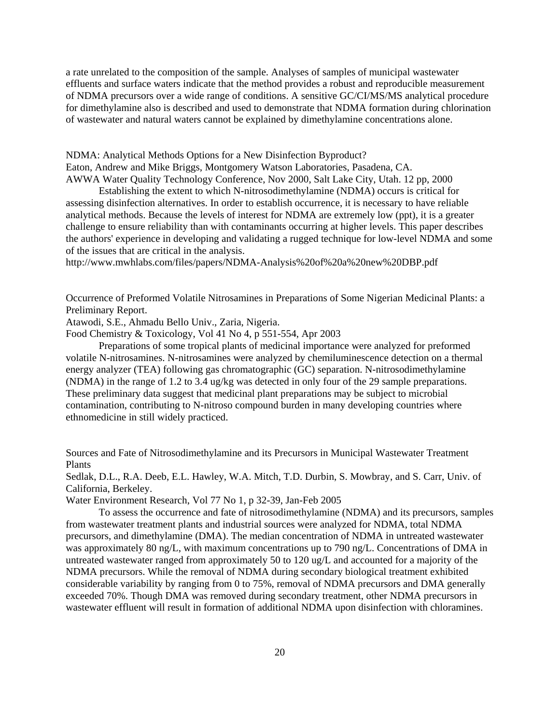a rate unrelated to the composition of the sample. Analyses of samples of municipal wastewater effluents and surface waters indicate that the method provides a robust and reproducible measurement of NDMA precursors over a wide range of conditions. A sensitive GC/CI/MS/MS analytical procedure for dimethylamine also is described and used to demonstrate that NDMA formation during chlorination of wastewater and natural waters cannot be explained by dimethylamine concentrations alone.

NDMA: Analytical Methods Options for a New Disinfection Byproduct? Eaton, Andrew and Mike Briggs, Montgomery Watson Laboratories, Pasadena, CA. AWWA Water Quality Technology Conference, Nov 2000, Salt Lake City, Utah. 12 pp, 2000

Establishing the extent to which N-nitrosodimethylamine (NDMA) occurs is critical for assessing disinfection alternatives. In order to establish occurrence, it is necessary to have reliable analytical methods. Because the levels of interest for NDMA are extremely low (ppt), it is a greater challenge to ensure reliability than with contaminants occurring at higher levels. This paper describes the authors' experience in developing and validating a rugged technique for low-level NDMA and some of the issues that are critical in the analysis.

<http://www.mwhlabs.com/files/papers/NDMA-Analysis%20of%20a%20new%20DBP.pdf>

Occurrence of Preformed Volatile Nitrosamines in Preparations of Some Nigerian Medicinal Plants: a Preliminary Report.

Atawodi, S.E., Ahmadu Bello Univ., Zaria, Nigeria.

Food Chemistry & Toxicology, Vol 41 No 4, p 551-554, Apr 2003

Preparations of some tropical plants of medicinal importance were analyzed for preformed volatile N-nitrosamines. N-nitrosamines were analyzed by chemiluminescence detection on a thermal energy analyzer (TEA) following gas chromatographic (GC) separation. N-nitrosodimethylamine (NDMA) in the range of 1.2 to 3.4 ug/kg was detected in only four of the 29 sample preparations. These preliminary data suggest that medicinal plant preparations may be subject to microbial contamination, contributing to N-nitroso compound burden in many developing countries where ethnomedicine in still widely practiced.

Sources and Fate of Nitrosodimethylamine and its Precursors in Municipal Wastewater Treatment Plants

Sedlak, D.L., R.A. Deeb, E.L. Hawley, W.A. Mitch, T.D. Durbin, S. Mowbray, and S. Carr, Univ. of California, Berkeley.

Water Environment Research, Vol 77 No 1, p 32-39, Jan-Feb 2005

To assess the occurrence and fate of nitrosodimethylamine (NDMA) and its precursors, samples from wastewater treatment plants and industrial sources were analyzed for NDMA, total NDMA precursors, and dimethylamine (DMA). The median concentration of NDMA in untreated wastewater was approximately 80 ng/L, with maximum concentrations up to 790 ng/L. Concentrations of DMA in untreated wastewater ranged from approximately 50 to 120 ug/L and accounted for a majority of the NDMA precursors. While the removal of NDMA during secondary biological treatment exhibited considerable variability by ranging from 0 to 75%, removal of NDMA precursors and DMA generally exceeded 70%. Though DMA was removed during secondary treatment, other NDMA precursors in wastewater effluent will result in formation of additional NDMA upon disinfection with chloramines.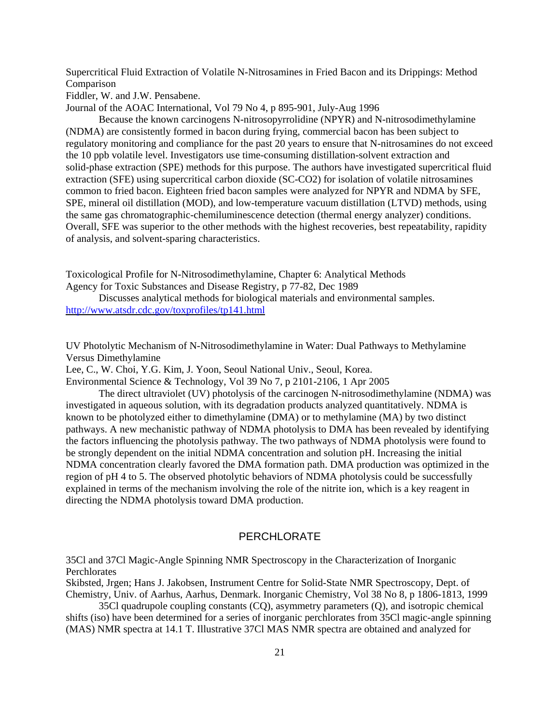Supercritical Fluid Extraction of Volatile N-Nitrosamines in Fried Bacon and its Drippings: Method Comparison

Fiddler, W. and J.W. Pensabene.

Journal of the AOAC International, Vol 79 No 4, p 895-901, July-Aug 1996

Because the known carcinogens N-nitrosopyrrolidine (NPYR) and N-nitrosodimethylamine (NDMA) are consistently formed in bacon during frying, commercial bacon has been subject to regulatory monitoring and compliance for the past 20 years to ensure that N-nitrosamines do not exceed the 10 ppb volatile level. Investigators use time-consuming distillation-solvent extraction and solid-phase extraction (SPE) methods for this purpose. The authors have investigated supercritical fluid extraction (SFE) using supercritical carbon dioxide (SC-CO2) for isolation of volatile nitrosamines common to fried bacon. Eighteen fried bacon samples were analyzed for NPYR and NDMA by SFE, SPE, mineral oil distillation (MOD), and low-temperature vacuum distillation (LTVD) methods, using the same gas chromatographic-chemiluminescence detection (thermal energy analyzer) conditions. Overall, SFE was superior to the other methods with the highest recoveries, best repeatability, rapidity of analysis, and solvent-sparing characteristics.

Toxicological Profile for N-Nitrosodimethylamine, Chapter 6: Analytical Methods Agency for Toxic Substances and Disease Registry, p 77-82, Dec 1989

Discusses analytical methods for biological materials and environmental samples. <http://www.atsdr.cdc.gov/toxprofiles/tp141.html>

UV Photolytic Mechanism of N-Nitrosodimethylamine in Water: Dual Pathways to Methylamine Versus Dimethylamine

Lee, C., W. Choi, Y.G. Kim, J. Yoon, Seoul National Univ., Seoul, Korea.

Environmental Science & Technology, Vol 39 No 7, p 2101-2106, 1 Apr 2005

The direct ultraviolet (UV) photolysis of the carcinogen N-nitrosodimethylamine (NDMA) was investigated in aqueous solution, with its degradation products analyzed quantitatively. NDMA is known to be photolyzed either to dimethylamine (DMA) or to methylamine (MA) by two distinct pathways. A new mechanistic pathway of NDMA photolysis to DMA has been revealed by identifying the factors influencing the photolysis pathway. The two pathways of NDMA photolysis were found to be strongly dependent on the initial NDMA concentration and solution pH. Increasing the initial NDMA concentration clearly favored the DMA formation path. DMA production was optimized in the region of pH 4 to 5. The observed photolytic behaviors of NDMA photolysis could be successfully explained in terms of the mechanism involving the role of the nitrite ion, which is a key reagent in directing the NDMA photolysis toward DMA production.

### PERCHLORATE

35Cl and 37Cl Magic-Angle Spinning NMR Spectroscopy in the Characterization of Inorganic **Perchlorates** 

Skibsted, Jrgen; Hans J. Jakobsen, Instrument Centre for Solid-State NMR Spectroscopy, Dept. of Chemistry, Univ. of Aarhus, Aarhus, Denmark. Inorganic Chemistry, Vol 38 No 8, p 1806-1813, 1999

35Cl quadrupole coupling constants (CQ), asymmetry parameters (Q), and isotropic chemical shifts (iso) have been determined for a series of inorganic perchlorates from 35Cl magic-angle spinning (MAS) NMR spectra at 14.1 T. Illustrative 37Cl MAS NMR spectra are obtained and analyzed for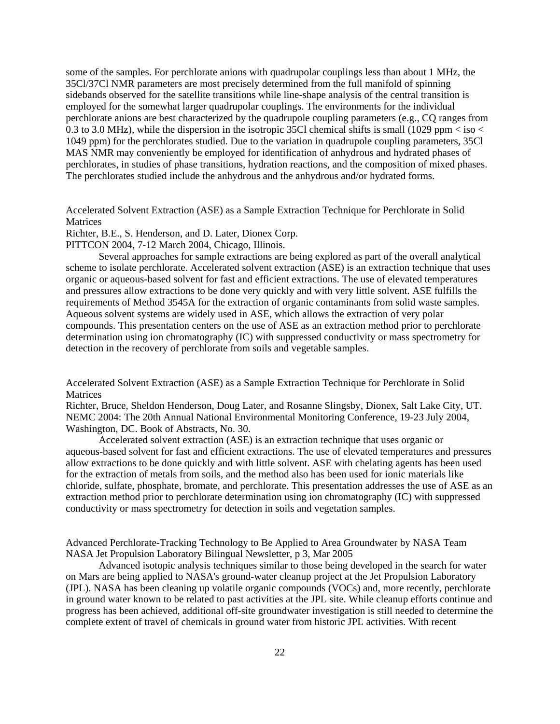some of the samples. For perchlorate anions with quadrupolar couplings less than about 1 MHz, the 35Cl/37Cl NMR parameters are most precisely determined from the full manifold of spinning sidebands observed for the satellite transitions while line-shape analysis of the central transition is employed for the somewhat larger quadrupolar couplings. The environments for the individual perchlorate anions are best characterized by the quadrupole coupling parameters (e.g., CQ ranges from 0.3 to 3.0 MHz), while the dispersion in the isotropic 35Cl chemical shifts is small (1029 ppm  $<$  iso  $<$ 1049 ppm) for the perchlorates studied. Due to the variation in quadrupole coupling parameters, 35Cl MAS NMR may conveniently be employed for identification of anhydrous and hydrated phases of perchlorates, in studies of phase transitions, hydration reactions, and the composition of mixed phases. The perchlorates studied include the anhydrous and the anhydrous and/or hydrated forms.

Accelerated Solvent Extraction (ASE) as a Sample Extraction Technique for Perchlorate in Solid Matrices

Richter, B.E., S. Henderson, and D. Later, Dionex Corp.

PITTCON 2004, 7-12 March 2004, Chicago, Illinois.

Several approaches for sample extractions are being explored as part of the overall analytical scheme to isolate perchlorate. Accelerated solvent extraction (ASE) is an extraction technique that uses organic or aqueous-based solvent for fast and efficient extractions. The use of elevated temperatures and pressures allow extractions to be done very quickly and with very little solvent. ASE fulfills the requirements of Method 3545A for the extraction of organic contaminants from solid waste samples. Aqueous solvent systems are widely used in ASE, which allows the extraction of very polar compounds. This presentation centers on the use of ASE as an extraction method prior to perchlorate determination using ion chromatography (IC) with suppressed conductivity or mass spectrometry for detection in the recovery of perchlorate from soils and vegetable samples.

Accelerated Solvent Extraction (ASE) as a Sample Extraction Technique for Perchlorate in Solid Matrices

Richter, Bruce, Sheldon Henderson, Doug Later, and Rosanne Slingsby, Dionex, Salt Lake City, UT. NEMC 2004: The 20th Annual National Environmental Monitoring Conference, 19-23 July 2004, Washington, DC. Book of Abstracts, No. 30.

Accelerated solvent extraction (ASE) is an extraction technique that uses organic or aqueous-based solvent for fast and efficient extractions. The use of elevated temperatures and pressures allow extractions to be done quickly and with little solvent. ASE with chelating agents has been used for the extraction of metals from soils, and the method also has been used for ionic materials like chloride, sulfate, phosphate, bromate, and perchlorate. This presentation addresses the use of ASE as an extraction method prior to perchlorate determination using ion chromatography (IC) with suppressed conductivity or mass spectrometry for detection in soils and vegetation samples.

Advanced Perchlorate-Tracking Technology to Be Applied to Area Groundwater by NASA Team NASA Jet Propulsion Laboratory Bilingual Newsletter, p 3, Mar 2005

Advanced isotopic analysis techniques similar to those being developed in the search for water on Mars are being applied to NASA's ground-water cleanup project at the Jet Propulsion Laboratory (JPL). NASA has been cleaning up volatile organic compounds (VOCs) and, more recently, perchlorate in ground water known to be related to past activities at the JPL site. While cleanup efforts continue and progress has been achieved, additional off-site groundwater investigation is still needed to determine the complete extent of travel of chemicals in ground water from historic JPL activities. With recent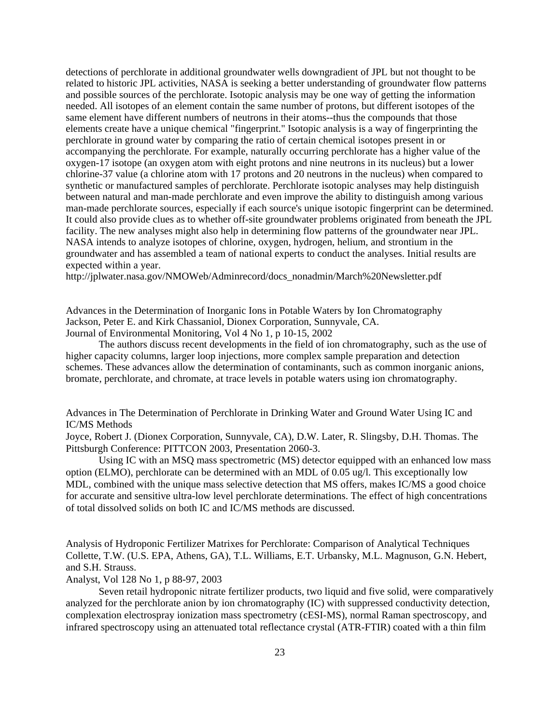detections of perchlorate in additional groundwater wells downgradient of JPL but not thought to be related to historic JPL activities, NASA is seeking a better understanding of groundwater flow patterns and possible sources of the perchlorate. Isotopic analysis may be one way of getting the information needed. All isotopes of an element contain the same number of protons, but different isotopes of the same element have different numbers of neutrons in their atoms--thus the compounds that those elements create have a unique chemical "fingerprint." Isotopic analysis is a way of fingerprinting the perchlorate in ground water by comparing the ratio of certain chemical isotopes present in or accompanying the perchlorate. For example, naturally occurring perchlorate has a higher value of the oxygen-17 isotope (an oxygen atom with eight protons and nine neutrons in its nucleus) but a lower chlorine-37 value (a chlorine atom with 17 protons and 20 neutrons in the nucleus) when compared to synthetic or manufactured samples of perchlorate. Perchlorate isotopic analyses may help distinguish between natural and man-made perchlorate and even improve the ability to distinguish among various man-made perchlorate sources, especially if each source's unique isotopic fingerprint can be determined. It could also provide clues as to whether off-site groundwater problems originated from beneath the JPL facility. The new analyses might also help in determining flow patterns of the groundwater near JPL. NASA intends to analyze isotopes of chlorine, oxygen, hydrogen, helium, and strontium in the groundwater and has assembled a team of national experts to conduct the analyses. Initial results are expected within a year.

[http://jplwater.nasa.gov/NMOWeb/Adminrecord/docs\\_nonadmin/March%20Newsletter.pdf](http://jplwater.nasa.gov/NMOWeb/Adminrecord/docs_nonadmin/March%20Newsletter.pdf)

Advances in the Determination of Inorganic Ions in Potable Waters by Ion Chromatography Jackson, Peter E. and Kirk Chassaniol, Dionex Corporation, Sunnyvale, CA. Journal of Environmental Monitoring, Vol 4 No 1, p 10-15, 2002

The authors discuss recent developments in the field of ion chromatography, such as the use of higher capacity columns, larger loop injections, more complex sample preparation and detection schemes. These advances allow the determination of contaminants, such as common inorganic anions, bromate, perchlorate, and chromate, at trace levels in potable waters using ion chromatography.

Advances in The Determination of Perchlorate in Drinking Water and Ground Water Using IC and IC/MS Methods

Joyce, Robert J. (Dionex Corporation, Sunnyvale, CA), D.W. Later, R. Slingsby, D.H. Thomas. The Pittsburgh Conference: PITTCON 2003, Presentation 2060-3.

Using IC with an MSQ mass spectrometric (MS) detector equipped with an enhanced low mass option (ELMO), perchlorate can be determined with an MDL of 0.05 ug/l. This exceptionally low MDL, combined with the unique mass selective detection that MS offers, makes IC/MS a good choice for accurate and sensitive ultra-low level perchlorate determinations. The effect of high concentrations of total dissolved solids on both IC and IC/MS methods are discussed.

Analysis of Hydroponic Fertilizer Matrixes for Perchlorate: Comparison of Analytical Techniques Collette, T.W. (U.S. EPA, Athens, GA), T.L. Williams, E.T. Urbansky, M.L. Magnuson, G.N. Hebert, and S.H. Strauss.

## Analyst, Vol 128 No 1, p 88-97, 2003

Seven retail hydroponic nitrate fertilizer products, two liquid and five solid, were comparatively analyzed for the perchlorate anion by ion chromatography (IC) with suppressed conductivity detection, complexation electrospray ionization mass spectrometry (cESI-MS), normal Raman spectroscopy, and infrared spectroscopy using an attenuated total reflectance crystal (ATR-FTIR) coated with a thin film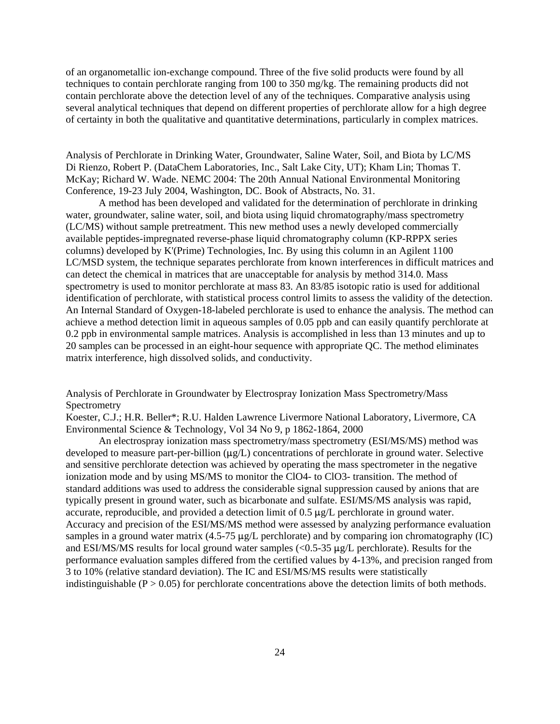of an organometallic ion-exchange compound. Three of the five solid products were found by all techniques to contain perchlorate ranging from 100 to 350 mg/kg. The remaining products did not contain perchlorate above the detection level of any of the techniques. Comparative analysis using several analytical techniques that depend on different properties of perchlorate allow for a high degree of certainty in both the qualitative and quantitative determinations, particularly in complex matrices.

Analysis of Perchlorate in Drinking Water, Groundwater, Saline Water, Soil, and Biota by LC/MS Di Rienzo, Robert P. (DataChem Laboratories, Inc., Salt Lake City, UT); Kham Lin; Thomas T. McKay; Richard W. Wade. NEMC 2004: The 20th Annual National Environmental Monitoring Conference, 19-23 July 2004, Washington, DC. Book of Abstracts, No. 31.

A method has been developed and validated for the determination of perchlorate in drinking water, groundwater, saline water, soil, and biota using liquid chromatography/mass spectrometry (LC/MS) without sample pretreatment. This new method uses a newly developed commercially available peptides-impregnated reverse-phase liquid chromatography column (KP-RPPX series columns) developed by K'(Prime) Technologies, Inc. By using this column in an Agilent 1100 LC/MSD system, the technique separates perchlorate from known interferences in difficult matrices and can detect the chemical in matrices that are unacceptable for analysis by method 314.0. Mass spectrometry is used to monitor perchlorate at mass 83. An 83/85 isotopic ratio is used for additional identification of perchlorate, with statistical process control limits to assess the validity of the detection. An Internal Standard of Oxygen-18-labeled perchlorate is used to enhance the analysis. The method can achieve a method detection limit in aqueous samples of 0.05 ppb and can easily quantify perchlorate at 0.2 ppb in environmental sample matrices. Analysis is accomplished in less than 13 minutes and up to 20 samples can be processed in an eight-hour sequence with appropriate QC. The method eliminates matrix interference, high dissolved solids, and conductivity.

Analysis of Perchlorate in Groundwater by Electrospray Ionization Mass Spectrometry/Mass **Spectrometry** 

Koester, C.J.; H.R. Beller\*; R.U. Halden Lawrence Livermore National Laboratory, Livermore, CA Environmental Science & Technology, Vol 34 No 9, p 1862-1864, 2000

An electrospray ionization mass spectrometry/mass spectrometry (ESI/MS/MS) method was developed to measure part-per-billion  $(\mu g/L)$  concentrations of perchlorate in ground water. Selective and sensitive perchlorate detection was achieved by operating the mass spectrometer in the negative ionization mode and by using MS/MS to monitor the ClO4- to ClO3- transition. The method of standard additions was used to address the considerable signal suppression caused by anions that are typically present in ground water, such as bicarbonate and sulfate. ESI/MS/MS analysis was rapid, accurate, reproducible, and provided a detection limit of  $0.5 \mu g/L$  perchlorate in ground water. Accuracy and precision of the ESI/MS/MS method were assessed by analyzing performance evaluation samples in a ground water matrix  $(4.5\n-75 \mu g/L)$  perchlorate) and by comparing ion chromatography (IC) and ESI/MS/MS results for local ground water samples  $\ll 0.5-35 \mu g/L$  perchlorate). Results for the performance evaluation samples differed from the certified values by 4-13%, and precision ranged from 3 to 10% (relative standard deviation). The IC and ESI/MS/MS results were statistically indistinguishable ( $P > 0.05$ ) for perchlorate concentrations above the detection limits of both methods.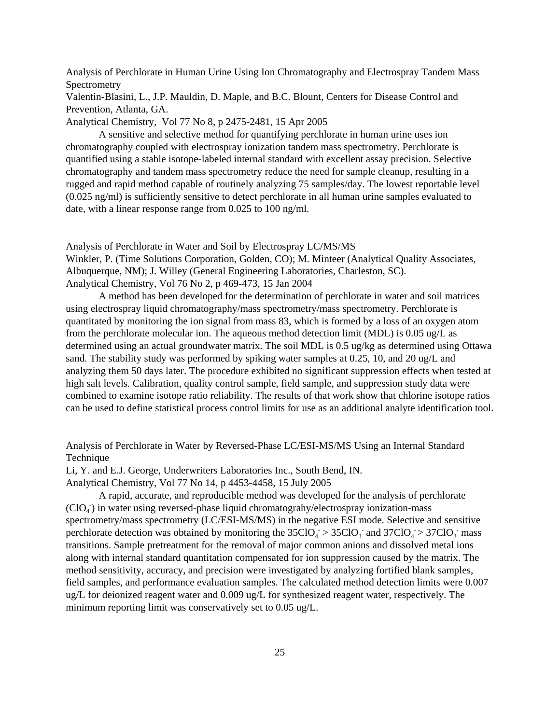Analysis of Perchlorate in Human Urine Using Ion Chromatography and Electrospray Tandem Mass Spectrometry

Valentin-Blasini, L., J.P. Mauldin, D. Maple, and B.C. Blount, Centers for Disease Control and Prevention, Atlanta, GA.

Analytical Chemistry, Vol 77 No 8, p 2475-2481, 15 Apr 2005

A sensitive and selective method for quantifying perchlorate in human urine uses ion chromatography coupled with electrospray ionization tandem mass spectrometry. Perchlorate is quantified using a stable isotope-labeled internal standard with excellent assay precision. Selective chromatography and tandem mass spectrometry reduce the need for sample cleanup, resulting in a rugged and rapid method capable of routinely analyzing 75 samples/day. The lowest reportable level (0.025 ng/ml) is sufficiently sensitive to detect perchlorate in all human urine samples evaluated to date, with a linear response range from 0.025 to 100 ng/ml.

Analysis of Perchlorate in Water and Soil by Electrospray LC/MS/MS

Winkler, P. (Time Solutions Corporation, Golden, CO); M. Minteer (Analytical Quality Associates, Albuquerque, NM); J. Willey (General Engineering Laboratories, Charleston, SC). Analytical Chemistry, Vol 76 No 2, p 469-473, 15 Jan 2004

A method has been developed for the determination of perchlorate in water and soil matrices using electrospray liquid chromatography/mass spectrometry/mass spectrometry. Perchlorate is quantitated by monitoring the ion signal from mass 83, which is formed by a loss of an oxygen atom from the perchlorate molecular ion. The aqueous method detection limit (MDL) is 0.05 ug/L as determined using an actual groundwater matrix. The soil MDL is 0.5 ug/kg as determined using Ottawa sand. The stability study was performed by spiking water samples at 0.25, 10, and 20 ug/L and analyzing them 50 days later. The procedure exhibited no significant suppression effects when tested at high salt levels. Calibration, quality control sample, field sample, and suppression study data were combined to examine isotope ratio reliability. The results of that work show that chlorine isotope ratios can be used to define statistical process control limits for use as an additional analyte identification tool.

Analysis of Perchlorate in Water by Reversed-Phase LC/ESI-MS/MS Using an Internal Standard Technique

Li, Y. and E.J. George, Underwriters Laboratories Inc., South Bend, IN.

Analytical Chemistry, Vol 77 No 14, p 4453-4458, 15 July 2005

perchlorate detection was obtained by monitoring the  $35ClO<sub>4</sub> > 35ClO<sub>3</sub>$  and  $37ClO<sub>4</sub> > 37ClO<sub>3</sub>$  mass A rapid, accurate, and reproducible method was developed for the analysis of perchlorate  $(CIO_4)$  in water using reversed-phase liquid chromatograhy/electrospray ionization-mass spectrometry/mass spectrometry (LC/ESI-MS/MS) in the negative ESI mode. Selective and sensitive transitions. Sample pretreatment for the removal of major common anions and dissolved metal ions along with internal standard quantitation compensated for ion suppression caused by the matrix. The method sensitivity, accuracy, and precision were investigated by analyzing fortified blank samples, field samples, and performance evaluation samples. The calculated method detection limits were 0.007 ug/L for deionized reagent water and 0.009 ug/L for synthesized reagent water, respectively. The minimum reporting limit was conservatively set to 0.05 ug/L.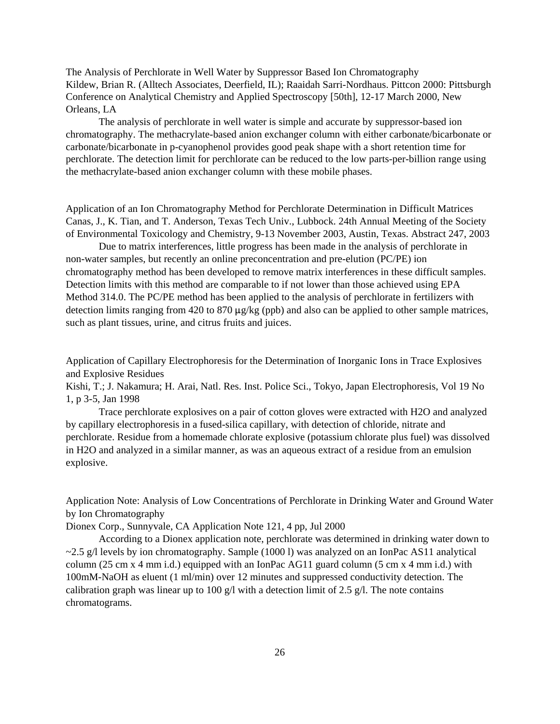The Analysis of Perchlorate in Well Water by Suppressor Based Ion Chromatography Kildew, Brian R. (Alltech Associates, Deerfield, IL); Raaidah Sarri-Nordhaus. Pittcon 2000: Pittsburgh Conference on Analytical Chemistry and Applied Spectroscopy [50th], 12-17 March 2000, New Orleans, LA

The analysis of perchlorate in well water is simple and accurate by suppressor-based ion chromatography. The methacrylate-based anion exchanger column with either carbonate/bicarbonate or carbonate/bicarbonate in p-cyanophenol provides good peak shape with a short retention time for perchlorate. The detection limit for perchlorate can be reduced to the low parts-per-billion range using the methacrylate-based anion exchanger column with these mobile phases.

Application of an Ion Chromatography Method for Perchlorate Determination in Difficult Matrices Canas, J., K. Tian, and T. Anderson, Texas Tech Univ., Lubbock. 24th Annual Meeting of the Society of Environmental Toxicology and Chemistry, 9-13 November 2003, Austin, Texas. Abstract 247, 2003

Due to matrix interferences, little progress has been made in the analysis of perchlorate in non-water samples, but recently an online preconcentration and pre-elution (PC/PE) ion chromatography method has been developed to remove matrix interferences in these difficult samples. Detection limits with this method are comparable to if not lower than those achieved using EPA Method 314.0. The PC/PE method has been applied to the analysis of perchlorate in fertilizers with detection limits ranging from 420 to 870  $\mu$ g/kg (ppb) and also can be applied to other sample matrices, such as plant tissues, urine, and citrus fruits and juices.

Application of Capillary Electrophoresis for the Determination of Inorganic Ions in Trace Explosives and Explosive Residues

Kishi, T.; J. Nakamura; H. Arai, Natl. Res. Inst. Police Sci., Tokyo, Japan Electrophoresis, Vol 19 No 1, p 3-5, Jan 1998

Trace perchlorate explosives on a pair of cotton gloves were extracted with H2O and analyzed by capillary electrophoresis in a fused-silica capillary, with detection of chloride, nitrate and perchlorate. Residue from a homemade chlorate explosive (potassium chlorate plus fuel) was dissolved in H2O and analyzed in a similar manner, as was an aqueous extract of a residue from an emulsion explosive.

Application Note: Analysis of Low Concentrations of Perchlorate in Drinking Water and Ground Water by Ion Chromatography

Dionex Corp., Sunnyvale, CA Application Note 121, 4 pp, Jul 2000

According to a Dionex application note, perchlorate was determined in drinking water down to  $\sim$ 2.5 g/l levels by ion chromatography. Sample (1000 l) was analyzed on an IonPac AS11 analytical column (25 cm x 4 mm i.d.) equipped with an IonPac AG11 guard column (5 cm x 4 mm i.d.) with 100mM-NaOH as eluent (1 ml/min) over 12 minutes and suppressed conductivity detection. The calibration graph was linear up to 100 g/l with a detection limit of 2.5 g/l. The note contains chromatograms.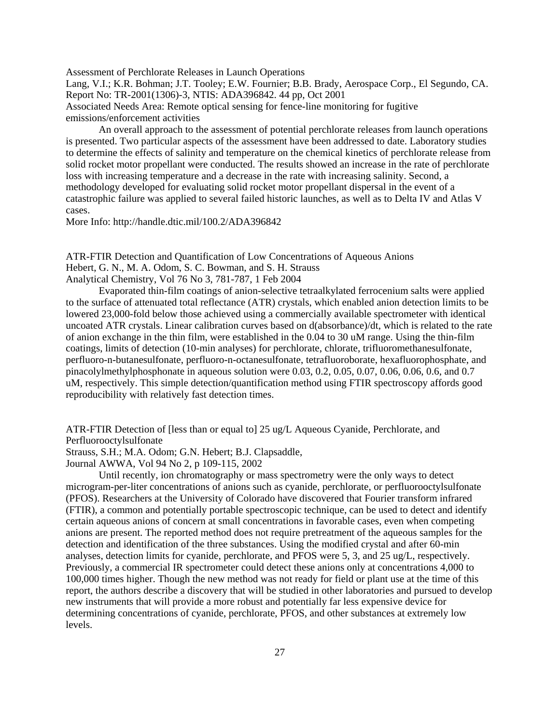Assessment of Perchlorate Releases in Launch Operations Lang, V.I.; K.R. Bohman; J.T. Tooley; E.W. Fournier; B.B. Brady, Aerospace Corp., El Segundo, CA. Report No: TR-2001(1306)-3, NTIS: ADA396842. 44 pp, Oct 2001 Associated Needs Area: Remote optical sensing for fence-line monitoring for fugitive emissions/enforcement activities

An overall approach to the assessment of potential perchlorate releases from launch operations is presented. Two particular aspects of the assessment have been addressed to date. Laboratory studies to determine the effects of salinity and temperature on the chemical kinetics of perchlorate release from solid rocket motor propellant were conducted. The results showed an increase in the rate of perchlorate loss with increasing temperature and a decrease in the rate with increasing salinity. Second, a methodology developed for evaluating solid rocket motor propellant dispersal in the event of a catastrophic failure was applied to several failed historic launches, as well as to Delta IV and Atlas V cases.

More Info: <http://handle.dtic.mil/100.2/ADA396842>

ATR-FTIR Detection and Quantification of Low Concentrations of Aqueous Anions Hebert, G. N., M. A. Odom, S. C. Bowman, and S. H. Strauss Analytical Chemistry, Vol 76 No 3, 781-787, 1 Feb 2004

Evaporated thin-film coatings of anion-selective tetraalkylated ferrocenium salts were applied to the surface of attenuated total reflectance (ATR) crystals, which enabled anion detection limits to be lowered 23,000-fold below those achieved using a commercially available spectrometer with identical uncoated ATR crystals. Linear calibration curves based on d(absorbance)/dt, which is related to the rate of anion exchange in the thin film, were established in the 0.04 to 30 uM range. Using the thin-film coatings, limits of detection (10-min analyses) for perchlorate, chlorate, trifluoromethanesulfonate, perfluoro-n-butanesulfonate, perfluoro-n-octanesulfonate, tetrafluoroborate, hexafluorophosphate, and pinacolylmethylphosphonate in aqueous solution were 0.03, 0.2, 0.05, 0.07, 0.06, 0.06, 0.6, and 0.7 uM, respectively. This simple detection/quantification method using FTIR spectroscopy affords good reproducibility with relatively fast detection times.

ATR-FTIR Detection of [less than or equal to] 25 ug/L Aqueous Cyanide, Perchlorate, and Perfluorooctylsulfonate

Strauss, S.H.; M.A. Odom; G.N. Hebert; B.J. Clapsaddle,

Journal AWWA, Vol 94 No 2, p 109-115, 2002

Until recently, ion chromatography or mass spectrometry were the only ways to detect microgram-per-liter concentrations of anions such as cyanide, perchlorate, or perfluorooctylsulfonate (PFOS). Researchers at the University of Colorado have discovered that Fourier transform infrared (FTIR), a common and potentially portable spectroscopic technique, can be used to detect and identify certain aqueous anions of concern at small concentrations in favorable cases, even when competing anions are present. The reported method does not require pretreatment of the aqueous samples for the detection and identification of the three substances. Using the modified crystal and after 60-min analyses, detection limits for cyanide, perchlorate, and PFOS were 5, 3, and 25 ug/L, respectively. Previously, a commercial IR spectrometer could detect these anions only at concentrations 4,000 to 100,000 times higher. Though the new method was not ready for field or plant use at the time of this report, the authors describe a discovery that will be studied in other laboratories and pursued to develop new instruments that will provide a more robust and potentially far less expensive device for determining concentrations of cyanide, perchlorate, PFOS, and other substances at extremely low levels.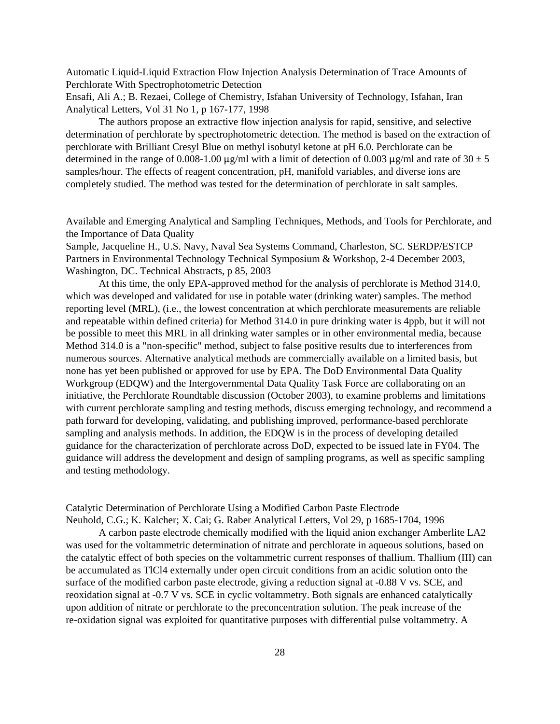Automatic Liquid-Liquid Extraction Flow Injection Analysis Determination of Trace Amounts of Perchlorate With Spectrophotometric Detection

Ensafi, Ali A.; B. Rezaei, College of Chemistry, Isfahan University of Technology, Isfahan, Iran Analytical Letters, Vol 31 No 1, p 167-177, 1998

The authors propose an extractive flow injection analysis for rapid, sensitive, and selective determination of perchlorate by spectrophotometric detection. The method is based on the extraction of perchlorate with Brilliant Cresyl Blue on methyl isobutyl ketone at pH 6.0. Perchlorate can be determined in the range of 0.008-1.00  $\mu$ g/ml with a limit of detection of 0.003  $\mu$ g/ml and rate of 30  $\pm$  5 samples/hour. The effects of reagent concentration, pH, manifold variables, and diverse ions are completely studied. The method was tested for the determination of perchlorate in salt samples.

Available and Emerging Analytical and Sampling Techniques, Methods, and Tools for Perchlorate, and the Importance of Data Quality

Sample, Jacqueline H., U.S. Navy, Naval Sea Systems Command, Charleston, SC. SERDP/ESTCP Partners in Environmental Technology Technical Symposium & Workshop, 2-4 December 2003, Washington, DC. Technical Abstracts, p 85, 2003

At this time, the only EPA-approved method for the analysis of perchlorate is Method 314.0, which was developed and validated for use in potable water (drinking water) samples. The method reporting level (MRL), (i.e., the lowest concentration at which perchlorate measurements are reliable and repeatable within defined criteria) for Method 314.0 in pure drinking water is 4ppb, but it will not be possible to meet this MRL in all drinking water samples or in other environmental media, because Method 314.0 is a "non-specific" method, subject to false positive results due to interferences from numerous sources. Alternative analytical methods are commercially available on a limited basis, but none has yet been published or approved for use by EPA. The DoD Environmental Data Quality Workgroup (EDQW) and the Intergovernmental Data Quality Task Force are collaborating on an initiative, the Perchlorate Roundtable discussion (October 2003), to examine problems and limitations with current perchlorate sampling and testing methods, discuss emerging technology, and recommend a path forward for developing, validating, and publishing improved, performance-based perchlorate sampling and analysis methods. In addition, the EDQW is in the process of developing detailed guidance for the characterization of perchlorate across DoD, expected to be issued late in FY04. The guidance will address the development and design of sampling programs, as well as specific sampling and testing methodology.

Catalytic Determination of Perchlorate Using a Modified Carbon Paste Electrode Neuhold, C.G.; K. Kalcher; X. Cai; G. Raber Analytical Letters, Vol 29, p 1685-1704, 1996

A carbon paste electrode chemically modified with the liquid anion exchanger Amberlite LA2 was used for the voltammetric determination of nitrate and perchlorate in aqueous solutions, based on the catalytic effect of both species on the voltammetric current responses of thallium. Thallium (III) can be accumulated as TlCl4 externally under open circuit conditions from an acidic solution onto the surface of the modified carbon paste electrode, giving a reduction signal at -0.88 V vs. SCE, and reoxidation signal at -0.7 V vs. SCE in cyclic voltammetry. Both signals are enhanced catalytically upon addition of nitrate or perchlorate to the preconcentration solution. The peak increase of the re-oxidation signal was exploited for quantitative purposes with differential pulse voltammetry. A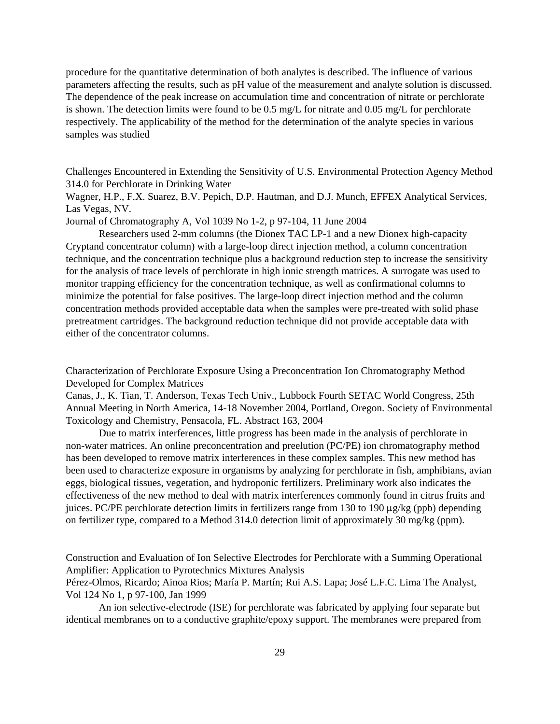procedure for the quantitative determination of both analytes is described. The influence of various parameters affecting the results, such as pH value of the measurement and analyte solution is discussed. The dependence of the peak increase on accumulation time and concentration of nitrate or perchlorate is shown. The detection limits were found to be 0.5 mg/L for nitrate and 0.05 mg/L for perchlorate respectively. The applicability of the method for the determination of the analyte species in various samples was studied

Challenges Encountered in Extending the Sensitivity of U.S. Environmental Protection Agency Method 314.0 for Perchlorate in Drinking Water

Wagner, H.P., F.X. Suarez, B.V. Pepich, D.P. Hautman, and D.J. Munch, EFFEX Analytical Services, Las Vegas, NV.

Journal of Chromatography A, Vol 1039 No 1-2, p 97-104, 11 June 2004

Researchers used 2-mm columns (the Dionex TAC LP-1 and a new Dionex high-capacity Cryptand concentrator column) with a large-loop direct injection method, a column concentration technique, and the concentration technique plus a background reduction step to increase the sensitivity for the analysis of trace levels of perchlorate in high ionic strength matrices. A surrogate was used to monitor trapping efficiency for the concentration technique, as well as confirmational columns to minimize the potential for false positives. The large-loop direct injection method and the column concentration methods provided acceptable data when the samples were pre-treated with solid phase pretreatment cartridges. The background reduction technique did not provide acceptable data with either of the concentrator columns.

Characterization of Perchlorate Exposure Using a Preconcentration Ion Chromatography Method Developed for Complex Matrices

Canas, J., K. Tian, T. Anderson, Texas Tech Univ., Lubbock Fourth SETAC World Congress, 25th Annual Meeting in North America, 14-18 November 2004, Portland, Oregon. Society of Environmental Toxicology and Chemistry, Pensacola, FL. Abstract 163, 2004

Due to matrix interferences, little progress has been made in the analysis of perchlorate in non-water matrices. An online preconcentration and preelution (PC/PE) ion chromatography method has been developed to remove matrix interferences in these complex samples. This new method has been used to characterize exposure in organisms by analyzing for perchlorate in fish, amphibians, avian eggs, biological tissues, vegetation, and hydroponic fertilizers. Preliminary work also indicates the effectiveness of the new method to deal with matrix interferences commonly found in citrus fruits and juices. PC/PE perchlorate detection limits in fertilizers range from 130 to 190 µg/kg (ppb) depending on fertilizer type, compared to a Method 314.0 detection limit of approximately 30 mg/kg (ppm).

Construction and Evaluation of Ion Selective Electrodes for Perchlorate with a Summing Operational Amplifier: Application to Pyrotechnics Mixtures Analysis

Pérez-Olmos, Ricardo; Ainoa Rios; María P. Martín; Rui A.S. Lapa; José L.F.C. Lima The Analyst, Vol 124 No 1, p 97-100, Jan 1999

An ion selective-electrode (ISE) for perchlorate was fabricated by applying four separate but identical membranes on to a conductive graphite/epoxy support. The membranes were prepared from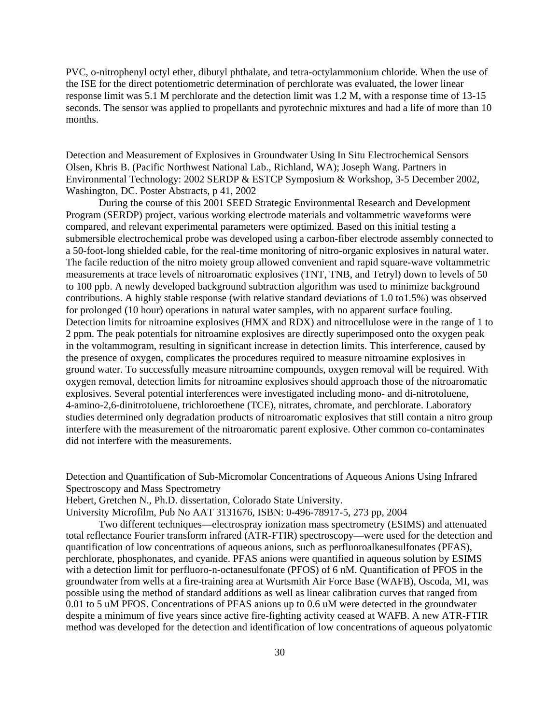PVC, o-nitrophenyl octyl ether, dibutyl phthalate, and tetra-octylammonium chloride. When the use of the ISE for the direct potentiometric determination of perchlorate was evaluated, the lower linear response limit was 5.1 M perchlorate and the detection limit was 1.2 M, with a response time of 13-15 seconds. The sensor was applied to propellants and pyrotechnic mixtures and had a life of more than 10 months.

Detection and Measurement of Explosives in Groundwater Using In Situ Electrochemical Sensors Olsen, Khris B. (Pacific Northwest National Lab., Richland, WA); Joseph Wang. Partners in Environmental Technology: 2002 SERDP & ESTCP Symposium & Workshop, 3-5 December 2002, Washington, DC. Poster Abstracts, p 41, 2002

During the course of this 2001 SEED Strategic Environmental Research and Development Program (SERDP) project, various working electrode materials and voltammetric waveforms were compared, and relevant experimental parameters were optimized. Based on this initial testing a submersible electrochemical probe was developed using a carbon-fiber electrode assembly connected to a 50-foot-long shielded cable, for the real-time monitoring of nitro-organic explosives in natural water. The facile reduction of the nitro moiety group allowed convenient and rapid square-wave voltammetric measurements at trace levels of nitroaromatic explosives (TNT, TNB, and Tetryl) down to levels of 50 to 100 ppb. A newly developed background subtraction algorithm was used to minimize background contributions. A highly stable response (with relative standard deviations of 1.0 to1.5%) was observed for prolonged (10 hour) operations in natural water samples, with no apparent surface fouling. Detection limits for nitroamine explosives (HMX and RDX) and nitrocellulose were in the range of 1 to 2 ppm. The peak potentials for nitroamine explosives are directly superimposed onto the oxygen peak in the voltammogram, resulting in significant increase in detection limits. This interference, caused by the presence of oxygen, complicates the procedures required to measure nitroamine explosives in ground water. To successfully measure nitroamine compounds, oxygen removal will be required. With oxygen removal, detection limits for nitroamine explosives should approach those of the nitroaromatic explosives. Several potential interferences were investigated including mono- and di-nitrotoluene, 4-amino-2,6-dinitrotoluene, trichloroethene (TCE), nitrates, chromate, and perchlorate. Laboratory studies determined only degradation products of nitroaromatic explosives that still contain a nitro group interfere with the measurement of the nitroaromatic parent explosive. Other common co-contaminates did not interfere with the measurements.

Detection and Quantification of Sub-Micromolar Concentrations of Aqueous Anions Using Infrared Spectroscopy and Mass Spectrometry

Hebert, Gretchen N., Ph.D. dissertation, Colorado State University.

University Microfilm, Pub No AAT 3131676, ISBN: 0-496-78917-5, 273 pp, 2004

Two different techniques—electrospray ionization mass spectrometry (ESIMS) and attenuated total reflectance Fourier transform infrared (ATR-FTIR) spectroscopy—were used for the detection and quantification of low concentrations of aqueous anions, such as perfluoroalkanesulfonates (PFAS), perchlorate, phosphonates, and cyanide. PFAS anions were quantified in aqueous solution by ESIMS with a detection limit for perfluoro-n-octanesulfonate (PFOS) of 6 nM. Quantification of PFOS in the groundwater from wells at a fire-training area at Wurtsmith Air Force Base (WAFB), Oscoda, MI, was possible using the method of standard additions as well as linear calibration curves that ranged from 0.01 to 5 uM PFOS. Concentrations of PFAS anions up to 0.6 uM were detected in the groundwater despite a minimum of five years since active fire-fighting activity ceased at WAFB. A new ATR-FTIR method was developed for the detection and identification of low concentrations of aqueous polyatomic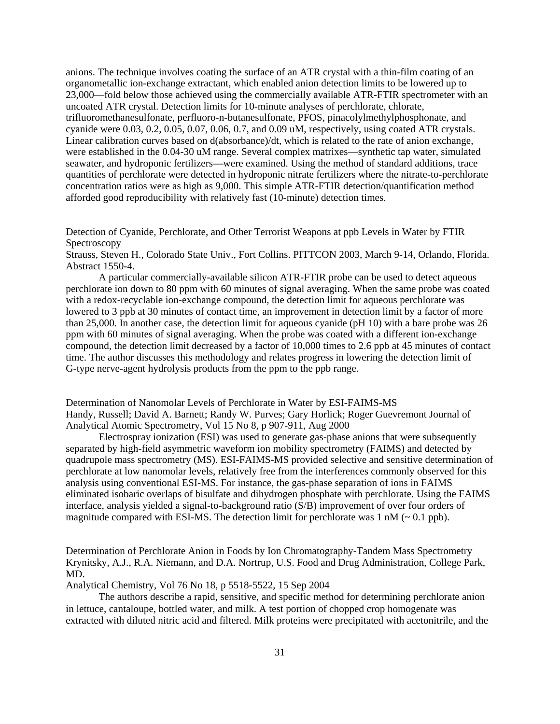anions. The technique involves coating the surface of an ATR crystal with a thin-film coating of an organometallic ion-exchange extractant, which enabled anion detection limits to be lowered up to 23,000—fold below those achieved using the commercially available ATR-FTIR spectrometer with an uncoated ATR crystal. Detection limits for 10-minute analyses of perchlorate, chlorate, trifluoromethanesulfonate, perfluoro-n-butanesulfonate, PFOS, pinacolylmethylphosphonate, and cyanide were 0.03, 0.2, 0.05, 0.07, 0.06, 0.7, and 0.09 uM, respectively, using coated ATR crystals. Linear calibration curves based on d(absorbance)/dt, which is related to the rate of anion exchange, were established in the 0.04-30 uM range. Several complex matrixes—synthetic tap water, simulated seawater, and hydroponic fertilizers—were examined. Using the method of standard additions, trace quantities of perchlorate were detected in hydroponic nitrate fertilizers where the nitrate-to-perchlorate concentration ratios were as high as 9,000. This simple ATR-FTIR detection/quantification method afforded good reproducibility with relatively fast (10-minute) detection times.

Detection of Cyanide, Perchlorate, and Other Terrorist Weapons at ppb Levels in Water by FTIR **Spectroscopy** 

Strauss, Steven H., Colorado State Univ., Fort Collins. PITTCON 2003, March 9-14, Orlando, Florida. Abstract 1550-4.

A particular commercially-available silicon ATR-FTIR probe can be used to detect aqueous perchlorate ion down to 80 ppm with 60 minutes of signal averaging. When the same probe was coated with a redox-recyclable ion-exchange compound, the detection limit for aqueous perchlorate was lowered to 3 ppb at 30 minutes of contact time, an improvement in detection limit by a factor of more than 25,000. In another case, the detection limit for aqueous cyanide (pH 10) with a bare probe was 26 ppm with 60 minutes of signal averaging. When the probe was coated with a different ion-exchange compound, the detection limit decreased by a factor of 10,000 times to 2.6 ppb at 45 minutes of contact time. The author discusses this methodology and relates progress in lowering the detection limit of G-type nerve-agent hydrolysis products from the ppm to the ppb range.

Determination of Nanomolar Levels of Perchlorate in Water by ESI-FAIMS-MS Handy, Russell; David A. Barnett; Randy W. Purves; Gary Horlick; Roger Guevremont Journal of Analytical Atomic Spectrometry, Vol 15 No 8, p 907-911, Aug 2000

Electrospray ionization (ESI) was used to generate gas-phase anions that were subsequently separated by high-field asymmetric waveform ion mobility spectrometry (FAIMS) and detected by quadrupole mass spectrometry (MS). ESI-FAIMS-MS provided selective and sensitive determination of perchlorate at low nanomolar levels, relatively free from the interferences commonly observed for this analysis using conventional ESI-MS. For instance, the gas-phase separation of ions in FAIMS eliminated isobaric overlaps of bisulfate and dihydrogen phosphate with perchlorate. Using the FAIMS interface, analysis yielded a signal-to-background ratio (S/B) improvement of over four orders of magnitude compared with ESI-MS. The detection limit for perchlorate was  $1 \text{ nM}$  ( $\sim 0.1 \text{ pb}$ ).

Determination of Perchlorate Anion in Foods by Ion Chromatography-Tandem Mass Spectrometry Krynitsky, A.J., R.A. Niemann, and D.A. Nortrup, U.S. Food and Drug Administration, College Park, MD.

Analytical Chemistry, Vol 76 No 18, p 5518-5522, 15 Sep 2004

The authors describe a rapid, sensitive, and specific method for determining perchlorate anion in lettuce, cantaloupe, bottled water, and milk. A test portion of chopped crop homogenate was extracted with diluted nitric acid and filtered. Milk proteins were precipitated with acetonitrile, and the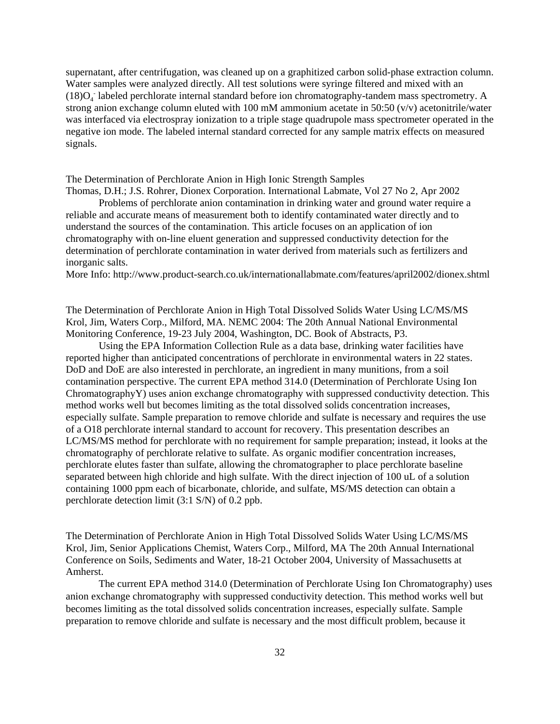supernatant, after centrifugation, was cleaned up on a graphitized carbon solid-phase extraction column. Water samples were analyzed directly. All test solutions were syringe filtered and mixed with an  $(18)O<sub>4</sub>$  labeled perchlorate internal standard before ion chromatography-tandem mass spectrometry. A strong anion exchange column eluted with 100 mM ammonium acetate in 50:50 (v/v) acetonitrile/water was interfaced via electrospray ionization to a triple stage quadrupole mass spectrometer operated in the negative ion mode. The labeled internal standard corrected for any sample matrix effects on measured signals.

The Determination of Perchlorate Anion in High Ionic Strength Samples Thomas, D.H.; J.S. Rohrer, Dionex Corporation. International Labmate, Vol 27 No 2, Apr 2002

Problems of perchlorate anion contamination in drinking water and ground water require a reliable and accurate means of measurement both to identify contaminated water directly and to understand the sources of the contamination. This article focuses on an application of ion chromatography with on-line eluent generation and suppressed conductivity detection for the determination of perchlorate contamination in water derived from materials such as fertilizers and inorganic salts.

More Info: <http://www.product-search.co.uk/internationallabmate.com/features/april2002/dionex.shtml>

The Determination of Perchlorate Anion in High Total Dissolved Solids Water Using LC/MS/MS Krol, Jim, Waters Corp., Milford, MA. NEMC 2004: The 20th Annual National Environmental Monitoring Conference, 19-23 July 2004, Washington, DC. Book of Abstracts, P3.

Using the EPA Information Collection Rule as a data base, drinking water facilities have reported higher than anticipated concentrations of perchlorate in environmental waters in 22 states. DoD and DoE are also interested in perchlorate, an ingredient in many munitions, from a soil contamination perspective. The current EPA method 314.0 (Determination of Perchlorate Using Ion ChromatographyY) uses anion exchange chromatography with suppressed conductivity detection. This method works well but becomes limiting as the total dissolved solids concentration increases, especially sulfate. Sample preparation to remove chloride and sulfate is necessary and requires the use of a O18 perchlorate internal standard to account for recovery. This presentation describes an LC/MS/MS method for perchlorate with no requirement for sample preparation; instead, it looks at the chromatography of perchlorate relative to sulfate. As organic modifier concentration increases, perchlorate elutes faster than sulfate, allowing the chromatographer to place perchlorate baseline separated between high chloride and high sulfate. With the direct injection of 100 uL of a solution containing 1000 ppm each of bicarbonate, chloride, and sulfate, MS/MS detection can obtain a perchlorate detection limit (3:1 S/N) of 0.2 ppb.

The Determination of Perchlorate Anion in High Total Dissolved Solids Water Using LC/MS/MS Krol, Jim, Senior Applications Chemist, Waters Corp., Milford, MA The 20th Annual International Conference on Soils, Sediments and Water, 18-21 October 2004, University of Massachusetts at Amherst.

The current EPA method 314.0 (Determination of Perchlorate Using Ion Chromatography) uses anion exchange chromatography with suppressed conductivity detection. This method works well but becomes limiting as the total dissolved solids concentration increases, especially sulfate. Sample preparation to remove chloride and sulfate is necessary and the most difficult problem, because it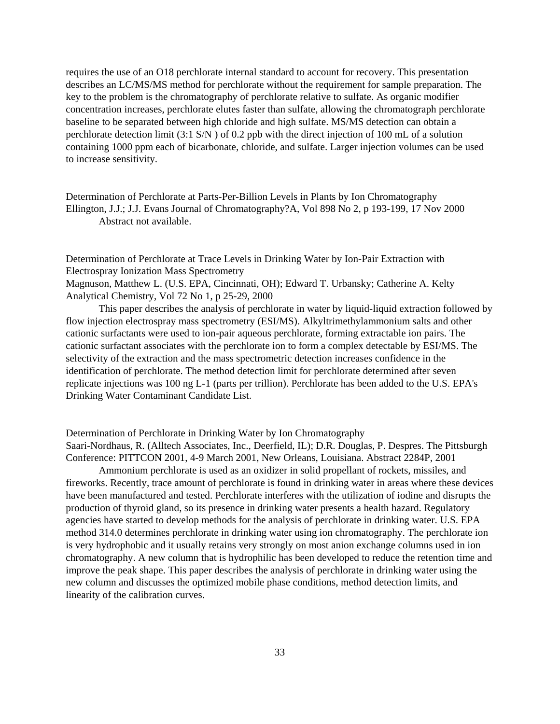requires the use of an O18 perchlorate internal standard to account for recovery. This presentation describes an LC/MS/MS method for perchlorate without the requirement for sample preparation. The key to the problem is the chromatography of perchlorate relative to sulfate. As organic modifier concentration increases, perchlorate elutes faster than sulfate, allowing the chromatograph perchlorate baseline to be separated between high chloride and high sulfate. MS/MS detection can obtain a perchlorate detection limit (3:1 S/N ) of 0.2 ppb with the direct injection of 100 mL of a solution containing 1000 ppm each of bicarbonate, chloride, and sulfate. Larger injection volumes can be used to increase sensitivity.

Determination of Perchlorate at Parts-Per-Billion Levels in Plants by Ion Chromatography Ellington, J.J.; J.J. Evans Journal of Chromatography?A, Vol 898 No 2, p 193-199, 17 Nov 2000 Abstract not available.

Determination of Perchlorate at Trace Levels in Drinking Water by Ion-Pair Extraction with Electrospray Ionization Mass Spectrometry

Magnuson, Matthew L. (U.S. EPA, Cincinnati, OH); Edward T. Urbansky; Catherine A. Kelty Analytical Chemistry, Vol 72 No 1, p 25-29, 2000

This paper describes the analysis of perchlorate in water by liquid-liquid extraction followed by flow injection electrospray mass spectrometry (ESI/MS). Alkyltrimethylammonium salts and other cationic surfactants were used to ion-pair aqueous perchlorate, forming extractable ion pairs. The cationic surfactant associates with the perchlorate ion to form a complex detectable by ESI/MS. The selectivity of the extraction and the mass spectrometric detection increases confidence in the identification of perchlorate. The method detection limit for perchlorate determined after seven replicate injections was 100 ng L-1 (parts per trillion). Perchlorate has been added to the U.S. EPA's Drinking Water Contaminant Candidate List.

Determination of Perchlorate in Drinking Water by Ion Chromatography Saari-Nordhaus, R. (Alltech Associates, Inc., Deerfield, IL); D.R. Douglas, P. Despres. The Pittsburgh Conference: PITTCON 2001, 4-9 March 2001, New Orleans, Louisiana. Abstract 2284P, 2001

Ammonium perchlorate is used as an oxidizer in solid propellant of rockets, missiles, and fireworks. Recently, trace amount of perchlorate is found in drinking water in areas where these devices have been manufactured and tested. Perchlorate interferes with the utilization of iodine and disrupts the production of thyroid gland, so its presence in drinking water presents a health hazard. Regulatory agencies have started to develop methods for the analysis of perchlorate in drinking water. U.S. EPA method 314.0 determines perchlorate in drinking water using ion chromatography. The perchlorate ion is very hydrophobic and it usually retains very strongly on most anion exchange columns used in ion chromatography. A new column that is hydrophilic has been developed to reduce the retention time and improve the peak shape. This paper describes the analysis of perchlorate in drinking water using the new column and discusses the optimized mobile phase conditions, method detection limits, and linearity of the calibration curves.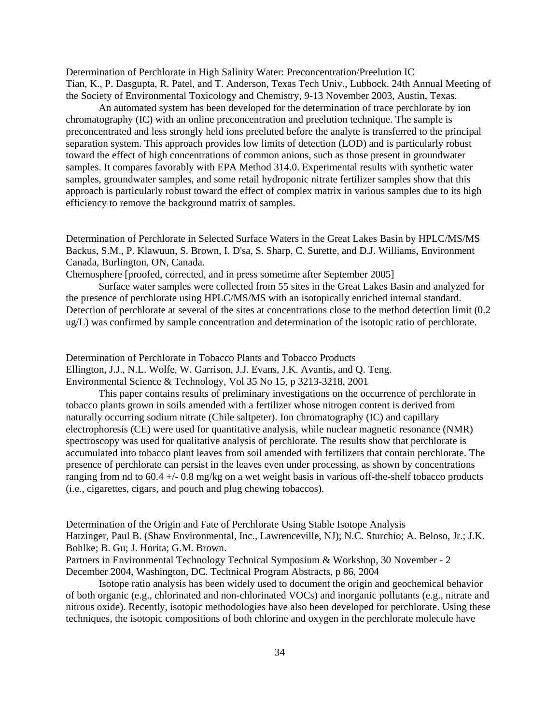Determination of Perchlorate in High Salinity Water: Preconcentration/Preelution IC Tian, K., P. Dasgupta, R. Patel, and T. Anderson, Texas Tech Univ., Lubbock. 24th Annual Meeting of the Society of Environmental Toxicology and Chemistry, 9-13 November 2003, Austin, Texas.

An automated system has been developed for the determination of trace perchlorate by ion chromatography (IC) with an online preconcentration and preelution technique. The sample is preconcentrated and less strongly held ions preeluted before the analyte is transferred to the principal separation system. This approach provides low limits of detection (LOD) and is particularly robust toward the effect of high concentrations of common anions, such as those present in groundwater samples. It compares favorably with EPA Method 314.0. Experimental results with synthetic water samples, groundwater samples, and some retail hydroponic nitrate fertilizer samples show that this approach is particularly robust toward the effect of complex matrix in various samples due to its high efficiency to remove the background matrix of samples.

Determination of Perchlorate in Selected Surface Waters in the Great Lakes Basin by HPLC/MS/MS Backus, S.M., P. Klawuun, S. Brown, I. D'sa, S. Sharp, C. Surette, and D.J. Williams, Environment Canada, Burlington, ON, Canada.

Chemosphere [proofed, corrected, and in press sometime after September 2005]

Surface water samples were collected from 55 sites in the Great Lakes Basin and analyzed for the presence of perchlorate using HPLC/MS/MS with an isotopically enriched internal standard. Detection of perchlorate at several of the sites at concentrations close to the method detection limit (0.2 ug/L) was confirmed by sample concentration and determination of the isotopic ratio of perchlorate.

Determination of Perchlorate in Tobacco Plants and Tobacco Products Ellington, J.J., N.L. Wolfe, W. Garrison, J.J. Evans, J.K. Avantis, and Q. Teng. Environmental Science & Technology, Vol 35 No 15, p 3213-3218, 2001

This paper contains results of preliminary investigations on the occurrence of perchlorate in tobacco plants grown in soils amended with a fertilizer whose nitrogen content is derived from naturally occurring sodium nitrate (Chile saltpeter). Ion chromatography (IC) and capillary electrophoresis (CE) were used for quantitative analysis, while nuclear magnetic resonance (NMR) spectroscopy was used for qualitative analysis of perchlorate. The results show that perchlorate is accumulated into tobacco plant leaves from soil amended with fertilizers that contain perchlorate. The presence of perchlorate can persist in the leaves even under processing, as shown by concentrations ranging from nd to 60.4 +/- 0.8 mg/kg on a wet weight basis in various off-the-shelf tobacco products (i.e., cigarettes, cigars, and pouch and plug chewing tobaccos).

Determination of the Origin and Fate of Perchlorate Using Stable Isotope Analysis Hatzinger, Paul B. (Shaw Environmental, Inc., Lawrenceville, NJ); N.C. Sturchio; A. Beloso, Jr.; J.K. Bohlke; B. Gu; J. Horita; G.M. Brown.

Partners in Environmental Technology Technical Symposium & Workshop, 30 November - 2 December 2004, Washington, DC. Technical Program Abstracts, p 86, 2004

Isotope ratio analysis has been widely used to document the origin and geochemical behavior of both organic (e.g., chlorinated and non-chlorinated VOCs) and inorganic pollutants (e.g., nitrate and nitrous oxide). Recently, isotopic methodologies have also been developed for perchlorate. Using these techniques, the isotopic compositions of both chlorine and oxygen in the perchlorate molecule have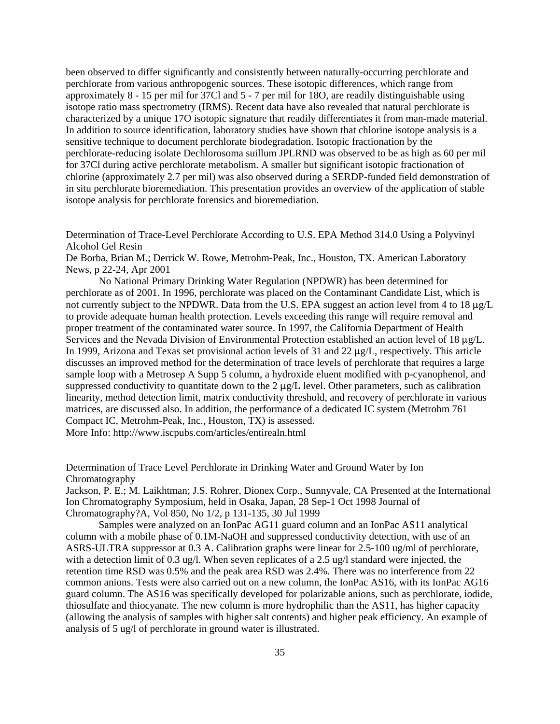been observed to differ significantly and consistently between naturally-occurring perchlorate and perchlorate from various anthropogenic sources. These isotopic differences, which range from approximately 8 - 15 per mil for 37Cl and 5 - 7 per mil for 18O, are readily distinguishable using isotope ratio mass spectrometry (IRMS). Recent data have also revealed that natural perchlorate is characterized by a unique 17O isotopic signature that readily differentiates it from man-made material. In addition to source identification, laboratory studies have shown that chlorine isotope analysis is a sensitive technique to document perchlorate biodegradation. Isotopic fractionation by the perchlorate-reducing isolate Dechlorosoma suillum JPLRND was observed to be as high as 60 per mil for 37Cl during active perchlorate metabolism. A smaller but significant isotopic fractionation of chlorine (approximately 2.7 per mil) was also observed during a SERDP-funded field demonstration of in situ perchlorate bioremediation. This presentation provides an overview of the application of stable isotope analysis for perchlorate forensics and bioremediation.

Determination of Trace-Level Perchlorate According to U.S. EPA Method 314.0 Using a Polyvinyl Alcohol Gel Resin

De Borba, Brian M.; Derrick W. Rowe, Metrohm-Peak, Inc., Houston, TX. American Laboratory News, p 22-24, Apr 2001

No National Primary Drinking Water Regulation (NPDWR) has been determined for perchlorate as of 2001. In 1996, perchlorate was placed on the Contaminant Candidate List, which is not currently subject to the NPDWR. Data from the U.S. EPA suggest an action level from 4 to 18  $\mu$ g/L to provide adequate human health protection. Levels exceeding this range will require removal and proper treatment of the contaminated water source. In 1997, the California Department of Health Services and the Nevada Division of Environmental Protection established an action level of 18  $\mu$ g/L. In 1999, Arizona and Texas set provisional action levels of 31 and 22  $\mu$ g/L, respectively. This article discusses an improved method for the determination of trace levels of perchlorate that requires a large sample loop with a Metrosep A Supp 5 column, a hydroxide eluent modified with p-cyanophenol, and suppressed conductivity to quantitate down to the  $2 \mu g/L$  level. Other parameters, such as calibration linearity, method detection limit, matrix conductivity threshold, and recovery of perchlorate in various matrices, are discussed also. In addition, the performance of a dedicated IC system (Metrohm 761 Compact IC, Metrohm-Peak, Inc., Houston, TX) is assessed. More Info: <http://www.iscpubs.com/articles/entirealn.html>

Determination of Trace Level Perchlorate in Drinking Water and Ground Water by Ion Chromatography

Jackson, P. E.; M. Laikhtman; J.S. Rohrer, Dionex Corp., Sunnyvale, CA Presented at the International Ion Chromatography Symposium, held in Osaka, Japan, 28 Sep-1 Oct 1998 Journal of Chromatography?A, Vol 850, No 1/2, p 131-135, 30 Jul 1999

Samples were analyzed on an IonPac AG11 guard column and an IonPac AS11 analytical column with a mobile phase of 0.1M-NaOH and suppressed conductivity detection, with use of an ASRS-ULTRA suppressor at 0.3 A. Calibration graphs were linear for 2.5-100 ug/ml of perchlorate, with a detection limit of 0.3 ug/l. When seven replicates of a 2.5 ug/l standard were injected, the retention time RSD was 0.5% and the peak area RSD was 2.4%. There was no interference from 22 common anions. Tests were also carried out on a new column, the IonPac AS16, with its IonPac AG16 guard column. The AS16 was specifically developed for polarizable anions, such as perchlorate, iodide, thiosulfate and thiocyanate. The new column is more hydrophilic than the AS11, has higher capacity (allowing the analysis of samples with higher salt contents) and higher peak efficiency. An example of analysis of 5 ug/l of perchlorate in ground water is illustrated.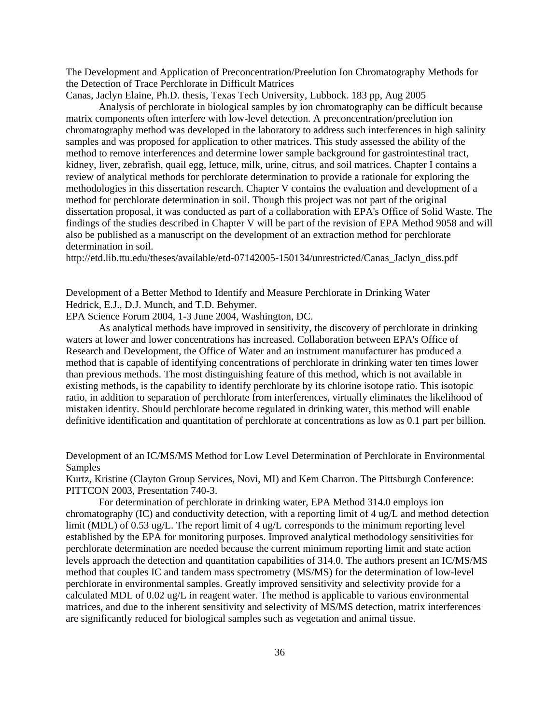The Development and Application of Preconcentration/Preelution Ion Chromatography Methods for the Detection of Trace Perchlorate in Difficult Matrices

Canas, Jaclyn Elaine, Ph.D. thesis, Texas Tech University, Lubbock. 183 pp, Aug 2005

Analysis of perchlorate in biological samples by ion chromatography can be difficult because matrix components often interfere with low-level detection. A preconcentration/preelution ion chromatography method was developed in the laboratory to address such interferences in high salinity samples and was proposed for application to other matrices. This study assessed the ability of the method to remove interferences and determine lower sample background for gastrointestinal tract, kidney, liver, zebrafish, quail egg, lettuce, milk, urine, citrus, and soil matrices. Chapter I contains a review of analytical methods for perchlorate determination to provide a rationale for exploring the methodologies in this dissertation research. Chapter V contains the evaluation and development of a method for perchlorate determination in soil. Though this project was not part of the original dissertation proposal, it was conducted as part of a collaboration with EPA's Office of Solid Waste. The findings of the studies described in Chapter V will be part of the revision of EPA Method 9058 and will also be published as a manuscript on the development of an extraction method for perchlorate determination in soil.

http://etd.lib.ttu.edu/theses/available/etd-07142005-150134/unrestricted/Canas\_Jaclyn\_diss.pdf

Development of a Better Method to Identify and Measure Perchlorate in Drinking Water Hedrick, E.J., D.J. Munch, and T.D. Behymer.

EPA Science Forum 2004, 1-3 June 2004, Washington, DC.

As analytical methods have improved in sensitivity, the discovery of perchlorate in drinking waters at lower and lower concentrations has increased. Collaboration between EPA's Office of Research and Development, the Office of Water and an instrument manufacturer has produced a method that is capable of identifying concentrations of perchlorate in drinking water ten times lower than previous methods. The most distinguishing feature of this method, which is not available in existing methods, is the capability to identify perchlorate by its chlorine isotope ratio. This isotopic ratio, in addition to separation of perchlorate from interferences, virtually eliminates the likelihood of mistaken identity. Should perchlorate become regulated in drinking water, this method will enable definitive identification and quantitation of perchlorate at concentrations as low as 0.1 part per billion.

Development of an IC/MS/MS Method for Low Level Determination of Perchlorate in Environmental Samples

Kurtz, Kristine (Clayton Group Services, Novi, MI) and Kem Charron. The Pittsburgh Conference: PITTCON 2003, Presentation 740-3.

For determination of perchlorate in drinking water, EPA Method 314.0 employs ion chromatography (IC) and conductivity detection, with a reporting limit of 4 ug/L and method detection limit (MDL) of 0.53 ug/L. The report limit of 4 ug/L corresponds to the minimum reporting level established by the EPA for monitoring purposes. Improved analytical methodology sensitivities for perchlorate determination are needed because the current minimum reporting limit and state action levels approach the detection and quantitation capabilities of 314.0. The authors present an IC/MS/MS method that couples IC and tandem mass spectrometry (MS/MS) for the determination of low-level perchlorate in environmental samples. Greatly improved sensitivity and selectivity provide for a calculated MDL of 0.02 ug/L in reagent water. The method is applicable to various environmental matrices, and due to the inherent sensitivity and selectivity of MS/MS detection, matrix interferences are significantly reduced for biological samples such as vegetation and animal tissue.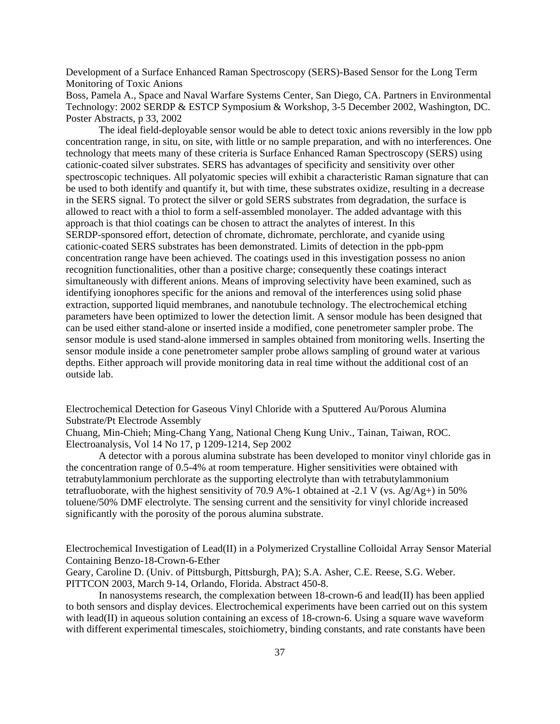Development of a Surface Enhanced Raman Spectroscopy (SERS)-Based Sensor for the Long Term Monitoring of Toxic Anions

Boss, Pamela A., Space and Naval Warfare Systems Center, San Diego, CA. Partners in Environmental Technology: 2002 SERDP & ESTCP Symposium & Workshop, 3-5 December 2002, Washington, DC. Poster Abstracts, p 33, 2002

The ideal field-deployable sensor would be able to detect toxic anions reversibly in the low ppb concentration range, in situ, on site, with little or no sample preparation, and with no interferences. One technology that meets many of these criteria is Surface Enhanced Raman Spectroscopy (SERS) using cationic-coated silver substrates. SERS has advantages of specificity and sensitivity over other spectroscopic techniques. All polyatomic species will exhibit a characteristic Raman signature that can be used to both identify and quantify it, but with time, these substrates oxidize, resulting in a decrease in the SERS signal. To protect the silver or gold SERS substrates from degradation, the surface is allowed to react with a thiol to form a self-assembled monolayer. The added advantage with this approach is that thiol coatings can be chosen to attract the analytes of interest. In this SERDP-sponsored effort, detection of chromate, dichromate, perchlorate, and cyanide using cationic-coated SERS substrates has been demonstrated. Limits of detection in the ppb-ppm concentration range have been achieved. The coatings used in this investigation possess no anion recognition functionalities, other than a positive charge; consequently these coatings interact simultaneously with different anions. Means of improving selectivity have been examined, such as identifying ionophores specific for the anions and removal of the interferences using solid phase extraction, supported liquid membranes, and nanotubule technology. The electrochemical etching parameters have been optimized to lower the detection limit. A sensor module has been designed that can be used either stand-alone or inserted inside a modified, cone penetrometer sampler probe. The sensor module is used stand-alone immersed in samples obtained from monitoring wells. Inserting the sensor module inside a cone penetrometer sampler probe allows sampling of ground water at various depths. Either approach will provide monitoring data in real time without the additional cost of an outside lab.

Electrochemical Detection for Gaseous Vinyl Chloride with a Sputtered Au/Porous Alumina Substrate/Pt Electrode Assembly

Chuang, Min-Chieh; Ming-Chang Yang, National Cheng Kung Univ., Tainan, Taiwan, ROC. Electroanalysis, Vol 14 No 17, p 1209-1214, Sep 2002

A detector with a porous alumina substrate has been developed to monitor vinyl chloride gas in the concentration range of 0.5-4% at room temperature. Higher sensitivities were obtained with tetrabutylammonium perchlorate as the supporting electrolyte than with tetrabutylammonium tetrafluoborate, with the highest sensitivity of 70.9 A%-1 obtained at -2.1 V (vs.  $Ag/Ag+$ ) in 50% toluene/50% DMF electrolyte. The sensing current and the sensitivity for vinyl chloride increased significantly with the porosity of the porous alumina substrate.

Electrochemical Investigation of Lead(II) in a Polymerized Crystalline Colloidal Array Sensor Material Containing Benzo-18-Crown-6-Ether

Geary, Caroline D. (Univ. of Pittsburgh, Pittsburgh, PA); S.A. Asher, C.E. Reese, S.G. Weber. PITTCON 2003, March 9-14, Orlando, Florida. Abstract 450-8.

In nanosystems research, the complexation between 18-crown-6 and lead(II) has been applied to both sensors and display devices. Electrochemical experiments have been carried out on this system with lead(II) in aqueous solution containing an excess of 18-crown-6. Using a square wave waveform with different experimental timescales, stoichiometry, binding constants, and rate constants have been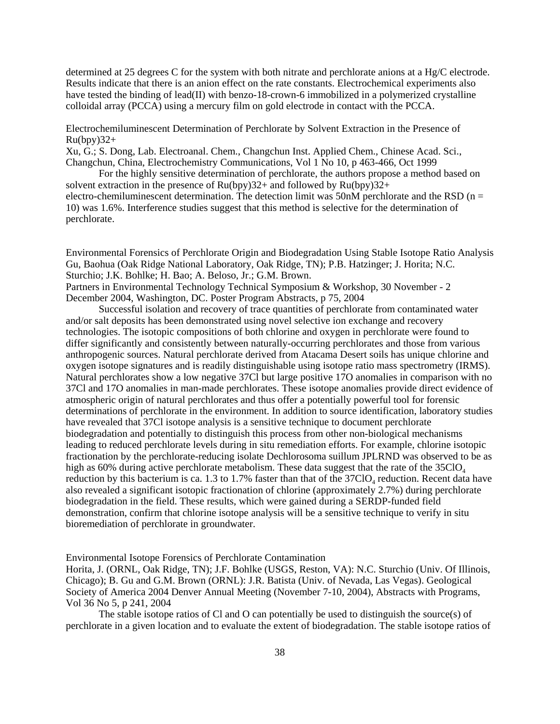determined at 25 degrees C for the system with both nitrate and perchlorate anions at a Hg/C electrode. Results indicate that there is an anion effect on the rate constants. Electrochemical experiments also have tested the binding of lead(II) with benzo-18-crown-6 immobilized in a polymerized crystalline colloidal array (PCCA) using a mercury film on gold electrode in contact with the PCCA.

Electrochemiluminescent Determination of Perchlorate by Solvent Extraction in the Presence of  $Ru(bpy)32+$ 

Xu, G.; S. Dong, Lab. Electroanal. Chem., Changchun Inst. Applied Chem., Chinese Acad. Sci., Changchun, China, Electrochemistry Communications, Vol 1 No 10, p 463-466, Oct 1999

For the highly sensitive determination of perchlorate, the authors propose a method based on solvent extraction in the presence of  $Ru(bpy)32+$  and followed by  $Ru(bpy)32+$ electro-chemiluminescent determination. The detection limit was  $50nM$  perchlorate and the RSD (n =

10) was 1.6%. Interference studies suggest that this method is selective for the determination of perchlorate.

Environmental Forensics of Perchlorate Origin and Biodegradation Using Stable Isotope Ratio Analysis Gu, Baohua (Oak Ridge National Laboratory, Oak Ridge, TN); P.B. Hatzinger; J. Horita; N.C. Sturchio; J.K. Bohlke; H. Bao; A. Beloso, Jr.; G.M. Brown.

Partners in Environmental Technology Technical Symposium & Workshop, 30 November - 2 December 2004, Washington, DC. Poster Program Abstracts, p 75, 2004

Successful isolation and recovery of trace quantities of perchlorate from contaminated water and/or salt deposits has been demonstrated using novel selective ion exchange and recovery technologies. The isotopic compositions of both chlorine and oxygen in perchlorate were found to differ significantly and consistently between naturally-occurring perchlorates and those from various anthropogenic sources. Natural perchlorate derived from Atacama Desert soils has unique chlorine and oxygen isotope signatures and is readily distinguishable using isotope ratio mass spectrometry (IRMS). Natural perchlorates show a low negative 37Cl but large positive 17O anomalies in comparison with no 37Cl and 17O anomalies in man-made perchlorates. These isotope anomalies provide direct evidence of atmospheric origin of natural perchlorates and thus offer a potentially powerful tool for forensic determinations of perchlorate in the environment. In addition to source identification, laboratory studies have revealed that 37Cl isotope analysis is a sensitive technique to document perchlorate biodegradation and potentially to distinguish this process from other non-biological mechanisms leading to reduced perchlorate levels during in situ remediation efforts. For example, chlorine isotopic fractionation by the perchlorate-reducing isolate Dechlorosoma suillum JPLRND was observed to be as high as 60% during active perchlorate metabolism. These data suggest that the rate of the  $35ClO<sub>4</sub>$ reduction by this bacterium is ca. 1.3 to 1.7% faster than that of the  $37ClO<sub>4</sub>$  reduction. Recent data have also revealed a significant isotopic fractionation of chlorine (approximately 2.7%) during perchlorate biodegradation in the field. These results, which were gained during a SERDP-funded field demonstration, confirm that chlorine isotope analysis will be a sensitive technique to verify in situ bioremediation of perchlorate in groundwater.

Environmental Isotope Forensics of Perchlorate Contamination

Horita, J. (ORNL, Oak Ridge, TN); J.F. Bohlke (USGS, Reston, VA): N.C. Sturchio (Univ. Of Illinois, Chicago); B. Gu and G.M. Brown (ORNL): J.R. Batista (Univ. of Nevada, Las Vegas). Geological Society of America 2004 Denver Annual Meeting (November 7-10, 2004), Abstracts with Programs, Vol 36 No 5, p 241, 2004

The stable isotope ratios of Cl and O can potentially be used to distinguish the source(s) of perchlorate in a given location and to evaluate the extent of biodegradation. The stable isotope ratios of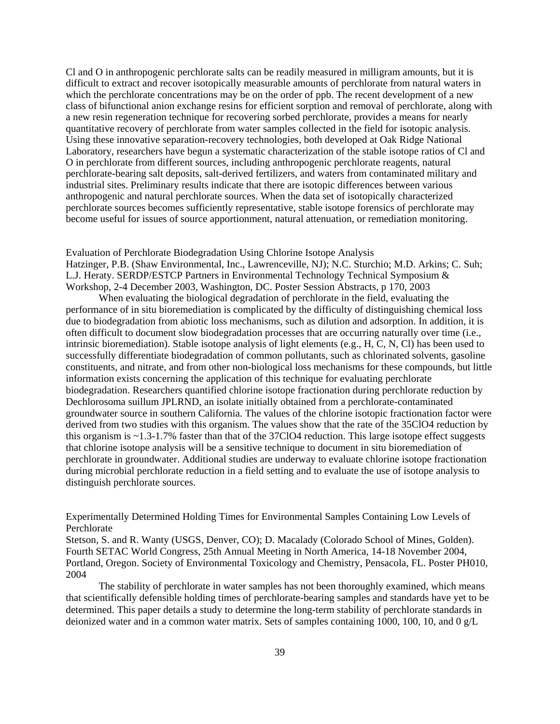Cl and O in anthropogenic perchlorate salts can be readily measured in milligram amounts, but it is difficult to extract and recover isotopically measurable amounts of perchlorate from natural waters in which the perchlorate concentrations may be on the order of ppb. The recent development of a new class of bifunctional anion exchange resins for efficient sorption and removal of perchlorate, along with a new resin regeneration technique for recovering sorbed perchlorate, provides a means for nearly quantitative recovery of perchlorate from water samples collected in the field for isotopic analysis. Using these innovative separation-recovery technologies, both developed at Oak Ridge National Laboratory, researchers have begun a systematic characterization of the stable isotope ratios of Cl and O in perchlorate from different sources, including anthropogenic perchlorate reagents, natural perchlorate-bearing salt deposits, salt-derived fertilizers, and waters from contaminated military and industrial sites. Preliminary results indicate that there are isotopic differences between various anthropogenic and natural perchlorate sources. When the data set of isotopically characterized perchlorate sources becomes sufficiently representative, stable isotope forensics of perchlorate may become useful for issues of source apportionment, natural attenuation, or remediation monitoring.

Evaluation of Perchlorate Biodegradation Using Chlorine Isotope Analysis Hatzinger, P.B. (Shaw Environmental, Inc., Lawrenceville, NJ); N.C. Sturchio; M.D. Arkins; C. Suh; L.J. Heraty. SERDP/ESTCP Partners in Environmental Technology Technical Symposium & Workshop, 2-4 December 2003, Washington, DC. Poster Session Abstracts, p 170, 2003

When evaluating the biological degradation of perchlorate in the field, evaluating the performance of in situ bioremediation is complicated by the difficulty of distinguishing chemical loss due to biodegradation from abiotic loss mechanisms, such as dilution and adsorption. In addition, it is often difficult to document slow biodegradation processes that are occurring naturally over time (i.e., intrinsic bioremediation). Stable isotope analysis of light elements (e.g., H, C, N, Cl) has been used to successfully differentiate biodegradation of common pollutants, such as chlorinated solvents, gasoline constituents, and nitrate, and from other non-biological loss mechanisms for these compounds, but little information exists concerning the application of this technique for evaluating perchlorate biodegradation. Researchers quantified chlorine isotope fractionation during perchlorate reduction by Dechlorosoma suillum JPLRND, an isolate initially obtained from a perchlorate-contaminated groundwater source in southern California. The values of the chlorine isotopic fractionation factor were derived from two studies with this organism. The values show that the rate of the 35ClO4 reduction by this organism is  $\approx$  1.3-1.7% faster than that of the 37ClO4 reduction. This large isotope effect suggests that chlorine isotope analysis will be a sensitive technique to document in situ bioremediation of perchlorate in groundwater. Additional studies are underway to evaluate chlorine isotope fractionation during microbial perchlorate reduction in a field setting and to evaluate the use of isotope analysis to distinguish perchlorate sources.

Experimentally Determined Holding Times for Environmental Samples Containing Low Levels of Perchlorate

Stetson, S. and R. Wanty (USGS, Denver, CO); D. Macalady (Colorado School of Mines, Golden). Fourth SETAC World Congress, 25th Annual Meeting in North America, 14-18 November 2004, Portland, Oregon. Society of Environmental Toxicology and Chemistry, Pensacola, FL. Poster PH010, 2004

The stability of perchlorate in water samples has not been thoroughly examined, which means that scientifically defensible holding times of perchlorate-bearing samples and standards have yet to be determined. This paper details a study to determine the long-term stability of perchlorate standards in deionized water and in a common water matrix. Sets of samples containing 1000, 100, 10, and 0 g/L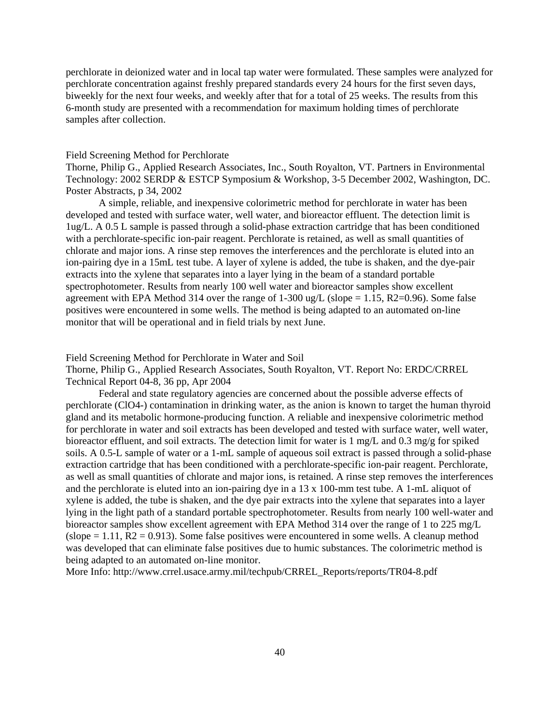perchlorate in deionized water and in local tap water were formulated. These samples were analyzed for perchlorate concentration against freshly prepared standards every 24 hours for the first seven days, biweekly for the next four weeks, and weekly after that for a total of 25 weeks. The results from this 6-month study are presented with a recommendation for maximum holding times of perchlorate samples after collection.

### Field Screening Method for Perchlorate

Thorne, Philip G., Applied Research Associates, Inc., South Royalton, VT. Partners in Environmental Technology: 2002 SERDP & ESTCP Symposium & Workshop, 3-5 December 2002, Washington, DC. Poster Abstracts, p 34, 2002

A simple, reliable, and inexpensive colorimetric method for perchlorate in water has been developed and tested with surface water, well water, and bioreactor effluent. The detection limit is 1ug/L. A 0.5 L sample is passed through a solid-phase extraction cartridge that has been conditioned with a perchlorate-specific ion-pair reagent. Perchlorate is retained, as well as small quantities of chlorate and major ions. A rinse step removes the interferences and the perchlorate is eluted into an ion-pairing dye in a 15mL test tube. A layer of xylene is added, the tube is shaken, and the dye-pair extracts into the xylene that separates into a layer lying in the beam of a standard portable spectrophotometer. Results from nearly 100 well water and bioreactor samples show excellent agreement with EPA Method 314 over the range of 1-300 ug/L (slope = 1.15, R2=0.96). Some false positives were encountered in some wells. The method is being adapted to an automated on-line monitor that will be operational and in field trials by next June.

Field Screening Method for Perchlorate in Water and Soil

Thorne, Philip G., Applied Research Associates, South Royalton, VT. Report No: ERDC/CRREL Technical Report 04-8, 36 pp, Apr 2004

Federal and state regulatory agencies are concerned about the possible adverse effects of perchlorate (ClO4-) contamination in drinking water, as the anion is known to target the human thyroid gland and its metabolic hormone-producing function. A reliable and inexpensive colorimetric method for perchlorate in water and soil extracts has been developed and tested with surface water, well water, bioreactor effluent, and soil extracts. The detection limit for water is 1 mg/L and 0.3 mg/g for spiked soils. A 0.5-L sample of water or a 1-mL sample of aqueous soil extract is passed through a solid-phase extraction cartridge that has been conditioned with a perchlorate-specific ion-pair reagent. Perchlorate, as well as small quantities of chlorate and major ions, is retained. A rinse step removes the interferences and the perchlorate is eluted into an ion-pairing dye in a 13 x 100-mm test tube. A 1-mL aliquot of xylene is added, the tube is shaken, and the dye pair extracts into the xylene that separates into a layer lying in the light path of a standard portable spectrophotometer. Results from nearly 100 well-water and bioreactor samples show excellent agreement with EPA Method 314 over the range of 1 to 225 mg/L  $(slope = 1.11, R2 = 0.913)$ . Some false positives were encountered in some wells. A cleanup method was developed that can eliminate false positives due to humic substances. The colorimetric method is being adapted to an automated on-line monitor.

More Info: [http://www.crrel.usace.army.mil/techpub/CRREL\\_Reports/reports/TR04-8.pdf](http://www.crrel.usace.army.mil/techpub/CRREL_Reports/reports/TR04-8.pdf)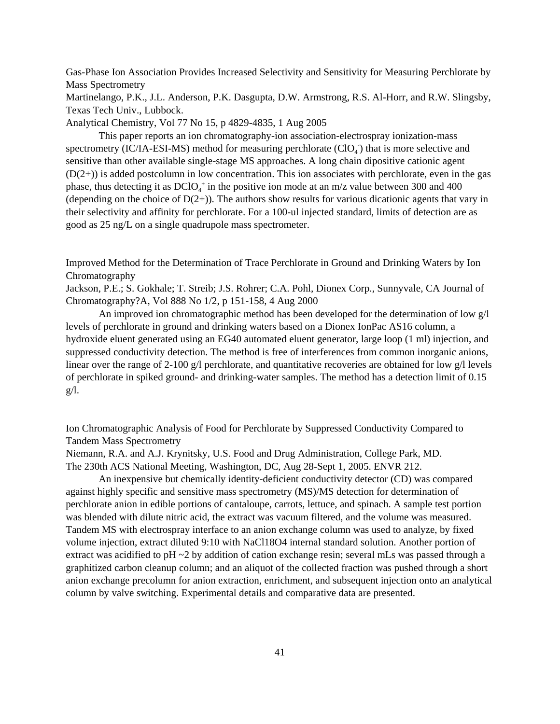Gas-Phase Ion Association Provides Increased Selectivity and Sensitivity for Measuring Perchlorate by Mass Spectrometry

Martinelango, P.K., J.L. Anderson, P.K. Dasgupta, D.W. Armstrong, R.S. Al-Horr, and R.W. Slingsby, Texas Tech Univ., Lubbock.

Analytical Chemistry, Vol 77 No 15, p 4829-4835, 1 Aug 2005

This paper reports an ion chromatography-ion association-electrospray ionization-mass spectrometry (IC/IA-ESI-MS) method for measuring perchlorate  $(CIO<sub>4</sub>)$  that is more selective and sensitive than other available single-stage MS approaches. A long chain dipositive cationic agent  $(D(2+))$  is added postcolumn in low concentration. This ion associates with perchlorate, even in the gas phase, thus detecting it as  $DCIO_4^+$  in the positive ion mode at an m/z value between 300 and 400 (depending on the choice of  $D(2+)$ ). The authors show results for various dicationic agents that vary in their selectivity and affinity for perchlorate. For a 100-ul injected standard, limits of detection are as good as 25 ng/L on a single quadrupole mass spectrometer.

Improved Method for the Determination of Trace Perchlorate in Ground and Drinking Waters by Ion Chromatography

Jackson, P.E.; S. Gokhale; T. Streib; J.S. Rohrer; C.A. Pohl, Dionex Corp., Sunnyvale, CA Journal of Chromatography?A, Vol 888 No 1/2, p 151-158, 4 Aug 2000

An improved ion chromatographic method has been developed for the determination of low  $g/l$ levels of perchlorate in ground and drinking waters based on a Dionex IonPac AS16 column, a hydroxide eluent generated using an EG40 automated eluent generator, large loop (1 ml) injection, and suppressed conductivity detection. The method is free of interferences from common inorganic anions, linear over the range of 2-100  $\alpha$ /l perchlorate, and quantitative recoveries are obtained for low  $\alpha$ /l levels of perchlorate in spiked ground- and drinking-water samples. The method has a detection limit of 0.15  $g/I$ .

Ion Chromatographic Analysis of Food for Perchlorate by Suppressed Conductivity Compared to Tandem Mass Spectrometry

Niemann, R.A. and A.J. Krynitsky, U.S. Food and Drug Administration, College Park, MD. The 230th ACS National Meeting, Washington, DC, Aug 28-Sept 1, 2005. ENVR 212.

An inexpensive but chemically identity-deficient conductivity detector (CD) was compared against highly specific and sensitive mass spectrometry (MS)/MS detection for determination of perchlorate anion in edible portions of cantaloupe, carrots, lettuce, and spinach. A sample test portion was blended with dilute nitric acid, the extract was vacuum filtered, and the volume was measured. Tandem MS with electrospray interface to an anion exchange column was used to analyze, by fixed volume injection, extract diluted 9:10 with NaCl18O4 internal standard solution. Another portion of extract was acidified to pH ~2 by addition of cation exchange resin; several mLs was passed through a graphitized carbon cleanup column; and an aliquot of the collected fraction was pushed through a short anion exchange precolumn for anion extraction, enrichment, and subsequent injection onto an analytical column by valve switching. Experimental details and comparative data are presented.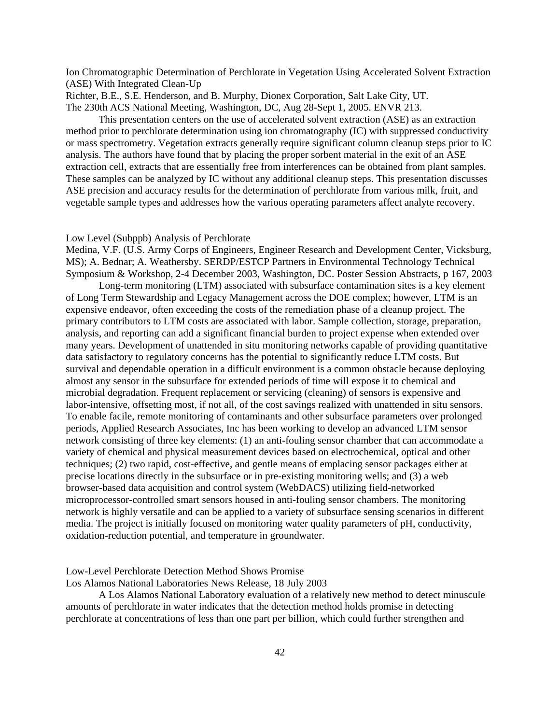Ion Chromatographic Determination of Perchlorate in Vegetation Using Accelerated Solvent Extraction (ASE) With Integrated Clean-Up

Richter, B.E., S.E. Henderson, and B. Murphy, Dionex Corporation, Salt Lake City, UT. The 230th ACS National Meeting, Washington, DC, Aug 28-Sept 1, 2005. ENVR 213.

This presentation centers on the use of accelerated solvent extraction (ASE) as an extraction method prior to perchlorate determination using ion chromatography (IC) with suppressed conductivity or mass spectrometry. Vegetation extracts generally require significant column cleanup steps prior to IC analysis. The authors have found that by placing the proper sorbent material in the exit of an ASE extraction cell, extracts that are essentially free from interferences can be obtained from plant samples. These samples can be analyzed by IC without any additional cleanup steps. This presentation discusses ASE precision and accuracy results for the determination of perchlorate from various milk, fruit, and vegetable sample types and addresses how the various operating parameters affect analyte recovery.

#### Low Level (Subppb) Analysis of Perchlorate

Medina, V.F. (U.S. Army Corps of Engineers, Engineer Research and Development Center, Vicksburg, MS); A. Bednar; A. Weathersby. SERDP/ESTCP Partners in Environmental Technology Technical Symposium & Workshop, 2-4 December 2003, Washington, DC. Poster Session Abstracts, p 167, 2003

Long-term monitoring (LTM) associated with subsurface contamination sites is a key element of Long Term Stewardship and Legacy Management across the DOE complex; however, LTM is an expensive endeavor, often exceeding the costs of the remediation phase of a cleanup project. The primary contributors to LTM costs are associated with labor. Sample collection, storage, preparation, analysis, and reporting can add a significant financial burden to project expense when extended over many years. Development of unattended in situ monitoring networks capable of providing quantitative data satisfactory to regulatory concerns has the potential to significantly reduce LTM costs. But survival and dependable operation in a difficult environment is a common obstacle because deploying almost any sensor in the subsurface for extended periods of time will expose it to chemical and microbial degradation. Frequent replacement or servicing (cleaning) of sensors is expensive and labor-intensive, offsetting most, if not all, of the cost savings realized with unattended in situ sensors. To enable facile, remote monitoring of contaminants and other subsurface parameters over prolonged periods, Applied Research Associates, Inc has been working to develop an advanced LTM sensor network consisting of three key elements: (1) an anti-fouling sensor chamber that can accommodate a variety of chemical and physical measurement devices based on electrochemical, optical and other techniques; (2) two rapid, cost-effective, and gentle means of emplacing sensor packages either at precise locations directly in the subsurface or in pre-existing monitoring wells; and (3) a web browser-based data acquisition and control system (WebDACS) utilizing field-networked microprocessor-controlled smart sensors housed in anti-fouling sensor chambers. The monitoring network is highly versatile and can be applied to a variety of subsurface sensing scenarios in different media. The project is initially focused on monitoring water quality parameters of pH, conductivity, oxidation-reduction potential, and temperature in groundwater.

### Low-Level Perchlorate Detection Method Shows Promise

Los Alamos National Laboratories News Release, 18 July 2003

A Los Alamos National Laboratory evaluation of a relatively new method to detect minuscule amounts of perchlorate in water indicates that the detection method holds promise in detecting perchlorate at concentrations of less than one part per billion, which could further strengthen and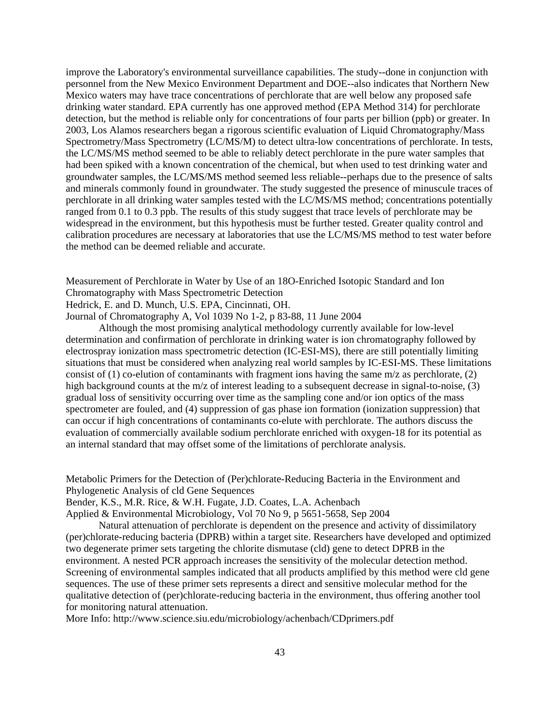improve the Laboratory's environmental surveillance capabilities. The study--done in conjunction with personnel from the New Mexico Environment Department and DOE--also indicates that Northern New Mexico waters may have trace concentrations of perchlorate that are well below any proposed safe drinking water standard. EPA currently has one approved method (EPA Method 314) for perchlorate detection, but the method is reliable only for concentrations of four parts per billion (ppb) or greater. In 2003, Los Alamos researchers began a rigorous scientific evaluation of Liquid Chromatography/Mass Spectrometry/Mass Spectrometry (LC/MS/M) to detect ultra-low concentrations of perchlorate. In tests, the LC/MS/MS method seemed to be able to reliably detect perchlorate in the pure water samples that had been spiked with a known concentration of the chemical, but when used to test drinking water and groundwater samples, the LC/MS/MS method seemed less reliable--perhaps due to the presence of salts and minerals commonly found in groundwater. The study suggested the presence of minuscule traces of perchlorate in all drinking water samples tested with the LC/MS/MS method; concentrations potentially ranged from 0.1 to 0.3 ppb. The results of this study suggest that trace levels of perchlorate may be widespread in the environment, but this hypothesis must be further tested. Greater quality control and calibration procedures are necessary at laboratories that use the LC/MS/MS method to test water before the method can be deemed reliable and accurate.

Measurement of Perchlorate in Water by Use of an 18O-Enriched Isotopic Standard and Ion Chromatography with Mass Spectrometric Detection Hedrick, E. and D. Munch, U.S. EPA, Cincinnati, OH.

Journal of Chromatography A, Vol 1039 No 1-2, p 83-88, 11 June 2004

Although the most promising analytical methodology currently available for low-level determination and confirmation of perchlorate in drinking water is ion chromatography followed by electrospray ionization mass spectrometric detection (IC-ESI-MS), there are still potentially limiting situations that must be considered when analyzing real world samples by IC-ESI-MS. These limitations consist of (1) co-elution of contaminants with fragment ions having the same  $m/z$  as perchlorate, (2) high background counts at the m/z of interest leading to a subsequent decrease in signal-to-noise, (3) gradual loss of sensitivity occurring over time as the sampling cone and/or ion optics of the mass spectrometer are fouled, and (4) suppression of gas phase ion formation (ionization suppression) that can occur if high concentrations of contaminants co-elute with perchlorate. The authors discuss the evaluation of commercially available sodium perchlorate enriched with oxygen-18 for its potential as an internal standard that may offset some of the limitations of perchlorate analysis.

Metabolic Primers for the Detection of (Per)chlorate-Reducing Bacteria in the Environment and Phylogenetic Analysis of cld Gene Sequences

Bender, K.S., M.R. Rice, & W.H. Fugate, J.D. Coates, L.A. Achenbach

Applied & Environmental Microbiology, Vol 70 No 9, p 5651-5658, Sep 2004

Natural attenuation of perchlorate is dependent on the presence and activity of dissimilatory (per)chlorate-reducing bacteria (DPRB) within a target site. Researchers have developed and optimized two degenerate primer sets targeting the chlorite dismutase (cld) gene to detect DPRB in the environment. A nested PCR approach increases the sensitivity of the molecular detection method. Screening of environmental samples indicated that all products amplified by this method were cld gene sequences. The use of these primer sets represents a direct and sensitive molecular method for the qualitative detection of (per)chlorate-reducing bacteria in the environment, thus offering another tool for monitoring natural attenuation.

More Info: <http://www.science.siu.edu/microbiology/achenbach/CDprimers.pdf>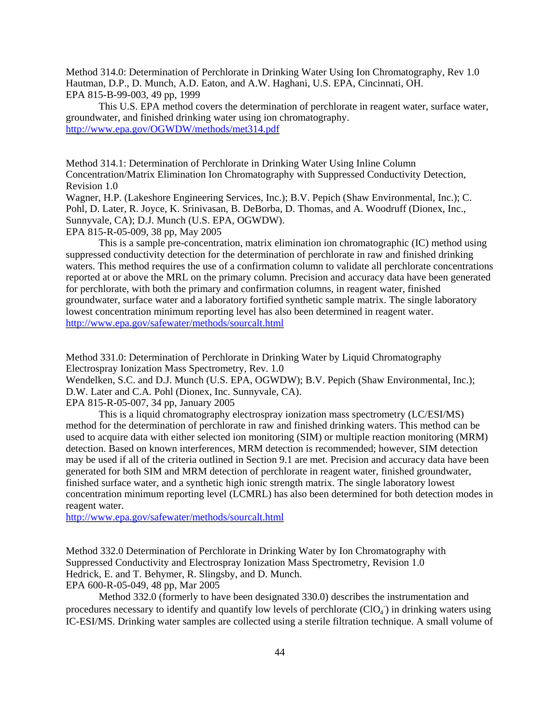Method 314.0: Determination of Perchlorate in Drinking Water Using Ion Chromatography, Rev 1.0 Hautman, D.P., D. Munch, A.D. Eaton, and A.W. Haghani, U.S. EPA, Cincinnati, OH. EPA 815-B-99-003, 49 pp, 1999

This U.S. EPA method covers the determination of perchlorate in reagent water, surface water, groundwater, and finished drinking water using ion chromatography. <http://www.epa.gov/OGWDW/methods/met314.pdf>

Method 314.1: Determination of Perchlorate in Drinking Water Using Inline Column Concentration/Matrix Elimination Ion Chromatography with Suppressed Conductivity Detection, Revision 1.0

Wagner, H.P. (Lakeshore Engineering Services, Inc.); B.V. Pepich (Shaw Environmental, Inc.); C. Pohl, D. Later, R. Joyce, K. Srinivasan, B. DeBorba, D. Thomas, and A. Woodruff (Dionex, Inc., Sunnyvale, CA); D.J. Munch (U.S. EPA, OGWDW).

EPA 815-R-05-009, 38 pp, May 2005

This is a sample pre-concentration, matrix elimination ion chromatographic (IC) method using suppressed conductivity detection for the determination of perchlorate in raw and finished drinking waters. This method requires the use of a confirmation column to validate all perchlorate concentrations reported at or above the MRL on the primary column. Precision and accuracy data have been generated for perchlorate, with both the primary and confirmation columns, in reagent water, finished groundwater, surface water and a laboratory fortified synthetic sample matrix. The single laboratory lowest concentration minimum reporting level has also been determined in reagent water. <http://www.epa.gov/safewater/methods/sourcalt.html>

Method 331.0: Determination of Perchlorate in Drinking Water by Liquid Chromatography Electrospray Ionization Mass Spectrometry, Rev. 1.0

Wendelken, S.C. and D.J. Munch (U.S. EPA, OGWDW); B.V. Pepich (Shaw Environmental, Inc.); D.W. Later and C.A. Pohl (Dionex, Inc. Sunnyvale, CA).

EPA 815-R-05-007, 34 pp, January 2005

This is a liquid chromatography electrospray ionization mass spectrometry (LC/ESI/MS) method for the determination of perchlorate in raw and finished drinking waters. This method can be used to acquire data with either selected ion monitoring (SIM) or multiple reaction monitoring (MRM) detection. Based on known interferences, MRM detection is recommended; however, SIM detection may be used if all of the criteria outlined in Section 9.1 are met. Precision and accuracy data have been generated for both SIM and MRM detection of perchlorate in reagent water, finished groundwater, finished surface water, and a synthetic high ionic strength matrix. The single laboratory lowest concentration minimum reporting level (LCMRL) has also been determined for both detection modes in reagent water.

<http://www.epa.gov/safewater/methods/sourcalt.html>

Method 332.0 Determination of Perchlorate in Drinking Water by Ion Chromatography with Suppressed Conductivity and Electrospray Ionization Mass Spectrometry, Revision 1.0 Hedrick, E. and T. Behymer, R. Slingsby, and D. Munch.

EPA 600-R-05-049, 48 pp, Mar 2005

Method 332.0 (formerly to have been designated 330.0) describes the instrumentation and procedures necessary to identify and quantify low levels of perchlorate (ClO4) in drinking waters using IC-ESI/MS. Drinking water samples are collected using a sterile filtration technique. A small volume of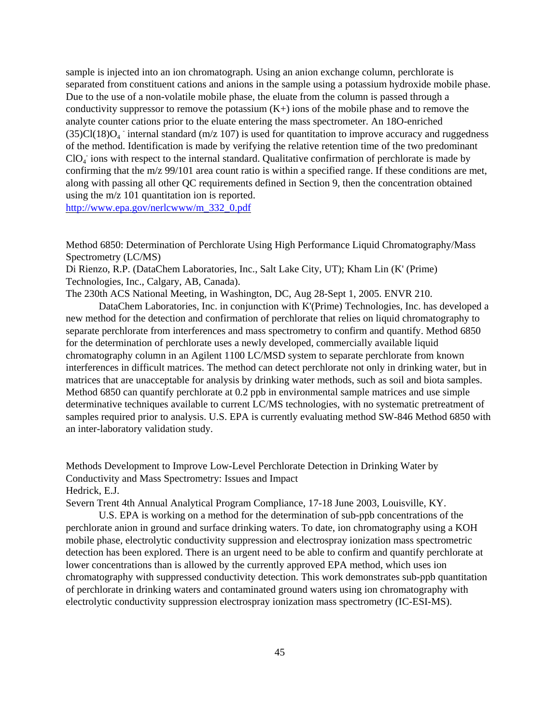sample is injected into an ion chromatograph. Using an anion exchange column, perchlorate is separated from constituent cations and anions in the sample using a potassium hydroxide mobile phase. Due to the use of a non-volatile mobile phase, the eluate from the column is passed through a conductivity suppressor to remove the potassium  $(K+)$  ions of the mobile phase and to remove the analyte counter cations prior to the eluate entering the mass spectrometer. An 18O-enriched  $(35)Cl(18)O<sub>4</sub>$  internal standard (m/z 107) is used for quantitation to improve accuracy and ruggedness of the method. Identi  $CIO<sub>4</sub>$  ions with respect to the internal standard. Qualitative confirmation of perchlorate is made by confirming that the m/z 99/101 area count ratio is within a specified range. If these conditions are met, along with passing all other QC requirements defined in Section 9, then the concentration obtained using the m/z 101 quantitation ion is reported.

[http://www.epa.gov/nerlcwww/m\\_332\\_0.pdf](http://www.epa.gov/nerlcwww/m_332_0.pdf) 

Method 6850: Determination of Perchlorate Using High Performance Liquid Chromatography/Mass Spectrometry (LC/MS)

Di Rienzo, R.P. (DataChem Laboratories, Inc., Salt Lake City, UT); Kham Lin (K' (Prime) Technologies, Inc., Calgary, AB, Canada).

The 230th ACS National Meeting, in Washington, DC, Aug 28-Sept 1, 2005. ENVR 210.

DataChem Laboratories, Inc. in conjunction with K'(Prime) Technologies, Inc. has developed a new method for the detection and confirmation of perchlorate that relies on liquid chromatography to separate perchlorate from interferences and mass spectrometry to confirm and quantify. Method 6850 for the determination of perchlorate uses a newly developed, commercially available liquid chromatography column in an Agilent 1100 LC/MSD system to separate perchlorate from known interferences in difficult matrices. The method can detect perchlorate not only in drinking water, but in matrices that are unacceptable for analysis by drinking water methods, such as soil and biota samples. Method 6850 can quantify perchlorate at 0.2 ppb in environmental sample matrices and use simple determinative techniques available to current LC/MS technologies, with no systematic pretreatment of samples required prior to analysis. U.S. EPA is currently evaluating method SW-846 Method 6850 with an inter-laboratory validation study.

Methods Development to Improve Low-Level Perchlorate Detection in Drinking Water by Conductivity and Mass Spectrometry: Issues and Impact Hedrick, E.J.

Severn Trent 4th Annual Analytical Program Compliance, 17-18 June 2003, Louisville, KY.

U.S. EPA is working on a method for the determination of sub-ppb concentrations of the perchlorate anion in ground and surface drinking waters. To date, ion chromatography using a KOH mobile phase, electrolytic conductivity suppression and electrospray ionization mass spectrometric detection has been explored. There is an urgent need to be able to confirm and quantify perchlorate at lower concentrations than is allowed by the currently approved EPA method, which uses ion chromatography with suppressed conductivity detection. This work demonstrates sub-ppb quantitation of perchlorate in drinking waters and contaminated ground waters using ion chromatography with electrolytic conductivity suppression electrospray ionization mass spectrometry (IC-ESI-MS).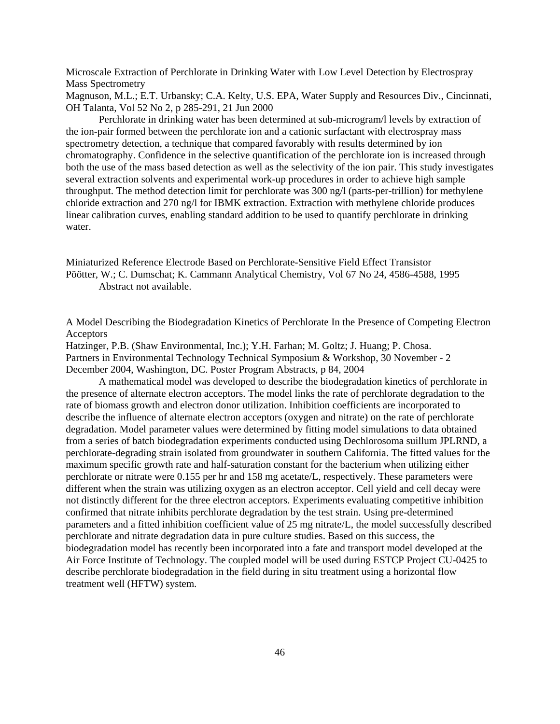Microscale Extraction of Perchlorate in Drinking Water with Low Level Detection by Electrospray Mass Spectrometry

Magnuson, M.L.; E.T. Urbansky; C.A. Kelty, U.S. EPA, Water Supply and Resources Div., Cincinnati, OH Talanta, Vol 52 No 2, p 285-291, 21 Jun 2000

Perchlorate in drinking water has been determined at sub-microgram/l levels by extraction of the ion-pair formed between the perchlorate ion and a cationic surfactant with electrospray mass spectrometry detection, a technique that compared favorably with results determined by ion chromatography. Confidence in the selective quantification of the perchlorate ion is increased through both the use of the mass based detection as well as the selectivity of the ion pair. This study investigates several extraction solvents and experimental work-up procedures in order to achieve high sample throughput. The method detection limit for perchlorate was 300 ng/l (parts-per-trillion) for methylene chloride extraction and 270 ng/l for IBMK extraction. Extraction with methylene chloride produces linear calibration curves, enabling standard addition to be used to quantify perchlorate in drinking water.

Miniaturized Reference Electrode Based on Perchlorate-Sensitive Field Effect Transistor Pöötter, W.; C. Dumschat; K. Cammann Analytical Chemistry, Vol 67 No 24, 4586-4588, 1995 Abstract not available.

A Model Describing the Biodegradation Kinetics of Perchlorate In the Presence of Competing Electron **Acceptors** 

Hatzinger, P.B. (Shaw Environmental, Inc.); Y.H. Farhan; M. Goltz; J. Huang; P. Chosa. Partners in Environmental Technology Technical Symposium & Workshop, 30 November - 2 December 2004, Washington, DC. Poster Program Abstracts, p 84, 2004

A mathematical model was developed to describe the biodegradation kinetics of perchlorate in the presence of alternate electron acceptors. The model links the rate of perchlorate degradation to the rate of biomass growth and electron donor utilization. Inhibition coefficients are incorporated to describe the influence of alternate electron acceptors (oxygen and nitrate) on the rate of perchlorate degradation. Model parameter values were determined by fitting model simulations to data obtained from a series of batch biodegradation experiments conducted using Dechlorosoma suillum JPLRND, a perchlorate-degrading strain isolated from groundwater in southern California. The fitted values for the maximum specific growth rate and half-saturation constant for the bacterium when utilizing either perchlorate or nitrate were 0.155 per hr and 158 mg acetate/L, respectively. These parameters were different when the strain was utilizing oxygen as an electron acceptor. Cell yield and cell decay were not distinctly different for the three electron acceptors. Experiments evaluating competitive inhibition confirmed that nitrate inhibits perchlorate degradation by the test strain. Using pre-determined parameters and a fitted inhibition coefficient value of 25 mg nitrate/L, the model successfully described perchlorate and nitrate degradation data in pure culture studies. Based on this success, the biodegradation model has recently been incorporated into a fate and transport model developed at the Air Force Institute of Technology. The coupled model will be used during ESTCP Project CU-0425 to describe perchlorate biodegradation in the field during in situ treatment using a horizontal flow treatment well (HFTW) system.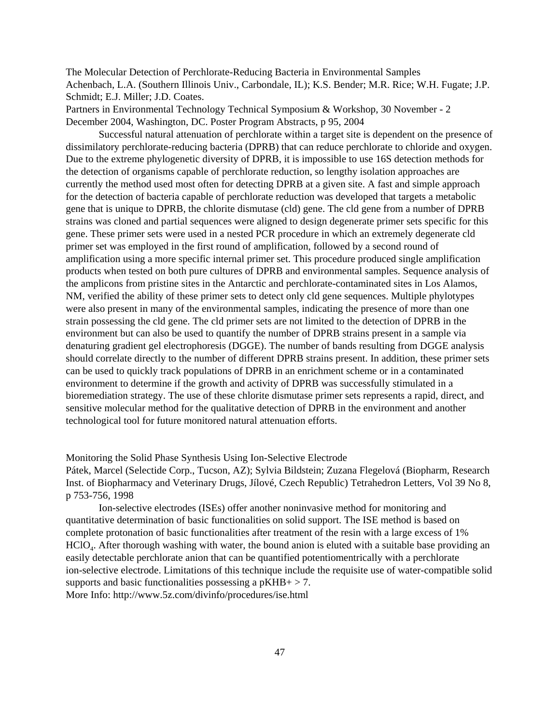The Molecular Detection of Perchlorate-Reducing Bacteria in Environmental Samples Achenbach, L.A. (Southern Illinois Univ., Carbondale, IL); K.S. Bender; M.R. Rice; W.H. Fugate; J.P. Schmidt; E.J. Miller; J.D. Coates.

Partners in Environmental Technology Technical Symposium & Workshop, 30 November - 2 December 2004, Washington, DC. Poster Program Abstracts, p 95, 2004

Successful natural attenuation of perchlorate within a target site is dependent on the presence of dissimilatory perchlorate-reducing bacteria (DPRB) that can reduce perchlorate to chloride and oxygen. Due to the extreme phylogenetic diversity of DPRB, it is impossible to use 16S detection methods for the detection of organisms capable of perchlorate reduction, so lengthy isolation approaches are currently the method used most often for detecting DPRB at a given site. A fast and simple approach for the detection of bacteria capable of perchlorate reduction was developed that targets a metabolic gene that is unique to DPRB, the chlorite dismutase (cld) gene. The cld gene from a number of DPRB strains was cloned and partial sequences were aligned to design degenerate primer sets specific for this gene. These primer sets were used in a nested PCR procedure in which an extremely degenerate cld primer set was employed in the first round of amplification, followed by a second round of amplification using a more specific internal primer set. This procedure produced single amplification products when tested on both pure cultures of DPRB and environmental samples. Sequence analysis of the amplicons from pristine sites in the Antarctic and perchlorate-contaminated sites in Los Alamos, NM, verified the ability of these primer sets to detect only cld gene sequences. Multiple phylotypes were also present in many of the environmental samples, indicating the presence of more than one strain possessing the cld gene. The cld primer sets are not limited to the detection of DPRB in the environment but can also be used to quantify the number of DPRB strains present in a sample via denaturing gradient gel electrophoresis (DGGE). The number of bands resulting from DGGE analysis should correlate directly to the number of different DPRB strains present. In addition, these primer sets can be used to quickly track populations of DPRB in an enrichment scheme or in a contaminated environment to determine if the growth and activity of DPRB was successfully stimulated in a bioremediation strategy. The use of these chlorite dismutase primer sets represents a rapid, direct, and sensitive molecular method for the qualitative detection of DPRB in the environment and another technological tool for future monitored natural attenuation efforts.

Monitoring the Solid Phase Synthesis Using Ion-Selective Electrode

Pátek, Marcel (Selectide Corp., Tucson, AZ); Sylvia Bildstein; Zuzana Flegelová (Biopharm, Research Inst. of Biopharmacy and Veterinary Drugs, Jílové, Czech Republic) Tetrahedron Letters, Vol 39 No 8, p 753-756, 1998

Ion-selective electrodes (ISEs) offer another noninvasive method for monitoring and quantitative determination of basic functionalities on solid support. The ISE method is based on complete protonation of basic functionalities after treatment of the resin with a large excess of 1% HClO4. After thorough washing with water, the bound anion is eluted with a suitable base providing an easily detectable perchlorate anion that can be quantified potentiomentrically with a perchlorate ion-selective electrode. Limitations of this technique include the requisite use of water-compatible solid supports and basic functionalities possessing a  $pKHB + > 7$ . More Info: <http://www.5z.com/divinfo/procedures/ise.html>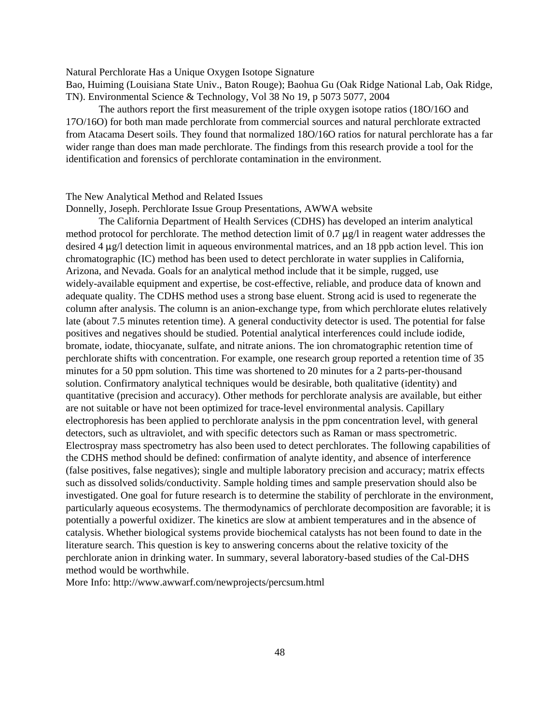Natural Perchlorate Has a Unique Oxygen Isotope Signature

Bao, Huiming (Louisiana State Univ., Baton Rouge); Baohua Gu (Oak Ridge National Lab, Oak Ridge, TN). Environmental Science & Technology, Vol 38 No 19, p 5073 5077, 2004

The authors report the first measurement of the triple oxygen isotope ratios (18O/16O and 17O/16O) for both man made perchlorate from commercial sources and natural perchlorate extracted from Atacama Desert soils. They found that normalized 18O/16O ratios for natural perchlorate has a far wider range than does man made perchlorate. The findings from this research provide a tool for the identification and forensics of perchlorate contamination in the environment.

## The New Analytical Method and Related Issues

Donnelly, Joseph. Perchlorate Issue Group Presentations, AWWA website

The California Department of Health Services (CDHS) has developed an interim analytical method protocol for perchlorate. The method detection limit of 0.7  $\mu$ g/l in reagent water addresses the desired 4  $\mu$ g/l detection limit in aqueous environmental matrices, and an 18 ppb action level. This ion chromatographic (IC) method has been used to detect perchlorate in water supplies in California, Arizona, and Nevada. Goals for an analytical method include that it be simple, rugged, use widely-available equipment and expertise, be cost-effective, reliable, and produce data of known and adequate quality. The CDHS method uses a strong base eluent. Strong acid is used to regenerate the column after analysis. The column is an anion-exchange type, from which perchlorate elutes relatively late (about 7.5 minutes retention time). A general conductivity detector is used. The potential for false positives and negatives should be studied. Potential analytical interferences could include iodide, bromate, iodate, thiocyanate, sulfate, and nitrate anions. The ion chromatographic retention time of perchlorate shifts with concentration. For example, one research group reported a retention time of 35 minutes for a 50 ppm solution. This time was shortened to 20 minutes for a 2 parts-per-thousand solution. Confirmatory analytical techniques would be desirable, both qualitative (identity) and quantitative (precision and accuracy). Other methods for perchlorate analysis are available, but either are not suitable or have not been optimized for trace-level environmental analysis. Capillary electrophoresis has been applied to perchlorate analysis in the ppm concentration level, with general detectors, such as ultraviolet, and with specific detectors such as Raman or mass spectrometric. Electrospray mass spectrometry has also been used to detect perchlorates. The following capabilities of the CDHS method should be defined: confirmation of analyte identity, and absence of interference (false positives, false negatives); single and multiple laboratory precision and accuracy; matrix effects such as dissolved solids/conductivity. Sample holding times and sample preservation should also be investigated. One goal for future research is to determine the stability of perchlorate in the environment, particularly aqueous ecosystems. The thermodynamics of perchlorate decomposition are favorable; it is potentially a powerful oxidizer. The kinetics are slow at ambient temperatures and in the absence of catalysis. Whether biological systems provide biochemical catalysts has not been found to date in the literature search. This question is key to answering concerns about the relative toxicity of the perchlorate anion in drinking water. In summary, several laboratory-based studies of the Cal-DHS method would be worthwhile.

More Info: <http://www.awwarf.com/newprojects/percsum.html>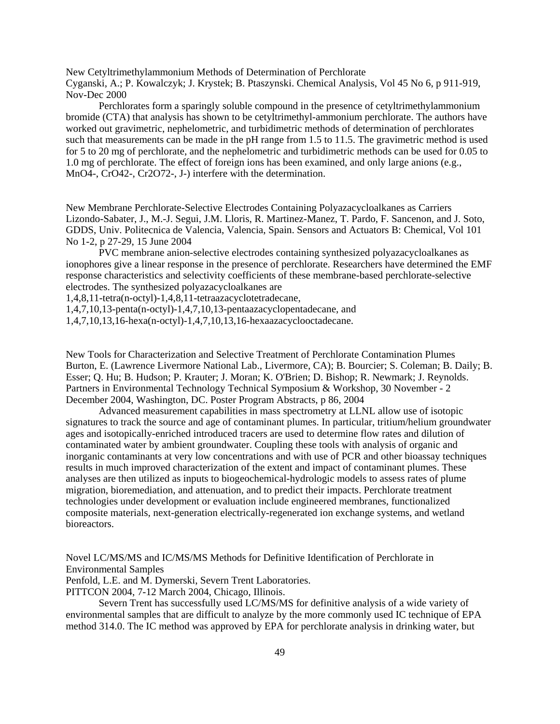New Cetyltrimethylammonium Methods of Determination of Perchlorate

Cyganski, A.; P. Kowalczyk; J. Krystek; B. Ptaszynski. Chemical Analysis, Vol 45 No 6, p 911-919, Nov-Dec 2000

Perchlorates form a sparingly soluble compound in the presence of cetyltrimethylammonium bromide (CTA) that analysis has shown to be cetyltrimethyl-ammonium perchlorate. The authors have worked out gravimetric, nephelometric, and turbidimetric methods of determination of perchlorates such that measurements can be made in the pH range from 1.5 to 11.5. The gravimetric method is used for 5 to 20 mg of perchlorate, and the nephelometric and turbidimetric methods can be used for 0.05 to 1.0 mg of perchlorate. The effect of foreign ions has been examined, and only large anions (e.g., MnO4-, CrO42-, Cr2O72-, J-) interfere with the determination.

New Membrane Perchlorate-Selective Electrodes Containing Polyazacycloalkanes as Carriers Lizondo-Sabater, J., M.-J. Segui, J.M. Lloris, R. Martinez-Manez, T. Pardo, F. Sancenon, and J. Soto, GDDS, Univ. Politecnica de Valencia, Valencia, Spain. Sensors and Actuators B: Chemical, Vol 101 No 1-2, p 27-29, 15 June 2004

PVC membrane anion-selective electrodes containing synthesized polyazacycloalkanes as ionophores give a linear response in the presence of perchlorate. Researchers have determined the EMF response characteristics and selectivity coefficients of these membrane-based perchlorate-selective electrodes. The synthesized polyazacycloalkanes are

1,4,8,11-tetra(n-octyl)-1,4,8,11-tetraazacyclotetradecane,

1,4,7,10,13-penta(n-octyl)-1,4,7,10,13-pentaazacyclopentadecane, and

1,4,7,10,13,16-hexa(n-octyl)-1,4,7,10,13,16-hexaazacyclooctadecane.

New Tools for Characterization and Selective Treatment of Perchlorate Contamination Plumes Burton, E. (Lawrence Livermore National Lab., Livermore, CA); B. Bourcier; S. Coleman; B. Daily; B. Esser; Q. Hu; B. Hudson; P. Krauter; J. Moran; K. O'Brien; D. Bishop; R. Newmark; J. Reynolds. Partners in Environmental Technology Technical Symposium & Workshop, 30 November - 2 December 2004, Washington, DC. Poster Program Abstracts, p 86, 2004

Advanced measurement capabilities in mass spectrometry at LLNL allow use of isotopic signatures to track the source and age of contaminant plumes. In particular, tritium/helium groundwater ages and isotopically-enriched introduced tracers are used to determine flow rates and dilution of contaminated water by ambient groundwater. Coupling these tools with analysis of organic and inorganic contaminants at very low concentrations and with use of PCR and other bioassay techniques results in much improved characterization of the extent and impact of contaminant plumes. These analyses are then utilized as inputs to biogeochemical-hydrologic models to assess rates of plume migration, bioremediation, and attenuation, and to predict their impacts. Perchlorate treatment technologies under development or evaluation include engineered membranes, functionalized composite materials, next-generation electrically-regenerated ion exchange systems, and wetland bioreactors.

Novel LC/MS/MS and IC/MS/MS Methods for Definitive Identification of Perchlorate in Environmental Samples

Penfold, L.E. and M. Dymerski, Severn Trent Laboratories.

PITTCON 2004, 7-12 March 2004, Chicago, Illinois.

Severn Trent has successfully used LC/MS/MS for definitive analysis of a wide variety of environmental samples that are difficult to analyze by the more commonly used IC technique of EPA method 314.0. The IC method was approved by EPA for perchlorate analysis in drinking water, but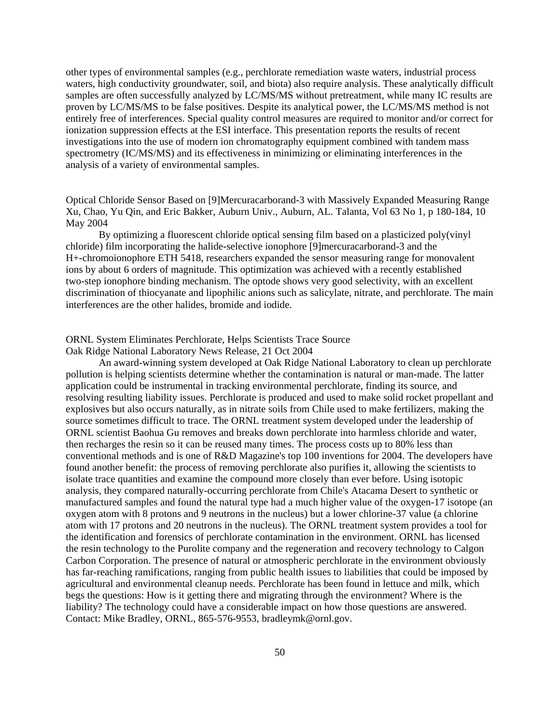other types of environmental samples (e.g., perchlorate remediation waste waters, industrial process waters, high conductivity groundwater, soil, and biota) also require analysis. These analytically difficult samples are often successfully analyzed by LC/MS/MS without pretreatment, while many IC results are proven by LC/MS/MS to be false positives. Despite its analytical power, the LC/MS/MS method is not entirely free of interferences. Special quality control measures are required to monitor and/or correct for ionization suppression effects at the ESI interface. This presentation reports the results of recent investigations into the use of modern ion chromatography equipment combined with tandem mass spectrometry (IC/MS/MS) and its effectiveness in minimizing or eliminating interferences in the analysis of a variety of environmental samples.

Optical Chloride Sensor Based on [9]Mercuracarborand-3 with Massively Expanded Measuring Range Xu, Chao, Yu Qin, and Eric Bakker, Auburn Univ., Auburn, AL. Talanta, Vol 63 No 1, p 180-184, 10 May 2004

By optimizing a fluorescent chloride optical sensing film based on a plasticized poly(vinyl chloride) film incorporating the halide-selective ionophore [9]mercuracarborand-3 and the H+-chromoionophore ETH 5418, researchers expanded the sensor measuring range for monovalent ions by about 6 orders of magnitude. This optimization was achieved with a recently established two-step ionophore binding mechanism. The optode shows very good selectivity, with an excellent discrimination of thiocyanate and lipophilic anions such as salicylate, nitrate, and perchlorate. The main interferences are the other halides, bromide and iodide.

# ORNL System Eliminates Perchlorate, Helps Scientists Trace Source

Oak Ridge National Laboratory News Release, 21 Oct 2004

An award-winning system developed at Oak Ridge National Laboratory to clean up perchlorate pollution is helping scientists determine whether the contamination is natural or man-made. The latter application could be instrumental in tracking environmental perchlorate, finding its source, and resolving resulting liability issues. Perchlorate is produced and used to make solid rocket propellant and explosives but also occurs naturally, as in nitrate soils from Chile used to make fertilizers, making the source sometimes difficult to trace. The ORNL treatment system developed under the leadership of ORNL scientist Baohua Gu removes and breaks down perchlorate into harmless chloride and water, then recharges the resin so it can be reused many times. The process costs up to 80% less than conventional methods and is one of R&D Magazine's top 100 inventions for 2004. The developers have found another benefit: the process of removing perchlorate also purifies it, allowing the scientists to isolate trace quantities and examine the compound more closely than ever before. Using isotopic analysis, they compared naturally-occurring perchlorate from Chile's Atacama Desert to synthetic or manufactured samples and found the natural type had a much higher value of the oxygen-17 isotope (an oxygen atom with 8 protons and 9 neutrons in the nucleus) but a lower chlorine-37 value (a chlorine atom with 17 protons and 20 neutrons in the nucleus). The ORNL treatment system provides a tool for the identification and forensics of perchlorate contamination in the environment. ORNL has licensed the resin technology to the Purolite company and the regeneration and recovery technology to Calgon Carbon Corporation. The presence of natural or atmospheric perchlorate in the environment obviously has far-reaching ramifications, ranging from public health issues to liabilities that could be imposed by agricultural and environmental cleanup needs. Perchlorate has been found in lettuce and milk, which begs the questions: How is it getting there and migrating through the environment? Where is the liability? The technology could have a considerable impact on how those questions are answered. Contact: Mike Bradley, ORNL, 865-576-9553, bradleymk@ornl.gov.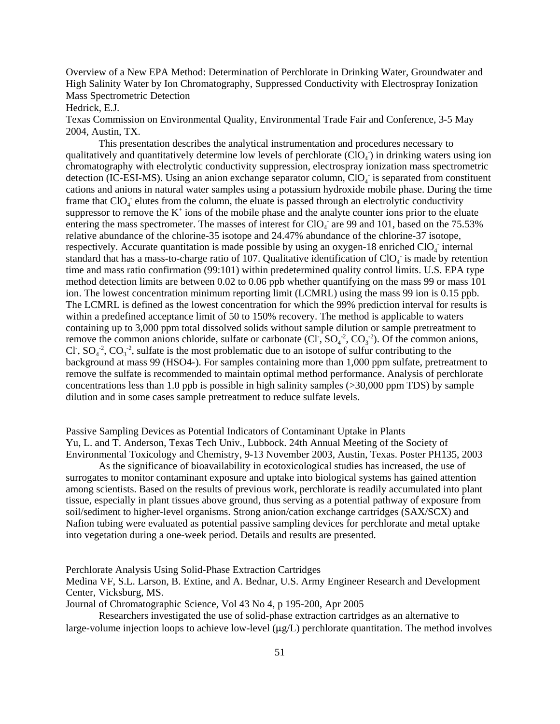Overview of a New EPA Method: Determination of Perchlorate in Drinking Water, Groundwater and High Salinity Water by Ion Chromatography, Suppressed Conductivity with Electrospray Ionization Mass Spectrometric Detection

Hedrick, E.J.

Texas Commission on Environmental Quality, Environmental Trade Fair and Conference, 3-5 May 2004, Austin, TX.

This presentation describes the analytical instrumentation and procedures necessary to qualitatively and quantitatively determine low levels of perchlorate  $(CIO<sub>4</sub>)$  in drinking waters using ion chromatography with elec detection (IC-ESI-MS). Using an anion exchange separator column,  $ClO<sub>4</sub>$  is separated from constituent cations and anions in natural water samples using a potassium hydroxide mobile phase. During the time frame that  $ClO<sub>4</sub>$  elutes from the column, the eluate is passed through an electrolytic conductivity suppressor to remove the  $K^+$  ions of the mobile phase and the analyte counter ions prior to the eluate entering the mass spectrometer. The masses of interest for  $ClO<sub>4</sub>$  are 99 and 101, based on the 75.53% relative abundance of the chlorine-35 isotope and 24.47% abundance of the chlorine-37 isotope, respectively. Accurate quantitation is made possible by using an oxygen-18 enriched  $ClO<sub>4</sub>$  internal standard that has a mass-to-charge ratio of 107. Qualitative identification of  $ClO<sub>4</sub>$  is made by retention time and mass ratio confirmation (99:101) within predetermined quality control limits. U.S. EPA type method detection limits are between 0.02 to 0.06 ppb whether quantifying on the mass 99 or mass 101 ion. The lowest concentration minimum reporting limit (LCMRL) using the mass 99 ion is 0.15 ppb. The LCMRL is defined as the lowest concentration for which the 99% prediction interval for results is within a predefined acceptance limit of 50 to 150% recovery. The method is applicable to waters containing up to 3,000 ppm total dissolved solids without sample dilution or sample pretreatment to remove the common anions chloride, sulfate or carbonate (Cl<sup>-</sup>,  $SO_4^2$ ,  $CO_3^2$ ). Of the common anions, Cl,  $SO_4^2$ ,  $CO_3^2$ , sulfate is the most problematic due to an isotope of sulfur contributing to the background at mass 99 (HSO4-). For samples containing more than 1,000 ppm sulfate, pretreatment to remove the sulfate is recommended to maintain optimal method performance. Analysis of perchlorate concentrations less than 1.0 ppb is possible in high salinity samples (>30,000 ppm TDS) by sample dilution and in some cases sample pretreatment to reduce sulfate levels.

Passive Sampling Devices as Potential Indicators of Contaminant Uptake in Plants Yu, L. and T. Anderson, Texas Tech Univ., Lubbock. 24th Annual Meeting of the Society of Environmental Toxicology and Chemistry, 9-13 November 2003, Austin, Texas. Poster PH135, 2003

As the significance of bioavailability in ecotoxicological studies has increased, the use of surrogates to monitor contaminant exposure and uptake into biological systems has gained attention among scientists. Based on the results of previous work, perchlorate is readily accumulated into plant tissue, especially in plant tissues above ground, thus serving as a potential pathway of exposure from soil/sediment to higher-level organisms. Strong anion/cation exchange cartridges (SAX/SCX) and Nafion tubing were evaluated as potential passive sampling devices for perchlorate and metal uptake into vegetation during a one-week period. Details and results are presented.

Perchlorate Analysis Using Solid-Phase Extraction Cartridges

Medina VF, S.L. Larson, B. Extine, and A. Bednar, U.S. Army Engineer Research and Development Center, Vicksburg, MS.

Journal of Chromatographic Science, Vol 43 No 4, p 195-200, Apr 2005

Researchers investigated the use of solid-phase extraction cartridges as an alternative to large-volume injection loops to achieve low-level  $(\mu g/L)$  perchlorate quantitation. The method involves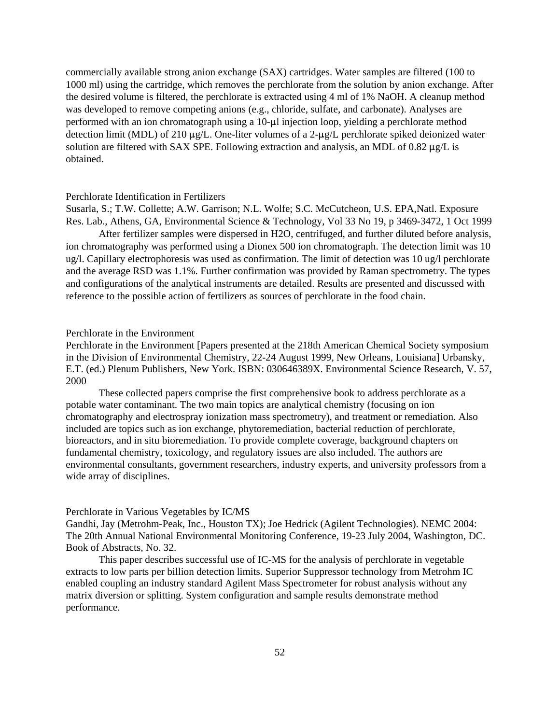commercially available strong anion exchange (SAX) cartridges. Water samples are filtered (100 to 1000 ml) using the cartridge, which removes the perchlorate from the solution by anion exchange. After the desired volume is filtered, the perchlorate is extracted using 4 ml of 1% NaOH. A cleanup method was developed to remove competing anions (e.g., chloride, sulfate, and carbonate). Analyses are performed with an ion chromatograph using a  $10-\mu l$  injection loop, yielding a perchlorate method detection limit (MDL) of 210  $\mu$ g/L. One-liter volumes of a 2- $\mu$ g/L perchlorate spiked deionized water solution are filtered with SAX SPE. Following extraction and analysis, an MDL of 0.82  $\mu$ g/L is obtained.

### Perchlorate Identification in Fertilizers

Susarla, S.; T.W. Collette; A.W. Garrison; N.L. Wolfe; S.C. McCutcheon, U.S. EPA,Natl. Exposure Res. Lab., Athens, GA, Environmental Science & Technology, Vol 33 No 19, p 3469-3472, 1 Oct 1999

After fertilizer samples were dispersed in H2O, centrifuged, and further diluted before analysis, ion chromatography was performed using a Dionex 500 ion chromatograph. The detection limit was 10 ug/l. Capillary electrophoresis was used as confirmation. The limit of detection was 10 ug/l perchlorate and the average RSD was 1.1%. Further confirmation was provided by Raman spectrometry. The types and configurations of the analytical instruments are detailed. Results are presented and discussed with reference to the possible action of fertilizers as sources of perchlorate in the food chain.

### Perchlorate in the Environment

2000 Perchlorate in the Environment [Papers presented at the 218th American Chemical Society symposium in the Division of Environmental Chemistry, 22-24 August 1999, New Orleans, Louisiana] Urbansky, E.T. (ed.) Plenum Publishers, New York. ISBN: 030646389X. Environmental Science Research, V. 57,

These collected papers comprise the first comprehensive book to address perchlorate as a potable water contaminant. The two main topics are analytical chemistry (focusing on ion chromatography and electrospray ionization mass spectrometry), and treatment or remediation. Also included are topics such as ion exchange, phytoremediation, bacterial reduction of perchlorate, bioreactors, and in situ bioremediation. To provide complete coverage, background chapters on fundamental chemistry, toxicology, and regulatory issues are also included. The authors are environmental consultants, government researchers, industry experts, and university professors from a wide array of disciplines.

### Perchlorate in Various Vegetables by IC/MS

Gandhi, Jay (Metrohm-Peak, Inc., Houston TX); Joe Hedrick (Agilent Technologies). NEMC 2004: The 20th Annual National Environmental Monitoring Conference, 19-23 July 2004, Washington, DC. Book of Abstracts, No. 32.

This paper describes successful use of IC-MS for the analysis of perchlorate in vegetable extracts to low parts per billion detection limits. Superior Suppressor technology from Metrohm IC enabled coupling an industry standard Agilent Mass Spectrometer for robust analysis without any matrix diversion or splitting. System configuration and sample results demonstrate method performance.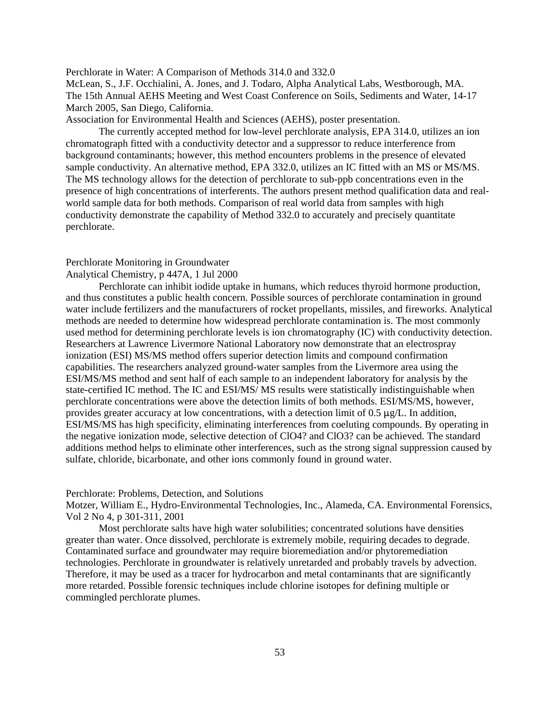# Perchlorate in Water: A Comparison of Methods 314.0 and 332.0

McLean, S., J.F. Occhialini, A. Jones, and J. Todaro, Alpha Analytical Labs, Westborough, MA. The 15th Annual AEHS Meeting and West Coast Conference on Soils, Sediments and Water, 14-17 March 2005, San Diego, California.

Association for Environmental Health and Sciences (AEHS), poster presentation.

The currently accepted method for low-level perchlorate analysis, EPA 314.0, utilizes an ion chromatograph fitted with a conductivity detector and a suppressor to reduce interference from background contaminants; however, this method encounters problems in the presence of elevated sample conductivity. An alternative method, EPA 332.0, utilizes an IC fitted with an MS or MS/MS. The MS technology allows for the detection of perchlorate to sub-ppb concentrations even in the presence of high concentrations of interferents. The authors present method qualification data and realworld sample data for both methods. Comparison of real world data from samples with high conductivity demonstrate the capability of Method 332.0 to accurately and precisely quantitate perchlorate.

# Perchlorate Monitoring in Groundwater

# Analytical Chemistry, p 447A, 1 Jul 2000

Perchlorate can inhibit iodide uptake in humans, which reduces thyroid hormone production, and thus constitutes a public health concern. Possible sources of perchlorate contamination in ground water include fertilizers and the manufacturers of rocket propellants, missiles, and fireworks. Analytical methods are needed to determine how widespread perchlorate contamination is. The most commonly used method for determining perchlorate levels is ion chromatography (IC) with conductivity detection. Researchers at Lawrence Livermore National Laboratory now demonstrate that an electrospray ionization (ESI) MS/MS method offers superior detection limits and compound confirmation capabilities. The researchers analyzed ground-water samples from the Livermore area using the ESI/MS/MS method and sent half of each sample to an independent laboratory for analysis by the state-certified IC method. The IC and ESI/MS/ MS results were statistically indistinguishable when perchlorate concentrations were above the detection limits of both methods. ESI/MS/MS, however, provides greater accuracy at low concentrations, with a detection limit of  $0.5 \mu g/L$ . In addition, ESI/MS/MS has high specificity, eliminating interferences from coeluting compounds. By operating in the negative ionization mode, selective detection of ClO4? and ClO3? can be achieved. The standard additions method helps to eliminate other interferences, such as the strong signal suppression caused by sulfate, chloride, bicarbonate, and other ions commonly found in ground water.

#### Perchlorate: Problems, Detection, and Solutions

Motzer, William E., Hydro-Environmental Technologies, Inc., Alameda, CA. Environmental Forensics, Vol 2 No 4, p 301-311, 2001

Most perchlorate salts have high water solubilities; concentrated solutions have densities greater than water. Once dissolved, perchlorate is extremely mobile, requiring decades to degrade. Contaminated surface and groundwater may require bioremediation and/or phytoremediation technologies. Perchlorate in groundwater is relatively unretarded and probably travels by advection. Therefore, it may be used as a tracer for hydrocarbon and metal contaminants that are significantly more retarded. Possible forensic techniques include chlorine isotopes for defining multiple or commingled perchlorate plumes.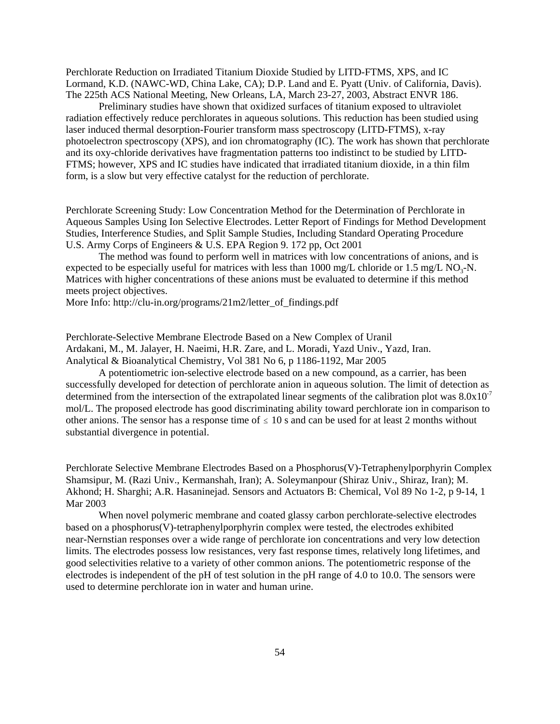Perchlorate Reduction on Irradiated Titanium Dioxide Studied by LITD-FTMS, XPS, and IC Lormand, K.D. (NAWC-WD, China Lake, CA); D.P. Land and E. Pyatt (Univ. of California, Davis). The 225th ACS National Meeting, New Orleans, LA, March 23-27, 2003, Abstract ENVR 186.

Preliminary studies have shown that oxidized surfaces of titanium exposed to ultraviolet radiation effectively reduce perchlorates in aqueous solutions. This reduction has been studied using laser induced thermal desorption-Fourier transform mass spectroscopy (LITD-FTMS), x-ray photoelectron spectroscopy (XPS), and ion chromatography (IC). The work has shown that perchlorate and its oxy-chloride derivatives have fragmentation patterns too indistinct to be studied by LITD-FTMS; however, XPS and IC studies have indicated that irradiated titanium dioxide, in a thin film form, is a slow but very effective catalyst for the reduction of perchlorate.

Perchlorate Screening Study: Low Concentration Method for the Determination of Perchlorate in Aqueous Samples Using Ion Selective Electrodes. Letter Report of Findings for Method Development Studies, Interference Studies, and Split Sample Studies, Including Standard Operating Procedure U.S. Army Corps of Engineers & U.S. EPA Region 9. 172 pp, Oct 2001

The method was found to perform well in matrices with low concentrations of anions, and is expected to be especially useful for matrices with less than  $1000 \text{ mg/L}$  chloride or 1.5 mg/L NO<sub>3</sub>-N. Matrices with higher concentrations of these anions must be evaluated to determine if this method meets project objectives.

More Info: [http://clu-in.org/programs/21m2/letter\\_of\\_findings.pdf](http://clu-in.org/programs/21m2/letter_of_findings.pdf)

Perchlorate-Selective Membrane Electrode Based on a New Complex of Uranil Ardakani, M., M. Jalayer, H. Naeimi, H.R. Zare, and L. Moradi, Yazd Univ., Yazd, Iran. Analytical & Bioanalytical Chemistry, Vol 381 No 6, p 1186-1192, Mar 2005

A potentiometric ion-selective electrode based on a new compound, as a carrier, has been successfully developed for detection of perchlorate anion in aqueous solution. The limit of detection as determined from the intersection of the extrapolated linear segments of the calibration plot was  $8.0x10^{-7}$ mol/L. The proposed electrode has good discriminating ability toward perchlorate ion in comparison to other anions. The sensor has a response time of  $\leq 10$  s and can be used for at least 2 months without substantial divergence in potential.

Perchlorate Selective Membrane Electrodes Based on a Phosphorus(V)-Tetraphenylporphyrin Complex Shamsipur, M. (Razi Univ., Kermanshah, Iran); A. Soleymanpour (Shiraz Univ., Shiraz, Iran); M. Akhond; H. Sharghi; A.R. Hasaninejad. Sensors and Actuators B: Chemical, Vol 89 No 1-2, p 9-14, 1 Mar 2003

When novel polymeric membrane and coated glassy carbon perchlorate-selective electrodes based on a phosphorus(V)-tetraphenylporphyrin complex were tested, the electrodes exhibited near-Nernstian responses over a wide range of perchlorate ion concentrations and very low detection limits. The electrodes possess low resistances, very fast response times, relatively long lifetimes, and good selectivities relative to a variety of other common anions. The potentiometric response of the electrodes is independent of the pH of test solution in the pH range of 4.0 to 10.0. The sensors were used to determine perchlorate ion in water and human urine.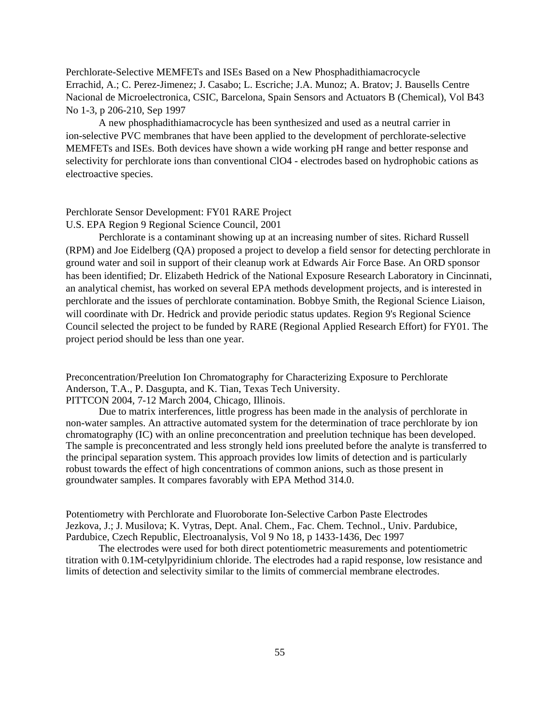Perchlorate-Selective MEMFETs and ISEs Based on a New Phosphadithiamacrocycle Errachid, A.; C. Perez-Jimenez; J. Casabo; L. Escriche; J.A. Munoz; A. Bratov; J. Bausells Centre Nacional de Microelectronica, CSIC, Barcelona, Spain Sensors and Actuators B (Chemical), Vol B43 No 1-3, p 206-210, Sep 1997

A new phosphadithiamacrocycle has been synthesized and used as a neutral carrier in ion-selective PVC membranes that have been applied to the development of perchlorate-selective MEMFETs and ISEs. Both devices have shown a wide working pH range and better response and selectivity for perchlorate ions than conventional ClO4 - electrodes based on hydrophobic cations as electroactive species.

# Perchlorate Sensor Development: FY01 RARE Project

U.S. EPA Region 9 Regional Science Council, 2001

Perchlorate is a contaminant showing up at an increasing number of sites. Richard Russell (RPM) and Joe Eidelberg (QA) proposed a project to develop a field sensor for detecting perchlorate in ground water and soil in support of their cleanup work at Edwards Air Force Base. An ORD sponsor has been identified; Dr. Elizabeth Hedrick of the National Exposure Research Laboratory in Cincinnati, an analytical chemist, has worked on several EPA methods development projects, and is interested in perchlorate and the issues of perchlorate contamination. Bobbye Smith, the Regional Science Liaison, will coordinate with Dr. Hedrick and provide periodic status updates. Region 9's Regional Science Council selected the project to be funded by RARE (Regional Applied Research Effort) for FY01. The project period should be less than one year.

Preconcentration/Preelution Ion Chromatography for Characterizing Exposure to Perchlorate Anderson, T.A., P. Dasgupta, and K. Tian, Texas Tech University. PITTCON 2004, 7-12 March 2004, Chicago, Illinois.

Due to matrix interferences, little progress has been made in the analysis of perchlorate in non-water samples. An attractive automated system for the determination of trace perchlorate by ion chromatography (IC) with an online preconcentration and preelution technique has been developed. The sample is preconcentrated and less strongly held ions preeluted before the analyte is transferred to the principal separation system. This approach provides low limits of detection and is particularly robust towards the effect of high concentrations of common anions, such as those present in groundwater samples. It compares favorably with EPA Method 314.0.

Potentiometry with Perchlorate and Fluoroborate Ion-Selective Carbon Paste Electrodes Jezkova, J.; J. Musilova; K. Vytras, Dept. Anal. Chem., Fac. Chem. Technol., Univ. Pardubice, Pardubice, Czech Republic, Electroanalysis, Vol 9 No 18, p 1433-1436, Dec 1997

The electrodes were used for both direct potentiometric measurements and potentiometric titration with 0.1M-cetylpyridinium chloride. The electrodes had a rapid response, low resistance and limits of detection and selectivity similar to the limits of commercial membrane electrodes.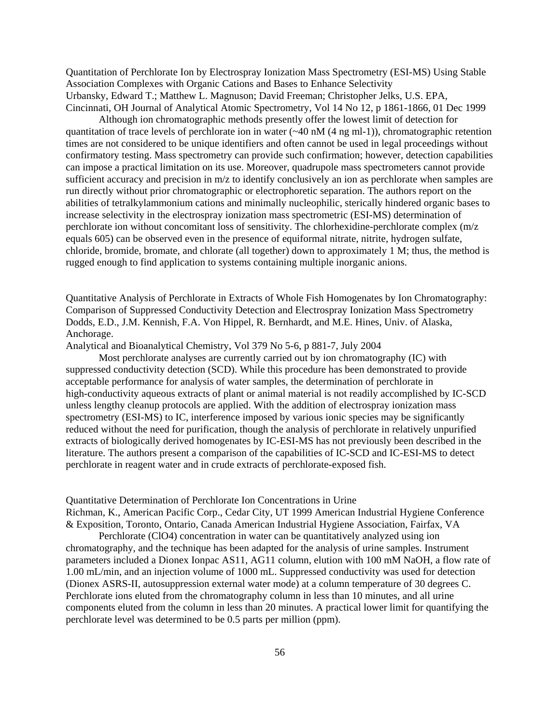Quantitation of Perchlorate Ion by Electrospray Ionization Mass Spectrometry (ESI-MS) Using Stable Association Complexes with Organic Cations and Bases to Enhance Selectivity Urbansky, Edward T.; Matthew L. Magnuson; David Freeman; Christopher Jelks, U.S. EPA, Cincinnati, OH Journal of Analytical Atomic Spectrometry, Vol 14 No 12, p 1861-1866, 01 Dec 1999

Although ion chromatographic methods presently offer the lowest limit of detection for quantitation of trace levels of perchlorate ion in water (~40 nM (4 ng ml-1)), chromatographic retention times are not considered to be unique identifiers and often cannot be used in legal proceedings without confirmatory testing. Mass spectrometry can provide such confirmation; however, detection capabilities can impose a practical limitation on its use. Moreover, quadrupole mass spectrometers cannot provide sufficient accuracy and precision in m/z to identify conclusively an ion as perchlorate when samples are run directly without prior chromatographic or electrophoretic separation. The authors report on the abilities of tetralkylammonium cations and minimally nucleophilic, sterically hindered organic bases to increase selectivity in the electrospray ionization mass spectrometric (ESI-MS) determination of perchlorate ion without concomitant loss of sensitivity. The chlorhexidine-perchlorate complex (m/z equals 605) can be observed even in the presence of equiformal nitrate, nitrite, hydrogen sulfate, chloride, bromide, bromate, and chlorate (all together) down to approximately 1 M; thus, the method is rugged enough to find application to systems containing multiple inorganic anions.

Quantitative Analysis of Perchlorate in Extracts of Whole Fish Homogenates by Ion Chromatography: Comparison of Suppressed Conductivity Detection and Electrospray Ionization Mass Spectrometry Dodds, E.D., J.M. Kennish, F.A. Von Hippel, R. Bernhardt, and M.E. Hines, Univ. of Alaska, Anchorage.

Analytical and Bioanalytical Chemistry, Vol 379 No 5-6, p 881-7, July 2004

Most perchlorate analyses are currently carried out by ion chromatography (IC) with suppressed conductivity detection (SCD). While this procedure has been demonstrated to provide acceptable performance for analysis of water samples, the determination of perchlorate in high-conductivity aqueous extracts of plant or animal material is not readily accomplished by IC-SCD unless lengthy cleanup protocols are applied. With the addition of electrospray ionization mass spectrometry (ESI-MS) to IC, interference imposed by various ionic species may be significantly reduced without the need for purification, though the analysis of perchlorate in relatively unpurified extracts of biologically derived homogenates by IC-ESI-MS has not previously been described in the literature. The authors present a comparison of the capabilities of IC-SCD and IC-ESI-MS to detect perchlorate in reagent water and in crude extracts of perchlorate-exposed fish.

Quantitative Determination of Perchlorate Ion Concentrations in Urine

Richman, K., American Pacific Corp., Cedar City, UT 1999 American Industrial Hygiene Conference & Exposition, Toronto, Ontario, Canada American Industrial Hygiene Association, Fairfax, VA

Perchlorate (ClO4) concentration in water can be quantitatively analyzed using ion chromatography, and the technique has been adapted for the analysis of urine samples. Instrument parameters included a Dionex Ionpac AS11, AG11 column, elution with 100 mM NaOH, a flow rate of 1.00 mL/min, and an injection volume of 1000 mL. Suppressed conductivity was used for detection (Dionex ASRS-II, autosuppression external water mode) at a column temperature of 30 degrees C. Perchlorate ions eluted from the chromatography column in less than 10 minutes, and all urine components eluted from the column in less than 20 minutes. A practical lower limit for quantifying the perchlorate level was determined to be 0.5 parts per million (ppm).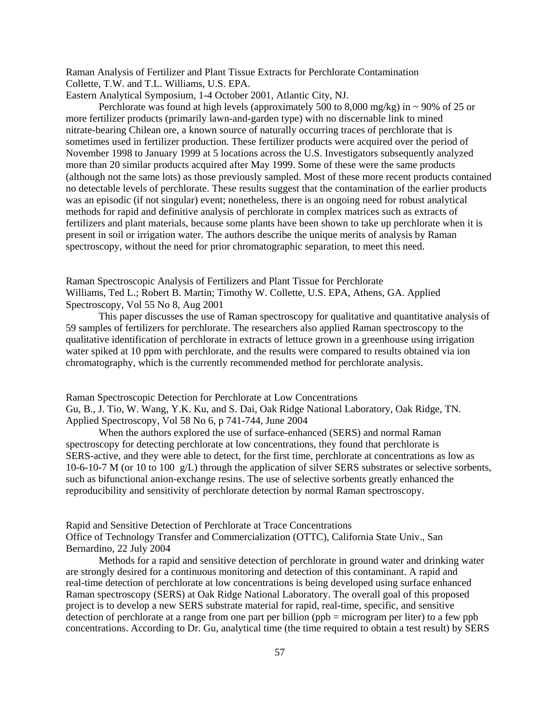Raman Analysis of Fertilizer and Plant Tissue Extracts for Perchlorate Contamination Collette, T.W. and T.L. Williams, U.S. EPA.

Eastern Analytical Symposium, 1-4 October 2001, Atlantic City, NJ.

Perchlorate was found at high levels (approximately 500 to 8,000 mg/kg) in  $\sim$  90% of 25 or more fertilizer products (primarily lawn-and-garden type) with no discernable link to mined nitrate-bearing Chilean ore, a known source of naturally occurring traces of perchlorate that is sometimes used in fertilizer production. These fertilizer products were acquired over the period of November 1998 to January 1999 at 5 locations across the U.S. Investigators subsequently analyzed more than 20 similar products acquired after May 1999. Some of these were the same products (although not the same lots) as those previously sampled. Most of these more recent products contained no detectable levels of perchlorate. These results suggest that the contamination of the earlier products was an episodic (if not singular) event; nonetheless, there is an ongoing need for robust analytical methods for rapid and definitive analysis of perchlorate in complex matrices such as extracts of fertilizers and plant materials, because some plants have been shown to take up perchlorate when it is present in soil or irrigation water. The authors describe the unique merits of analysis by Raman spectroscopy, without the need for prior chromatographic separation, to meet this need.

Raman Spectroscopic Analysis of Fertilizers and Plant Tissue for Perchlorate Williams, Ted L.; Robert B. Martin; Timothy W. Collette, U.S. EPA, Athens, GA. Applied Spectroscopy, Vol 55 No 8, Aug 2001

This paper discusses the use of Raman spectroscopy for qualitative and quantitative analysis of 59 samples of fertilizers for perchlorate. The researchers also applied Raman spectroscopy to the qualitative identification of perchlorate in extracts of lettuce grown in a greenhouse using irrigation water spiked at 10 ppm with perchlorate, and the results were compared to results obtained via ion chromatography, which is the currently recommended method for perchlorate analysis.

Raman Spectroscopic Detection for Perchlorate at Low Concentrations

Gu, B., J. Tio, W. Wang, Y.K. Ku, and S. Dai, Oak Ridge National Laboratory, Oak Ridge, TN. Applied Spectroscopy, Vol 58 No 6, p 741-744, June 2004

When the authors explored the use of surface-enhanced (SERS) and normal Raman spectroscopy for detecting perchlorate at low concentrations, they found that perchlorate is SERS-active, and they were able to detect, for the first time, perchlorate at concentrations as low as 10-6-10-7 M (or 10 to 100 g/L) through the application of silver SERS substrates or selective sorbents, such as bifunctional anion-exchange resins. The use of selective sorbents greatly enhanced the reproducibility and sensitivity of perchlorate detection by normal Raman spectroscopy.

Rapid and Sensitive Detection of Perchlorate at Trace Concentrations Office of Technology Transfer and Commercialization (OTTC), California State Univ., San Bernardino, 22 July 2004

Methods for a rapid and sensitive detection of perchlorate in ground water and drinking water are strongly desired for a continuous monitoring and detection of this contaminant. A rapid and real-time detection of perchlorate at low concentrations is being developed using surface enhanced Raman spectroscopy (SERS) at Oak Ridge National Laboratory. The overall goal of this proposed project is to develop a new SERS substrate material for rapid, real-time, specific, and sensitive detection of perchlorate at a range from one part per billion (ppb = microgram per liter) to a few ppb concentrations. According to Dr. Gu, analytical time (the time required to obtain a test result) by SERS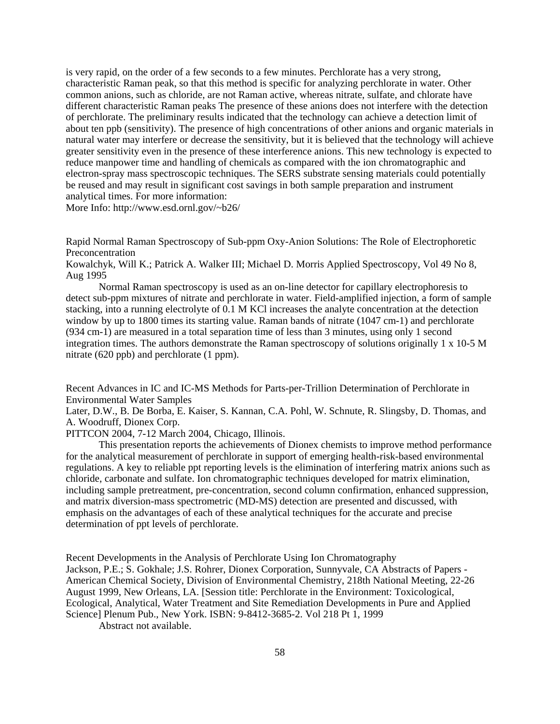is very rapid, on the order of a few seconds to a few minutes. Perchlorate has a very strong, characteristic Raman peak, so that this method is specific for analyzing perchlorate in water. Other common anions, such as chloride, are not Raman active, whereas nitrate, sulfate, and chlorate have different characteristic Raman peaks The presence of these anions does not interfere with the detection of perchlorate. The preliminary results indicated that the technology can achieve a detection limit of about ten ppb (sensitivity). The presence of high concentrations of other anions and organic materials in natural water may interfere or decrease the sensitivity, but it is believed that the technology will achieve greater sensitivity even in the presence of these interference anions. This new technology is expected to reduce manpower time and handling of chemicals as compared with the ion chromatographic and electron-spray mass spectroscopic techniques. The SERS substrate sensing materials could potentially be reused and may result in significant cost savings in both sample preparation and instrument analytical times. For more information:

More Info: <http://www.esd.ornl.gov/~b26/>

Rapid Normal Raman Spectroscopy of Sub-ppm Oxy-Anion Solutions: The Role of Electrophoretic Preconcentration

Kowalchyk, Will K.; Patrick A. Walker III; Michael D. Morris Applied Spectroscopy, Vol 49 No 8, Aug 1995

Normal Raman spectroscopy is used as an on-line detector for capillary electrophoresis to detect sub-ppm mixtures of nitrate and perchlorate in water. Field-amplified injection, a form of sample stacking, into a running electrolyte of 0.1 M KCl increases the analyte concentration at the detection window by up to 1800 times its starting value. Raman bands of nitrate (1047 cm-1) and perchlorate (934 cm-1) are measured in a total separation time of less than 3 minutes, using only 1 second integration times. The authors demonstrate the Raman spectroscopy of solutions originally 1 x 10-5 M nitrate (620 ppb) and perchlorate (1 ppm).

Recent Advances in IC and IC-MS Methods for Parts-per-Trillion Determination of Perchlorate in Environmental Water Samples

Later, D.W., B. De Borba, E. Kaiser, S. Kannan, C.A. Pohl, W. Schnute, R. Slingsby, D. Thomas, and A. Woodruff, Dionex Corp.

PITTCON 2004, 7-12 March 2004, Chicago, Illinois.

This presentation reports the achievements of Dionex chemists to improve method performance for the analytical measurement of perchlorate in support of emerging health-risk-based environmental regulations. A key to reliable ppt reporting levels is the elimination of interfering matrix anions such as chloride, carbonate and sulfate. Ion chromatographic techniques developed for matrix elimination, including sample pretreatment, pre-concentration, second column confirmation, enhanced suppression, and matrix diversion-mass spectrometric (MD-MS) detection are presented and discussed, with emphasis on the advantages of each of these analytical techniques for the accurate and precise determination of ppt levels of perchlorate.

Recent Developments in the Analysis of Perchlorate Using Ion Chromatography Jackson, P.E.; S. Gokhale; J.S. Rohrer, Dionex Corporation, Sunnyvale, CA Abstracts of Papers American Chemical Society, Division of Environmental Chemistry, 218th National Meeting, 22-26 August 1999, New Orleans, LA. [Session title: Perchlorate in the Environment: Toxicological, Ecological, Analytical, Water Treatment and Site Remediation Developments in Pure and Applied Science] Plenum Pub., New York. ISBN: 9-8412-3685-2. Vol 218 Pt 1, 1999

Abstract not available.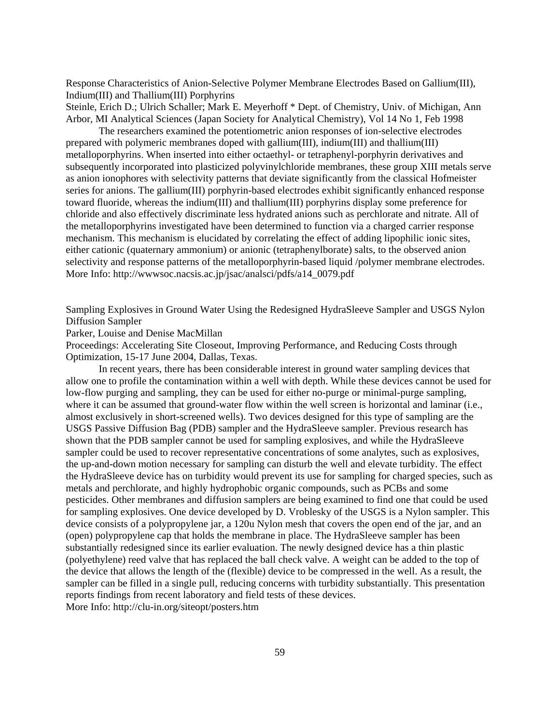Response Characteristics of Anion-Selective Polymer Membrane Electrodes Based on Gallium(III), Indium(III) and Thallium(III) Porphyrins

Steinle, Erich D.; Ulrich Schaller; Mark E. Meyerhoff \* Dept. of Chemistry, Univ. of Michigan, Ann Arbor, MI Analytical Sciences (Japan Society for Analytical Chemistry), Vol 14 No 1, Feb 1998

The researchers examined the potentiometric anion responses of ion-selective electrodes prepared with polymeric membranes doped with gallium(III), indium(III) and thallium(III) metalloporphyrins. When inserted into either octaethyl- or tetraphenyl-porphyrin derivatives and subsequently incorporated into plasticized polyvinylchloride membranes, these group XIII metals serve as anion ionophores with selectivity patterns that deviate significantly from the classical Hofmeister series for anions. The gallium(III) porphyrin-based electrodes exhibit significantly enhanced response toward fluoride, whereas the indium(III) and thallium(III) porphyrins display some preference for chloride and also effectively discriminate less hydrated anions such as perchlorate and nitrate. All of the metalloporphyrins investigated have been determined to function via a charged carrier response mechanism. This mechanism is elucidated by correlating the effect of adding lipophilic ionic sites, either cationic (quaternary ammonium) or anionic (tetraphenylborate) salts, to the observed anion selectivity and response patterns of the metalloporphyrin-based liquid /polymer membrane electrodes. More Info: [http://wwwsoc.nacsis.ac.jp/jsac/analsci/pdfs/a14\\_0079.pdf](http://wwwsoc.nacsis.ac.jp/jsac/analsci/pdfs/a14_0079.pdf)

Sampling Explosives in Ground Water Using the Redesigned HydraSleeve Sampler and USGS Nylon Diffusion Sampler

Parker, Louise and Denise MacMillan

Proceedings: Accelerating Site Closeout, Improving Performance, and Reducing Costs through Optimization, 15-17 June 2004, Dallas, Texas.

In recent years, there has been considerable interest in ground water sampling devices that allow one to profile the contamination within a well with depth. While these devices cannot be used for low-flow purging and sampling, they can be used for either no-purge or minimal-purge sampling, where it can be assumed that ground-water flow within the well screen is horizontal and laminar (i.e., almost exclusively in short-screened wells). Two devices designed for this type of sampling are the USGS Passive Diffusion Bag (PDB) sampler and the HydraSleeve sampler. Previous research has shown that the PDB sampler cannot be used for sampling explosives, and while the HydraSleeve sampler could be used to recover representative concentrations of some analytes, such as explosives, the up-and-down motion necessary for sampling can disturb the well and elevate turbidity. The effect the HydraSleeve device has on turbidity would prevent its use for sampling for charged species, such as metals and perchlorate, and highly hydrophobic organic compounds, such as PCBs and some pesticides. Other membranes and diffusion samplers are being examined to find one that could be used for sampling explosives. One device developed by D. Vroblesky of the USGS is a Nylon sampler. This device consists of a polypropylene jar, a 120u Nylon mesh that covers the open end of the jar, and an (open) polypropylene cap that holds the membrane in place. The HydraSleeve sampler has been substantially redesigned since its earlier evaluation. The newly designed device has a thin plastic (polyethylene) reed valve that has replaced the ball check valve. A weight can be added to the top of the device that allows the length of the (flexible) device to be compressed in the well. As a result, the sampler can be filled in a single pull, reducing concerns with turbidity substantially. This presentation reports findings from recent laboratory and field tests of these devices. More Info: <http://clu-in.org/siteopt/posters.htm>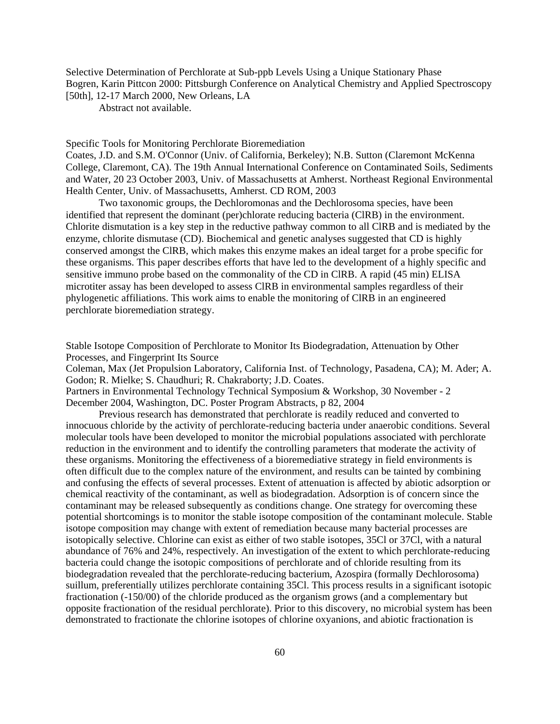Selective Determination of Perchlorate at Sub-ppb Levels Using a Unique Stationary Phase Bogren, Karin Pittcon 2000: Pittsburgh Conference on Analytical Chemistry and Applied Spectroscopy [50th], 12-17 March 2000, New Orleans, LA

Abstract not available.

Specific Tools for Monitoring Perchlorate Bioremediation

Coates, J.D. and S.M. O'Connor (Univ. of California, Berkeley); N.B. Sutton (Claremont McKenna College, Claremont, CA). The 19th Annual International Conference on Contaminated Soils, Sediments and Water, 20 23 October 2003, Univ. of Massachusetts at Amherst. Northeast Regional Environmental Health Center, Univ. of Massachusetts, Amherst. CD ROM, 2003

Two taxonomic groups, the Dechloromonas and the Dechlorosoma species, have been identified that represent the dominant (per)chlorate reducing bacteria (ClRB) in the environment. Chlorite dismutation is a key step in the reductive pathway common to all ClRB and is mediated by the enzyme, chlorite dismutase (CD). Biochemical and genetic analyses suggested that CD is highly conserved amongst the ClRB, which makes this enzyme makes an ideal target for a probe specific for these organisms. This paper describes efforts that have led to the development of a highly specific and sensitive immuno probe based on the commonality of the CD in ClRB. A rapid (45 min) ELISA microtiter assay has been developed to assess ClRB in environmental samples regardless of their phylogenetic affiliations. This work aims to enable the monitoring of ClRB in an engineered perchlorate bioremediation strategy.

Stable Isotope Composition of Perchlorate to Monitor Its Biodegradation, Attenuation by Other Processes, and Fingerprint Its Source

Coleman, Max (Jet Propulsion Laboratory, California Inst. of Technology, Pasadena, CA); M. Ader; A. Godon; R. Mielke; S. Chaudhuri; R. Chakraborty; J.D. Coates.

Partners in Environmental Technology Technical Symposium & Workshop, 30 November - 2 December 2004, Washington, DC. Poster Program Abstracts, p 82, 2004

Previous research has demonstrated that perchlorate is readily reduced and converted to innocuous chloride by the activity of perchlorate-reducing bacteria under anaerobic conditions. Several molecular tools have been developed to monitor the microbial populations associated with perchlorate reduction in the environment and to identify the controlling parameters that moderate the activity of these organisms. Monitoring the effectiveness of a bioremediative strategy in field environments is often difficult due to the complex nature of the environment, and results can be tainted by combining and confusing the effects of several processes. Extent of attenuation is affected by abiotic adsorption or chemical reactivity of the contaminant, as well as biodegradation. Adsorption is of concern since the contaminant may be released subsequently as conditions change. One strategy for overcoming these potential shortcomings is to monitor the stable isotope composition of the contaminant molecule. Stable isotope composition may change with extent of remediation because many bacterial processes are isotopically selective. Chlorine can exist as either of two stable isotopes, 35Cl or 37Cl, with a natural abundance of 76% and 24%, respectively. An investigation of the extent to which perchlorate-reducing bacteria could change the isotopic compositions of perchlorate and of chloride resulting from its biodegradation revealed that the perchlorate-reducing bacterium, Azospira (formally Dechlorosoma) suillum, preferentially utilizes perchlorate containing 35Cl. This process results in a significant isotopic fractionation (-150/00) of the chloride produced as the organism grows (and a complementary but opposite fractionation of the residual perchlorate). Prior to this discovery, no microbial system has been demonstrated to fractionate the chlorine isotopes of chlorine oxyanions, and abiotic fractionation is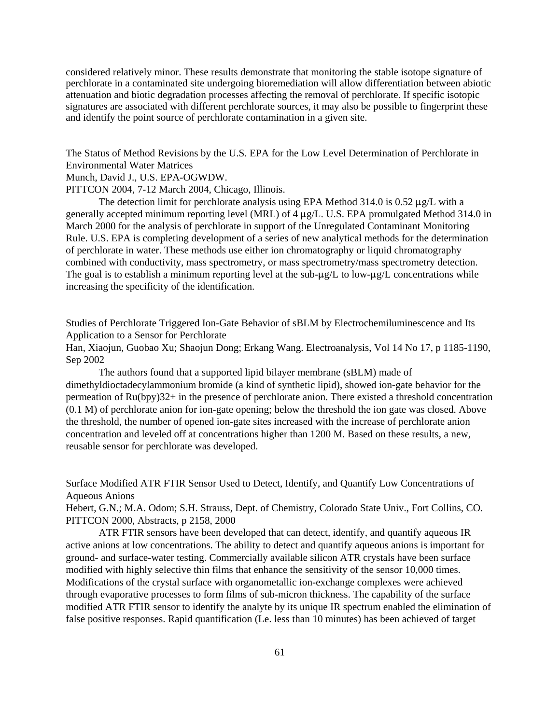considered relatively minor. These results demonstrate that monitoring the stable isotope signature of perchlorate in a contaminated site undergoing bioremediation will allow differentiation between abiotic attenuation and biotic degradation processes affecting the removal of perchlorate. If specific isotopic signatures are associated with different perchlorate sources, it may also be possible to fingerprint these and identify the point source of perchlorate contamination in a given site.

The Status of Method Revisions by the U.S. EPA for the Low Level Determination of Perchlorate in Environmental Water Matrices

## Munch, David J., U.S. EPA-OGWDW.

PITTCON 2004, 7-12 March 2004, Chicago, Illinois.

The detection limit for perchlorate analysis using EPA Method 314.0 is 0.52  $\mu$ g/L with a generally accepted minimum reporting level (MRL) of  $4 \mu g/L$ . U.S. EPA promulgated Method 314.0 in March 2000 for the analysis of perchlorate in support of the Unregulated Contaminant Monitoring Rule. U.S. EPA is completing development of a series of new analytical methods for the determination of perchlorate in water. These methods use either ion chromatography or liquid chromatography combined with conductivity, mass spectrometry, or mass spectrometry/mass spectrometry detection. The goal is to establish a minimum reporting level at the sub- $\mu$ g/L to low- $\mu$ g/L concentrations while increasing the specificity of the identification.

Studies of Perchlorate Triggered Ion-Gate Behavior of sBLM by Electrochemiluminescence and Its Application to a Sensor for Perchlorate

Han, Xiaojun, Guobao Xu; Shaojun Dong; Erkang Wang. Electroanalysis, Vol 14 No 17, p 1185-1190, Sep 2002

The authors found that a supported lipid bilayer membrane (sBLM) made of dimethyldioctadecylammonium bromide (a kind of synthetic lipid), showed ion-gate behavior for the permeation of Ru(bpy)32+ in the presence of perchlorate anion. There existed a threshold concentration (0.1 M) of perchlorate anion for ion-gate opening; below the threshold the ion gate was closed. Above the threshold, the number of opened ion-gate sites increased with the increase of perchlorate anion concentration and leveled off at concentrations higher than 1200 M. Based on these results, a new, reusable sensor for perchlorate was developed.

Surface Modified ATR FTIR Sensor Used to Detect, Identify, and Quantify Low Concentrations of Aqueous Anions

Hebert, G.N.; M.A. Odom; S.H. Strauss, Dept. of Chemistry, Colorado State Univ., Fort Collins, CO. PITTCON 2000, Abstracts, p 2158, 2000

ATR FTIR sensors have been developed that can detect, identify, and quantify aqueous IR active anions at low concentrations. The ability to detect and quantify aqueous anions is important for ground- and surface-water testing. Commercially available silicon ATR crystals have been surface modified with highly selective thin films that enhance the sensitivity of the sensor 10,000 times. Modifications of the crystal surface with organometallic ion-exchange complexes were achieved through evaporative processes to form films of sub-micron thickness. The capability of the surface modified ATR FTIR sensor to identify the analyte by its unique IR spectrum enabled the elimination of false positive responses. Rapid quantification (Le. less than 10 minutes) has been achieved of target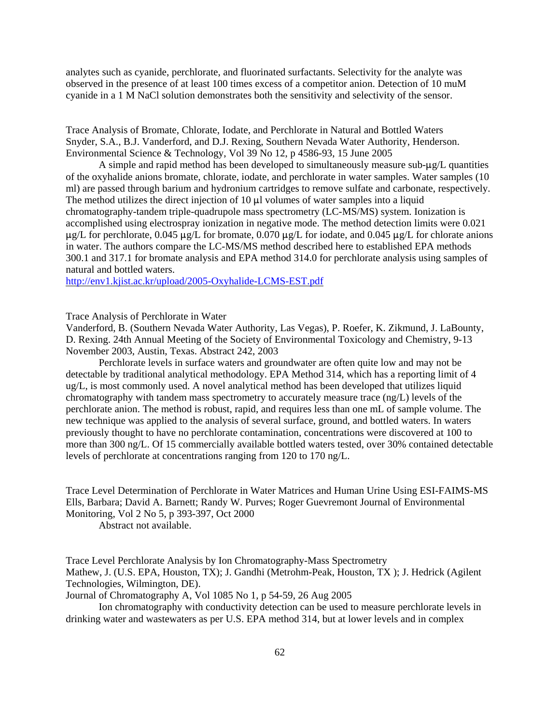analytes such as cyanide, perchlorate, and fluorinated surfactants. Selectivity for the analyte was observed in the presence of at least 100 times excess of a competitor anion. Detection of 10 muM cyanide in a 1 M NaCl solution demonstrates both the sensitivity and selectivity of the sensor.

Trace Analysis of Bromate, Chlorate, Iodate, and Perchlorate in Natural and Bottled Waters Snyder, S.A., B.J. Vanderford, and D.J. Rexing, Southern Nevada Water Authority, Henderson. Environmental Science & Technology, Vol 39 No 12, p 4586-93, 15 June 2005

A simple and rapid method has been developed to simultaneously measure sub- $\mu$ g/L quantities of the oxyhalide anions bromate, chlorate, iodate, and perchlorate in water samples. Water samples (10 ml) are passed through barium and hydronium cartridges to remove sulfate and carbonate, respectively. The method utilizes the direct injection of 10  $\mu$ l volumes of water samples into a liquid chromatography-tandem triple-quadrupole mass spectrometry (LC-MS/MS) system. Ionization is accomplished using electrospray ionization in negative mode. The method detection limits were 0.021  $\mu$ g/L for perchlorate, 0.045  $\mu$ g/L for bromate, 0.070  $\mu$ g/L for iodate, and 0.045  $\mu$ g/L for chlorate anions in water. The authors compare the LC-MS/MS method described here to established EPA methods 300.1 and 317.1 for bromate analysis and EPA method 314.0 for perchlorate analysis using samples of natural and bottled waters.

<http://env1.kjist.ac.kr/upload/2005-Oxyhalide-LCMS-EST.pdf>

### Trace Analysis of Perchlorate in Water

Vanderford, B. (Southern Nevada Water Authority, Las Vegas), P. Roefer, K. Zikmund, J. LaBounty, D. Rexing. 24th Annual Meeting of the Society of Environmental Toxicology and Chemistry, 9-13 November 2003, Austin, Texas. Abstract 242, 2003

Perchlorate levels in surface waters and groundwater are often quite low and may not be detectable by traditional analytical methodology. EPA Method 314, which has a reporting limit of 4 ug/L, is most commonly used. A novel analytical method has been developed that utilizes liquid chromatography with tandem mass spectrometry to accurately measure trace (ng/L) levels of the perchlorate anion. The method is robust, rapid, and requires less than one mL of sample volume. The new technique was applied to the analysis of several surface, ground, and bottled waters. In waters previously thought to have no perchlorate contamination, concentrations were discovered at 100 to more than 300 ng/L. Of 15 commercially available bottled waters tested, over 30% contained detectable levels of perchlorate at concentrations ranging from 120 to 170 ng/L.

Trace Level Determination of Perchlorate in Water Matrices and Human Urine Using ESI-FAIMS-MS Ells, Barbara; David A. Barnett; Randy W. Purves; Roger Guevremont Journal of Environmental Monitoring, Vol 2 No 5, p 393-397, Oct 2000

Abstract not available.

Trace Level Perchlorate Analysis by Ion Chromatography-Mass Spectrometry Mathew, J. (U.S. EPA, Houston, TX); J. Gandhi (Metrohm-Peak, Houston, TX ); J. Hedrick (Agilent Technologies, Wilmington, DE).

Journal of Chromatography A, Vol 1085 No 1, p 54-59, 26 Aug 2005

Ion chromatography with conductivity detection can be used to measure perchlorate levels in drinking water and wastewaters as per U.S. EPA method 314, but at lower levels and in complex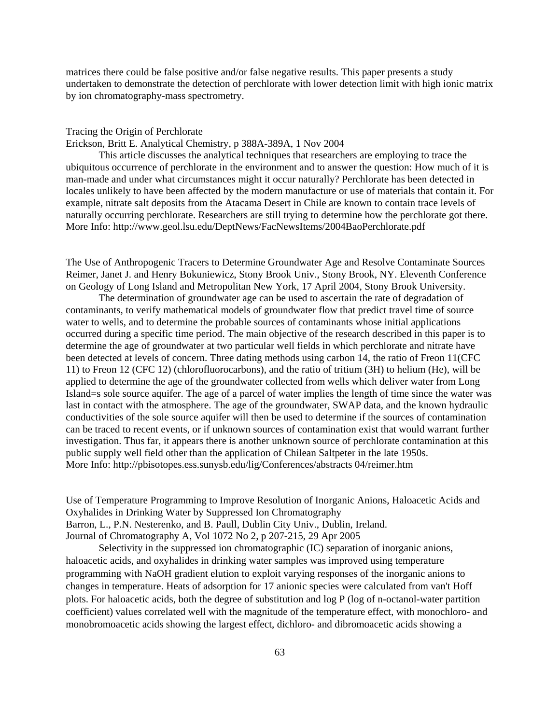matrices there could be false positive and/or false negative results. This paper presents a study undertaken to demonstrate the detection of perchlorate with lower detection limit with high ionic matrix by ion chromatography-mass spectrometry.

#### Tracing the Origin of Perchlorate

Erickson, Britt E. Analytical Chemistry, p 388A-389A, 1 Nov 2004

This article discusses the analytical techniques that researchers are employing to trace the ubiquitous occurrence of perchlorate in the environment and to answer the question: How much of it is man-made and under what circumstances might it occur naturally? Perchlorate has been detected in locales unlikely to have been affected by the modern manufacture or use of materials that contain it. For example, nitrate salt deposits from the Atacama Desert in Chile are known to contain trace levels of naturally occurring perchlorate. Researchers are still trying to determine how the perchlorate got there. More Info: <http://www.geol.lsu.edu/DeptNews/FacNewsItems/2004BaoPerchlorate.pdf>

The Use of Anthropogenic Tracers to Determine Groundwater Age and Resolve Contaminate Sources Reimer, Janet J. and Henry Bokuniewicz, Stony Brook Univ., Stony Brook, NY. Eleventh Conference on Geology of Long Island and Metropolitan New York, 17 April 2004, Stony Brook University.

The determination of groundwater age can be used to ascertain the rate of degradation of contaminants, to verify mathematical models of groundwater flow that predict travel time of source water to wells, and to determine the probable sources of contaminants whose initial applications occurred during a specific time period. The main objective of the research described in this paper is to determine the age of groundwater at two particular well fields in which perchlorate and nitrate have been detected at levels of concern. Three dating methods using carbon 14, the ratio of Freon 11(CFC 11) to Freon 12 (CFC 12) (chlorofluorocarbons), and the ratio of tritium (3H) to helium (He), will be applied to determine the age of the groundwater collected from wells which deliver water from Long Island=s sole source aquifer. The age of a parcel of water implies the length of time since the water was last in contact with the atmosphere. The age of the groundwater, SWAP data, and the known hydraulic conductivities of the sole source aquifer will then be used to determine if the sources of contamination can be traced to recent events, or if unknown sources of contamination exist that would warrant further investigation. Thus far, it appears there is another unknown source of perchlorate contamination at this public supply well field other than the application of Chilean Saltpeter in the late 1950s. More Info: <http://pbisotopes.ess.sunysb.edu/lig/Conferences/abstracts> 04/reimer.htm

Use of Temperature Programming to Improve Resolution of Inorganic Anions, Haloacetic Acids and Oxyhalides in Drinking Water by Suppressed Ion Chromatography Barron, L., P.N. Nesterenko, and B. Paull, Dublin City Univ., Dublin, Ireland. Journal of Chromatography A, Vol 1072 No 2, p 207-215, 29 Apr 2005

Selectivity in the suppressed ion chromatographic (IC) separation of inorganic anions, haloacetic acids, and oxyhalides in drinking water samples was improved using temperature programming with NaOH gradient elution to exploit varying responses of the inorganic anions to changes in temperature. Heats of adsorption for 17 anionic species were calculated from van't Hoff plots. For haloacetic acids, both the degree of substitution and log P (log of n-octanol-water partition coefficient) values correlated well with the magnitude of the temperature effect, with monochloro- and monobromoacetic acids showing the largest effect, dichloro- and dibromoacetic acids showing a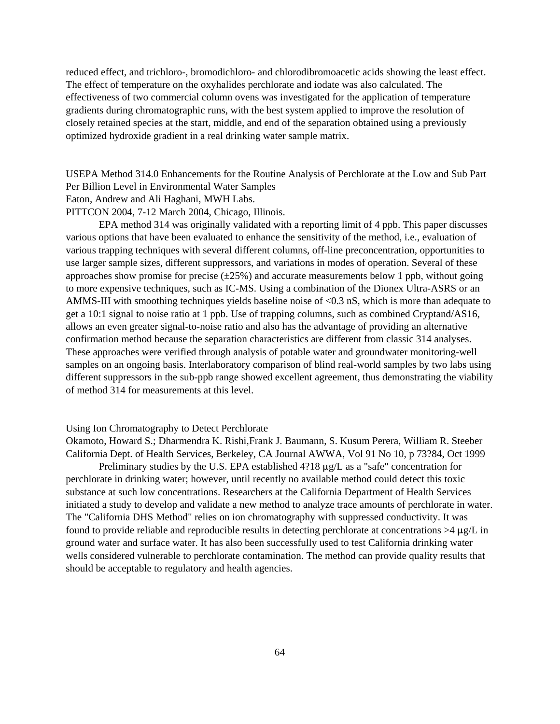reduced effect, and trichloro-, bromodichloro- and chlorodibromoacetic acids showing the least effect. The effect of temperature on the oxyhalides perchlorate and iodate was also calculated. The effectiveness of two commercial column ovens was investigated for the application of temperature gradients during chromatographic runs, with the best system applied to improve the resolution of closely retained species at the start, middle, and end of the separation obtained using a previously optimized hydroxide gradient in a real drinking water sample matrix.

USEPA Method 314.0 Enhancements for the Routine Analysis of Perchlorate at the Low and Sub Part Per Billion Level in Environmental Water Samples

Eaton, Andrew and Ali Haghani, MWH Labs.

PITTCON 2004, 7-12 March 2004, Chicago, Illinois.

EPA method 314 was originally validated with a reporting limit of 4 ppb. This paper discusses various options that have been evaluated to enhance the sensitivity of the method, i.e., evaluation of various trapping techniques with several different columns, off-line preconcentration, opportunities to use larger sample sizes, different suppressors, and variations in modes of operation. Several of these approaches show promise for precise  $(\pm 25\%)$  and accurate measurements below 1 ppb, without going to more expensive techniques, such as IC-MS. Using a combination of the Dionex Ultra-ASRS or an AMMS-III with smoothing techniques yields baseline noise of <0.3 nS, which is more than adequate to get a 10:1 signal to noise ratio at 1 ppb. Use of trapping columns, such as combined Cryptand/AS16, allows an even greater signal-to-noise ratio and also has the advantage of providing an alternative confirmation method because the separation characteristics are different from classic 314 analyses. These approaches were verified through analysis of potable water and groundwater monitoring-well samples on an ongoing basis. Interlaboratory comparison of blind real-world samples by two labs using different suppressors in the sub-ppb range showed excellent agreement, thus demonstrating the viability of method 314 for measurements at this level.

#### Using Ion Chromatography to Detect Perchlorate

Okamoto, Howard S.; Dharmendra K. Rishi,Frank J. Baumann, S. Kusum Perera, William R. Steeber California Dept. of Health Services, Berkeley, CA Journal AWWA, Vol 91 No 10, p 73?84, Oct 1999

Preliminary studies by the U.S. EPA established  $4\frac{9}{2}$  as a "safe" concentration for perchlorate in drinking water; however, until recently no available method could detect this toxic substance at such low concentrations. Researchers at the California Department of Health Services initiated a study to develop and validate a new method to analyze trace amounts of perchlorate in water. The "California DHS Method" relies on ion chromatography with suppressed conductivity. It was found to provide reliable and reproducible results in detecting perchlorate at concentrations  $>4 \mu g/L$  in ground water and surface water. It has also been successfully used to test California drinking water wells considered vulnerable to perchlorate contamination. The method can provide quality results that should be acceptable to regulatory and health agencies.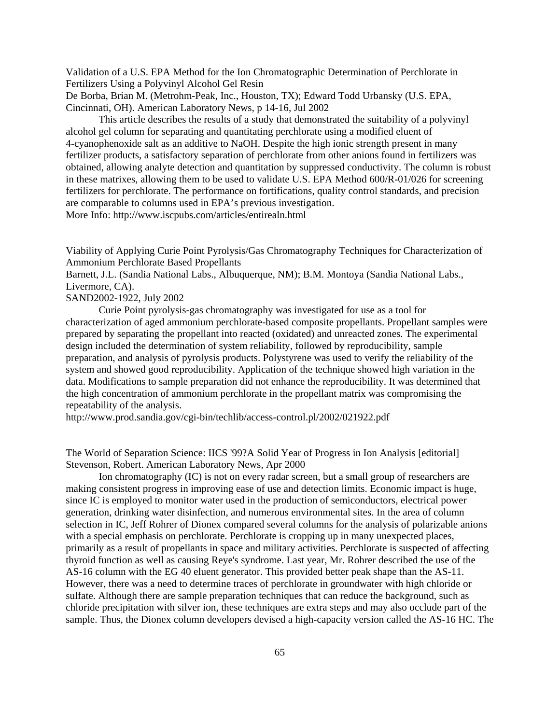Validation of a U.S. EPA Method for the Ion Chromatographic Determination of Perchlorate in Fertilizers Using a Polyvinyl Alcohol Gel Resin

De Borba, Brian M. (Metrohm-Peak, Inc., Houston, TX); Edward Todd Urbansky (U.S. EPA, Cincinnati, OH). American Laboratory News, p 14-16, Jul 2002

This article describes the results of a study that demonstrated the suitability of a polyvinyl alcohol gel column for separating and quantitating perchlorate using a modified eluent of 4-cyanophenoxide salt as an additive to NaOH. Despite the high ionic strength present in many fertilizer products, a satisfactory separation of perchlorate from other anions found in fertilizers was obtained, allowing analyte detection and quantitation by suppressed conductivity. The column is robust in these matrixes, allowing them to be used to validate U.S. EPA Method 600/R-01/026 for screening fertilizers for perchlorate. The performance on fortifications, quality control standards, and precision are comparable to columns used in EPA's previous investigation.

More Info: <http://www.iscpubs.com/articles/entirealn.html>

Viability of Applying Curie Point Pyrolysis/Gas Chromatography Techniques for Characterization of Ammonium Perchlorate Based Propellants

Barnett, J.L. (Sandia National Labs., Albuquerque, NM); B.M. Montoya (Sandia National Labs., Livermore, CA).

SAND2002-1922, July 2002

Curie Point pyrolysis-gas chromatography was investigated for use as a tool for characterization of aged ammonium perchlorate-based composite propellants. Propellant samples were prepared by separating the propellant into reacted (oxidated) and unreacted zones. The experimental design included the determination of system reliability, followed by reproducibility, sample preparation, and analysis of pyrolysis products. Polystyrene was used to verify the reliability of the system and showed good reproducibility. Application of the technique showed high variation in the data. Modifications to sample preparation did not enhance the reproducibility. It was determined that the high concentration of ammonium perchlorate in the propellant matrix was compromising the repeatability of the analysis.

<http://www.prod.sandia.gov/cgi-bin/techlib/access-control.pl/2002/021922.pdf>

The World of Separation Science: IICS '99?A Solid Year of Progress in Ion Analysis [editorial] Stevenson, Robert. American Laboratory News, Apr 2000

Ion chromatography (IC) is not on every radar screen, but a small group of researchers are making consistent progress in improving ease of use and detection limits. Economic impact is huge, since IC is employed to monitor water used in the production of semiconductors, electrical power generation, drinking water disinfection, and numerous environmental sites. In the area of column selection in IC, Jeff Rohrer of Dionex compared several columns for the analysis of polarizable anions with a special emphasis on perchlorate. Perchlorate is cropping up in many unexpected places, primarily as a result of propellants in space and military activities. Perchlorate is suspected of affecting thyroid function as well as causing Reye's syndrome. Last year, Mr. Rohrer described the use of the AS-16 column with the EG 40 eluent generator. This provided better peak shape than the AS-11. However, there was a need to determine traces of perchlorate in groundwater with high chloride or sulfate. Although there are sample preparation techniques that can reduce the background, such as chloride precipitation with silver ion, these techniques are extra steps and may also occlude part of the sample. Thus, the Dionex column developers devised a high-capacity version called the AS-16 HC. The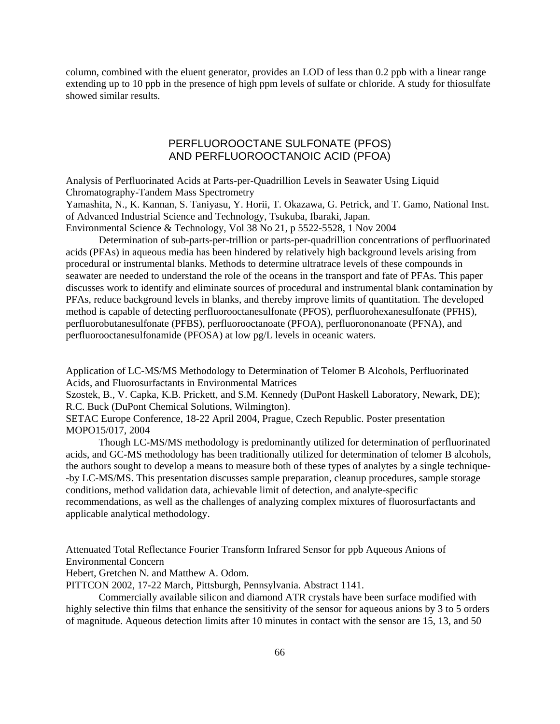column, combined with the eluent generator, provides an LOD of less than 0.2 ppb with a linear range extending up to 10 ppb in the presence of high ppm levels of sulfate or chloride. A study for thiosulfate showed similar results.

# PERFLUOROOCTANE SULFONATE (PFOS) AND PERFLUOROOCTANOIC ACID (PFOA)

Analysis of Perfluorinated Acids at Parts-per-Quadrillion Levels in Seawater Using Liquid Chromatography-Tandem Mass Spectrometry

Yamashita, N., K. Kannan, S. Taniyasu, Y. Horii, T. Okazawa, G. Petrick, and T. Gamo, National Inst. of Advanced Industrial Science and Technology, Tsukuba, Ibaraki, Japan.

Environmental Science & Technology, Vol 38 No 21, p 5522-5528, 1 Nov 2004

Determination of sub-parts-per-trillion or parts-per-quadrillion concentrations of perfluorinated acids (PFAs) in aqueous media has been hindered by relatively high background levels arising from procedural or instrumental blanks. Methods to determine ultratrace levels of these compounds in seawater are needed to understand the role of the oceans in the transport and fate of PFAs. This paper discusses work to identify and eliminate sources of procedural and instrumental blank contamination by PFAs, reduce background levels in blanks, and thereby improve limits of quantitation. The developed method is capable of detecting perfluorooctanesulfonate (PFOS), perfluorohexanesulfonate (PFHS), perfluorobutanesulfonate (PFBS), perfluorooctanoate (PFOA), perfluorononanoate (PFNA), and perfluorooctanesulfonamide (PFOSA) at low pg/L levels in oceanic waters.

Application of LC-MS/MS Methodology to Determination of Telomer B Alcohols, Perfluorinated Acids, and Fluorosurfactants in Environmental Matrices

Szostek, B., V. Capka, K.B. Prickett, and S.M. Kennedy (DuPont Haskell Laboratory, Newark, DE); R.C. Buck (DuPont Chemical Solutions, Wilmington).

SETAC Europe Conference, 18-22 April 2004, Prague, Czech Republic. Poster presentation MOPO15/017, 2004

Though LC-MS/MS methodology is predominantly utilized for determination of perfluorinated acids, and GC-MS methodology has been traditionally utilized for determination of telomer B alcohols, the authors sought to develop a means to measure both of these types of analytes by a single technique- -by LC-MS/MS. This presentation discusses sample preparation, cleanup procedures, sample storage conditions, method validation data, achievable limit of detection, and analyte-specific recommendations, as well as the challenges of analyzing complex mixtures of fluorosurfactants and applicable analytical methodology.

Attenuated Total Reflectance Fourier Transform Infrared Sensor for ppb Aqueous Anions of Environmental Concern

Hebert, Gretchen N. and Matthew A. Odom.

PITTCON 2002, 17-22 March, Pittsburgh, Pennsylvania. Abstract 1141.

Commercially available silicon and diamond ATR crystals have been surface modified with highly selective thin films that enhance the sensitivity of the sensor for aqueous anions by 3 to 5 orders of magnitude. Aqueous detection limits after 10 minutes in contact with the sensor are 15, 13, and 50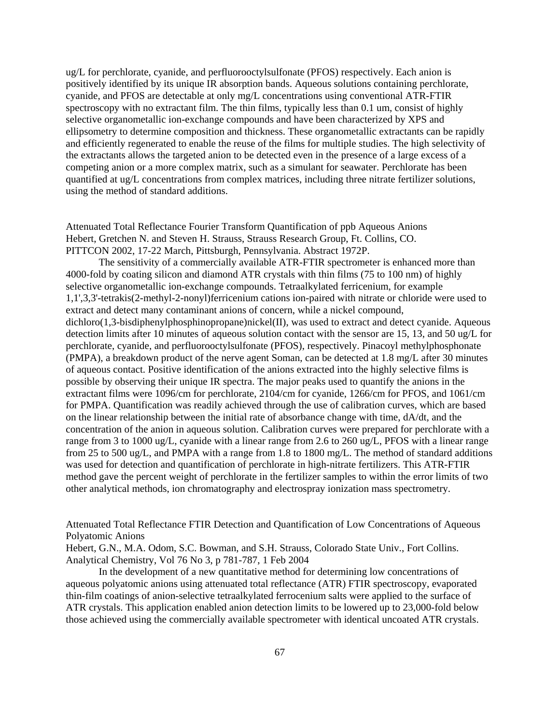ug/L for perchlorate, cyanide, and perfluorooctylsulfonate (PFOS) respectively. Each anion is positively identified by its unique IR absorption bands. Aqueous solutions containing perchlorate, cyanide, and PFOS are detectable at only mg/L concentrations using conventional ATR-FTIR spectroscopy with no extractant film. The thin films, typically less than 0.1 um, consist of highly selective organometallic ion-exchange compounds and have been characterized by XPS and ellipsometry to determine composition and thickness. These organometallic extractants can be rapidly and efficiently regenerated to enable the reuse of the films for multiple studies. The high selectivity of the extractants allows the targeted anion to be detected even in the presence of a large excess of a competing anion or a more complex matrix, such as a simulant for seawater. Perchlorate has been quantified at ug/L concentrations from complex matrices, including three nitrate fertilizer solutions, using the method of standard additions.

Attenuated Total Reflectance Fourier Transform Quantification of ppb Aqueous Anions Hebert, Gretchen N. and Steven H. Strauss, Strauss Research Group, Ft. Collins, CO. PITTCON 2002, 17-22 March, Pittsburgh, Pennsylvania. Abstract 1972P.

The sensitivity of a commercially available ATR-FTIR spectrometer is enhanced more than 4000-fold by coating silicon and diamond ATR crystals with thin films (75 to 100 nm) of highly selective organometallic ion-exchange compounds. Tetraalkylated ferricenium, for example 1,1',3,3'-tetrakis(2-methyl-2-nonyl)ferricenium cations ion-paired with nitrate or chloride were used to extract and detect many contaminant anions of concern, while a nickel compound, dichloro(1,3-bisdiphenylphosphinopropane)nickel(II), was used to extract and detect cyanide. Aqueous detection limits after 10 minutes of aqueous solution contact with the sensor are 15, 13, and 50 ug/L for perchlorate, cyanide, and perfluorooctylsulfonate (PFOS), respectively. Pinacoyl methylphosphonate (PMPA), a breakdown product of the nerve agent Soman, can be detected at 1.8 mg/L after 30 minutes of aqueous contact. Positive identification of the anions extracted into the highly selective films is possible by observing their unique IR spectra. The major peaks used to quantify the anions in the extractant films were 1096/cm for perchlorate, 2104/cm for cyanide, 1266/cm for PFOS, and 1061/cm for PMPA. Quantification was readily achieved through the use of calibration curves, which are based on the linear relationship between the initial rate of absorbance change with time, dA/dt, and the concentration of the anion in aqueous solution. Calibration curves were prepared for perchlorate with a range from 3 to 1000 ug/L, cyanide with a linear range from 2.6 to 260 ug/L, PFOS with a linear range from 25 to 500 ug/L, and PMPA with a range from 1.8 to 1800 mg/L. The method of standard additions was used for detection and quantification of perchlorate in high-nitrate fertilizers. This ATR-FTIR method gave the percent weight of perchlorate in the fertilizer samples to within the error limits of two other analytical methods, ion chromatography and electrospray ionization mass spectrometry.

Attenuated Total Reflectance FTIR Detection and Quantification of Low Concentrations of Aqueous Polyatomic Anions

Hebert, G.N., M.A. Odom, S.C. Bowman, and S.H. Strauss, Colorado State Univ., Fort Collins. Analytical Chemistry, Vol 76 No 3, p 781-787, 1 Feb 2004

In the development of a new quantitative method for determining low concentrations of aqueous polyatomic anions using attenuated total reflectance (ATR) FTIR spectroscopy, evaporated thin-film coatings of anion-selective tetraalkylated ferrocenium salts were applied to the surface of ATR crystals. This application enabled anion detection limits to be lowered up to 23,000-fold below those achieved using the commercially available spectrometer with identical uncoated ATR crystals.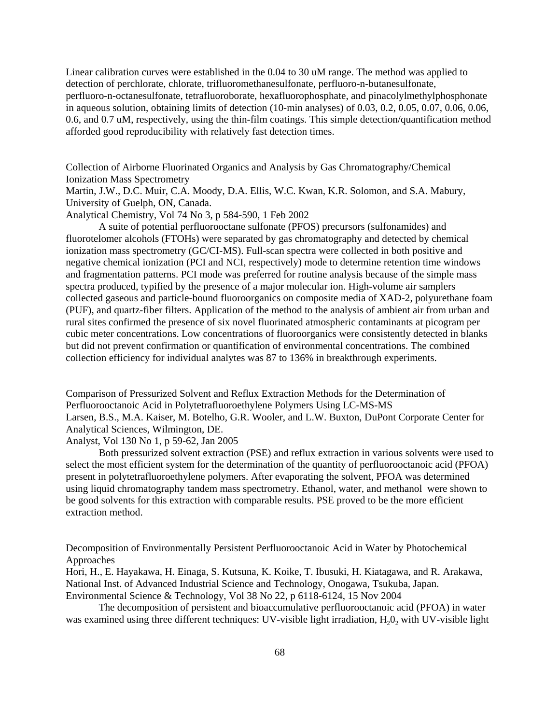Linear calibration curves were established in the 0.04 to 30 uM range. The method was applied to detection of perchlorate, chlorate, trifluoromethanesulfonate, perfluoro-n-butanesulfonate, perfluoro-n-octanesulfonate, tetrafluoroborate, hexafluorophosphate, and pinacolylmethylphosphonate in aqueous solution, obtaining limits of detection (10-min analyses) of 0.03, 0.2, 0.05, 0.07, 0.06, 0.06, 0.6, and 0.7 uM, respectively, using the thin-film coatings. This simple detection/quantification method afforded good reproducibility with relatively fast detection times.

Collection of Airborne Fluorinated Organics and Analysis by Gas Chromatography/Chemical Ionization Mass Spectrometry

Martin, J.W., D.C. Muir, C.A. Moody, D.A. Ellis, W.C. Kwan, K.R. Solomon, and S.A. Mabury, University of Guelph, ON, Canada.

Analytical Chemistry, Vol 74 No 3, p 584-590, 1 Feb 2002

A suite of potential perfluorooctane sulfonate (PFOS) precursors (sulfonamides) and fluorotelomer alcohols (FTOHs) were separated by gas chromatography and detected by chemical ionization mass spectrometry (GC/CI-MS). Full-scan spectra were collected in both positive and negative chemical ionization (PCI and NCI, respectively) mode to determine retention time windows and fragmentation patterns. PCI mode was preferred for routine analysis because of the simple mass spectra produced, typified by the presence of a major molecular ion. High-volume air samplers collected gaseous and particle-bound fluoroorganics on composite media of XAD-2, polyurethane foam (PUF), and quartz-fiber filters. Application of the method to the analysis of ambient air from urban and rural sites confirmed the presence of six novel fluorinated atmospheric contaminants at picogram per cubic meter concentrations. Low concentrations of fluoroorganics were consistently detected in blanks but did not prevent confirmation or quantification of environmental concentrations. The combined collection efficiency for individual analytes was 87 to 136% in breakthrough experiments.

Comparison of Pressurized Solvent and Reflux Extraction Methods for the Determination of Perfluorooctanoic Acid in Polytetrafluoroethylene Polymers Using LC-MS-MS Larsen, B.S., M.A. Kaiser, M. Botelho, G.R. Wooler, and L.W. Buxton, DuPont Corporate Center for Analytical Sciences, Wilmington, DE.

Analyst, Vol 130 No 1, p 59-62, Jan 2005

Both pressurized solvent extraction (PSE) and reflux extraction in various solvents were used to select the most efficient system for the determination of the quantity of perfluorooctanoic acid (PFOA) present in polytetrafluoroethylene polymers. After evaporating the solvent, PFOA was determined using liquid chromatography tandem mass spectrometry. Ethanol, water, and methanol were shown to be good solvents for this extraction with comparable results. PSE proved to be the more efficient extraction method.

Decomposition of Environmentally Persistent Perfluorooctanoic Acid in Water by Photochemical Approaches

Hori, H., E. Hayakawa, H. Einaga, S. Kutsuna, K. Koike, T. Ibusuki, H. Kiatagawa, and R. Arakawa, National Inst. of Advanced Industrial Science and Technology, Onogawa, Tsukuba, Japan. Environmental Science & Technology, Vol 38 No 22, p 6118-6124, 15 Nov 2004

The decomposition of persistent and bioaccumulative perfluorooctanoic acid (PFOA) in water was examined using three different techniques: UV-visible light irradiation, H<sub>2</sub>0<sub>2</sub> with UV-visible light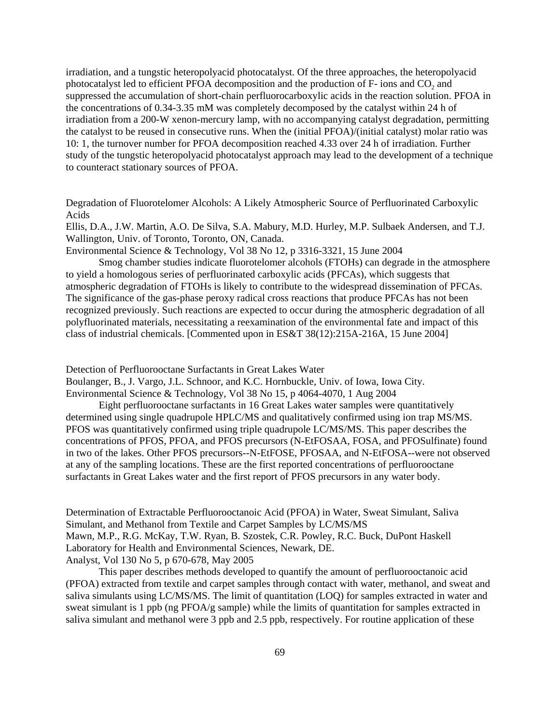irradiation, and a tungstic heteropolyacid photocatalyst. Of the three approaches, the heteropolyacid photocatalyst led to efficient PFOA decomposition and the production of F- ions and CO<sub>2</sub> and suppressed the accumulation of short-chain perfluorocarboxylic acids in the reaction solution. PFOA in the concentrations of 0.34-3.35 mM was completely decomposed by the catalyst within 24 h of irradiation from a 200-W xenon-mercury lamp, with no accompanying catalyst degradation, permitting the catalyst to be reused in consecutive runs. When the (initial PFOA)/(initial catalyst) molar ratio was 10: 1, the turnover number for PFOA decomposition reached 4.33 over 24 h of irradiation. Further study of the tungstic heteropolyacid photocatalyst approach may lead to the development of a technique to counteract stationary sources of PFOA.

Degradation of Fluorotelomer Alcohols: A Likely Atmospheric Source of Perfluorinated Carboxylic Acids

Ellis, D.A., J.W. Martin, A.O. De Silva, S.A. Mabury, M.D. Hurley, M.P. Sulbaek Andersen, and T.J. Wallington, Univ. of Toronto, Toronto, ON, Canada.

Environmental Science & Technology, Vol 38 No 12, p 3316-3321, 15 June 2004

Smog chamber studies indicate fluorotelomer alcohols (FTOHs) can degrade in the atmosphere to yield a homologous series of perfluorinated carboxylic acids (PFCAs), which suggests that atmospheric degradation of FTOHs is likely to contribute to the widespread dissemination of PFCAs. The significance of the gas-phase peroxy radical cross reactions that produce PFCAs has not been recognized previously. Such reactions are expected to occur during the atmospheric degradation of all polyfluorinated materials, necessitating a reexamination of the environmental fate and impact of this class of industrial chemicals. [Commented upon in ES&T 38(12):215A-216A, 15 June 2004]

Detection of Perfluorooctane Surfactants in Great Lakes Water

Boulanger, B., J. Vargo, J.L. Schnoor, and K.C. Hornbuckle, Univ. of Iowa, Iowa City. Environmental Science & Technology, Vol 38 No 15, p 4064-4070, 1 Aug 2004

Eight perfluorooctane surfactants in 16 Great Lakes water samples were quantitatively determined using single quadrupole HPLC/MS and qualitatively confirmed using ion trap MS/MS. PFOS was quantitatively confirmed using triple quadrupole LC/MS/MS. This paper describes the concentrations of PFOS, PFOA, and PFOS precursors (N-EtFOSAA, FOSA, and PFOSulfinate) found in two of the lakes. Other PFOS precursors--N-EtFOSE, PFOSAA, and N-EtFOSA--were not observed at any of the sampling locations. These are the first reported concentrations of perfluorooctane surfactants in Great Lakes water and the first report of PFOS precursors in any water body.

Determination of Extractable Perfluorooctanoic Acid (PFOA) in Water, Sweat Simulant, Saliva Simulant, and Methanol from Textile and Carpet Samples by LC/MS/MS Mawn, M.P., R.G. McKay, T.W. Ryan, B. Szostek, C.R. Powley, R.C. Buck, DuPont Haskell Laboratory for Health and Environmental Sciences, Newark, DE. Analyst, Vol 130 No 5, p 670-678, May 2005

This paper describes methods developed to quantify the amount of perfluorooctanoic acid (PFOA) extracted from textile and carpet samples through contact with water, methanol, and sweat and saliva simulants using LC/MS/MS. The limit of quantitation (LOQ) for samples extracted in water and sweat simulant is 1 ppb (ng PFOA/g sample) while the limits of quantitation for samples extracted in saliva simulant and methanol were 3 ppb and 2.5 ppb, respectively. For routine application of these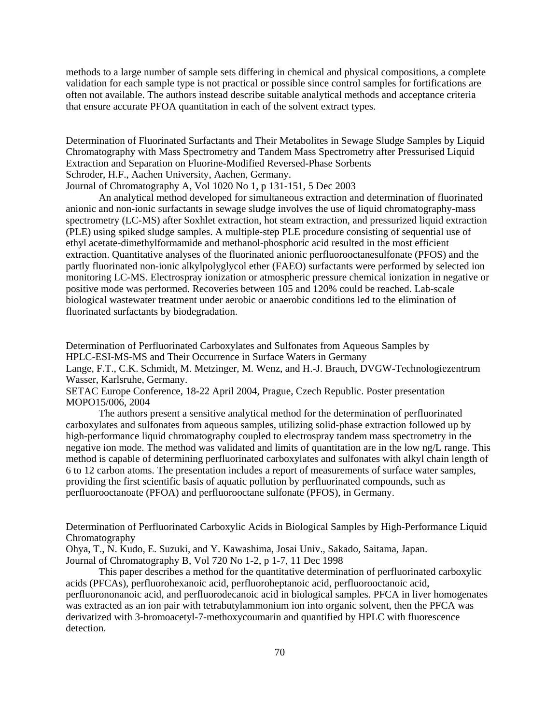methods to a large number of sample sets differing in chemical and physical compositions, a complete validation for each sample type is not practical or possible since control samples for fortifications are often not available. The authors instead describe suitable analytical methods and acceptance criteria that ensure accurate PFOA quantitation in each of the solvent extract types.

Determination of Fluorinated Surfactants and Their Metabolites in Sewage Sludge Samples by Liquid Chromatography with Mass Spectrometry and Tandem Mass Spectrometry after Pressurised Liquid Extraction and Separation on Fluorine-Modified Reversed-Phase Sorbents Schroder, H.F., Aachen University, Aachen, Germany.

Journal of Chromatography A, Vol 1020 No 1, p 131-151, 5 Dec 2003

An analytical method developed for simultaneous extraction and determination of fluorinated anionic and non-ionic surfactants in sewage sludge involves the use of liquid chromatography-mass spectrometry (LC-MS) after Soxhlet extraction, hot steam extraction, and pressurized liquid extraction (PLE) using spiked sludge samples. A multiple-step PLE procedure consisting of sequential use of ethyl acetate-dimethylformamide and methanol-phosphoric acid resulted in the most efficient extraction. Quantitative analyses of the fluorinated anionic perfluorooctanesulfonate (PFOS) and the partly fluorinated non-ionic alkylpolyglycol ether (FAEO) surfactants were performed by selected ion monitoring LC-MS. Electrospray ionization or atmospheric pressure chemical ionization in negative or positive mode was performed. Recoveries between 105 and 120% could be reached. Lab-scale biological wastewater treatment under aerobic or anaerobic conditions led to the elimination of fluorinated surfactants by biodegradation.

Determination of Perfluorinated Carboxylates and Sulfonates from Aqueous Samples by HPLC-ESI-MS-MS and Their Occurrence in Surface Waters in Germany Lange, F.T., C.K. Schmidt, M. Metzinger, M. Wenz, and H.-J. Brauch, DVGW-Technologiezentrum Wasser, Karlsruhe, Germany.

SETAC Europe Conference, 18-22 April 2004, Prague, Czech Republic. Poster presentation MOPO15/006, 2004

The authors present a sensitive analytical method for the determination of perfluorinated carboxylates and sulfonates from aqueous samples, utilizing solid-phase extraction followed up by high-performance liquid chromatography coupled to electrospray tandem mass spectrometry in the negative ion mode. The method was validated and limits of quantitation are in the low ng/L range. This method is capable of determining perfluorinated carboxylates and sulfonates with alkyl chain length of 6 to 12 carbon atoms. The presentation includes a report of measurements of surface water samples, providing the first scientific basis of aquatic pollution by perfluorinated compounds, such as perfluorooctanoate (PFOA) and perfluorooctane sulfonate (PFOS), in Germany.

Determination of Perfluorinated Carboxylic Acids in Biological Samples by High-Performance Liquid Chromatography

Ohya, T., N. Kudo, E. Suzuki, and Y. Kawashima, Josai Univ., Sakado, Saitama, Japan. Journal of Chromatography B, Vol 720 No 1-2, p 1-7, 11 Dec 1998

This paper describes a method for the quantitative determination of perfluorinated carboxylic acids (PFCAs), perfluorohexanoic acid, perfluoroheptanoic acid, perfluorooctanoic acid, perfluorononanoic acid, and perfluorodecanoic acid in biological samples. PFCA in liver homogenates was extracted as an ion pair with tetrabutylammonium ion into organic solvent, then the PFCA was derivatized with 3-bromoacetyl-7-methoxycoumarin and quantified by HPLC with fluorescence detection.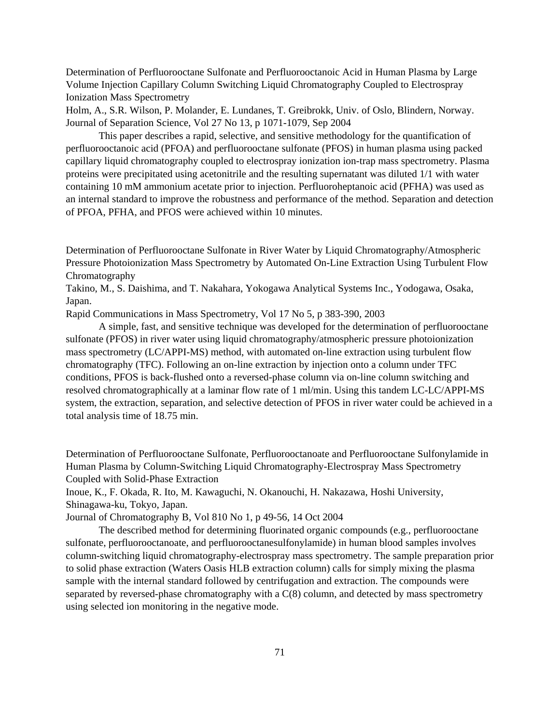Determination of Perfluorooctane Sulfonate and Perfluorooctanoic Acid in Human Plasma by Large Volume Injection Capillary Column Switching Liquid Chromatography Coupled to Electrospray Ionization Mass Spectrometry

Holm, A., S.R. Wilson, P. Molander, E. Lundanes, T. Greibrokk, Univ. of Oslo, Blindern, Norway. Journal of Separation Science, Vol 27 No 13, p 1071-1079, Sep 2004

This paper describes a rapid, selective, and sensitive methodology for the quantification of perfluorooctanoic acid (PFOA) and perfluorooctane sulfonate (PFOS) in human plasma using packed capillary liquid chromatography coupled to electrospray ionization ion-trap mass spectrometry. Plasma proteins were precipitated using acetonitrile and the resulting supernatant was diluted 1/1 with water containing 10 mM ammonium acetate prior to injection. Perfluoroheptanoic acid (PFHA) was used as an internal standard to improve the robustness and performance of the method. Separation and detection of PFOA, PFHA, and PFOS were achieved within 10 minutes.

Determination of Perfluorooctane Sulfonate in River Water by Liquid Chromatography/Atmospheric Pressure Photoionization Mass Spectrometry by Automated On-Line Extraction Using Turbulent Flow Chromatography

Takino, M., S. Daishima, and T. Nakahara, Yokogawa Analytical Systems Inc., Yodogawa, Osaka, Japan.

Rapid Communications in Mass Spectrometry, Vol 17 No 5, p 383-390, 2003

A simple, fast, and sensitive technique was developed for the determination of perfluorooctane sulfonate (PFOS) in river water using liquid chromatography/atmospheric pressure photoionization mass spectrometry (LC/APPI-MS) method, with automated on-line extraction using turbulent flow chromatography (TFC). Following an on-line extraction by injection onto a column under TFC conditions, PFOS is back-flushed onto a reversed-phase column via on-line column switching and resolved chromatographically at a laminar flow rate of 1 ml/min. Using this tandem LC-LC/APPI-MS system, the extraction, separation, and selective detection of PFOS in river water could be achieved in a total analysis time of 18.75 min.

Determination of Perfluorooctane Sulfonate, Perfluorooctanoate and Perfluorooctane Sulfonylamide in Human Plasma by Column-Switching Liquid Chromatography-Electrospray Mass Spectrometry Coupled with Solid-Phase Extraction

Inoue, K., F. Okada, R. Ito, M. Kawaguchi, N. Okanouchi, H. Nakazawa, Hoshi University, Shinagawa-ku, Tokyo, Japan.

Journal of Chromatography B, Vol 810 No 1, p 49-56, 14 Oct 2004

The described method for determining fluorinated organic compounds (e.g., perfluorooctane sulfonate, perfluorooctanoate, and perfluorooctanesulfonylamide) in human blood samples involves column-switching liquid chromatography-electrospray mass spectrometry. The sample preparation prior to solid phase extraction (Waters Oasis HLB extraction column) calls for simply mixing the plasma sample with the internal standard followed by centrifugation and extraction. The compounds were separated by reversed-phase chromatography with a C(8) column, and detected by mass spectrometry using selected ion monitoring in the negative mode.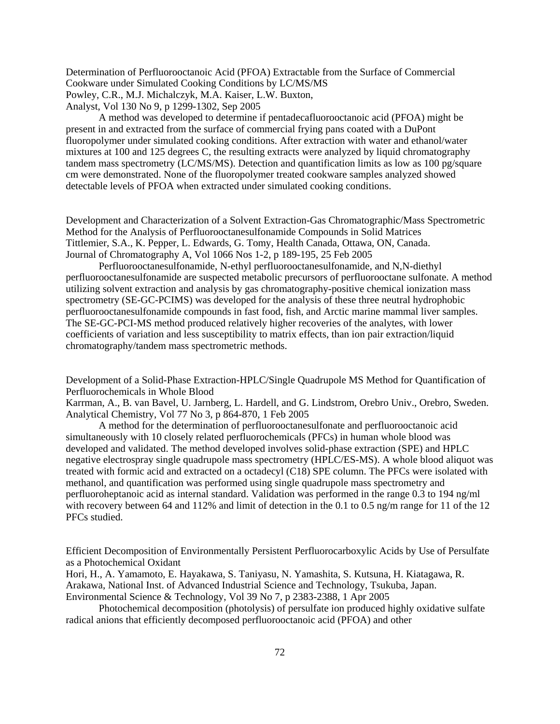Determination of Perfluorooctanoic Acid (PFOA) Extractable from the Surface of Commercial Cookware under Simulated Cooking Conditions by LC/MS/MS Powley, C.R., M.J. Michalczyk, M.A. Kaiser, L.W. Buxton, Analyst, Vol 130 No 9, p 1299-1302, Sep 2005

A method was developed to determine if pentadecafluorooctanoic acid (PFOA) might be present in and extracted from the surface of commercial frying pans coated with a DuPont fluoropolymer under simulated cooking conditions. After extraction with water and ethanol/water mixtures at 100 and 125 degrees C, the resulting extracts were analyzed by liquid chromatography tandem mass spectrometry (LC/MS/MS). Detection and quantification limits as low as 100 pg/square cm were demonstrated. None of the fluoropolymer treated cookware samples analyzed showed detectable levels of PFOA when extracted under simulated cooking conditions.

Development and Characterization of a Solvent Extraction-Gas Chromatographic/Mass Spectrometric Method for the Analysis of Perfluorooctanesulfonamide Compounds in Solid Matrices Tittlemier, S.A., K. Pepper, L. Edwards, G. Tomy, Health Canada, Ottawa, ON, Canada. Journal of Chromatography A, Vol 1066 Nos 1-2, p 189-195, 25 Feb 2005

Perfluorooctanesulfonamide, N-ethyl perfluorooctanesulfonamide, and N,N-diethyl perfluorooctanesulfonamide are suspected metabolic precursors of perfluorooctane sulfonate. A method utilizing solvent extraction and analysis by gas chromatography-positive chemical ionization mass spectrometry (SE-GC-PCIMS) was developed for the analysis of these three neutral hydrophobic perfluorooctanesulfonamide compounds in fast food, fish, and Arctic marine mammal liver samples. The SE-GC-PCI-MS method produced relatively higher recoveries of the analytes, with lower coefficients of variation and less susceptibility to matrix effects, than ion pair extraction/liquid chromatography/tandem mass spectrometric methods.

Development of a Solid-Phase Extraction-HPLC/Single Quadrupole MS Method for Quantification of Perfluorochemicals in Whole Blood

Karrman, A., B. van Bavel, U. Jarnberg, L. Hardell, and G. Lindstrom, Orebro Univ., Orebro, Sweden. Analytical Chemistry, Vol 77 No 3, p 864-870, 1 Feb 2005

A method for the determination of perfluorooctanesulfonate and perfluorooctanoic acid simultaneously with 10 closely related perfluorochemicals (PFCs) in human whole blood was developed and validated. The method developed involves solid-phase extraction (SPE) and HPLC negative electrospray single quadrupole mass spectrometry (HPLC/ES-MS). A whole blood aliquot was treated with formic acid and extracted on a octadecyl (C18) SPE column. The PFCs were isolated with methanol, and quantification was performed using single quadrupole mass spectrometry and perfluoroheptanoic acid as internal standard. Validation was performed in the range 0.3 to 194 ng/ml with recovery between 64 and 112% and limit of detection in the 0.1 to 0.5 ng/m range for 11 of the 12 PFCs studied.

Efficient Decomposition of Environmentally Persistent Perfluorocarboxylic Acids by Use of Persulfate as a Photochemical Oxidant

Hori, H., A. Yamamoto, E. Hayakawa, S. Taniyasu, N. Yamashita, S. Kutsuna, H. Kiatagawa, R. Arakawa, National Inst. of Advanced Industrial Science and Technology, Tsukuba, Japan. Environmental Science & Technology, Vol 39 No 7, p 2383-2388, 1 Apr 2005

Photochemical decomposition (photolysis) of persulfate ion produced highly oxidative sulfate radical anions that efficiently decomposed perfluorooctanoic acid (PFOA) and other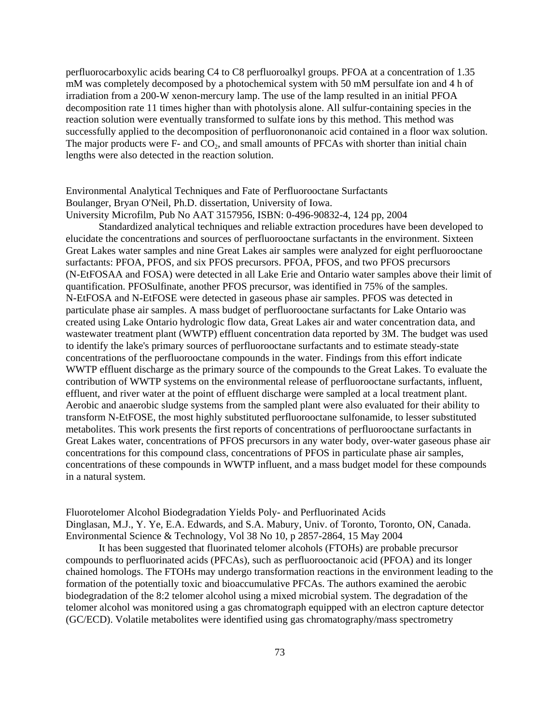perfluorocarboxylic acids bearing C4 to C8 perfluoroalkyl groups. PFOA at a concentration of 1.35 mM was completely decomposed by a photochemical system with 50 mM persulfate ion and 4 h of irradiation from a 200-W xenon-mercury lamp. The use of the lamp resulted in an initial PFOA decomposition rate 11 times higher than with photolysis alone. All sulfur-containing species in the reaction solution were eventually transformed to sulfate ions by this method. This method was successfully applied to the decomposition of perfluorononanoic acid contained in a floor wax solution. The major products were F- and CO<sub>2</sub>, and small amounts of PFCAs with shorter than initial chain lengths were also detected in the reaction solution.

## Environmental Analytical Techniques and Fate of Perfluorooctane Surfactants Boulanger, Bryan O'Neil, Ph.D. dissertation, University of Iowa. University Microfilm, Pub No AAT 3157956, ISBN: 0-496-90832-4, 124 pp, 2004

Standardized analytical techniques and reliable extraction procedures have been developed to elucidate the concentrations and sources of perfluorooctane surfactants in the environment. Sixteen Great Lakes water samples and nine Great Lakes air samples were analyzed for eight perfluorooctane surfactants: PFOA, PFOS, and six PFOS precursors. PFOA, PFOS, and two PFOS precursors (N-EtFOSAA and FOSA) were detected in all Lake Erie and Ontario water samples above their limit of quantification. PFOSulfinate, another PFOS precursor, was identified in 75% of the samples. N-EtFOSA and N-EtFOSE were detected in gaseous phase air samples. PFOS was detected in particulate phase air samples. A mass budget of perfluorooctane surfactants for Lake Ontario was created using Lake Ontario hydrologic flow data, Great Lakes air and water concentration data, and wastewater treatment plant (WWTP) effluent concentration data reported by 3M. The budget was used to identify the lake's primary sources of perfluorooctane surfactants and to estimate steady-state concentrations of the perfluorooctane compounds in the water. Findings from this effort indicate WWTP effluent discharge as the primary source of the compounds to the Great Lakes. To evaluate the contribution of WWTP systems on the environmental release of perfluorooctane surfactants, influent, effluent, and river water at the point of effluent discharge were sampled at a local treatment plant. Aerobic and anaerobic sludge systems from the sampled plant were also evaluated for their ability to transform N-EtFOSE, the most highly substituted perfluorooctane sulfonamide, to lesser substituted metabolites. This work presents the first reports of concentrations of perfluorooctane surfactants in Great Lakes water, concentrations of PFOS precursors in any water body, over-water gaseous phase air concentrations for this compound class, concentrations of PFOS in particulate phase air samples, concentrations of these compounds in WWTP influent, and a mass budget model for these compounds in a natural system.

Fluorotelomer Alcohol Biodegradation Yields Poly- and Perfluorinated Acids Dinglasan, M.J., Y. Ye, E.A. Edwards, and S.A. Mabury, Univ. of Toronto, Toronto, ON, Canada. Environmental Science & Technology, Vol 38 No 10, p 2857-2864, 15 May 2004

It has been suggested that fluorinated telomer alcohols (FTOHs) are probable precursor compounds to perfluorinated acids (PFCAs), such as perfluorooctanoic acid (PFOA) and its longer chained homologs. The FTOHs may undergo transformation reactions in the environment leading to the formation of the potentially toxic and bioaccumulative PFCAs. The authors examined the aerobic biodegradation of the 8:2 telomer alcohol using a mixed microbial system. The degradation of the telomer alcohol was monitored using a gas chromatograph equipped with an electron capture detector (GC/ECD). Volatile metabolites were identified using gas chromatography/mass spectrometry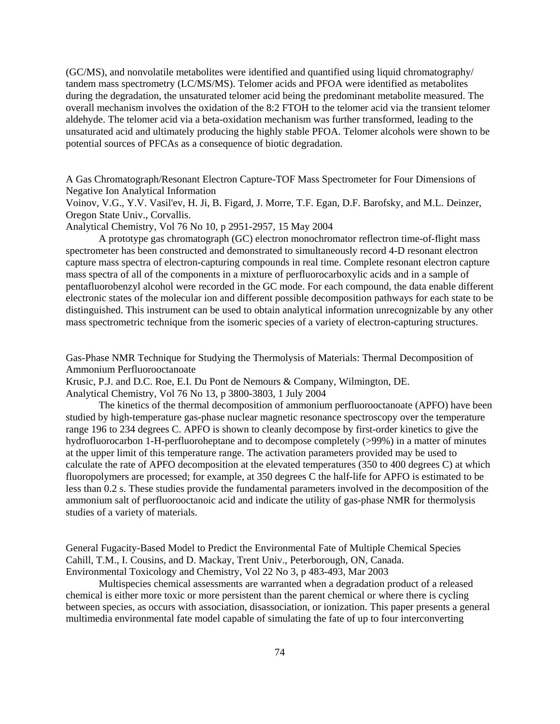(GC/MS), and nonvolatile metabolites were identified and quantified using liquid chromatography/ tandem mass spectrometry (LC/MS/MS). Telomer acids and PFOA were identified as metabolites during the degradation, the unsaturated telomer acid being the predominant metabolite measured. The overall mechanism involves the oxidation of the 8:2 FTOH to the telomer acid via the transient telomer aldehyde. The telomer acid via a beta-oxidation mechanism was further transformed, leading to the unsaturated acid and ultimately producing the highly stable PFOA. Telomer alcohols were shown to be potential sources of PFCAs as a consequence of biotic degradation.

A Gas Chromatograph/Resonant Electron Capture-TOF Mass Spectrometer for Four Dimensions of Negative Ion Analytical Information

Voinov, V.G., Y.V. Vasil'ev, H. Ji, B. Figard, J. Morre, T.F. Egan, D.F. Barofsky, and M.L. Deinzer, Oregon State Univ., Corvallis.

Analytical Chemistry, Vol 76 No 10, p 2951-2957, 15 May 2004

A prototype gas chromatograph (GC) electron monochromator reflectron time-of-flight mass spectrometer has been constructed and demonstrated to simultaneously record 4-D resonant electron capture mass spectra of electron-capturing compounds in real time. Complete resonant electron capture mass spectra of all of the components in a mixture of perfluorocarboxylic acids and in a sample of pentafluorobenzyl alcohol were recorded in the GC mode. For each compound, the data enable different electronic states of the molecular ion and different possible decomposition pathways for each state to be distinguished. This instrument can be used to obtain analytical information unrecognizable by any other mass spectrometric technique from the isomeric species of a variety of electron-capturing structures.

Gas-Phase NMR Technique for Studying the Thermolysis of Materials: Thermal Decomposition of Ammonium Perfluorooctanoate

Krusic, P.J. and D.C. Roe, E.I. Du Pont de Nemours & Company, Wilmington, DE.

Analytical Chemistry, Vol 76 No 13, p 3800-3803, 1 July 2004

The kinetics of the thermal decomposition of ammonium perfluorooctanoate (APFO) have been studied by high-temperature gas-phase nuclear magnetic resonance spectroscopy over the temperature range 196 to 234 degrees C. APFO is shown to cleanly decompose by first-order kinetics to give the hydrofluorocarbon 1-H-perfluoroheptane and to decompose completely (>99%) in a matter of minutes at the upper limit of this temperature range. The activation parameters provided may be used to calculate the rate of APFO decomposition at the elevated temperatures (350 to 400 degrees C) at which fluoropolymers are processed; for example, at 350 degrees C the half-life for APFO is estimated to be less than 0.2 s. These studies provide the fundamental parameters involved in the decomposition of the ammonium salt of perfluorooctanoic acid and indicate the utility of gas-phase NMR for thermolysis studies of a variety of materials.

General Fugacity-Based Model to Predict the Environmental Fate of Multiple Chemical Species Cahill, T.M., I. Cousins, and D. Mackay, Trent Univ., Peterborough, ON, Canada. Environmental Toxicology and Chemistry, Vol 22 No 3, p 483-493, Mar 2003

Multispecies chemical assessments are warranted when a degradation product of a released chemical is either more toxic or more persistent than the parent chemical or where there is cycling between species, as occurs with association, disassociation, or ionization. This paper presents a general multimedia environmental fate model capable of simulating the fate of up to four interconverting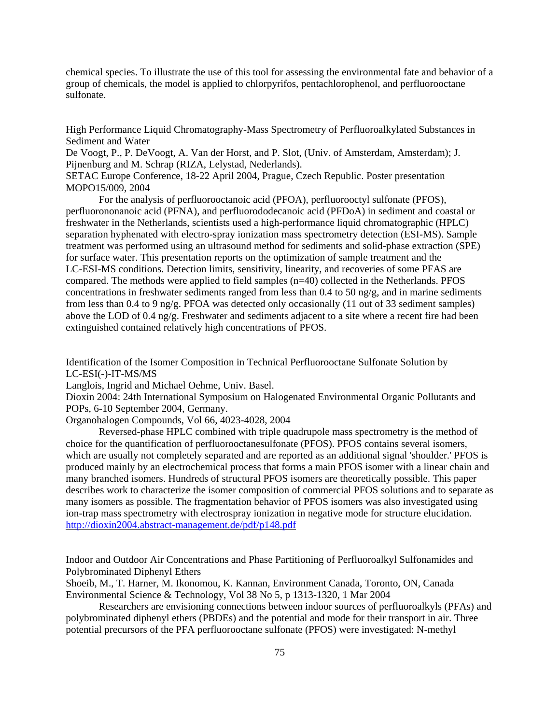chemical species. To illustrate the use of this tool for assessing the environmental fate and behavior of a group of chemicals, the model is applied to chlorpyrifos, pentachlorophenol, and perfluorooctane sulfonate.

High Performance Liquid Chromatography-Mass Spectrometry of Perfluoroalkylated Substances in Sediment and Water

De Voogt, P., P. DeVoogt, A. Van der Horst, and P. Slot, (Univ. of Amsterdam, Amsterdam); J. Pijnenburg and M. Schrap (RIZA, Lelystad, Nederlands).

SETAC Europe Conference, 18-22 April 2004, Prague, Czech Republic. Poster presentation MOPO15/009, 2004

For the analysis of perfluorooctanoic acid (PFOA), perfluorooctyl sulfonate (PFOS), perfluorononanoic acid (PFNA), and perfluorododecanoic acid (PFDoA) in sediment and coastal or freshwater in the Netherlands, scientists used a high-performance liquid chromatographic (HPLC) separation hyphenated with electro-spray ionization mass spectrometry detection (ESI-MS). Sample treatment was performed using an ultrasound method for sediments and solid-phase extraction (SPE) for surface water. This presentation reports on the optimization of sample treatment and the LC-ESI-MS conditions. Detection limits, sensitivity, linearity, and recoveries of some PFAS are compared. The methods were applied to field samples (n=40) collected in the Netherlands. PFOS concentrations in freshwater sediments ranged from less than  $0.4$  to  $50$  ng/g, and in marine sediments from less than 0.4 to 9 ng/g. PFOA was detected only occasionally (11 out of 33 sediment samples) above the LOD of  $0.4 \text{ ng/g}$ . Freshwater and sediments adjacent to a site where a recent fire had been extinguished contained relatively high concentrations of PFOS.

Identification of the Isomer Composition in Technical Perfluorooctane Sulfonate Solution by LC-ESI(-)-IT-MS/MS

Langlois, Ingrid and Michael Oehme, Univ. Basel.

Dioxin 2004: 24th International Symposium on Halogenated Environmental Organic Pollutants and POPs, 6-10 September 2004, Germany.

Organohalogen Compounds, Vol 66, 4023-4028, 2004

Reversed-phase HPLC combined with triple quadrupole mass spectrometry is the method of choice for the quantification of perfluorooctanesulfonate (PFOS). PFOS contains several isomers, which are usually not completely separated and are reported as an additional signal 'shoulder.' PFOS is produced mainly by an electrochemical process that forms a main PFOS isomer with a linear chain and many branched isomers. Hundreds of structural PFOS isomers are theoretically possible. This paper describes work to characterize the isomer composition of commercial PFOS solutions and to separate as many isomers as possible. The fragmentation behavior of PFOS isomers was also investigated using ion-trap mass spectrometry with electrospray ionization in negative mode for structure elucidation. <http://dioxin2004.abstract-management.de/pdf/p148.pdf>

Indoor and Outdoor Air Concentrations and Phase Partitioning of Perfluoroalkyl Sulfonamides and Polybrominated Diphenyl Ethers

Shoeib, M., T. Harner, M. Ikonomou, K. Kannan, Environment Canada, Toronto, ON, Canada Environmental Science & Technology, Vol 38 No 5, p 1313-1320, 1 Mar 2004

Researchers are envisioning connections between indoor sources of perfluoroalkyls (PFAs) and polybrominated diphenyl ethers (PBDEs) and the potential and mode for their transport in air. Three potential precursors of the PFA perfluorooctane sulfonate (PFOS) were investigated: N-methyl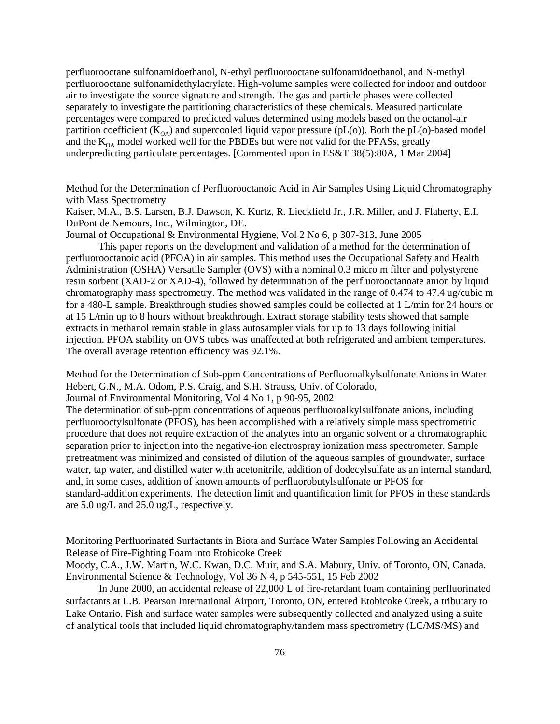perfluorooctane sulfonamidoethanol, N-ethyl perfluorooctane sulfonamidoethanol, and N-methyl perfluorooctane sulfonamidethylacrylate. High-volume samples were collected for indoor and outdoor air to investigate the source signature and strength. The gas and particle phases were collected separately to investigate the partitioning characteristics of these chemicals. Measured particulate percentages were compared to predicted values determined using models based on the octanol-air partition coefficient  $(K<sub>OA</sub>)$  and supercooled liquid vapor pressure (pL(o)). Both the pL(o)-based model and the  $K_{OA}$  model worked well for the PBDEs but were not valid for the PFASs, greatly underpredicting particulate percentages. [Commented upon in ES&T 38(5):80A, 1 Mar 2004]

Method for the Determination of Perfluorooctanoic Acid in Air Samples Using Liquid Chromatography with Mass Spectrometry

Kaiser, M.A., B.S. Larsen, B.J. Dawson, K. Kurtz, R. Lieckfield Jr., J.R. Miller, and J. Flaherty, E.I. DuPont de Nemours, Inc., Wilmington, DE.

Journal of Occupational & Environmental Hygiene, Vol 2 No 6, p 307-313, June 2005

This paper reports on the development and validation of a method for the determination of perfluorooctanoic acid (PFOA) in air samples. This method uses the Occupational Safety and Health Administration (OSHA) Versatile Sampler (OVS) with a nominal 0.3 micro m filter and polystyrene resin sorbent (XAD-2 or XAD-4), followed by determination of the perfluorooctanoate anion by liquid chromatography mass spectrometry. The method was validated in the range of 0.474 to 47.4 ug/cubic m for a 480-L sample. Breakthrough studies showed samples could be collected at 1 L/min for 24 hours or at 15 L/min up to 8 hours without breakthrough. Extract storage stability tests showed that sample extracts in methanol remain stable in glass autosampler vials for up to 13 days following initial injection. PFOA stability on OVS tubes was unaffected at both refrigerated and ambient temperatures. The overall average retention efficiency was 92.1%.

Method for the Determination of Sub-ppm Concentrations of Perfluoroalkylsulfonate Anions in Water Hebert, G.N., M.A. Odom, P.S. Craig, and S.H. Strauss, Univ. of Colorado,

Journal of Environmental Monitoring, Vol 4 No 1, p 90-95, 2002

The determination of sub-ppm concentrations of aqueous perfluoroalkylsulfonate anions, including perfluorooctylsulfonate (PFOS), has been accomplished with a relatively simple mass spectrometric procedure that does not require extraction of the analytes into an organic solvent or a chromatographic separation prior to injection into the negative-ion electrospray ionization mass spectrometer. Sample pretreatment was minimized and consisted of dilution of the aqueous samples of groundwater, surface water, tap water, and distilled water with acetonitrile, addition of dodecylsulfate as an internal standard, and, in some cases, addition of known amounts of perfluorobutylsulfonate or PFOS for standard-addition experiments. The detection limit and quantification limit for PFOS in these standards are 5.0 ug/L and 25.0 ug/L, respectively.

Monitoring Perfluorinated Surfactants in Biota and Surface Water Samples Following an Accidental Release of Fire-Fighting Foam into Etobicoke Creek

Moody, C.A., J.W. Martin, W.C. Kwan, D.C. Muir, and S.A. Mabury, Univ. of Toronto, ON, Canada. Environmental Science & Technology, Vol 36 N 4, p 545-551, 15 Feb 2002

In June 2000, an accidental release of 22,000 L of fire-retardant foam containing perfluorinated surfactants at L.B. Pearson International Airport, Toronto, ON, entered Etobicoke Creek, a tributary to Lake Ontario. Fish and surface water samples were subsequently collected and analyzed using a suite of analytical tools that included liquid chromatography/tandem mass spectrometry (LC/MS/MS) and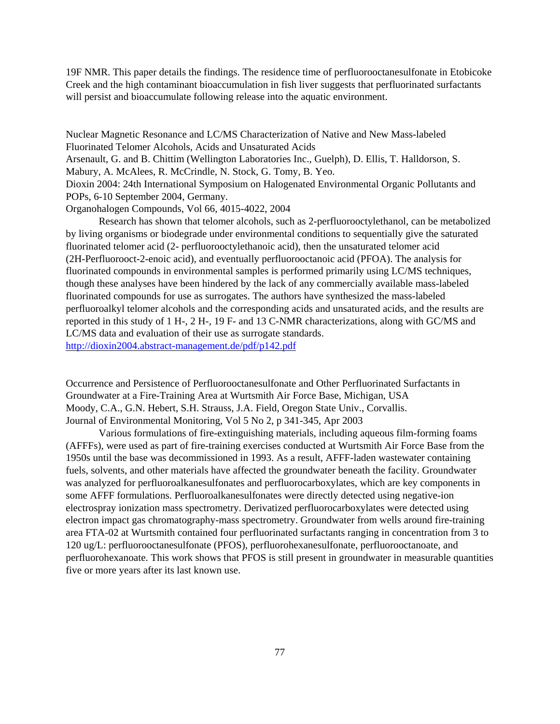19F NMR. This paper details the findings. The residence time of perfluorooctanesulfonate in Etobicoke Creek and the high contaminant bioaccumulation in fish liver suggests that perfluorinated surfactants will persist and bioaccumulate following release into the aquatic environment.

Nuclear Magnetic Resonance and LC/MS Characterization of Native and New Mass-labeled Fluorinated Telomer Alcohols, Acids and Unsaturated Acids

Arsenault, G. and B. Chittim (Wellington Laboratories Inc., Guelph), D. Ellis, T. Halldorson, S. Mabury, A. McAlees, R. McCrindle, N. Stock, G. Tomy, B. Yeo.

Dioxin 2004: 24th International Symposium on Halogenated Environmental Organic Pollutants and POPs, 6-10 September 2004, Germany.

Organohalogen Compounds, Vol 66, 4015-4022, 2004

Research has shown that telomer alcohols, such as 2-perfluorooctylethanol, can be metabolized by living organisms or biodegrade under environmental conditions to sequentially give the saturated fluorinated telomer acid (2- perfluorooctylethanoic acid), then the unsaturated telomer acid (2H-Perfluorooct-2-enoic acid), and eventually perfluorooctanoic acid (PFOA). The analysis for fluorinated compounds in environmental samples is performed primarily using LC/MS techniques, though these analyses have been hindered by the lack of any commercially available mass-labeled fluorinated compounds for use as surrogates. The authors have synthesized the mass-labeled perfluoroalkyl telomer alcohols and the corresponding acids and unsaturated acids, and the results are reported in this study of 1 H-, 2 H-, 19 F- and 13 C-NMR characterizations, along with GC/MS and LC/MS data and evaluation of their use as surrogate standards. <http://dioxin2004.abstract-management.de/pdf/p142.pdf>

Occurrence and Persistence of Perfluorooctanesulfonate and Other Perfluorinated Surfactants in Groundwater at a Fire-Training Area at Wurtsmith Air Force Base, Michigan, USA Moody, C.A., G.N. Hebert, S.H. Strauss, J.A. Field, Oregon State Univ., Corvallis. Journal of Environmental Monitoring, Vol 5 No 2, p 341-345, Apr 2003

Various formulations of fire-extinguishing materials, including aqueous film-forming foams (AFFFs), were used as part of fire-training exercises conducted at Wurtsmith Air Force Base from the 1950s until the base was decommissioned in 1993. As a result, AFFF-laden wastewater containing fuels, solvents, and other materials have affected the groundwater beneath the facility. Groundwater was analyzed for perfluoroalkanesulfonates and perfluorocarboxylates, which are key components in some AFFF formulations. Perfluoroalkanesulfonates were directly detected using negative-ion electrospray ionization mass spectrometry. Derivatized perfluorocarboxylates were detected using electron impact gas chromatography-mass spectrometry. Groundwater from wells around fire-training area FTA-02 at Wurtsmith contained four perfluorinated surfactants ranging in concentration from 3 to 120 ug/L: perfluorooctanesulfonate (PFOS), perfluorohexanesulfonate, perfluorooctanoate, and perfluorohexanoate. This work shows that PFOS is still present in groundwater in measurable quantities five or more years after its last known use.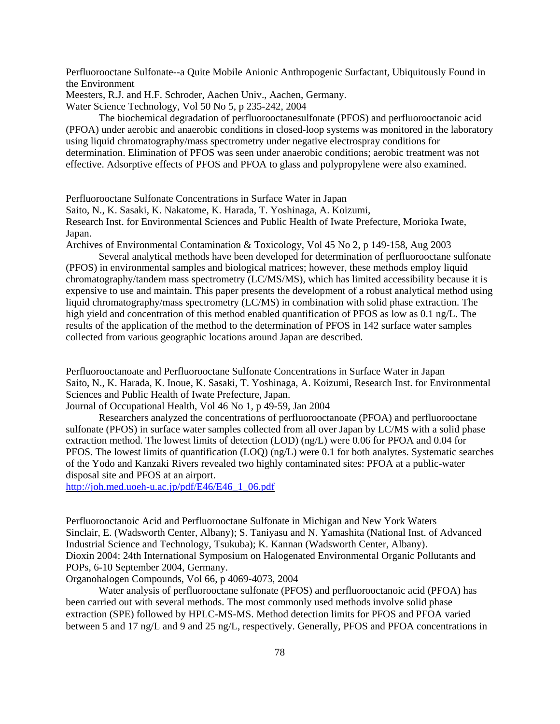Perfluorooctane Sulfonate--a Quite Mobile Anionic Anthropogenic Surfactant, Ubiquitously Found in the Environment

Meesters, R.J. and H.F. Schroder, Aachen Univ., Aachen, Germany.

Water Science Technology, Vol 50 No 5, p 235-242, 2004

The biochemical degradation of perfluorooctanesulfonate (PFOS) and perfluorooctanoic acid (PFOA) under aerobic and anaerobic conditions in closed-loop systems was monitored in the laboratory using liquid chromatography/mass spectrometry under negative electrospray conditions for determination. Elimination of PFOS was seen under anaerobic conditions; aerobic treatment was not effective. Adsorptive effects of PFOS and PFOA to glass and polypropylene were also examined.

Perfluorooctane Sulfonate Concentrations in Surface Water in Japan

Saito, N., K. Sasaki, K. Nakatome, K. Harada, T. Yoshinaga, A. Koizumi,

Research Inst. for Environmental Sciences and Public Health of Iwate Prefecture, Morioka Iwate, Japan.

Archives of Environmental Contamination & Toxicology, Vol 45 No 2, p 149-158, Aug 2003

Several analytical methods have been developed for determination of perfluorooctane sulfonate (PFOS) in environmental samples and biological matrices; however, these methods employ liquid chromatography/tandem mass spectrometry (LC/MS/MS), which has limited accessibility because it is expensive to use and maintain. This paper presents the development of a robust analytical method using liquid chromatography/mass spectrometry (LC/MS) in combination with solid phase extraction. The high yield and concentration of this method enabled quantification of PFOS as low as 0.1 ng/L. The results of the application of the method to the determination of PFOS in 142 surface water samples collected from various geographic locations around Japan are described.

Perfluorooctanoate and Perfluorooctane Sulfonate Concentrations in Surface Water in Japan Saito, N., K. Harada, K. Inoue, K. Sasaki, T. Yoshinaga, A. Koizumi, Research Inst. for Environmental Sciences and Public Health of Iwate Prefecture, Japan.

Journal of Occupational Health, Vol 46 No 1, p 49-59, Jan 2004

Researchers analyzed the concentrations of perfluorooctanoate (PFOA) and perfluorooctane sulfonate (PFOS) in surface water samples collected from all over Japan by LC/MS with a solid phase extraction method. The lowest limits of detection (LOD) (ng/L) were 0.06 for PFOA and 0.04 for PFOS. The lowest limits of quantification (LOQ) (ng/L) were 0.1 for both analytes. Systematic searches of the Yodo and Kanzaki Rivers revealed two highly contaminated sites: PFOA at a public-water disposal site and PFOS at an airport.

[http://joh.med.uoeh-u.ac.jp/pdf/E46/E46\\_1\\_06.pdf](http://joh.med.uoeh-u.ac.jp/pdf/E46/E46_1_06.pdf)

Perfluorooctanoic Acid and Perfluorooctane Sulfonate in Michigan and New York Waters Sinclair, E. (Wadsworth Center, Albany); S. Taniyasu and N. Yamashita (National Inst. of Advanced Industrial Science and Technology, Tsukuba); K. Kannan (Wadsworth Center, Albany). Dioxin 2004: 24th International Symposium on Halogenated Environmental Organic Pollutants and POPs, 6-10 September 2004, Germany.

Organohalogen Compounds, Vol 66, p 4069-4073, 2004

Water analysis of perfluorooctane sulfonate (PFOS) and perfluorooctanoic acid (PFOA) has been carried out with several methods. The most commonly used methods involve solid phase extraction (SPE) followed by HPLC-MS-MS. Method detection limits for PFOS and PFOA varied between 5 and 17 ng/L and 9 and 25 ng/L, respectively. Generally, PFOS and PFOA concentrations in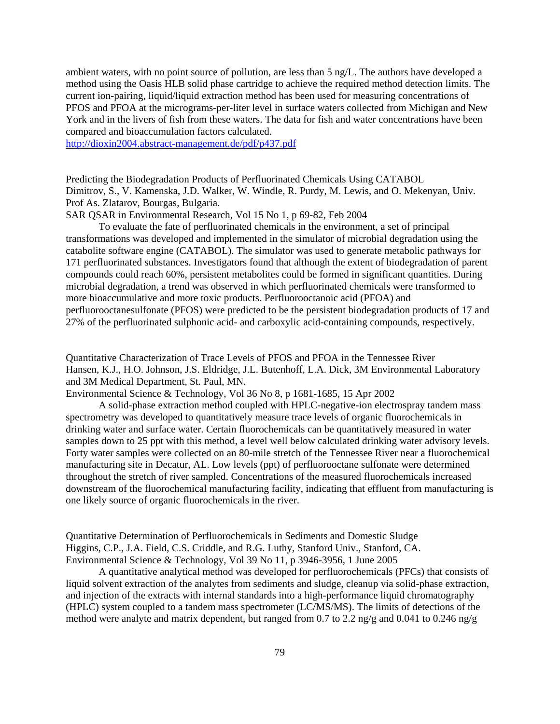ambient waters, with no point source of pollution, are less than 5 ng/L. The authors have developed a method using the Oasis HLB solid phase cartridge to achieve the required method detection limits. The current ion-pairing, liquid/liquid extraction method has been used for measuring concentrations of PFOS and PFOA at the micrograms-per-liter level in surface waters collected from Michigan and New York and in the livers of fish from these waters. The data for fish and water concentrations have been compared and bioaccumulation factors calculated.

<http://dioxin2004.abstract-management.de/pdf/p437.pdf>

Predicting the Biodegradation Products of Perfluorinated Chemicals Using CATABOL Dimitrov, S., V. Kamenska, J.D. Walker, W. Windle, R. Purdy, M. Lewis, and O. Mekenyan, Univ. Prof As. Zlatarov, Bourgas, Bulgaria.

SAR QSAR in Environmental Research, Vol 15 No 1, p 69-82, Feb 2004

To evaluate the fate of perfluorinated chemicals in the environment, a set of principal transformations was developed and implemented in the simulator of microbial degradation using the catabolite software engine (CATABOL). The simulator was used to generate metabolic pathways for 171 perfluorinated substances. Investigators found that although the extent of biodegradation of parent compounds could reach 60%, persistent metabolites could be formed in significant quantities. During microbial degradation, a trend was observed in which perfluorinated chemicals were transformed to more bioaccumulative and more toxic products. Perfluorooctanoic acid (PFOA) and perfluorooctanesulfonate (PFOS) were predicted to be the persistent biodegradation products of 17 and 27% of the perfluorinated sulphonic acid- and carboxylic acid-containing compounds, respectively.

Quantitative Characterization of Trace Levels of PFOS and PFOA in the Tennessee River Hansen, K.J., H.O. Johnson, J.S. Eldridge, J.L. Butenhoff, L.A. Dick, 3M Environmental Laboratory and 3M Medical Department, St. Paul, MN.

Environmental Science & Technology, Vol 36 No 8, p 1681-1685, 15 Apr 2002

A solid-phase extraction method coupled with HPLC-negative-ion electrospray tandem mass spectrometry was developed to quantitatively measure trace levels of organic fluorochemicals in drinking water and surface water. Certain fluorochemicals can be quantitatively measured in water samples down to 25 ppt with this method, a level well below calculated drinking water advisory levels. Forty water samples were collected on an 80-mile stretch of the Tennessee River near a fluorochemical manufacturing site in Decatur, AL. Low levels (ppt) of perfluorooctane sulfonate were determined throughout the stretch of river sampled. Concentrations of the measured fluorochemicals increased downstream of the fluorochemical manufacturing facility, indicating that effluent from manufacturing is one likely source of organic fluorochemicals in the river.

Quantitative Determination of Perfluorochemicals in Sediments and Domestic Sludge Higgins, C.P., J.A. Field, C.S. Criddle, and R.G. Luthy, Stanford Univ., Stanford, CA. Environmental Science & Technology, Vol 39 No 11, p 3946-3956, 1 June 2005

A quantitative analytical method was developed for perfluorochemicals (PFCs) that consists of liquid solvent extraction of the analytes from sediments and sludge, cleanup via solid-phase extraction, and injection of the extracts with internal standards into a high-performance liquid chromatography (HPLC) system coupled to a tandem mass spectrometer (LC/MS/MS). The limits of detections of the method were analyte and matrix dependent, but ranged from 0.7 to 2.2 ng/g and 0.041 to 0.246 ng/g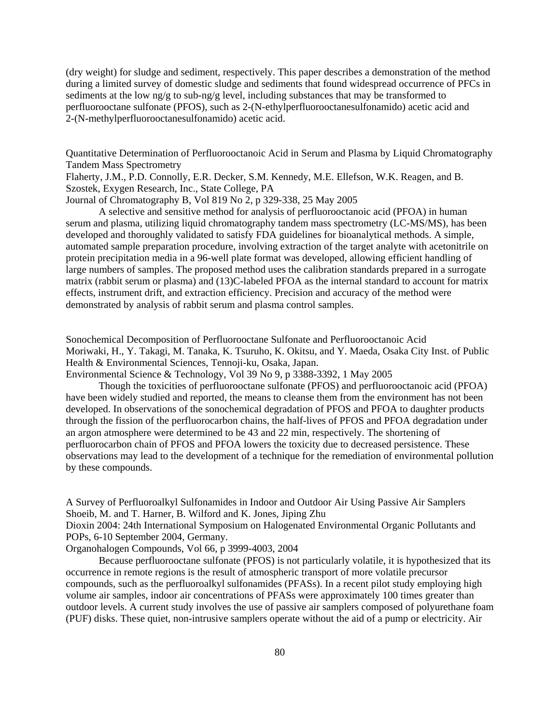(dry weight) for sludge and sediment, respectively. This paper describes a demonstration of the method during a limited survey of domestic sludge and sediments that found widespread occurrence of PFCs in sediments at the low ng/g to sub-ng/g level, including substances that may be transformed to perfluorooctane sulfonate (PFOS), such as 2-(N-ethylperfluorooctanesulfonamido) acetic acid and 2-(N-methylperfluorooctanesulfonamido) acetic acid.

Quantitative Determination of Perfluorooctanoic Acid in Serum and Plasma by Liquid Chromatography Tandem Mass Spectrometry

Flaherty, J.M., P.D. Connolly, E.R. Decker, S.M. Kennedy, M.E. Ellefson, W.K. Reagen, and B. Szostek, Exygen Research, Inc., State College, PA

Journal of Chromatography B, Vol 819 No 2, p 329-338, 25 May 2005

A selective and sensitive method for analysis of perfluorooctanoic acid (PFOA) in human serum and plasma, utilizing liquid chromatography tandem mass spectrometry (LC-MS/MS), has been developed and thoroughly validated to satisfy FDA guidelines for bioanalytical methods. A simple, automated sample preparation procedure, involving extraction of the target analyte with acetonitrile on protein precipitation media in a 96-well plate format was developed, allowing efficient handling of large numbers of samples. The proposed method uses the calibration standards prepared in a surrogate matrix (rabbit serum or plasma) and (13)C-labeled PFOA as the internal standard to account for matrix effects, instrument drift, and extraction efficiency. Precision and accuracy of the method were demonstrated by analysis of rabbit serum and plasma control samples.

Sonochemical Decomposition of Perfluorooctane Sulfonate and Perfluorooctanoic Acid Moriwaki, H., Y. Takagi, M. Tanaka, K. Tsuruho, K. Okitsu, and Y. Maeda, Osaka City Inst. of Public Health & Environmental Sciences, Tennoji-ku, Osaka, Japan.

Environmental Science & Technology, Vol 39 No 9, p 3388-3392, 1 May 2005

Though the toxicities of perfluorooctane sulfonate (PFOS) and perfluorooctanoic acid (PFOA) have been widely studied and reported, the means to cleanse them from the environment has not been developed. In observations of the sonochemical degradation of PFOS and PFOA to daughter products through the fission of the perfluorocarbon chains, the half-lives of PFOS and PFOA degradation under an argon atmosphere were determined to be 43 and 22 min, respectively. The shortening of perfluorocarbon chain of PFOS and PFOA lowers the toxicity due to decreased persistence. These observations may lead to the development of a technique for the remediation of environmental pollution by these compounds.

A Survey of Perfluoroalkyl Sulfonamides in Indoor and Outdoor Air Using Passive Air Samplers Shoeib, M. and T. Harner, B. Wilford and K. Jones, Jiping Zhu Dioxin 2004: 24th International Symposium on Halogenated Environmental Organic Pollutants and POPs, 6-10 September 2004, Germany.

Organohalogen Compounds, Vol 66, p 3999-4003, 2004

Because perfluorooctane sulfonate (PFOS) is not particularly volatile, it is hypothesized that its occurrence in remote regions is the result of atmospheric transport of more volatile precursor compounds, such as the perfluoroalkyl sulfonamides (PFASs). In a recent pilot study employing high volume air samples, indoor air concentrations of PFASs were approximately 100 times greater than outdoor levels. A current study involves the use of passive air samplers composed of polyurethane foam (PUF) disks. These quiet, non-intrusive samplers operate without the aid of a pump or electricity. Air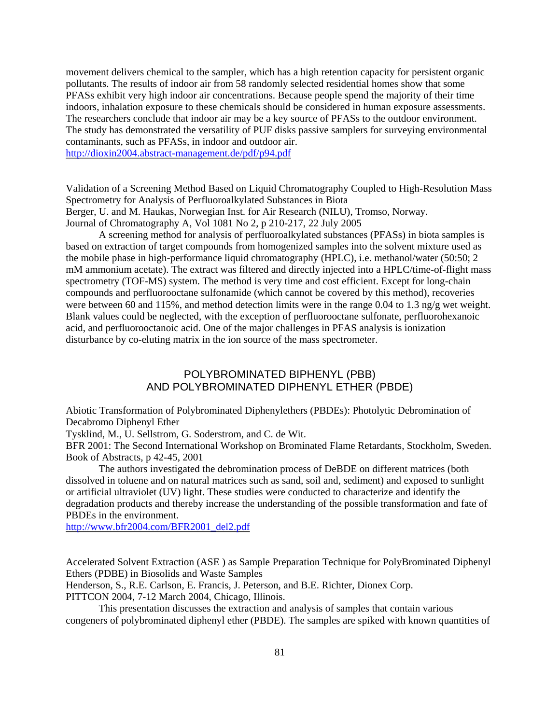movement delivers chemical to the sampler, which has a high retention capacity for persistent organic pollutants. The results of indoor air from 58 randomly selected residential homes show that some PFASs exhibit very high indoor air concentrations. Because people spend the majority of their time indoors, inhalation exposure to these chemicals should be considered in human exposure assessments. The researchers conclude that indoor air may be a key source of PFASs to the outdoor environment. The study has demonstrated the versatility of PUF disks passive samplers for surveying environmental contaminants, such as PFASs, in indoor and outdoor air.

<http://dioxin2004.abstract-management.de/pdf/p94.pdf>

Validation of a Screening Method Based on Liquid Chromatography Coupled to High-Resolution Mass Spectrometry for Analysis of Perfluoroalkylated Substances in Biota Berger, U. and M. Haukas, Norwegian Inst. for Air Research (NILU), Tromso, Norway. Journal of Chromatography A, Vol 1081 No 2, p 210-217, 22 July 2005

A screening method for analysis of perfluoroalkylated substances (PFASs) in biota samples is based on extraction of target compounds from homogenized samples into the solvent mixture used as the mobile phase in high-performance liquid chromatography (HPLC), i.e. methanol/water (50:50; 2 mM ammonium acetate). The extract was filtered and directly injected into a HPLC/time-of-flight mass spectrometry (TOF-MS) system. The method is very time and cost efficient. Except for long-chain compounds and perfluorooctane sulfonamide (which cannot be covered by this method), recoveries were between 60 and 115%, and method detection limits were in the range 0.04 to 1.3 ng/g wet weight. Blank values could be neglected, with the exception of perfluorooctane sulfonate, perfluorohexanoic acid, and perfluorooctanoic acid. One of the major challenges in PFAS analysis is ionization disturbance by co-eluting matrix in the ion source of the mass spectrometer.

## POLYBROMINATED BIPHENYL (PBB) AND POLYBROMINATED DIPHENYL ETHER (PBDE)

Abiotic Transformation of Polybrominated Diphenylethers (PBDEs): Photolytic Debromination of Decabromo Diphenyl Ether

Tysklind, M., U. Sellstrom, G. Soderstrom, and C. de Wit.

BFR 2001: The Second International Workshop on Brominated Flame Retardants, Stockholm, Sweden. Book of Abstracts, p 42-45, 2001

The authors investigated the debromination process of DeBDE on different matrices (both dissolved in toluene and on natural matrices such as sand, soil and, sediment) and exposed to sunlight or artificial ultraviolet (UV) light. These studies were conducted to characterize and identify the degradation products and thereby increase the understanding of the possible transformation and fate of PBDEs in the environment.

[http://www.bfr2004.com/BFR2001\\_del2.pdf](http://www.bfr2004.com/BFR2001_del2.pdf)

Accelerated Solvent Extraction (ASE ) as Sample Preparation Technique for PolyBrominated Diphenyl Ethers (PDBE) in Biosolids and Waste Samples

Henderson, S., R.E. Carlson, E. Francis, J. Peterson, and B.E. Richter, Dionex Corp.

PITTCON 2004, 7-12 March 2004, Chicago, Illinois.

This presentation discusses the extraction and analysis of samples that contain various congeners of polybrominated diphenyl ether (PBDE). The samples are spiked with known quantities of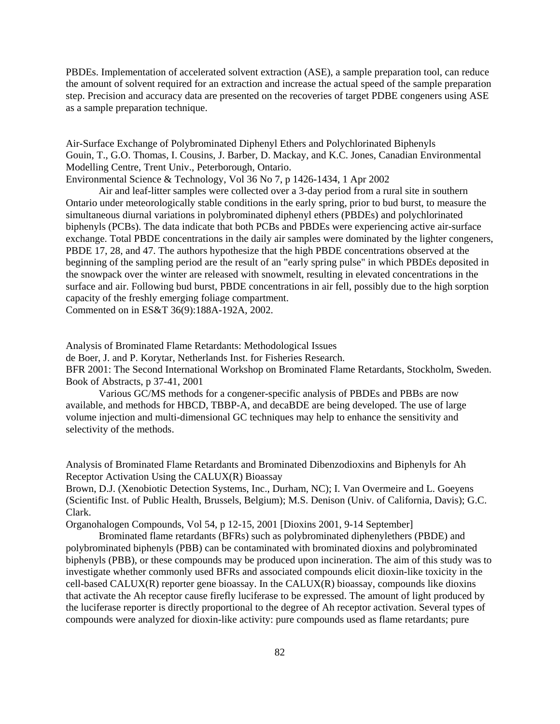PBDEs. Implementation of accelerated solvent extraction (ASE), a sample preparation tool, can reduce the amount of solvent required for an extraction and increase the actual speed of the sample preparation step. Precision and accuracy data are presented on the recoveries of target PDBE congeners using ASE as a sample preparation technique.

Air-Surface Exchange of Polybrominated Diphenyl Ethers and Polychlorinated Biphenyls Gouin, T., G.O. Thomas, I. Cousins, J. Barber, D. Mackay, and K.C. Jones, Canadian Environmental Modelling Centre, Trent Univ., Peterborough, Ontario.

Environmental Science & Technology, Vol 36 No 7, p 1426-1434, 1 Apr 2002

Air and leaf-litter samples were collected over a 3-day period from a rural site in southern Ontario under meteorologically stable conditions in the early spring, prior to bud burst, to measure the simultaneous diurnal variations in polybrominated diphenyl ethers (PBDEs) and polychlorinated biphenyls (PCBs). The data indicate that both PCBs and PBDEs were experiencing active air-surface exchange. Total PBDE concentrations in the daily air samples were dominated by the lighter congeners, PBDE 17, 28, and 47. The authors hypothesize that the high PBDE concentrations observed at the beginning of the sampling period are the result of an "early spring pulse" in which PBDEs deposited in the snowpack over the winter are released with snowmelt, resulting in elevated concentrations in the surface and air. Following bud burst, PBDE concentrations in air fell, possibly due to the high sorption capacity of the freshly emerging foliage compartment. Commented on in ES&T 36(9):188A-192A, 2002.

Analysis of Brominated Flame Retardants: Methodological Issues

de Boer, J. and P. Korytar, Netherlands Inst. for Fisheries Research.

BFR 2001: The Second International Workshop on Brominated Flame Retardants, Stockholm, Sweden. Book of Abstracts, p 37-41, 2001

Various GC/MS methods for a congener-specific analysis of PBDEs and PBBs are now available, and methods for HBCD, TBBP-A, and decaBDE are being developed. The use of large volume injection and multi-dimensional GC techniques may help to enhance the sensitivity and selectivity of the methods.

Analysis of Brominated Flame Retardants and Brominated Dibenzodioxins and Biphenyls for Ah Receptor Activation Using the CALUX(R) Bioassay

Brown, D.J. (Xenobiotic Detection Systems, Inc., Durham, NC); I. Van Overmeire and L. Goeyens (Scientific Inst. of Public Health, Brussels, Belgium); M.S. Denison (Univ. of California, Davis); G.C. Clark.

Organohalogen Compounds, Vol 54, p 12-15, 2001 [Dioxins 2001, 9-14 September]

Brominated flame retardants (BFRs) such as polybrominated diphenylethers (PBDE) and polybrominated biphenyls (PBB) can be contaminated with brominated dioxins and polybrominated biphenyls (PBB), or these compounds may be produced upon incineration. The aim of this study was to investigate whether commonly used BFRs and associated compounds elicit dioxin-like toxicity in the cell-based CALUX(R) reporter gene bioassay. In the CALUX(R) bioassay, compounds like dioxins that activate the Ah receptor cause firefly luciferase to be expressed. The amount of light produced by the luciferase reporter is directly proportional to the degree of Ah receptor activation. Several types of compounds were analyzed for dioxin-like activity: pure compounds used as flame retardants; pure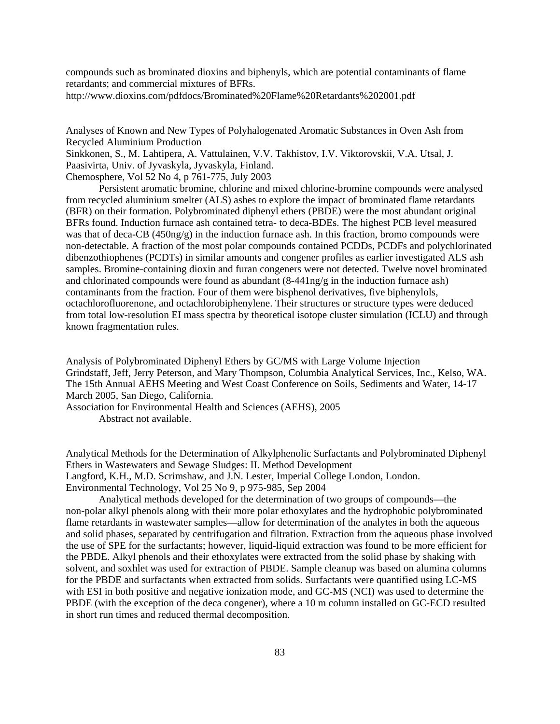compounds such as brominated dioxins and biphenyls, which are potential contaminants of flame retardants; and commercial mixtures of BFRs.

<http://www.dioxins.com/pdfdocs/Brominated%20Flame%20Retardants%202001.pdf>

Analyses of Known and New Types of Polyhalogenated Aromatic Substances in Oven Ash from Recycled Aluminium Production

Sinkkonen, S., M. Lahtipera, A. Vattulainen, V.V. Takhistov, I.V. Viktorovskii, V.A. Utsal, J. Paasivirta, Univ. of Jyvaskyla, Jyvaskyla, Finland.

Chemosphere, Vol 52 No 4, p 761-775, July 2003

Persistent aromatic bromine, chlorine and mixed chlorine-bromine compounds were analysed from recycled aluminium smelter (ALS) ashes to explore the impact of brominated flame retardants (BFR) on their formation. Polybrominated diphenyl ethers (PBDE) were the most abundant original BFRs found. Induction furnace ash contained tetra- to deca-BDEs. The highest PCB level measured was that of deca-CB (450ng/g) in the induction furnace ash. In this fraction, bromo compounds were non-detectable. A fraction of the most polar compounds contained PCDDs, PCDFs and polychlorinated dibenzothiophenes (PCDTs) in similar amounts and congener profiles as earlier investigated ALS ash samples. Bromine-containing dioxin and furan congeners were not detected. Twelve novel brominated and chlorinated compounds were found as abundant  $(8-441n)g/g$  in the induction furnace ash) contaminants from the fraction. Four of them were bisphenol derivatives, five biphenylols, octachlorofluorenone, and octachlorobiphenylene. Their structures or structure types were deduced from total low-resolution EI mass spectra by theoretical isotope cluster simulation (ICLU) and through known fragmentation rules.

Analysis of Polybrominated Diphenyl Ethers by GC/MS with Large Volume Injection Grindstaff, Jeff, Jerry Peterson, and Mary Thompson, Columbia Analytical Services, Inc., Kelso, WA. The 15th Annual AEHS Meeting and West Coast Conference on Soils, Sediments and Water, 14-17 March 2005, San Diego, California.

Association for Environmental Health and Sciences (AEHS), 2005 Abstract not available.

Analytical Methods for the Determination of Alkylphenolic Surfactants and Polybrominated Diphenyl Ethers in Wastewaters and Sewage Sludges: II. Method Development Langford, K.H., M.D. Scrimshaw, and J.N. Lester, Imperial College London, London. Environmental Technology, Vol 25 No 9, p 975-985, Sep 2004

Analytical methods developed for the determination of two groups of compounds—the non-polar alkyl phenols along with their more polar ethoxylates and the hydrophobic polybrominated flame retardants in wastewater samples—allow for determination of the analytes in both the aqueous and solid phases, separated by centrifugation and filtration. Extraction from the aqueous phase involved the use of SPE for the surfactants; however, liquid-liquid extraction was found to be more efficient for the PBDE. Alkyl phenols and their ethoxylates were extracted from the solid phase by shaking with solvent, and soxhlet was used for extraction of PBDE. Sample cleanup was based on alumina columns for the PBDE and surfactants when extracted from solids. Surfactants were quantified using LC-MS with ESI in both positive and negative ionization mode, and GC-MS (NCI) was used to determine the PBDE (with the exception of the deca congener), where a 10 m column installed on GC-ECD resulted in short run times and reduced thermal decomposition.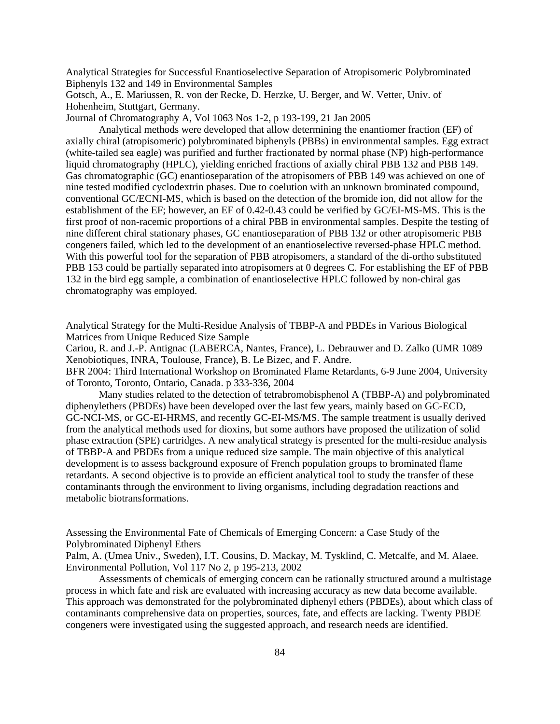Analytical Strategies for Successful Enantioselective Separation of Atropisomeric Polybrominated Biphenyls 132 and 149 in Environmental Samples

Gotsch, A., E. Mariussen, R. von der Recke, D. Herzke, U. Berger, and W. Vetter, Univ. of Hohenheim, Stuttgart, Germany.

Journal of Chromatography A, Vol 1063 Nos 1-2, p 193-199, 21 Jan 2005

Analytical methods were developed that allow determining the enantiomer fraction (EF) of axially chiral (atropisomeric) polybrominated biphenyls (PBBs) in environmental samples. Egg extract (white-tailed sea eagle) was purified and further fractionated by normal phase (NP) high-performance liquid chromatography (HPLC), yielding enriched fractions of axially chiral PBB 132 and PBB 149. Gas chromatographic (GC) enantioseparation of the atropisomers of PBB 149 was achieved on one of nine tested modified cyclodextrin phases. Due to coelution with an unknown brominated compound, conventional GC/ECNI-MS, which is based on the detection of the bromide ion, did not allow for the establishment of the EF; however, an EF of 0.42-0.43 could be verified by GC/EI-MS-MS. This is the first proof of non-racemic proportions of a chiral PBB in environmental samples. Despite the testing of nine different chiral stationary phases, GC enantioseparation of PBB 132 or other atropisomeric PBB congeners failed, which led to the development of an enantioselective reversed-phase HPLC method. With this powerful tool for the separation of PBB atropisomers, a standard of the di-ortho substituted PBB 153 could be partially separated into atropisomers at 0 degrees C. For establishing the EF of PBB 132 in the bird egg sample, a combination of enantioselective HPLC followed by non-chiral gas chromatography was employed.

Analytical Strategy for the Multi-Residue Analysis of TBBP-A and PBDEs in Various Biological Matrices from Unique Reduced Size Sample

Cariou, R. and J.-P. Antignac (LABERCA, Nantes, France), L. Debrauwer and D. Zalko (UMR 1089 Xenobiotiques, INRA, Toulouse, France), B. Le Bizec, and F. Andre. BFR 2004: Third International Workshop on Brominated Flame Retardants, 6-9 June 2004, University

of Toronto, Toronto, Ontario, Canada. p 333-336, 2004

Many studies related to the detection of tetrabromobisphenol A (TBBP-A) and polybrominated diphenylethers (PBDEs) have been developed over the last few years, mainly based on GC-ECD, GC-NCI-MS, or GC-EI-HRMS, and recently GC-EI-MS/MS. The sample treatment is usually derived from the analytical methods used for dioxins, but some authors have proposed the utilization of solid phase extraction (SPE) cartridges. A new analytical strategy is presented for the multi-residue analysis of TBBP-A and PBDEs from a unique reduced size sample. The main objective of this analytical development is to assess background exposure of French population groups to brominated flame retardants. A second objective is to provide an efficient analytical tool to study the transfer of these contaminants through the environment to living organisms, including degradation reactions and metabolic biotransformations.

Assessing the Environmental Fate of Chemicals of Emerging Concern: a Case Study of the Polybrominated Diphenyl Ethers

Palm, A. (Umea Univ., Sweden), I.T. Cousins, D. Mackay, M. Tysklind, C. Metcalfe, and M. Alaee. Environmental Pollution, Vol 117 No 2, p 195-213, 2002

Assessments of chemicals of emerging concern can be rationally structured around a multistage process in which fate and risk are evaluated with increasing accuracy as new data become available. This approach was demonstrated for the polybrominated diphenyl ethers (PBDEs), about which class of contaminants comprehensive data on properties, sources, fate, and effects are lacking. Twenty PBDE congeners were investigated using the suggested approach, and research needs are identified.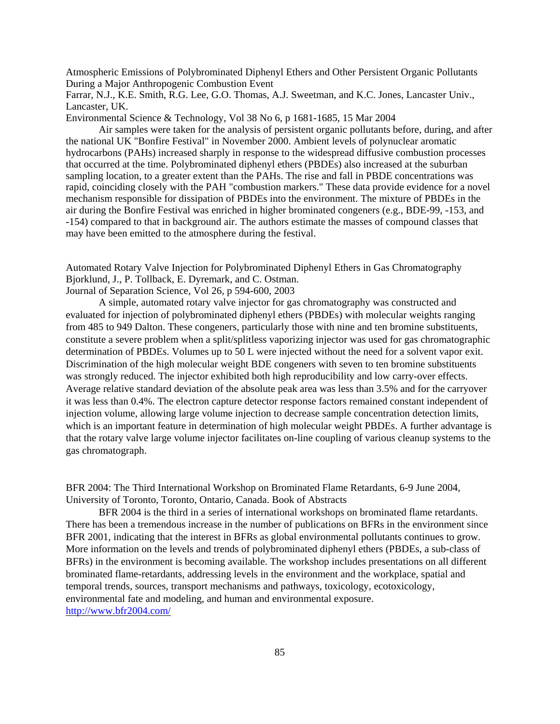Atmospheric Emissions of Polybrominated Diphenyl Ethers and Other Persistent Organic Pollutants During a Major Anthropogenic Combustion Event

Farrar, N.J., K.E. Smith, R.G. Lee, G.O. Thomas, A.J. Sweetman, and K.C. Jones, Lancaster Univ., Lancaster, UK.

Environmental Science & Technology, Vol 38 No 6, p 1681-1685, 15 Mar 2004

Air samples were taken for the analysis of persistent organic pollutants before, during, and after the national UK "Bonfire Festival" in November 2000. Ambient levels of polynuclear aromatic hydrocarbons (PAHs) increased sharply in response to the widespread diffusive combustion processes that occurred at the time. Polybrominated diphenyl ethers (PBDEs) also increased at the suburban sampling location, to a greater extent than the PAHs. The rise and fall in PBDE concentrations was rapid, coinciding closely with the PAH "combustion markers." These data provide evidence for a novel mechanism responsible for dissipation of PBDEs into the environment. The mixture of PBDEs in the air during the Bonfire Festival was enriched in higher brominated congeners (e.g., BDE-99, -153, and -154) compared to that in background air. The authors estimate the masses of compound classes that may have been emitted to the atmosphere during the festival.

Automated Rotary Valve Injection for Polybrominated Diphenyl Ethers in Gas Chromatography Bjorklund, J., P. Tollback, E. Dyremark, and C. Ostman.

Journal of Separation Science, Vol 26, p 594-600, 2003

A simple, automated rotary valve injector for gas chromatography was constructed and evaluated for injection of polybrominated diphenyl ethers (PBDEs) with molecular weights ranging from 485 to 949 Dalton. These congeners, particularly those with nine and ten bromine substituents, constitute a severe problem when a split/splitless vaporizing injector was used for gas chromatographic determination of PBDEs. Volumes up to 50 L were injected without the need for a solvent vapor exit. Discrimination of the high molecular weight BDE congeners with seven to ten bromine substituents was strongly reduced. The injector exhibited both high reproducibility and low carry-over effects. Average relative standard deviation of the absolute peak area was less than 3.5% and for the carryover it was less than 0.4%. The electron capture detector response factors remained constant independent of injection volume, allowing large volume injection to decrease sample concentration detection limits, which is an important feature in determination of high molecular weight PBDEs. A further advantage is that the rotary valve large volume injector facilitates on-line coupling of various cleanup systems to the gas chromatograph.

BFR 2004: The Third International Workshop on Brominated Flame Retardants, 6-9 June 2004, University of Toronto, Toronto, Ontario, Canada. Book of Abstracts

BFR 2004 is the third in a series of international workshops on brominated flame retardants. There has been a tremendous increase in the number of publications on BFRs in the environment since BFR 2001, indicating that the interest in BFRs as global environmental pollutants continues to grow. More information on the levels and trends of polybrominated diphenyl ethers (PBDEs, a sub-class of BFRs) in the environment is becoming available. The workshop includes presentations on all different brominated flame-retardants, addressing levels in the environment and the workplace, spatial and temporal trends, sources, transport mechanisms and pathways, toxicology, ecotoxicology, environmental fate and modeling, and human and environmental exposure. <http://www.bfr2004.com/>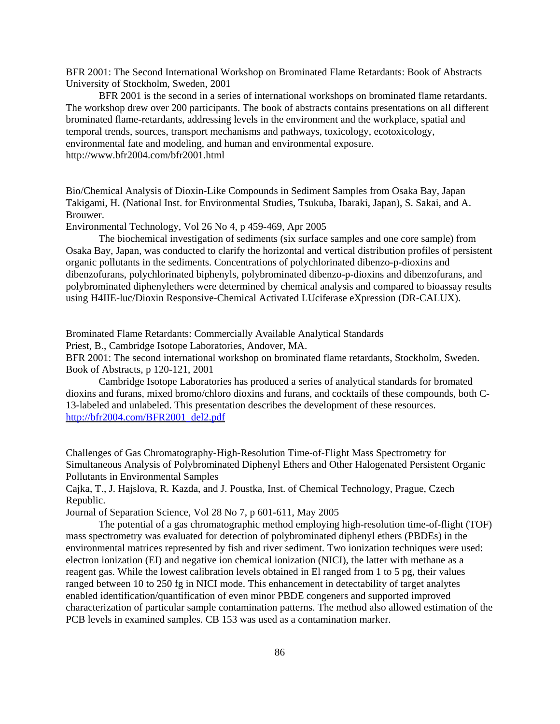BFR 2001: The Second International Workshop on Brominated Flame Retardants: Book of Abstracts University of Stockholm, Sweden, 2001

BFR 2001 is the second in a series of international workshops on brominated flame retardants. The workshop drew over 200 participants. The book of abstracts contains presentations on all different brominated flame-retardants, addressing levels in the environment and the workplace, spatial and temporal trends, sources, transport mechanisms and pathways, toxicology, ecotoxicology, environmental fate and modeling, and human and environmental exposure. <http://www.bfr2004.com/bfr2001.html>

Bio/Chemical Analysis of Dioxin-Like Compounds in Sediment Samples from Osaka Bay, Japan Takigami, H. (National Inst. for Environmental Studies, Tsukuba, Ibaraki, Japan), S. Sakai, and A. Brouwer.

Environmental Technology, Vol 26 No 4, p 459-469, Apr 2005

The biochemical investigation of sediments (six surface samples and one core sample) from Osaka Bay, Japan, was conducted to clarify the horizontal and vertical distribution profiles of persistent organic pollutants in the sediments. Concentrations of polychlorinated dibenzo-p-dioxins and dibenzofurans, polychlorinated biphenyls, polybrominated dibenzo-p-dioxins and dibenzofurans, and polybrominated diphenylethers were determined by chemical analysis and compared to bioassay results using H4IIE-luc/Dioxin Responsive-Chemical Activated LUciferase eXpression (DR-CALUX).

Brominated Flame Retardants: Commercially Available Analytical Standards Priest, B., Cambridge Isotope Laboratories, Andover, MA.

BFR 2001: The second international workshop on brominated flame retardants, Stockholm, Sweden. Book of Abstracts, p 120-121, 2001

Cambridge Isotope Laboratories has produced a series of analytical standards for bromated dioxins and furans, mixed bromo/chloro dioxins and furans, and cocktails of these compounds, both C-13-labeled and unlabeled. This presentation describes the development of these resources. [http://bfr2004.com/BFR2001\\_del2.pdf](http://bfr2004.com/BFR2001_del2.pdf)

Challenges of Gas Chromatography-High-Resolution Time-of-Flight Mass Spectrometry for Simultaneous Analysis of Polybrominated Diphenyl Ethers and Other Halogenated Persistent Organic Pollutants in Environmental Samples

Cajka, T., J. Hajslova, R. Kazda, and J. Poustka, Inst. of Chemical Technology, Prague, Czech Republic.

Journal of Separation Science, Vol 28 No 7, p 601-611, May 2005

The potential of a gas chromatographic method employing high-resolution time-of-flight (TOF) mass spectrometry was evaluated for detection of polybrominated diphenyl ethers (PBDEs) in the environmental matrices represented by fish and river sediment. Two ionization techniques were used: electron ionization (EI) and negative ion chemical ionization (NICI), the latter with methane as a reagent gas. While the lowest calibration levels obtained in El ranged from 1 to 5 pg, their values ranged between 10 to 250 fg in NICI mode. This enhancement in detectability of target analytes enabled identification/quantification of even minor PBDE congeners and supported improved characterization of particular sample contamination patterns. The method also allowed estimation of the PCB levels in examined samples. CB 153 was used as a contamination marker.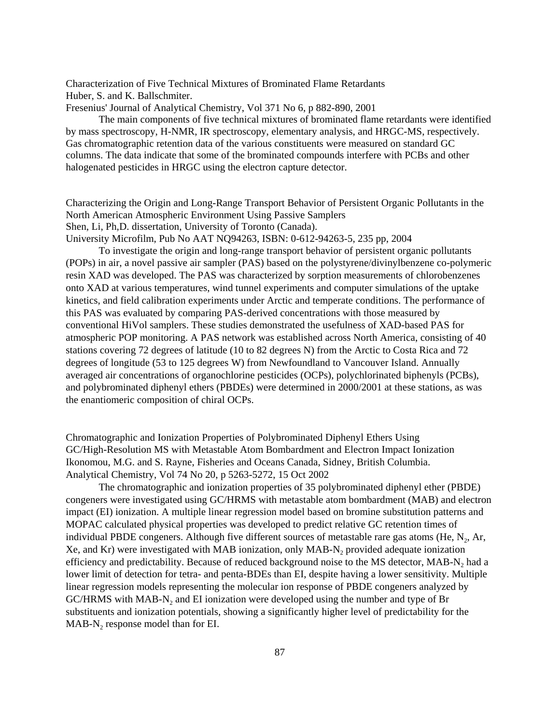Characterization of Five Technical Mixtures of Brominated Flame Retardants Huber, S. and K. Ballschmiter.

Fresenius' Journal of Analytical Chemistry, Vol 371 No 6, p 882-890, 2001

The main components of five technical mixtures of brominated flame retardants were identified by mass spectroscopy, H-NMR, IR spectroscopy, elementary analysis, and HRGC-MS, respectively. Gas chromatographic retention data of the various constituents were measured on standard GC columns. The data indicate that some of the brominated compounds interfere with PCBs and other halogenated pesticides in HRGC using the electron capture detector.

Characterizing the Origin and Long-Range Transport Behavior of Persistent Organic Pollutants in the North American Atmospheric Environment Using Passive Samplers Shen, Li, Ph,D. dissertation, University of Toronto (Canada).

University Microfilm, Pub No AAT NQ94263, ISBN: 0-612-94263-5, 235 pp, 2004

To investigate the origin and long-range transport behavior of persistent organic pollutants (POPs) in air, a novel passive air sampler (PAS) based on the polystyrene/divinylbenzene co-polymeric resin XAD was developed. The PAS was characterized by sorption measurements of chlorobenzenes onto XAD at various temperatures, wind tunnel experiments and computer simulations of the uptake kinetics, and field calibration experiments under Arctic and temperate conditions. The performance of this PAS was evaluated by comparing PAS-derived concentrations with those measured by conventional HiVol samplers. These studies demonstrated the usefulness of XAD-based PAS for atmospheric POP monitoring. A PAS network was established across North America, consisting of 40 stations covering 72 degrees of latitude (10 to 82 degrees N) from the Arctic to Costa Rica and 72 degrees of longitude (53 to 125 degrees W) from Newfoundland to Vancouver Island. Annually averaged air concentrations of organochlorine pesticides (OCPs), polychlorinated biphenyls (PCBs), and polybrominated diphenyl ethers (PBDEs) were determined in 2000/2001 at these stations, as was the enantiomeric composition of chiral OCPs.

Chromatographic and Ionization Properties of Polybrominated Diphenyl Ethers Using GC/High-Resolution MS with Metastable Atom Bombardment and Electron Impact Ionization Ikonomou, M.G. and S. Rayne, Fisheries and Oceans Canada, Sidney, British Columbia. Analytical Chemistry, Vol 74 No 20, p 5263-5272, 15 Oct 2002

The chromatographic and ionization properties of 35 polybrominated diphenyl ether (PBDE) congeners were investigated using GC/HRMS with metastable atom bombardment (MAB) and electron impact (EI) ionization. A multiple linear regression model based on bromine substitution patterns and MOPAC calculated physical properties was developed to predict relative GC retention times of individual PBDE congeners. Although five different sources of metastable rare gas atoms (He,  $N_2$ , Ar, Xe, and Kr) were investigated with MAB ionization, only MAB-N<sub>2</sub> provided adequate ionization efficiency and predictability. Because of reduced background noise to the MS detector, MAB-N<sub>2</sub> had a lower limit of detection for tetra- and penta-BDEs than EI, despite having a lower sensitivity. Multiple linear regression models representing the molecular ion response of PBDE congeners analyzed by GC/HRMS with MAB-N<sub>2</sub> and EI ionization were developed using the number and type of Br substituents and ionization potentials, showing a significantly higher level of predictability for the  $MAB-N<sub>2</sub>$  response model than for EI.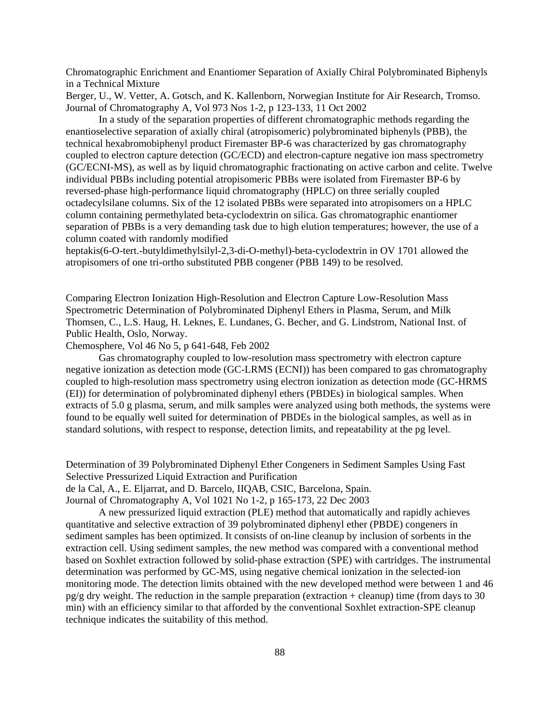Chromatographic Enrichment and Enantiomer Separation of Axially Chiral Polybrominated Biphenyls in a Technical Mixture

Berger, U., W. Vetter, A. Gotsch, and K. Kallenborn, Norwegian Institute for Air Research, Tromso. Journal of Chromatography A, Vol 973 Nos 1-2, p 123-133, 11 Oct 2002

In a study of the separation properties of different chromatographic methods regarding the enantioselective separation of axially chiral (atropisomeric) polybrominated biphenyls (PBB), the technical hexabromobiphenyl product Firemaster BP-6 was characterized by gas chromatography coupled to electron capture detection (GC/ECD) and electron-capture negative ion mass spectrometry (GC/ECNI-MS), as well as by liquid chromatographic fractionating on active carbon and celite. Twelve individual PBBs including potential atropisomeric PBBs were isolated from Firemaster BP-6 by reversed-phase high-performance liquid chromatography (HPLC) on three serially coupled octadecylsilane columns. Six of the 12 isolated PBBs were separated into atropisomers on a HPLC column containing permethylated beta-cyclodextrin on silica. Gas chromatographic enantiomer separation of PBBs is a very demanding task due to high elution temperatures; however, the use of a column coated with randomly modified

heptakis(6-O-tert.-butyldimethylsilyl-2,3-di-O-methyl)-beta-cyclodextrin in OV 1701 allowed the atropisomers of one tri-ortho substituted PBB congener (PBB 149) to be resolved.

Comparing Electron Ionization High-Resolution and Electron Capture Low-Resolution Mass Spectrometric Determination of Polybrominated Diphenyl Ethers in Plasma, Serum, and Milk Thomsen, C., L.S. Haug, H. Leknes, E. Lundanes, G. Becher, and G. Lindstrom, National Inst. of Public Health, Oslo, Norway.

Chemosphere, Vol 46 No 5, p 641-648, Feb 2002

Gas chromatography coupled to low-resolution mass spectrometry with electron capture negative ionization as detection mode (GC-LRMS (ECNI)) has been compared to gas chromatography coupled to high-resolution mass spectrometry using electron ionization as detection mode (GC-HRMS (EI)) for determination of polybrominated diphenyl ethers (PBDEs) in biological samples. When extracts of 5.0 g plasma, serum, and milk samples were analyzed using both methods, the systems were found to be equally well suited for determination of PBDEs in the biological samples, as well as in standard solutions, with respect to response, detection limits, and repeatability at the pg level.

Determination of 39 Polybrominated Diphenyl Ether Congeners in Sediment Samples Using Fast Selective Pressurized Liquid Extraction and Purification

de la Cal, A., E. Eljarrat, and D. Barcelo, IIQAB, CSIC, Barcelona, Spain.

Journal of Chromatography A, Vol 1021 No 1-2, p 165-173, 22 Dec 2003

A new pressurized liquid extraction (PLE) method that automatically and rapidly achieves quantitative and selective extraction of 39 polybrominated diphenyl ether (PBDE) congeners in sediment samples has been optimized. It consists of on-line cleanup by inclusion of sorbents in the extraction cell. Using sediment samples, the new method was compared with a conventional method based on Soxhlet extraction followed by solid-phase extraction (SPE) with cartridges. The instrumental determination was performed by GC-MS, using negative chemical ionization in the selected-ion monitoring mode. The detection limits obtained with the new developed method were between 1 and 46  $pg/g$  dry weight. The reduction in the sample preparation (extraction + cleanup) time (from days to 30 min) with an efficiency similar to that afforded by the conventional Soxhlet extraction-SPE cleanup technique indicates the suitability of this method.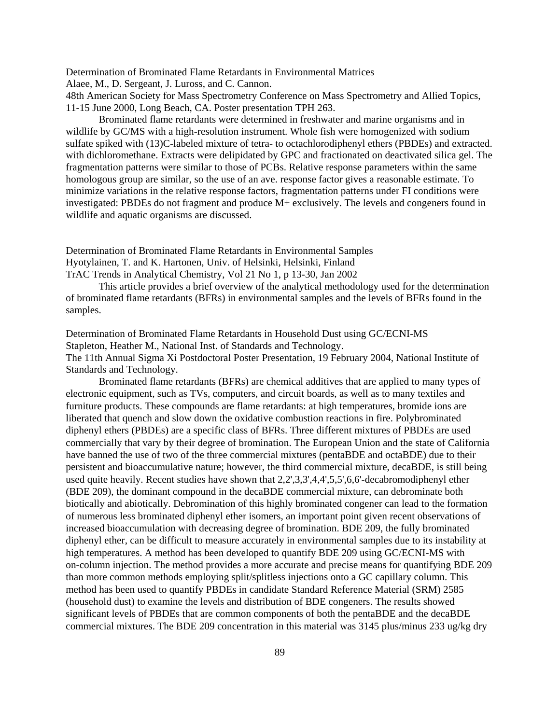Determination of Brominated Flame Retardants in Environmental Matrices

Alaee, M., D. Sergeant, J. Luross, and C. Cannon.

48th American Society for Mass Spectrometry Conference on Mass Spectrometry and Allied Topics, 11-15 June 2000, Long Beach, CA. Poster presentation TPH 263.

Brominated flame retardants were determined in freshwater and marine organisms and in wildlife by GC/MS with a high-resolution instrument. Whole fish were homogenized with sodium sulfate spiked with (13)C-labeled mixture of tetra- to octachlorodiphenyl ethers (PBDEs) and extracted. with dichloromethane. Extracts were delipidated by GPC and fractionated on deactivated silica gel. The fragmentation patterns were similar to those of PCBs. Relative response parameters within the same homologous group are similar, so the use of an ave. response factor gives a reasonable estimate. To minimize variations in the relative response factors, fragmentation patterns under FI conditions were investigated: PBDEs do not fragment and produce M+ exclusively. The levels and congeners found in wildlife and aquatic organisms are discussed.

Determination of Brominated Flame Retardants in Environmental Samples Hyotylainen, T. and K. Hartonen, Univ. of Helsinki, Helsinki, Finland TrAC Trends in Analytical Chemistry, Vol 21 No 1, p 13-30, Jan 2002

This article provides a brief overview of the analytical methodology used for the determination of brominated flame retardants (BFRs) in environmental samples and the levels of BFRs found in the samples.

Determination of Brominated Flame Retardants in Household Dust using GC/ECNI-MS Stapleton, Heather M., National Inst. of Standards and Technology. The 11th Annual Sigma Xi Postdoctoral Poster Presentation, 19 February 2004, National Institute of Standards and Technology.

Brominated flame retardants (BFRs) are chemical additives that are applied to many types of electronic equipment, such as TVs, computers, and circuit boards, as well as to many textiles and furniture products. These compounds are flame retardants: at high temperatures, bromide ions are liberated that quench and slow down the oxidative combustion reactions in fire. Polybrominated diphenyl ethers (PBDEs) are a specific class of BFRs. Three different mixtures of PBDEs are used commercially that vary by their degree of bromination. The European Union and the state of California have banned the use of two of the three commercial mixtures (pentaBDE and octaBDE) due to their persistent and bioaccumulative nature; however, the third commercial mixture, decaBDE, is still being used quite heavily. Recent studies have shown that 2,2',3,3',4,4',5,5',6,6'-decabromodiphenyl ether (BDE 209), the dominant compound in the decaBDE commercial mixture, can debrominate both biotically and abiotically. Debromination of this highly brominated congener can lead to the formation of numerous less brominated diphenyl ether isomers, an important point given recent observations of increased bioaccumulation with decreasing degree of bromination. BDE 209, the fully brominated diphenyl ether, can be difficult to measure accurately in environmental samples due to its instability at high temperatures. A method has been developed to quantify BDE 209 using GC/ECNI-MS with on-column injection. The method provides a more accurate and precise means for quantifying BDE 209 than more common methods employing split/splitless injections onto a GC capillary column. This method has been used to quantify PBDEs in candidate Standard Reference Material (SRM) 2585 (household dust) to examine the levels and distribution of BDE congeners. The results showed significant levels of PBDEs that are common components of both the pentaBDE and the decaBDE commercial mixtures. The BDE 209 concentration in this material was 3145 plus/minus 233 ug/kg dry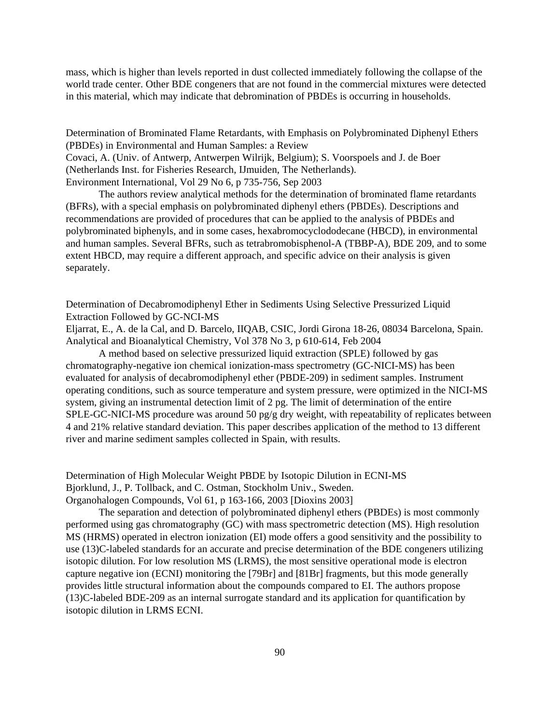mass, which is higher than levels reported in dust collected immediately following the collapse of the world trade center. Other BDE congeners that are not found in the commercial mixtures were detected in this material, which may indicate that debromination of PBDEs is occurring in households.

Determination of Brominated Flame Retardants, with Emphasis on Polybrominated Diphenyl Ethers (PBDEs) in Environmental and Human Samples: a Review

Covaci, A. (Univ. of Antwerp, Antwerpen Wilrijk, Belgium); S. Voorspoels and J. de Boer (Netherlands Inst. for Fisheries Research, IJmuiden, The Netherlands).

Environment International, Vol 29 No 6, p 735-756, Sep 2003

The authors review analytical methods for the determination of brominated flame retardants (BFRs), with a special emphasis on polybrominated diphenyl ethers (PBDEs). Descriptions and recommendations are provided of procedures that can be applied to the analysis of PBDEs and polybrominated biphenyls, and in some cases, hexabromocyclododecane (HBCD), in environmental and human samples. Several BFRs, such as tetrabromobisphenol-A (TBBP-A), BDE 209, and to some extent HBCD, may require a different approach, and specific advice on their analysis is given separately.

Determination of Decabromodiphenyl Ether in Sediments Using Selective Pressurized Liquid Extraction Followed by GC-NCI-MS

Eljarrat, E., A. de la Cal, and D. Barcelo, IIQAB, CSIC, Jordi Girona 18-26, 08034 Barcelona, Spain. Analytical and Bioanalytical Chemistry, Vol 378 No 3, p 610-614, Feb 2004

A method based on selective pressurized liquid extraction (SPLE) followed by gas chromatography-negative ion chemical ionization-mass spectrometry (GC-NICI-MS) has been evaluated for analysis of decabromodiphenyl ether (PBDE-209) in sediment samples. Instrument operating conditions, such as source temperature and system pressure, were optimized in the NICI-MS system, giving an instrumental detection limit of 2 pg. The limit of determination of the entire SPLE-GC-NICI-MS procedure was around 50 pg/g dry weight, with repeatability of replicates between 4 and 21% relative standard deviation. This paper describes application of the method to 13 different river and marine sediment samples collected in Spain, with results.

Determination of High Molecular Weight PBDE by Isotopic Dilution in ECNI-MS Bjorklund, J., P. Tollback, and C. Ostman, Stockholm Univ., Sweden. Organohalogen Compounds, Vol 61, p 163-166, 2003 [Dioxins 2003]

The separation and detection of polybrominated diphenyl ethers (PBDEs) is most commonly performed using gas chromatography (GC) with mass spectrometric detection (MS). High resolution MS (HRMS) operated in electron ionization (EI) mode offers a good sensitivity and the possibility to use (13)C-labeled standards for an accurate and precise determination of the BDE congeners utilizing isotopic dilution. For low resolution MS (LRMS), the most sensitive operational mode is electron capture negative ion (ECNI) monitoring the [79Br] and [81Br] fragments, but this mode generally provides little structural information about the compounds compared to EI. The authors propose (13)C-labeled BDE-209 as an internal surrogate standard and its application for quantification by isotopic dilution in LRMS ECNI.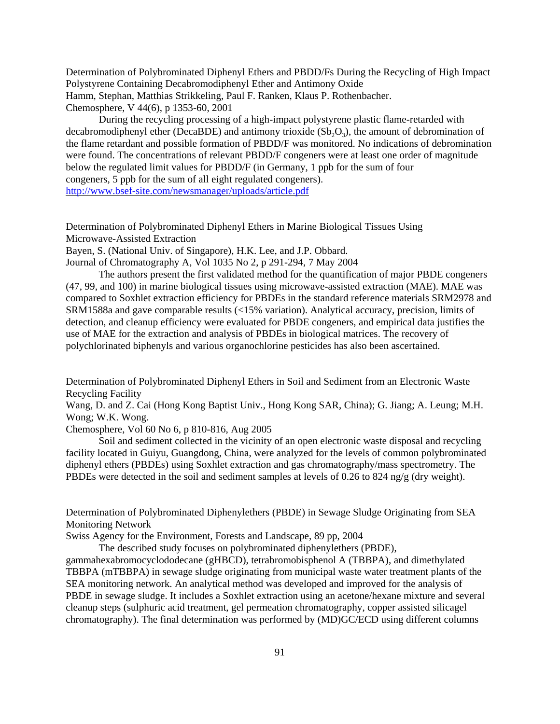Determination of Polybrominated Diphenyl Ethers and PBDD/Fs During the Recycling of High Impact Polystyrene Containing Decabromodiphenyl Ether and Antimony Oxide Hamm, Stephan, Matthias Strikkeling, Paul F. Ranken, Klaus P. Rothenbacher. Chemosphere, V 44(6), p 1353-60, 2001

During the recycling processing of a high-impact polystyrene plastic flame-retarded with decabromodiphenyl ether (DecaBDE) and antimony trioxide  $(Sb<sub>2</sub>O<sub>3</sub>)$ , the amount of debromination of the flame retardant and possible formation of PBDD/F was monitored. No indications of debromination were found. The concentrations of relevant PBDD/F congeners were at least one order of magnitude below the regulated limit values for PBDD/F (in Germany, 1 ppb for the sum of four congeners, 5 ppb for the sum of all eight regulated congeners). <http://www.bsef-site.com/newsmanager/uploads/article.pdf>

Determination of Polybrominated Diphenyl Ethers in Marine Biological Tissues Using Microwave-Assisted Extraction

Bayen, S. (National Univ. of Singapore), H.K. Lee, and J.P. Obbard.

Journal of Chromatography A, Vol 1035 No 2, p 291-294, 7 May 2004

The authors present the first validated method for the quantification of major PBDE congeners (47, 99, and 100) in marine biological tissues using microwave-assisted extraction (MAE). MAE was compared to Soxhlet extraction efficiency for PBDEs in the standard reference materials SRM2978 and SRM1588a and gave comparable results (<15% variation). Analytical accuracy, precision, limits of detection, and cleanup efficiency were evaluated for PBDE congeners, and empirical data justifies the use of MAE for the extraction and analysis of PBDEs in biological matrices. The recovery of polychlorinated biphenyls and various organochlorine pesticides has also been ascertained.

Determination of Polybrominated Diphenyl Ethers in Soil and Sediment from an Electronic Waste Recycling Facility

Wang, D. and Z. Cai (Hong Kong Baptist Univ., Hong Kong SAR, China); G. Jiang; A. Leung; M.H. Wong; W.K. Wong.

Chemosphere, Vol 60 No 6, p 810-816, Aug 2005

Soil and sediment collected in the vicinity of an open electronic waste disposal and recycling facility located in Guiyu, Guangdong, China, were analyzed for the levels of common polybrominated diphenyl ethers (PBDEs) using Soxhlet extraction and gas chromatography/mass spectrometry. The PBDEs were detected in the soil and sediment samples at levels of 0.26 to 824 ng/g (dry weight).

Determination of Polybrominated Diphenylethers (PBDE) in Sewage Sludge Originating from SEA Monitoring Network

Swiss Agency for the Environment, Forests and Landscape, 89 pp, 2004

The described study focuses on polybrominated diphenylethers (PBDE),

gammahexabromocyclododecane (gHBCD), tetrabromobisphenol A (TBBPA), and dimethylated TBBPA (mTBBPA) in sewage sludge originating from municipal waste water treatment plants of the SEA monitoring network. An analytical method was developed and improved for the analysis of PBDE in sewage sludge. It includes a Soxhlet extraction using an acetone/hexane mixture and several cleanup steps (sulphuric acid treatment, gel permeation chromatography, copper assisted silicagel chromatography). The final determination was performed by (MD)GC/ECD using different columns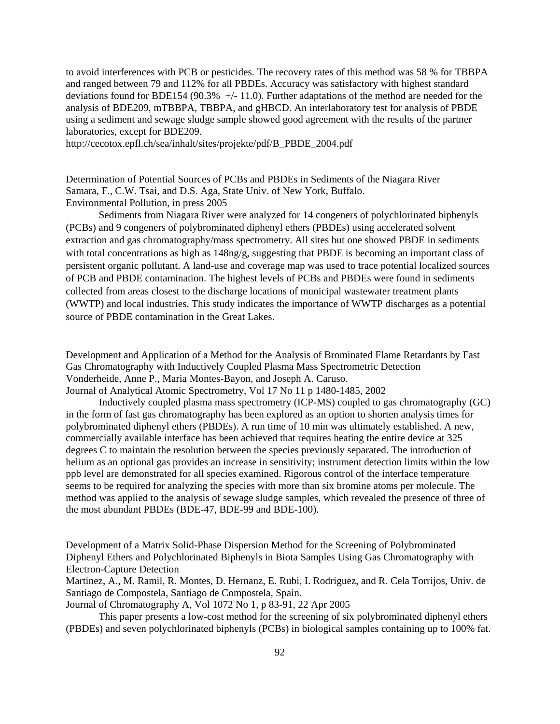to avoid interferences with PCB or pesticides. The recovery rates of this method was 58 % for TBBPA and ranged between 79 and 112% for all PBDEs. Accuracy was satisfactory with highest standard deviations found for BDE154 (90.3% +/- 11.0). Further adaptations of the method are needed for the analysis of BDE209, mTBBPA, TBBPA, and gHBCD. An interlaboratory test for analysis of PBDE using a sediment and sewage sludge sample showed good agreement with the results of the partner laboratories, except for BDE209.

[http://cecotox.epfl.ch/sea/inhalt/sites/projekte/pdf/B\\_PBDE\\_2004.pdf](http://cecotox.epfl.ch/sea/inhalt/sites/projekte/pdf/B_PBDE_2004.pdf)

Determination of Potential Sources of PCBs and PBDEs in Sediments of the Niagara River Samara, F., C.W. Tsai, and D.S. Aga, State Univ. of New York, Buffalo. Environmental Pollution, in press 2005

Sediments from Niagara River were analyzed for 14 congeners of polychlorinated biphenyls (PCBs) and 9 congeners of polybrominated diphenyl ethers (PBDEs) using accelerated solvent extraction and gas chromatography/mass spectrometry. All sites but one showed PBDE in sediments with total concentrations as high as  $148ng/g$ , suggesting that PBDE is becoming an important class of persistent organic pollutant. A land-use and coverage map was used to trace potential localized sources of PCB and PBDE contamination. The highest levels of PCBs and PBDEs were found in sediments collected from areas closest to the discharge locations of municipal wastewater treatment plants (WWTP) and local industries. This study indicates the importance of WWTP discharges as a potential source of PBDE contamination in the Great Lakes.

Development and Application of a Method for the Analysis of Brominated Flame Retardants by Fast Gas Chromatography with Inductively Coupled Plasma Mass Spectrometric Detection Vonderheide, Anne P., Maria Montes-Bayon, and Joseph A. Caruso.

Journal of Analytical Atomic Spectrometry, Vol 17 No 11 p 1480-1485, 2002

Inductively coupled plasma mass spectrometry (ICP-MS) coupled to gas chromatography (GC) in the form of fast gas chromatography has been explored as an option to shorten analysis times for polybrominated diphenyl ethers (PBDEs). A run time of 10 min was ultimately established. A new, commercially available interface has been achieved that requires heating the entire device at 325 degrees C to maintain the resolution between the species previously separated. The introduction of helium as an optional gas provides an increase in sensitivity; instrument detection limits within the low ppb level are demonstrated for all species examined. Rigorous control of the interface temperature seems to be required for analyzing the species with more than six bromine atoms per molecule. The method was applied to the analysis of sewage sludge samples, which revealed the presence of three of the most abundant PBDEs (BDE-47, BDE-99 and BDE-100).

Development of a Matrix Solid-Phase Dispersion Method for the Screening of Polybrominated Diphenyl Ethers and Polychlorinated Biphenyls in Biota Samples Using Gas Chromatography with Electron-Capture Detection

Martinez, A., M. Ramil, R. Montes, D. Hernanz, E. Rubi, I. Rodriguez, and R. Cela Torrijos, Univ. de Santiago de Compostela, Santiago de Compostela, Spain.

Journal of Chromatography A, Vol 1072 No 1, p 83-91, 22 Apr 2005

This paper presents a low-cost method for the screening of six polybrominated diphenyl ethers (PBDEs) and seven polychlorinated biphenyls (PCBs) in biological samples containing up to 100% fat.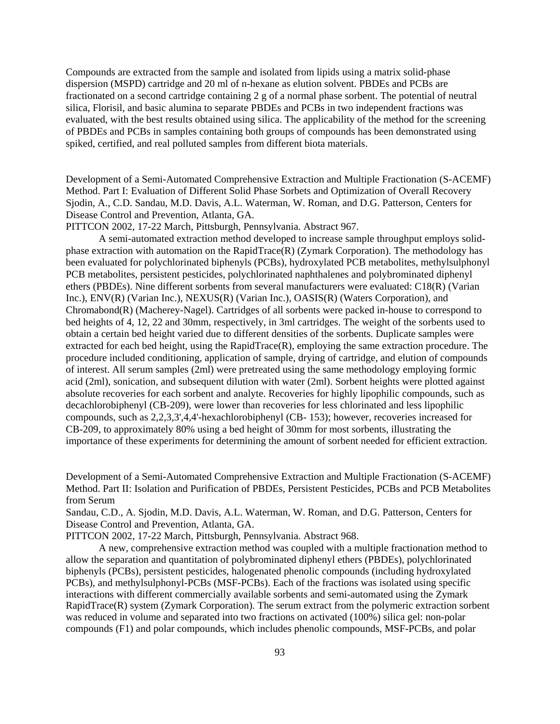Compounds are extracted from the sample and isolated from lipids using a matrix solid-phase dispersion (MSPD) cartridge and 20 ml of n-hexane as elution solvent. PBDEs and PCBs are fractionated on a second cartridge containing 2 g of a normal phase sorbent. The potential of neutral silica, Florisil, and basic alumina to separate PBDEs and PCBs in two independent fractions was evaluated, with the best results obtained using silica. The applicability of the method for the screening of PBDEs and PCBs in samples containing both groups of compounds has been demonstrated using spiked, certified, and real polluted samples from different biota materials.

Development of a Semi-Automated Comprehensive Extraction and Multiple Fractionation (S-ACEMF) Method. Part I: Evaluation of Different Solid Phase Sorbets and Optimization of Overall Recovery Sjodin, A., C.D. Sandau, M.D. Davis, A.L. Waterman, W. Roman, and D.G. Patterson, Centers for Disease Control and Prevention, Atlanta, GA.

PITTCON 2002, 17-22 March, Pittsburgh, Pennsylvania. Abstract 967.

A semi-automated extraction method developed to increase sample throughput employs solidphase extraction with automation on the RapidTrace(R) (Zymark Corporation). The methodology has been evaluated for polychlorinated biphenyls (PCBs), hydroxylated PCB metabolites, methylsulphonyl PCB metabolites, persistent pesticides, polychlorinated naphthalenes and polybrominated diphenyl ethers (PBDEs). Nine different sorbents from several manufacturers were evaluated: C18(R) (Varian Inc.), ENV(R) (Varian Inc.), NEXUS(R) (Varian Inc.), OASIS(R) (Waters Corporation), and Chromabond(R) (Macherey-Nagel). Cartridges of all sorbents were packed in-house to correspond to bed heights of 4, 12, 22 and 30mm, respectively, in 3ml cartridges. The weight of the sorbents used to obtain a certain bed height varied due to different densities of the sorbents. Duplicate samples were extracted for each bed height, using the RapidTrace(R), employing the same extraction procedure. The procedure included conditioning, application of sample, drying of cartridge, and elution of compounds of interest. All serum samples (2ml) were pretreated using the same methodology employing formic acid (2ml), sonication, and subsequent dilution with water (2ml). Sorbent heights were plotted against absolute recoveries for each sorbent and analyte. Recoveries for highly lipophilic compounds, such as decachlorobiphenyl (CB-209), were lower than recoveries for less chlorinated and less lipophilic compounds, such as 2,2,3,3',4,4'-hexachlorobiphenyl (CB- 153); however, recoveries increased for CB-209, to approximately 80% using a bed height of 30mm for most sorbents, illustrating the importance of these experiments for determining the amount of sorbent needed for efficient extraction.

Development of a Semi-Automated Comprehensive Extraction and Multiple Fractionation (S-ACEMF) Method. Part II: Isolation and Purification of PBDEs, Persistent Pesticides, PCBs and PCB Metabolites from Serum

Sandau, C.D., A. Sjodin, M.D. Davis, A.L. Waterman, W. Roman, and D.G. Patterson, Centers for Disease Control and Prevention, Atlanta, GA.

PITTCON 2002, 17-22 March, Pittsburgh, Pennsylvania. Abstract 968.

A new, comprehensive extraction method was coupled with a multiple fractionation method to allow the separation and quantitation of polybrominated diphenyl ethers (PBDEs), polychlorinated biphenyls (PCBs), persistent pesticides, halogenated phenolic compounds (including hydroxylated PCBs), and methylsulphonyl-PCBs (MSF-PCBs). Each of the fractions was isolated using specific interactions with different commercially available sorbents and semi-automated using the Zymark RapidTrace(R) system (Zymark Corporation). The serum extract from the polymeric extraction sorbent was reduced in volume and separated into two fractions on activated (100%) silica gel: non-polar compounds (F1) and polar compounds, which includes phenolic compounds, MSF-PCBs, and polar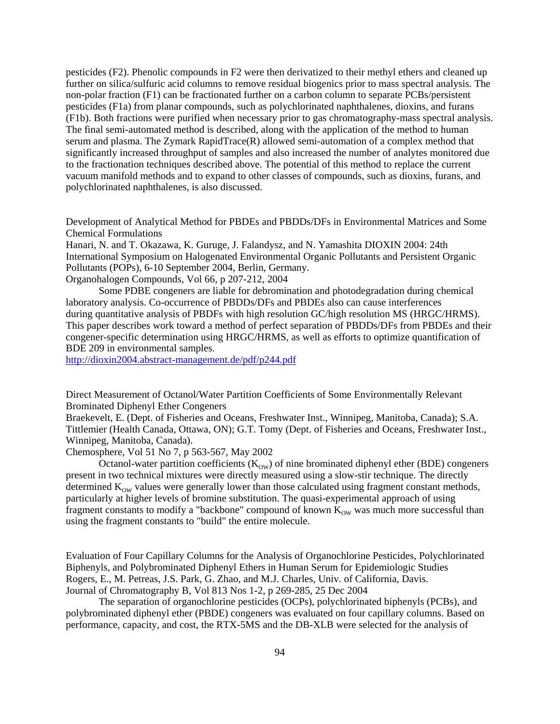pesticides (F2). Phenolic compounds in F2 were then derivatized to their methyl ethers and cleaned up further on silica/sulfuric acid columns to remove residual biogenics prior to mass spectral analysis. The non-polar fraction (F1) can be fractionated further on a carbon column to separate PCBs/persistent pesticides (F1a) from planar compounds, such as polychlorinated naphthalenes, dioxins, and furans (F1b). Both fractions were purified when necessary prior to gas chromatography-mass spectral analysis. The final semi-automated method is described, along with the application of the method to human serum and plasma. The Zymark RapidTrace(R) allowed semi-automation of a complex method that significantly increased throughput of samples and also increased the number of analytes monitored due to the fractionation techniques described above. The potential of this method to replace the current vacuum manifold methods and to expand to other classes of compounds, such as dioxins, furans, and polychlorinated naphthalenes, is also discussed.

Development of Analytical Method for PBDEs and PBDDs/DFs in Environmental Matrices and Some Chemical Formulations

Hanari, N. and T. Okazawa, K. Guruge, J. Falandysz, and N. Yamashita DIOXIN 2004: 24th International Symposium on Halogenated Environmental Organic Pollutants and Persistent Organic Pollutants (POPs), 6-10 September 2004, Berlin, Germany. Organohalogen Compounds, Vol 66, p 207-212, 2004

Some PDBE congeners are liable for debromination and photodegradation during chemical laboratory analysis. Co-occurrence of PBDDs/DFs and PBDEs also can cause interferences during quantitative analysis of PBDFs with high resolution GC/high resolution MS (HRGC/HRMS). This paper describes work toward a method of perfect separation of PBDDs/DFs from PBDEs and their congener-specific determination using HRGC/HRMS, as well as efforts to optimize quantification of BDE 209 in environmental samples.

<http://dioxin2004.abstract-management.de/pdf/p244.pdf>

Direct Measurement of Octanol/Water Partition Coefficients of Some Environmentally Relevant Brominated Diphenyl Ether Congeners

Braekevelt, E. (Dept. of Fisheries and Oceans, Freshwater Inst., Winnipeg, Manitoba, Canada); S.A. Tittlemier (Health Canada, Ottawa, ON); G.T. Tomy (Dept. of Fisheries and Oceans, Freshwater Inst., Winnipeg, Manitoba, Canada).

Chemosphere, Vol 51 No 7, p 563-567, May 2002

Octanol-water partition coefficients  $(K<sub>ow</sub>)$  of nine brominated diphenyl ether (BDE) congeners present in two technical mixtures were directly measured using a slow-stir technique. The directly determined  $K_{\text{ow}}$  values were generally lower than those calculated using fragment constant methods, particularly at higher levels of bromine substitution. The quasi-experimental approach of using fragment constants to modify a "backbone" compound of known  $K_{\text{OW}}$  was much more successful than using the fragment constants to "build" the entire molecule.

Evaluation of Four Capillary Columns for the Analysis of Organochlorine Pesticides, Polychlorinated Biphenyls, and Polybrominated Diphenyl Ethers in Human Serum for Epidemiologic Studies Rogers, E., M. Petreas, J.S. Park, G. Zhao, and M.J. Charles, Univ. of California, Davis. Journal of Chromatography B, Vol 813 Nos 1-2, p 269-285, 25 Dec 2004

The separation of organochlorine pesticides (OCPs), polychlorinated biphenyls (PCBs), and polybrominated diphenyl ether (PBDE) congeners was evaluated on four capillary columns. Based on performance, capacity, and cost, the RTX-5MS and the DB-XLB were selected for the analysis of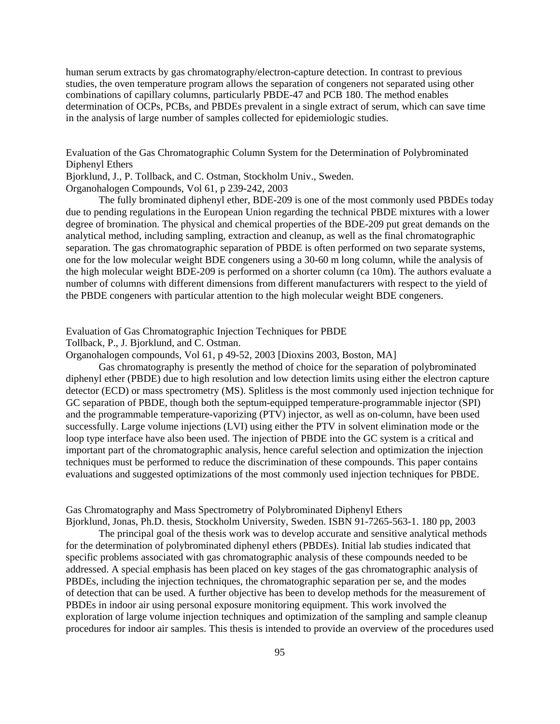human serum extracts by gas chromatography/electron-capture detection. In contrast to previous studies, the oven temperature program allows the separation of congeners not separated using other combinations of capillary columns, particularly PBDE-47 and PCB 180. The method enables determination of OCPs, PCBs, and PBDEs prevalent in a single extract of serum, which can save time in the analysis of large number of samples collected for epidemiologic studies.

Evaluation of the Gas Chromatographic Column System for the Determination of Polybrominated Diphenyl Ethers

Bjorklund, J., P. Tollback, and C. Ostman, Stockholm Univ., Sweden. Organohalogen Compounds, Vol 61, p 239-242, 2003

The fully brominated diphenyl ether, BDE-209 is one of the most commonly used PBDEs today due to pending regulations in the European Union regarding the technical PBDE mixtures with a lower degree of bromination. The physical and chemical properties of the BDE-209 put great demands on the analytical method, including sampling, extraction and cleanup, as well as the final chromatographic separation. The gas chromatographic separation of PBDE is often performed on two separate systems, one for the low molecular weight BDE congeners using a 30-60 m long column, while the analysis of the high molecular weight BDE-209 is performed on a shorter column (ca 10m). The authors evaluate a number of columns with different dimensions from different manufacturers with respect to the yield of the PBDE congeners with particular attention to the high molecular weight BDE congeners.

Evaluation of Gas Chromatographic Injection Techniques for PBDE

Tollback, P., J. Bjorklund, and C. Ostman.

Organohalogen compounds, Vol 61, p 49-52, 2003 [Dioxins 2003, Boston, MA]

Gas chromatography is presently the method of choice for the separation of polybrominated diphenyl ether (PBDE) due to high resolution and low detection limits using either the electron capture detector (ECD) or mass spectrometry (MS). Splitless is the most commonly used injection technique for GC separation of PBDE, though both the septum-equipped temperature-programmable injector (SPI) and the programmable temperature-vaporizing (PTV) injector, as well as on-column, have been used successfully. Large volume injections (LVI) using either the PTV in solvent elimination mode or the loop type interface have also been used. The injection of PBDE into the GC system is a critical and important part of the chromatographic analysis, hence careful selection and optimization the injection techniques must be performed to reduce the discrimination of these compounds. This paper contains evaluations and suggested optimizations of the most commonly used injection techniques for PBDE.

Gas Chromatography and Mass Spectrometry of Polybrominated Diphenyl Ethers Bjorklund, Jonas, Ph.D. thesis, Stockholm University, Sweden. ISBN 91-7265-563-1. 180 pp, 2003

The principal goal of the thesis work was to develop accurate and sensitive analytical methods for the determination of polybrominated diphenyl ethers (PBDEs). Initial lab studies indicated that specific problems associated with gas chromatographic analysis of these compounds needed to be addressed. A special emphasis has been placed on key stages of the gas chromatographic analysis of PBDEs, including the injection techniques, the chromatographic separation per se, and the modes of detection that can be used. A further objective has been to develop methods for the measurement of PBDEs in indoor air using personal exposure monitoring equipment. This work involved the exploration of large volume injection techniques and optimization of the sampling and sample cleanup procedures for indoor air samples. This thesis is intended to provide an overview of the procedures used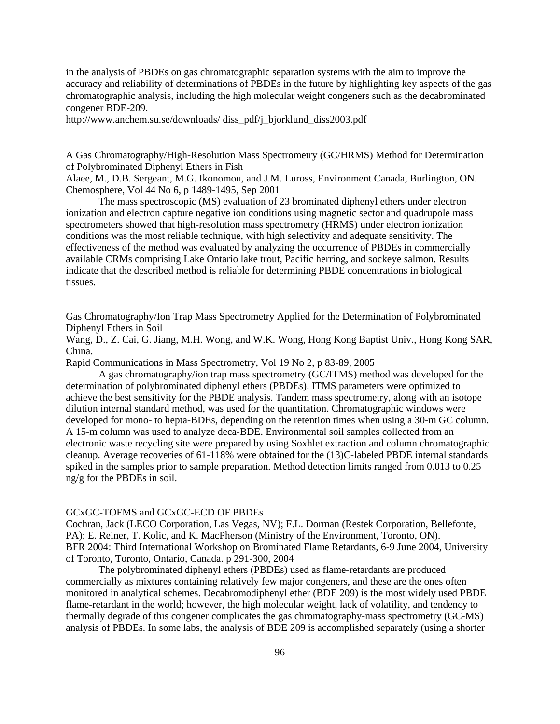in the analysis of PBDEs on gas chromatographic separation systems with the aim to improve the accuracy and reliability of determinations of PBDEs in the future by highlighting key aspects of the gas chromatographic analysis, including the high molecular weight congeners such as the decabrominated congener BDE-209.

<http://www.anchem.su.se/downloads/>diss\_pdf/j\_bjorklund\_diss2003.pdf

A Gas Chromatography/High-Resolution Mass Spectrometry (GC/HRMS) Method for Determination of Polybrominated Diphenyl Ethers in Fish

Alaee, M., D.B. Sergeant, M.G. Ikonomou, and J.M. Luross, Environment Canada, Burlington, ON. Chemosphere, Vol 44 No 6, p 1489-1495, Sep 2001

The mass spectroscopic (MS) evaluation of 23 brominated diphenyl ethers under electron ionization and electron capture negative ion conditions using magnetic sector and quadrupole mass spectrometers showed that high-resolution mass spectrometry (HRMS) under electron ionization conditions was the most reliable technique, with high selectivity and adequate sensitivity. The effectiveness of the method was evaluated by analyzing the occurrence of PBDEs in commercially available CRMs comprising Lake Ontario lake trout, Pacific herring, and sockeye salmon. Results indicate that the described method is reliable for determining PBDE concentrations in biological tissues.

Gas Chromatography/Ion Trap Mass Spectrometry Applied for the Determination of Polybrominated Diphenyl Ethers in Soil

Wang, D., Z. Cai, G. Jiang, M.H. Wong, and W.K. Wong, Hong Kong Baptist Univ., Hong Kong SAR, China.

Rapid Communications in Mass Spectrometry, Vol 19 No 2, p 83-89, 2005

A gas chromatography/ion trap mass spectrometry (GC/ITMS) method was developed for the determination of polybrominated diphenyl ethers (PBDEs). ITMS parameters were optimized to achieve the best sensitivity for the PBDE analysis. Tandem mass spectrometry, along with an isotope dilution internal standard method, was used for the quantitation. Chromatographic windows were developed for mono- to hepta-BDEs, depending on the retention times when using a 30-m GC column. A 15-m column was used to analyze deca-BDE. Environmental soil samples collected from an electronic waste recycling site were prepared by using Soxhlet extraction and column chromatographic cleanup. Average recoveries of 61-118% were obtained for the (13)C-labeled PBDE internal standards spiked in the samples prior to sample preparation. Method detection limits ranged from 0.013 to 0.25 ng/g for the PBDEs in soil.

## GCxGC-TOFMS and GCxGC-ECD OF PBDEs

Cochran, Jack (LECO Corporation, Las Vegas, NV); F.L. Dorman (Restek Corporation, Bellefonte, PA); E. Reiner, T. Kolic, and K. MacPherson (Ministry of the Environment, Toronto, ON). BFR 2004: Third International Workshop on Brominated Flame Retardants, 6-9 June 2004, University of Toronto, Toronto, Ontario, Canada. p 291-300, 2004

The polybrominated diphenyl ethers (PBDEs) used as flame-retardants are produced commercially as mixtures containing relatively few major congeners, and these are the ones often monitored in analytical schemes. Decabromodiphenyl ether (BDE 209) is the most widely used PBDE flame-retardant in the world; however, the high molecular weight, lack of volatility, and tendency to thermally degrade of this congener complicates the gas chromatography-mass spectrometry (GC-MS) analysis of PBDEs. In some labs, the analysis of BDE 209 is accomplished separately (using a shorter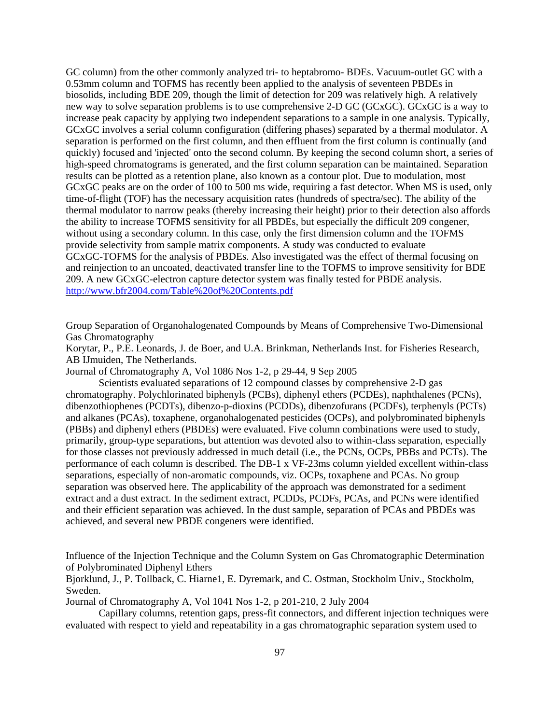GC column) from the other commonly analyzed tri- to heptabromo- BDEs. Vacuum-outlet GC with a 0.53mm column and TOFMS has recently been applied to the analysis of seventeen PBDEs in biosolids, including BDE 209, though the limit of detection for 209 was relatively high. A relatively new way to solve separation problems is to use comprehensive 2-D GC (GCxGC). GCxGC is a way to increase peak capacity by applying two independent separations to a sample in one analysis. Typically, GCxGC involves a serial column configuration (differing phases) separated by a thermal modulator. A separation is performed on the first column, and then effluent from the first column is continually (and quickly) focused and 'injected' onto the second column. By keeping the second column short, a series of high-speed chromatograms is generated, and the first column separation can be maintained. Separation results can be plotted as a retention plane, also known as a contour plot. Due to modulation, most GCxGC peaks are on the order of 100 to 500 ms wide, requiring a fast detector. When MS is used, only time-of-flight (TOF) has the necessary acquisition rates (hundreds of spectra/sec). The ability of the thermal modulator to narrow peaks (thereby increasing their height) prior to their detection also affords the ability to increase TOFMS sensitivity for all PBDEs, but especially the difficult 209 congener, without using a secondary column. In this case, only the first dimension column and the TOFMS provide selectivity from sample matrix components. A study was conducted to evaluate GCxGC-TOFMS for the analysis of PBDEs. Also investigated was the effect of thermal focusing on and reinjection to an uncoated, deactivated transfer line to the TOFMS to improve sensitivity for BDE 209. A new GCxGC-electron capture detector system was finally tested for PBDE analysis. <http://www.bfr2004.com/Table%20of%20Contents.pdf>

Group Separation of Organohalogenated Compounds by Means of Comprehensive Two-Dimensional Gas Chromatography

Korytar, P., P.E. Leonards, J. de Boer, and U.A. Brinkman, Netherlands Inst. for Fisheries Research, AB IJmuiden, The Netherlands.

Journal of Chromatography A, Vol 1086 Nos 1-2, p 29-44, 9 Sep 2005

Scientists evaluated separations of 12 compound classes by comprehensive 2-D gas chromatography. Polychlorinated biphenyls (PCBs), diphenyl ethers (PCDEs), naphthalenes (PCNs), dibenzothiophenes (PCDTs), dibenzo-p-dioxins (PCDDs), dibenzofurans (PCDFs), terphenyls (PCTs) and alkanes (PCAs), toxaphene, organohalogenated pesticides (OCPs), and polybrominated biphenyls (PBBs) and diphenyl ethers (PBDEs) were evaluated. Five column combinations were used to study, primarily, group-type separations, but attention was devoted also to within-class separation, especially for those classes not previously addressed in much detail (i.e., the PCNs, OCPs, PBBs and PCTs). The performance of each column is described. The DB-1 x VF-23ms column yielded excellent within-class separations, especially of non-aromatic compounds, viz. OCPs, toxaphene and PCAs. No group separation was observed here. The applicability of the approach was demonstrated for a sediment extract and a dust extract. In the sediment extract, PCDDs, PCDFs, PCAs, and PCNs were identified and their efficient separation was achieved. In the dust sample, separation of PCAs and PBDEs was achieved, and several new PBDE congeners were identified.

Influence of the Injection Technique and the Column System on Gas Chromatographic Determination of Polybrominated Diphenyl Ethers

Bjorklund, J., P. Tollback, C. Hiarne1, E. Dyremark, and C. Ostman, Stockholm Univ., Stockholm, Sweden.

Journal of Chromatography A, Vol 1041 Nos 1-2, p 201-210, 2 July 2004

Capillary columns, retention gaps, press-fit connectors, and different injection techniques were evaluated with respect to yield and repeatability in a gas chromatographic separation system used to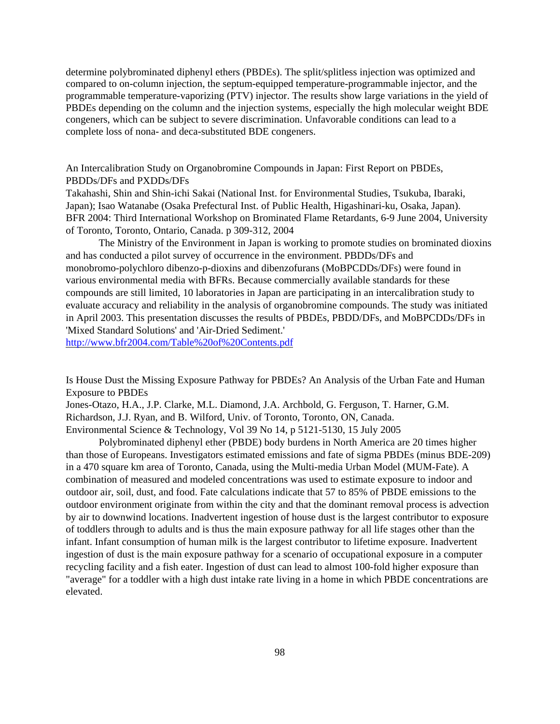determine polybrominated diphenyl ethers (PBDEs). The split/splitless injection was optimized and compared to on-column injection, the septum-equipped temperature-programmable injector, and the programmable temperature-vaporizing (PTV) injector. The results show large variations in the yield of PBDEs depending on the column and the injection systems, especially the high molecular weight BDE congeners, which can be subject to severe discrimination. Unfavorable conditions can lead to a complete loss of nona- and deca-substituted BDE congeners.

An Intercalibration Study on Organobromine Compounds in Japan: First Report on PBDEs, PBDDs/DFs and PXDDs/DFs

Takahashi, Shin and Shin-ichi Sakai (National Inst. for Environmental Studies, Tsukuba, Ibaraki, Japan); Isao Watanabe (Osaka Prefectural Inst. of Public Health, Higashinari-ku, Osaka, Japan). BFR 2004: Third International Workshop on Brominated Flame Retardants, 6-9 June 2004, University of Toronto, Toronto, Ontario, Canada. p 309-312, 2004

The Ministry of the Environment in Japan is working to promote studies on brominated dioxins and has conducted a pilot survey of occurrence in the environment. PBDDs/DFs and monobromo-polychloro dibenzo-p-dioxins and dibenzofurans (MoBPCDDs/DFs) were found in various environmental media with BFRs. Because commercially available standards for these compounds are still limited, 10 laboratories in Japan are participating in an intercalibration study to evaluate accuracy and reliability in the analysis of organobromine compounds. The study was initiated in April 2003. This presentation discusses the results of PBDEs, PBDD/DFs, and MoBPCDDs/DFs in 'Mixed Standard Solutions' and 'Air-Dried Sediment.'

<http://www.bfr2004.com/Table%20of%20Contents.pdf>

Is House Dust the Missing Exposure Pathway for PBDEs? An Analysis of the Urban Fate and Human Exposure to PBDEs

Jones-Otazo, H.A., J.P. Clarke, M.L. Diamond, J.A. Archbold, G. Ferguson, T. Harner, G.M. Richardson, J.J. Ryan, and B. Wilford, Univ. of Toronto, Toronto, ON, Canada. Environmental Science & Technology, Vol 39 No 14, p 5121-5130, 15 July 2005

Polybrominated diphenyl ether (PBDE) body burdens in North America are 20 times higher than those of Europeans. Investigators estimated emissions and fate of sigma PBDEs (minus BDE-209) in a 470 square km area of Toronto, Canada, using the Multi-media Urban Model (MUM-Fate). A combination of measured and modeled concentrations was used to estimate exposure to indoor and outdoor air, soil, dust, and food. Fate calculations indicate that 57 to 85% of PBDE emissions to the outdoor environment originate from within the city and that the dominant removal process is advection by air to downwind locations. Inadvertent ingestion of house dust is the largest contributor to exposure of toddlers through to adults and is thus the main exposure pathway for all life stages other than the infant. Infant consumption of human milk is the largest contributor to lifetime exposure. Inadvertent ingestion of dust is the main exposure pathway for a scenario of occupational exposure in a computer recycling facility and a fish eater. Ingestion of dust can lead to almost 100-fold higher exposure than "average" for a toddler with a high dust intake rate living in a home in which PBDE concentrations are elevated.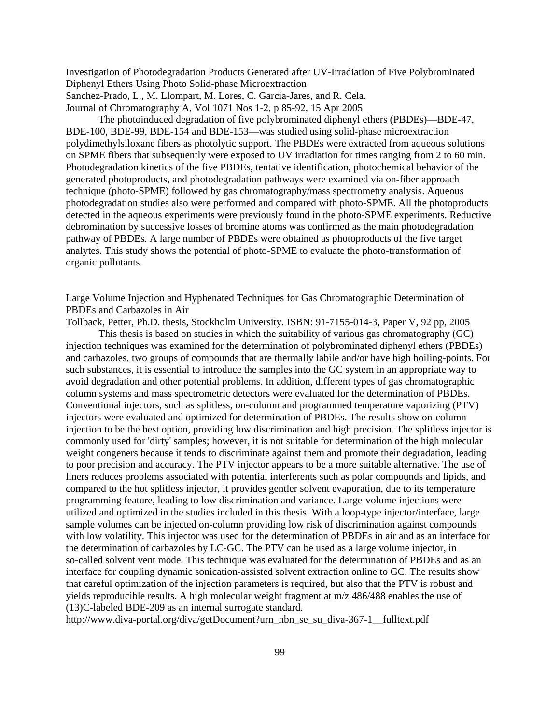Investigation of Photodegradation Products Generated after UV-Irradiation of Five Polybrominated Diphenyl Ethers Using Photo Solid-phase Microextraction Sanchez-Prado, L., M. Llompart, M. Lores, C. Garcia-Jares, and R. Cela. Journal of Chromatography A, Vol 1071 Nos 1-2, p 85-92, 15 Apr 2005

The photoinduced degradation of five polybrominated diphenyl ethers (PBDEs)—BDE-47, BDE-100, BDE-99, BDE-154 and BDE-153—was studied using solid-phase microextraction polydimethylsiloxane fibers as photolytic support. The PBDEs were extracted from aqueous solutions on SPME fibers that subsequently were exposed to UV irradiation for times ranging from 2 to 60 min. Photodegradation kinetics of the five PBDEs, tentative identification, photochemical behavior of the generated photoproducts, and photodegradation pathways were examined via on-fiber approach technique (photo-SPME) followed by gas chromatography/mass spectrometry analysis. Aqueous photodegradation studies also were performed and compared with photo-SPME. All the photoproducts detected in the aqueous experiments were previously found in the photo-SPME experiments. Reductive debromination by successive losses of bromine atoms was confirmed as the main photodegradation pathway of PBDEs. A large number of PBDEs were obtained as photoproducts of the five target analytes. This study shows the potential of photo-SPME to evaluate the photo-transformation of organic pollutants.

Large Volume Injection and Hyphenated Techniques for Gas Chromatographic Determination of PBDEs and Carbazoles in Air

Tollback, Petter, Ph.D. thesis, Stockholm University. ISBN: 91-7155-014-3, Paper V, 92 pp, 2005

This thesis is based on studies in which the suitability of various gas chromatography (GC) injection techniques was examined for the determination of polybrominated diphenyl ethers (PBDEs) and carbazoles, two groups of compounds that are thermally labile and/or have high boiling-points. For such substances, it is essential to introduce the samples into the GC system in an appropriate way to avoid degradation and other potential problems. In addition, different types of gas chromatographic column systems and mass spectrometric detectors were evaluated for the determination of PBDEs. Conventional injectors, such as splitless, on-column and programmed temperature vaporizing (PTV) injectors were evaluated and optimized for determination of PBDEs. The results show on-column injection to be the best option, providing low discrimination and high precision. The splitless injector is commonly used for 'dirty' samples; however, it is not suitable for determination of the high molecular weight congeners because it tends to discriminate against them and promote their degradation, leading to poor precision and accuracy. The PTV injector appears to be a more suitable alternative. The use of liners reduces problems associated with potential interferents such as polar compounds and lipids, and compared to the hot splitless injector, it provides gentler solvent evaporation, due to its temperature programming feature, leading to low discrimination and variance. Large-volume injections were utilized and optimized in the studies included in this thesis. With a loop-type injector/interface, large sample volumes can be injected on-column providing low risk of discrimination against compounds with low volatility. This injector was used for the determination of PBDEs in air and as an interface for the determination of carbazoles by LC-GC. The PTV can be used as a large volume injector, in so-called solvent vent mode. This technique was evaluated for the determination of PBDEs and as an interface for coupling dynamic sonication-assisted solvent extraction online to GC. The results show that careful optimization of the injection parameters is required, but also that the PTV is robust and yields reproducible results. A high molecular weight fragment at m/z 486/488 enables the use of (13)C-labeled BDE-209 as an internal surrogate standard.

[http://www.diva-portal.org/diva/getDocument?urn\\_nbn\\_se\\_su\\_diva-367-1\\_\\_fulltext.pdf](http://www.diva-portal.org/diva/getDocument?urn_nbn_se_su_diva-367-1__fulltext.pdf)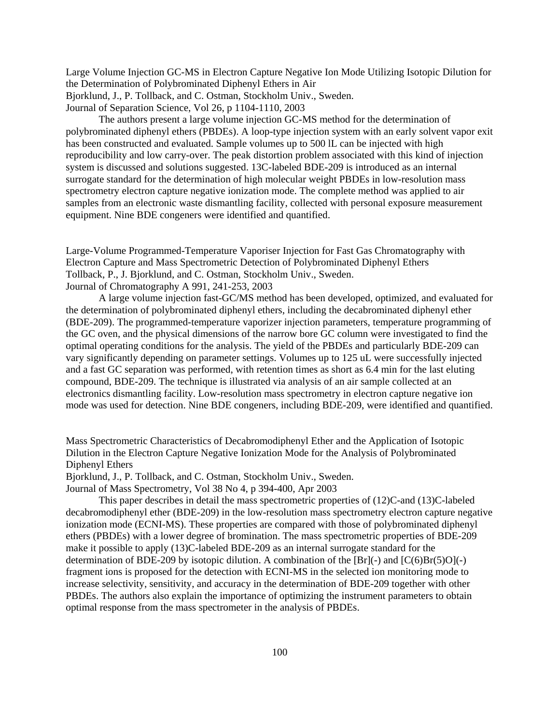Large Volume Injection GC-MS in Electron Capture Negative Ion Mode Utilizing Isotopic Dilution for the Determination of Polybrominated Diphenyl Ethers in Air Bjorklund, J., P. Tollback, and C. Ostman, Stockholm Univ., Sweden. Journal of Separation Science, Vol 26, p 1104-1110, 2003

The authors present a large volume injection GC-MS method for the determination of polybrominated diphenyl ethers (PBDEs). A loop-type injection system with an early solvent vapor exit has been constructed and evaluated. Sample volumes up to 500 lL can be injected with high reproducibility and low carry-over. The peak distortion problem associated with this kind of injection system is discussed and solutions suggested. 13C-labeled BDE-209 is introduced as an internal surrogate standard for the determination of high molecular weight PBDEs in low-resolution mass spectrometry electron capture negative ionization mode. The complete method was applied to air samples from an electronic waste dismantling facility, collected with personal exposure measurement equipment. Nine BDE congeners were identified and quantified.

Large-Volume Programmed-Temperature Vaporiser Injection for Fast Gas Chromatography with Electron Capture and Mass Spectrometric Detection of Polybrominated Diphenyl Ethers Tollback, P., J. Bjorklund, and C. Ostman, Stockholm Univ., Sweden. Journal of Chromatography A 991, 241-253, 2003

A large volume injection fast-GC/MS method has been developed, optimized, and evaluated for the determination of polybrominated diphenyl ethers, including the decabrominated diphenyl ether (BDE-209). The programmed-temperature vaporizer injection parameters, temperature programming of the GC oven, and the physical dimensions of the narrow bore GC column were investigated to find the optimal operating conditions for the analysis. The yield of the PBDEs and particularly BDE-209 can vary significantly depending on parameter settings. Volumes up to 125 uL were successfully injected and a fast GC separation was performed, with retention times as short as 6.4 min for the last eluting compound, BDE-209. The technique is illustrated via analysis of an air sample collected at an electronics dismantling facility. Low-resolution mass spectrometry in electron capture negative ion mode was used for detection. Nine BDE congeners, including BDE-209, were identified and quantified.

Mass Spectrometric Characteristics of Decabromodiphenyl Ether and the Application of Isotopic Dilution in the Electron Capture Negative Ionization Mode for the Analysis of Polybrominated Diphenyl Ethers

Bjorklund, J., P. Tollback, and C. Ostman, Stockholm Univ., Sweden.

Journal of Mass Spectrometry, Vol 38 No 4, p 394-400, Apr 2003

This paper describes in detail the mass spectrometric properties of (12)C-and (13)C-labeled decabromodiphenyl ether (BDE-209) in the low-resolution mass spectrometry electron capture negative ionization mode (ECNI-MS). These properties are compared with those of polybrominated diphenyl ethers (PBDEs) with a lower degree of bromination. The mass spectrometric properties of BDE-209 make it possible to apply (13)C-labeled BDE-209 as an internal surrogate standard for the determination of BDE-209 by isotopic dilution. A combination of the  $[Br]$ (-) and  $[C(6)Br(5)O]$ (-) fragment ions is proposed for the detection with ECNI-MS in the selected ion monitoring mode to increase selectivity, sensitivity, and accuracy in the determination of BDE-209 together with other PBDEs. The authors also explain the importance of optimizing the instrument parameters to obtain optimal response from the mass spectrometer in the analysis of PBDEs.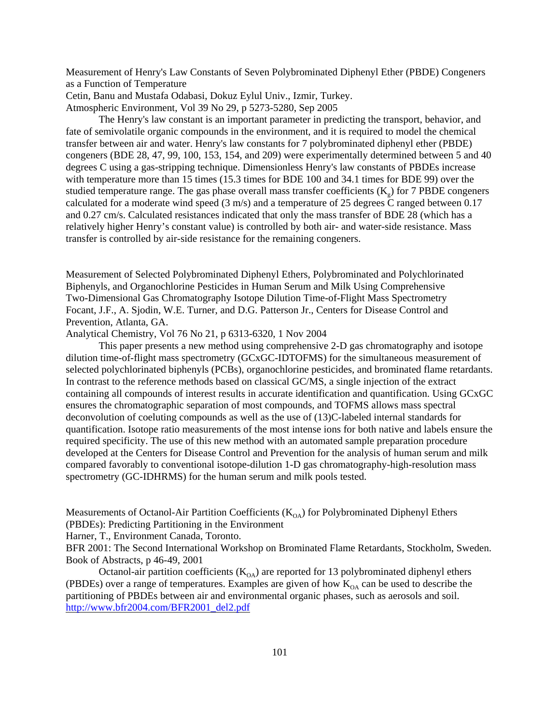Measurement of Henry's Law Constants of Seven Polybrominated Diphenyl Ether (PBDE) Congeners as a Function of Temperature

Cetin, Banu and Mustafa Odabasi, Dokuz Eylul Univ., Izmir, Turkey.

Atmospheric Environment, Vol 39 No 29, p 5273-5280, Sep 2005

The Henry's law constant is an important parameter in predicting the transport, behavior, and fate of semivolatile organic compounds in the environment, and it is required to model the chemical transfer between air and water. Henry's law constants for 7 polybrominated diphenyl ether (PBDE) congeners (BDE 28, 47, 99, 100, 153, 154, and 209) were experimentally determined between 5 and 40 degrees C using a gas-stripping technique. Dimensionless Henry's law constants of PBDEs increase with temperature more than 15 times (15.3 times for BDE 100 and 34.1 times for BDE 99) over the studied temperature range. The gas phase overall mass transfer coefficients  $(K<sub>o</sub>)$  for 7 PBDE congeners calculated for a moderate wind speed  $(3 \text{ m/s})$  and a temperature of 25 degrees  $\overline{C}$  ranged between 0.17 and 0.27 cm/s. Calculated resistances indicated that only the mass transfer of BDE 28 (which has a relatively higher Henry's constant value) is controlled by both air- and water-side resistance. Mass transfer is controlled by air-side resistance for the remaining congeners.

Measurement of Selected Polybrominated Diphenyl Ethers, Polybrominated and Polychlorinated Biphenyls, and Organochlorine Pesticides in Human Serum and Milk Using Comprehensive Two-Dimensional Gas Chromatography Isotope Dilution Time-of-Flight Mass Spectrometry Focant, J.F., A. Sjodin, W.E. Turner, and D.G. Patterson Jr., Centers for Disease Control and Prevention, Atlanta, GA.

Analytical Chemistry, Vol 76 No 21, p 6313-6320, 1 Nov 2004

This paper presents a new method using comprehensive 2-D gas chromatography and isotope dilution time-of-flight mass spectrometry (GCxGC-IDTOFMS) for the simultaneous measurement of selected polychlorinated biphenyls (PCBs), organochlorine pesticides, and brominated flame retardants. In contrast to the reference methods based on classical GC/MS, a single injection of the extract containing all compounds of interest results in accurate identification and quantification. Using GCxGC ensures the chromatographic separation of most compounds, and TOFMS allows mass spectral deconvolution of coeluting compounds as well as the use of (13)C-labeled internal standards for quantification. Isotope ratio measurements of the most intense ions for both native and labels ensure the required specificity. The use of this new method with an automated sample preparation procedure developed at the Centers for Disease Control and Prevention for the analysis of human serum and milk compared favorably to conventional isotope-dilution 1-D gas chromatography-high-resolution mass spectrometry (GC-IDHRMS) for the human serum and milk pools tested.

Measurements of Octanol-Air Partition Coefficients  $(K<sub>OA</sub>)$  for Polybrominated Diphenyl Ethers (PBDEs): Predicting Partitioning in the Environment

Harner, T., Environment Canada, Toronto.

BFR 2001: The Second International Workshop on Brominated Flame Retardants, Stockholm, Sweden. Book of Abstracts, p 46-49, 2001

Octanol-air partition coefficients  $(K<sub>OA</sub>)$  are reported for 13 polybrominated diphenyl ethers (PBDEs) over a range of temperatures. Examples are given of how  $K_{OA}$  can be used to describe the partitioning of PBDEs between air and environmental organic phases, such as aerosols and soil. [http://www.bfr2004.com/BFR2001\\_del2.pdf](http://www.bfr2004.com/BFR2001_del2.pdf)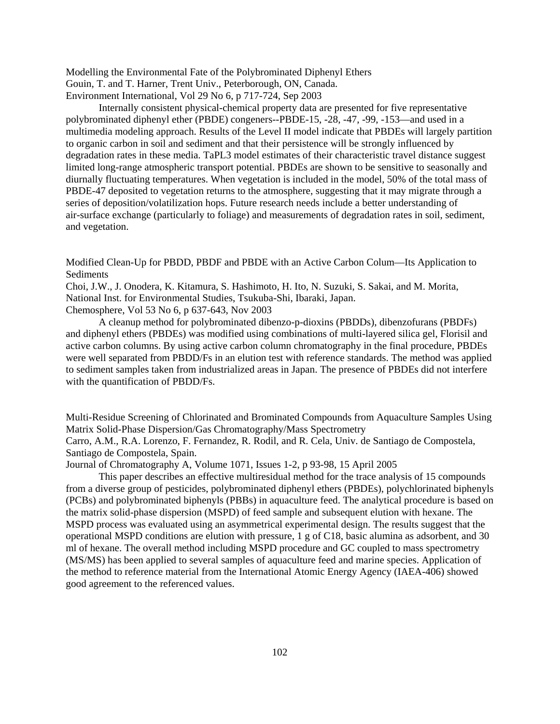Modelling the Environmental Fate of the Polybrominated Diphenyl Ethers Gouin, T. and T. Harner, Trent Univ., Peterborough, ON, Canada. Environment International, Vol 29 No 6, p 717-724, Sep 2003

Internally consistent physical-chemical property data are presented for five representative polybrominated diphenyl ether (PBDE) congeners--PBDE-15, -28, -47, -99, -153—and used in a multimedia modeling approach. Results of the Level II model indicate that PBDEs will largely partition to organic carbon in soil and sediment and that their persistence will be strongly influenced by degradation rates in these media. TaPL3 model estimates of their characteristic travel distance suggest limited long-range atmospheric transport potential. PBDEs are shown to be sensitive to seasonally and diurnally fluctuating temperatures. When vegetation is included in the model, 50% of the total mass of PBDE-47 deposited to vegetation returns to the atmosphere, suggesting that it may migrate through a series of deposition/volatilization hops. Future research needs include a better understanding of air-surface exchange (particularly to foliage) and measurements of degradation rates in soil, sediment, and vegetation.

Modified Clean-Up for PBDD, PBDF and PBDE with an Active Carbon Colum—Its Application to Sediments

Choi, J.W., J. Onodera, K. Kitamura, S. Hashimoto, H. Ito, N. Suzuki, S. Sakai, and M. Morita, National Inst. for Environmental Studies, Tsukuba-Shi, Ibaraki, Japan. Chemosphere, Vol 53 No 6, p 637-643, Nov 2003

A cleanup method for polybrominated dibenzo-p-dioxins (PBDDs), dibenzofurans (PBDFs) and diphenyl ethers (PBDEs) was modified using combinations of multi-layered silica gel, Florisil and active carbon columns. By using active carbon column chromatography in the final procedure, PBDEs were well separated from PBDD/Fs in an elution test with reference standards. The method was applied to sediment samples taken from industrialized areas in Japan. The presence of PBDEs did not interfere with the quantification of PBDD/Fs.

Multi-Residue Screening of Chlorinated and Brominated Compounds from Aquaculture Samples Using Matrix Solid-Phase Dispersion/Gas Chromatography/Mass Spectrometry Carro, A.M., R.A. Lorenzo, F. Fernandez, R. Rodil, and R. Cela, Univ. de Santiago de Compostela, Santiago de Compostela, Spain.

Journal of Chromatography A, Volume 1071, Issues 1-2, p 93-98, 15 April 2005

This paper describes an effective multiresidual method for the trace analysis of 15 compounds from a diverse group of pesticides, polybrominated diphenyl ethers (PBDEs), polychlorinated biphenyls (PCBs) and polybrominated biphenyls (PBBs) in aquaculture feed. The analytical procedure is based on the matrix solid-phase dispersion (MSPD) of feed sample and subsequent elution with hexane. The MSPD process was evaluated using an asymmetrical experimental design. The results suggest that the operational MSPD conditions are elution with pressure, 1 g of C18, basic alumina as adsorbent, and 30 ml of hexane. The overall method including MSPD procedure and GC coupled to mass spectrometry (MS/MS) has been applied to several samples of aquaculture feed and marine species. Application of the method to reference material from the International Atomic Energy Agency (IAEA-406) showed good agreement to the referenced values.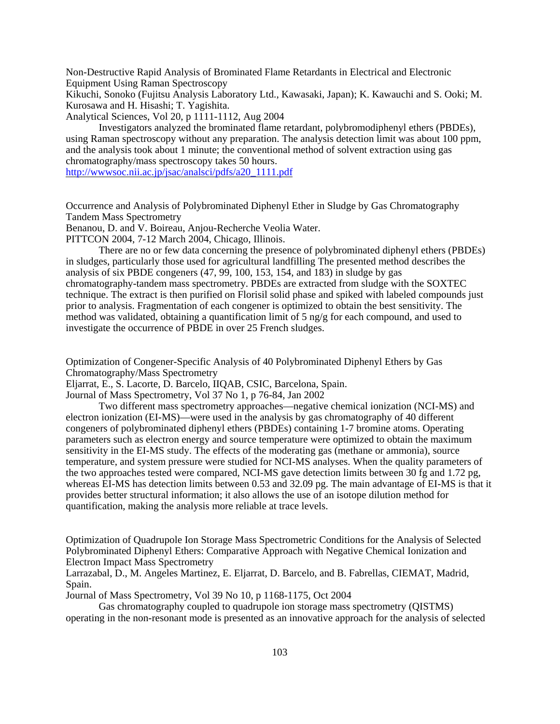Non-Destructive Rapid Analysis of Brominated Flame Retardants in Electrical and Electronic Equipment Using Raman Spectroscopy

Kikuchi, Sonoko (Fujitsu Analysis Laboratory Ltd., Kawasaki, Japan); K. Kawauchi and S. Ooki; M. Kurosawa and H. Hisashi; T. Yagishita.

Analytical Sciences, Vol 20, p 1111-1112, Aug 2004

Investigators analyzed the brominated flame retardant, polybromodiphenyl ethers (PBDEs), using Raman spectroscopy without any preparation. The analysis detection limit was about 100 ppm, and the analysis took about 1 minute; the conventional method of solvent extraction using gas chromatography/mass spectroscopy takes 50 hours. [http://wwwsoc.nii.ac.jp/jsac/analsci/pdfs/a20\\_1111.pdf](http://wwwsoc.nii.ac.jp/jsac/analsci/pdfs/a20_1111.pdf)

Occurrence and Analysis of Polybrominated Diphenyl Ether in Sludge by Gas Chromatography Tandem Mass Spectrometry

Benanou, D. and V. Boireau, Anjou-Recherche Veolia Water.

PITTCON 2004, 7-12 March 2004, Chicago, Illinois.

There are no or few data concerning the presence of polybrominated diphenyl ethers (PBDEs) in sludges, particularly those used for agricultural landfilling The presented method describes the analysis of six PBDE congeners (47, 99, 100, 153, 154, and 183) in sludge by gas chromatography-tandem mass spectrometry. PBDEs are extracted from sludge with the SOXTEC technique. The extract is then purified on Florisil solid phase and spiked with labeled compounds just prior to analysis. Fragmentation of each congener is optimized to obtain the best sensitivity. The method was validated, obtaining a quantification limit of 5 ng/g for each compound, and used to investigate the occurrence of PBDE in over 25 French sludges.

Optimization of Congener-Specific Analysis of 40 Polybrominated Diphenyl Ethers by Gas Chromatography/Mass Spectrometry

Eljarrat, E., S. Lacorte, D. Barcelo, IIQAB, CSIC, Barcelona, Spain.

Journal of Mass Spectrometry, Vol 37 No 1, p 76-84, Jan 2002

Two different mass spectrometry approaches—negative chemical ionization (NCI-MS) and electron ionization (EI-MS)—were used in the analysis by gas chromatography of 40 different congeners of polybrominated diphenyl ethers (PBDEs) containing 1-7 bromine atoms. Operating parameters such as electron energy and source temperature were optimized to obtain the maximum sensitivity in the EI-MS study. The effects of the moderating gas (methane or ammonia), source temperature, and system pressure were studied for NCI-MS analyses. When the quality parameters of the two approaches tested were compared, NCI-MS gave detection limits between 30 fg and 1.72 pg, whereas EI-MS has detection limits between 0.53 and 32.09 pg. The main advantage of EI-MS is that it provides better structural information; it also allows the use of an isotope dilution method for quantification, making the analysis more reliable at trace levels.

Optimization of Quadrupole Ion Storage Mass Spectrometric Conditions for the Analysis of Selected Polybrominated Diphenyl Ethers: Comparative Approach with Negative Chemical Ionization and Electron Impact Mass Spectrometry

Larrazabal, D., M. Angeles Martinez, E. Eljarrat, D. Barcelo, and B. Fabrellas, CIEMAT, Madrid, Spain.

Journal of Mass Spectrometry, Vol 39 No 10, p 1168-1175, Oct 2004

Gas chromatography coupled to quadrupole ion storage mass spectrometry (QISTMS) operating in the non-resonant mode is presented as an innovative approach for the analysis of selected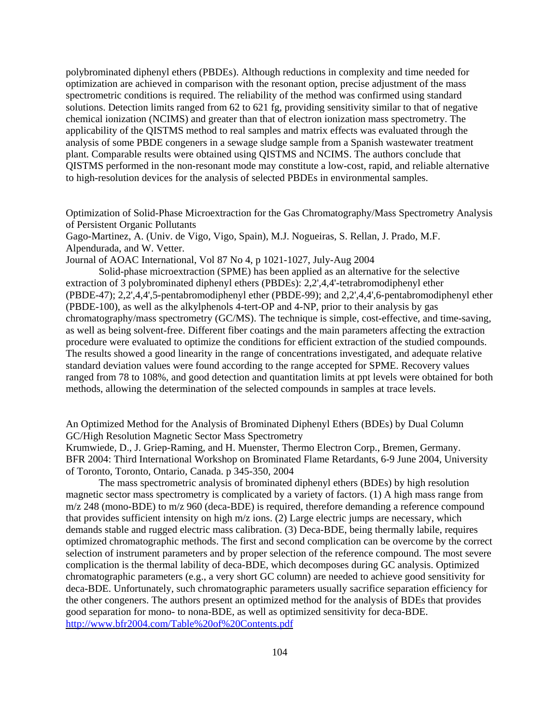polybrominated diphenyl ethers (PBDEs). Although reductions in complexity and time needed for optimization are achieved in comparison with the resonant option, precise adjustment of the mass spectrometric conditions is required. The reliability of the method was confirmed using standard solutions. Detection limits ranged from 62 to 621 fg, providing sensitivity similar to that of negative chemical ionization (NCIMS) and greater than that of electron ionization mass spectrometry. The applicability of the QISTMS method to real samples and matrix effects was evaluated through the analysis of some PBDE congeners in a sewage sludge sample from a Spanish wastewater treatment plant. Comparable results were obtained using QISTMS and NCIMS. The authors conclude that QISTMS performed in the non-resonant mode may constitute a low-cost, rapid, and reliable alternative to high-resolution devices for the analysis of selected PBDEs in environmental samples.

Optimization of Solid-Phase Microextraction for the Gas Chromatography/Mass Spectrometry Analysis of Persistent Organic Pollutants

Gago-Martinez, A. (Univ. de Vigo, Vigo, Spain), M.J. Nogueiras, S. Rellan, J. Prado, M.F. Alpendurada, and W. Vetter.

Journal of AOAC International, Vol 87 No 4, p 1021-1027, July-Aug 2004

Solid-phase microextraction (SPME) has been applied as an alternative for the selective extraction of 3 polybrominated diphenyl ethers (PBDEs): 2,2',4,4'-tetrabromodiphenyl ether (PBDE-47); 2,2',4,4',5-pentabromodiphenyl ether (PBDE-99); and 2,2',4,4',6-pentabromodiphenyl ether (PBDE-100), as well as the alkylphenols 4-tert-OP and 4-NP, prior to their analysis by gas chromatography/mass spectrometry (GC/MS). The technique is simple, cost-effective, and time-saving, as well as being solvent-free. Different fiber coatings and the main parameters affecting the extraction procedure were evaluated to optimize the conditions for efficient extraction of the studied compounds. The results showed a good linearity in the range of concentrations investigated, and adequate relative standard deviation values were found according to the range accepted for SPME. Recovery values ranged from 78 to 108%, and good detection and quantitation limits at ppt levels were obtained for both methods, allowing the determination of the selected compounds in samples at trace levels.

An Optimized Method for the Analysis of Brominated Diphenyl Ethers (BDEs) by Dual Column GC/High Resolution Magnetic Sector Mass Spectrometry

Krumwiede, D., J. Griep-Raming, and H. Muenster, Thermo Electron Corp., Bremen, Germany. BFR 2004: Third International Workshop on Brominated Flame Retardants, 6-9 June 2004, University of Toronto, Toronto, Ontario, Canada. p 345-350, 2004

The mass spectrometric analysis of brominated diphenyl ethers (BDEs) by high resolution magnetic sector mass spectrometry is complicated by a variety of factors. (1) A high mass range from m/z 248 (mono-BDE) to m/z 960 (deca-BDE) is required, therefore demanding a reference compound that provides sufficient intensity on high m/z ions. (2) Large electric jumps are necessary, which demands stable and rugged electric mass calibration. (3) Deca-BDE, being thermally labile, requires optimized chromatographic methods. The first and second complication can be overcome by the correct selection of instrument parameters and by proper selection of the reference compound. The most severe complication is the thermal lability of deca-BDE, which decomposes during GC analysis. Optimized chromatographic parameters (e.g., a very short GC column) are needed to achieve good sensitivity for deca-BDE. Unfortunately, such chromatographic parameters usually sacrifice separation efficiency for the other congeners. The authors present an optimized method for the analysis of BDEs that provides good separation for mono- to nona-BDE, as well as optimized sensitivity for deca-BDE. <http://www.bfr2004.com/Table%20of%20Contents.pdf>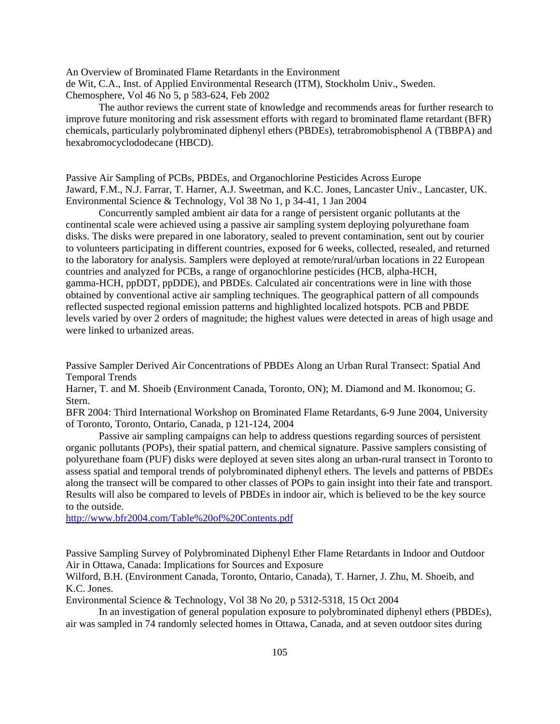An Overview of Brominated Flame Retardants in the Environment de Wit, C.A., Inst. of Applied Environmental Research (ITM), Stockholm Univ., Sweden. Chemosphere, Vol 46 No 5, p 583-624, Feb 2002

The author reviews the current state of knowledge and recommends areas for further research to improve future monitoring and risk assessment efforts with regard to brominated flame retardant (BFR) chemicals, particularly polybrominated diphenyl ethers (PBDEs), tetrabromobisphenol A (TBBPA) and hexabromocyclododecane (HBCD).

Passive Air Sampling of PCBs, PBDEs, and Organochlorine Pesticides Across Europe Jaward, F.M., N.J. Farrar, T. Harner, A.J. Sweetman, and K.C. Jones, Lancaster Univ., Lancaster, UK. Environmental Science & Technology, Vol 38 No 1, p 34-41, 1 Jan 2004

Concurrently sampled ambient air data for a range of persistent organic pollutants at the continental scale were achieved using a passive air sampling system deploying polyurethane foam disks. The disks were prepared in one laboratory, sealed to prevent contamination, sent out by courier to volunteers participating in different countries, exposed for 6 weeks, collected, resealed, and returned to the laboratory for analysis. Samplers were deployed at remote/rural/urban locations in 22 European countries and analyzed for PCBs, a range of organochlorine pesticides (HCB, alpha-HCH, gamma-HCH, ppDDT, ppDDE), and PBDEs. Calculated air concentrations were in line with those obtained by conventional active air sampling techniques. The geographical pattern of all compounds reflected suspected regional emission patterns and highlighted localized hotspots. PCB and PBDE levels varied by over 2 orders of magnitude; the highest values were detected in areas of high usage and were linked to urbanized areas.

Passive Sampler Derived Air Concentrations of PBDEs Along an Urban Rural Transect: Spatial And Temporal Trends

Harner, T. and M. Shoeib (Environment Canada, Toronto, ON); M. Diamond and M. Ikonomou; G. Stern.

BFR 2004: Third International Workshop on Brominated Flame Retardants, 6-9 June 2004, University of Toronto, Toronto, Ontario, Canada, p 121-124, 2004

Passive air sampling campaigns can help to address questions regarding sources of persistent organic pollutants (POPs), their spatial pattern, and chemical signature. Passive samplers consisting of polyurethane foam (PUF) disks were deployed at seven sites along an urban-rural transect in Toronto to assess spatial and temporal trends of polybrominated diphenyl ethers. The levels and patterns of PBDEs along the transect will be compared to other classes of POPs to gain insight into their fate and transport. Results will also be compared to levels of PBDEs in indoor air, which is believed to be the key source to the outside.

<http://www.bfr2004.com/Table%20of%20Contents.pdf>

Passive Sampling Survey of Polybrominated Diphenyl Ether Flame Retardants in Indoor and Outdoor Air in Ottawa, Canada: Implications for Sources and Exposure

Wilford, B.H. (Environment Canada, Toronto, Ontario, Canada), T. Harner, J. Zhu, M. Shoeib, and K.C. Jones.

Environmental Science & Technology, Vol 38 No 20, p 5312-5318, 15 Oct 2004

In an investigation of general population exposure to polybrominated diphenyl ethers (PBDEs), air was sampled in 74 randomly selected homes in Ottawa, Canada, and at seven outdoor sites during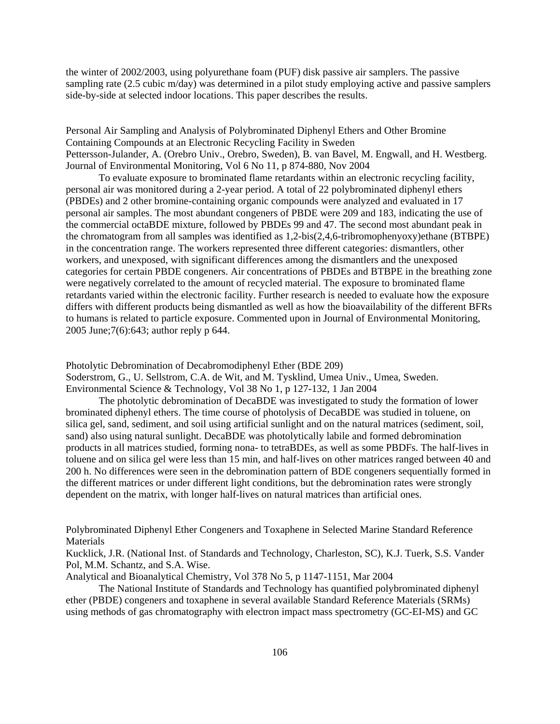the winter of 2002/2003, using polyurethane foam (PUF) disk passive air samplers. The passive sampling rate (2.5 cubic m/day) was determined in a pilot study employing active and passive samplers side-by-side at selected indoor locations. This paper describes the results.

Personal Air Sampling and Analysis of Polybrominated Diphenyl Ethers and Other Bromine Containing Compounds at an Electronic Recycling Facility in Sweden Pettersson-Julander, A. (Orebro Univ., Orebro, Sweden), B. van Bavel, M. Engwall, and H. Westberg. Journal of Environmental Monitoring, Vol 6 No 11, p 874-880, Nov 2004

To evaluate exposure to brominated flame retardants within an electronic recycling facility, personal air was monitored during a 2-year period. A total of 22 polybrominated diphenyl ethers (PBDEs) and 2 other bromine-containing organic compounds were analyzed and evaluated in 17 personal air samples. The most abundant congeners of PBDE were 209 and 183, indicating the use of the commercial octaBDE mixture, followed by PBDEs 99 and 47. The second most abundant peak in the chromatogram from all samples was identified as 1,2-bis(2,4,6-tribromophenyoxy)ethane (BTBPE) in the concentration range. The workers represented three different categories: dismantlers, other workers, and unexposed, with significant differences among the dismantlers and the unexposed categories for certain PBDE congeners. Air concentrations of PBDEs and BTBPE in the breathing zone were negatively correlated to the amount of recycled material. The exposure to brominated flame retardants varied within the electronic facility. Further research is needed to evaluate how the exposure differs with different products being dismantled as well as how the bioavailability of the different BFRs to humans is related to particle exposure. Commented upon in Journal of Environmental Monitoring, 2005 June;7(6):643; author reply p 644.

Photolytic Debromination of Decabromodiphenyl Ether (BDE 209) Soderstrom, G., U. Sellstrom, C.A. de Wit, and M. Tysklind, Umea Univ., Umea, Sweden. Environmental Science & Technology, Vol 38 No 1, p 127-132, 1 Jan 2004

The photolytic debromination of DecaBDE was investigated to study the formation of lower brominated diphenyl ethers. The time course of photolysis of DecaBDE was studied in toluene, on silica gel, sand, sediment, and soil using artificial sunlight and on the natural matrices (sediment, soil, sand) also using natural sunlight. DecaBDE was photolytically labile and formed debromination products in all matrices studied, forming nona- to tetraBDEs, as well as some PBDFs. The half-lives in toluene and on silica gel were less than 15 min, and half-lives on other matrices ranged between 40 and 200 h. No differences were seen in the debromination pattern of BDE congeners sequentially formed in the different matrices or under different light conditions, but the debromination rates were strongly dependent on the matrix, with longer half-lives on natural matrices than artificial ones.

Polybrominated Diphenyl Ether Congeners and Toxaphene in Selected Marine Standard Reference Materials

Kucklick, J.R. (National Inst. of Standards and Technology, Charleston, SC), K.J. Tuerk, S.S. Vander Pol, M.M. Schantz, and S.A. Wise.

Analytical and Bioanalytical Chemistry, Vol 378 No 5, p 1147-1151, Mar 2004

The National Institute of Standards and Technology has quantified polybrominated diphenyl ether (PBDE) congeners and toxaphene in several available Standard Reference Materials (SRMs) using methods of gas chromatography with electron impact mass spectrometry (GC-EI-MS) and GC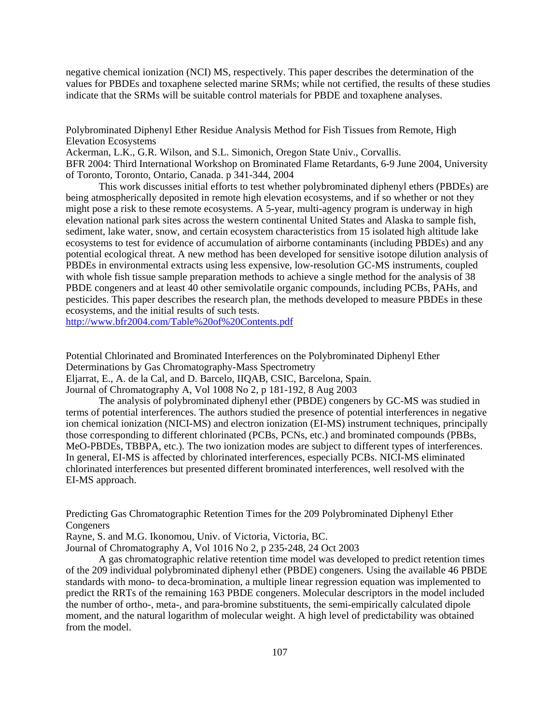negative chemical ionization (NCI) MS, respectively. This paper describes the determination of the values for PBDEs and toxaphene selected marine SRMs; while not certified, the results of these studies indicate that the SRMs will be suitable control materials for PBDE and toxaphene analyses.

Polybrominated Diphenyl Ether Residue Analysis Method for Fish Tissues from Remote, High Elevation Ecosystems

Ackerman, L.K., G.R. Wilson, and S.L. Simonich, Oregon State Univ., Corvallis. BFR 2004: Third International Workshop on Brominated Flame Retardants, 6-9 June 2004, University of Toronto, Toronto, Ontario, Canada. p 341-344, 2004

This work discusses initial efforts to test whether polybrominated diphenyl ethers (PBDEs) are being atmospherically deposited in remote high elevation ecosystems, and if so whether or not they might pose a risk to these remote ecosystems. A 5-year, multi-agency program is underway in high elevation national park sites across the western continental United States and Alaska to sample fish, sediment, lake water, snow, and certain ecosystem characteristics from 15 isolated high altitude lake ecosystems to test for evidence of accumulation of airborne contaminants (including PBDEs) and any potential ecological threat. A new method has been developed for sensitive isotope dilution analysis of PBDEs in environmental extracts using less expensive, low-resolution GC-MS instruments, coupled with whole fish tissue sample preparation methods to achieve a single method for the analysis of 38 PBDE congeners and at least 40 other semivolatile organic compounds, including PCBs, PAHs, and pesticides. This paper describes the research plan, the methods developed to measure PBDEs in these ecosystems, and the initial results of such tests.

<http://www.bfr2004.com/Table%20of%20Contents.pdf>

Potential Chlorinated and Brominated Interferences on the Polybrominated Diphenyl Ether Determinations by Gas Chromatography-Mass Spectrometry Eljarrat, E., A. de la Cal, and D. Barcelo, IIQAB, CSIC, Barcelona, Spain.

Journal of Chromatography A, Vol 1008 No 2, p 181-192, 8 Aug 2003

The analysis of polybrominated diphenyl ether (PBDE) congeners by GC-MS was studied in terms of potential interferences. The authors studied the presence of potential interferences in negative ion chemical ionization (NICI-MS) and electron ionization (EI-MS) instrument techniques, principally those corresponding to different chlorinated (PCBs, PCNs, etc.) and brominated compounds (PBBs, MeO-PBDEs, TBBPA, etc.). The two ionization modes are subject to different types of interferences. In general, EI-MS is affected by chlorinated interferences, especially PCBs. NICI-MS eliminated chlorinated interferences but presented different brominated interferences, well resolved with the EI-MS approach.

Predicting Gas Chromatographic Retention Times for the 209 Polybrominated Diphenyl Ether Congeners

Rayne, S. and M.G. Ikonomou, Univ. of Victoria, Victoria, BC.

Journal of Chromatography A, Vol 1016 No 2, p 235-248, 24 Oct 2003

A gas chromatographic relative retention time model was developed to predict retention times of the 209 individual polybrominated diphenyl ether (PBDE) congeners. Using the available 46 PBDE standards with mono- to deca-bromination, a multiple linear regression equation was implemented to predict the RRTs of the remaining 163 PBDE congeners. Molecular descriptors in the model included the number of ortho-, meta-, and para-bromine substituents, the semi-empirically calculated dipole moment, and the natural logarithm of molecular weight. A high level of predictability was obtained from the model.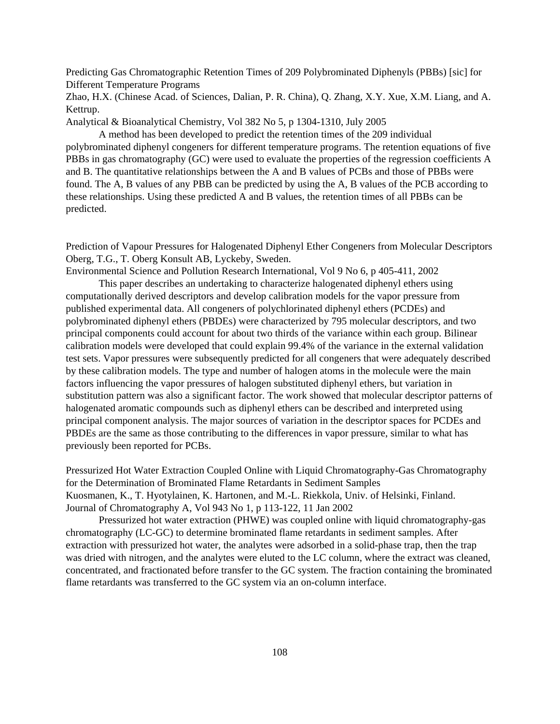Predicting Gas Chromatographic Retention Times of 209 Polybrominated Diphenyls (PBBs) [sic] for Different Temperature Programs

Zhao, H.X. (Chinese Acad. of Sciences, Dalian, P. R. China), Q. Zhang, X.Y. Xue, X.M. Liang, and A. Kettrup.

Analytical & Bioanalytical Chemistry, Vol 382 No 5, p 1304-1310, July 2005

A method has been developed to predict the retention times of the 209 individual polybrominated diphenyl congeners for different temperature programs. The retention equations of five PBBs in gas chromatography (GC) were used to evaluate the properties of the regression coefficients A and B. The quantitative relationships between the A and B values of PCBs and those of PBBs were found. The A, B values of any PBB can be predicted by using the A, B values of the PCB according to these relationships. Using these predicted A and B values, the retention times of all PBBs can be predicted.

Prediction of Vapour Pressures for Halogenated Diphenyl Ether Congeners from Molecular Descriptors Oberg, T.G., T. Oberg Konsult AB, Lyckeby, Sweden.

Environmental Science and Pollution Research International, Vol 9 No 6, p 405-411, 2002 This paper describes an undertaking to characterize halogenated diphenyl ethers using computationally derived descriptors and develop calibration models for the vapor pressure from published experimental data. All congeners of polychlorinated diphenyl ethers (PCDEs) and polybrominated diphenyl ethers (PBDEs) were characterized by 795 molecular descriptors, and two principal components could account for about two thirds of the variance within each group. Bilinear calibration models were developed that could explain 99.4% of the variance in the external validation test sets. Vapor pressures were subsequently predicted for all congeners that were adequately described by these calibration models. The type and number of halogen atoms in the molecule were the main factors influencing the vapor pressures of halogen substituted diphenyl ethers, but variation in substitution pattern was also a significant factor. The work showed that molecular descriptor patterns of halogenated aromatic compounds such as diphenyl ethers can be described and interpreted using principal component analysis. The major sources of variation in the descriptor spaces for PCDEs and PBDEs are the same as those contributing to the differences in vapor pressure, similar to what has previously been reported for PCBs.

Pressurized Hot Water Extraction Coupled Online with Liquid Chromatography-Gas Chromatography for the Determination of Brominated Flame Retardants in Sediment Samples Kuosmanen, K., T. Hyotylainen, K. Hartonen, and M.-L. Riekkola, Univ. of Helsinki, Finland. Journal of Chromatography A, Vol 943 No 1, p 113-122, 11 Jan 2002

Pressurized hot water extraction (PHWE) was coupled online with liquid chromatography-gas chromatography (LC-GC) to determine brominated flame retardants in sediment samples. After extraction with pressurized hot water, the analytes were adsorbed in a solid-phase trap, then the trap was dried with nitrogen, and the analytes were eluted to the LC column, where the extract was cleaned, concentrated, and fractionated before transfer to the GC system. The fraction containing the brominated flame retardants was transferred to the GC system via an on-column interface.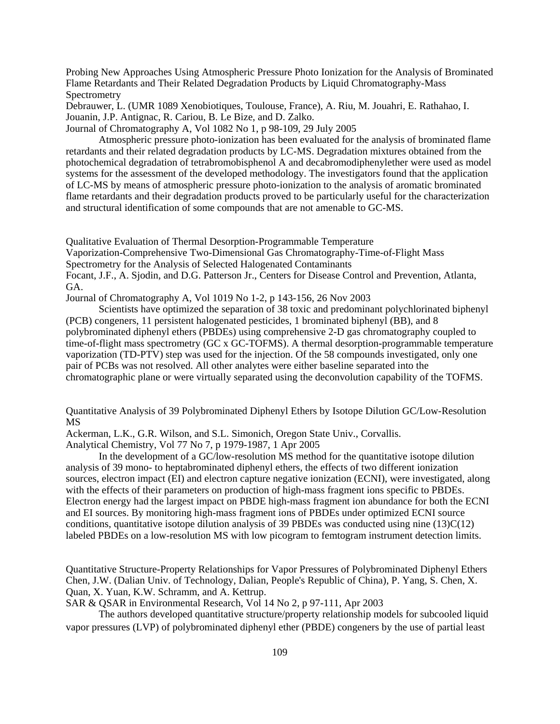Probing New Approaches Using Atmospheric Pressure Photo Ionization for the Analysis of Brominated Flame Retardants and Their Related Degradation Products by Liquid Chromatography-Mass Spectrometry

Debrauwer, L. (UMR 1089 Xenobiotiques, Toulouse, France), A. Riu, M. Jouahri, E. Rathahao, I. Jouanin, J.P. Antignac, R. Cariou, B. Le Bize, and D. Zalko. Journal of Chromatography A, Vol 1082 No 1, p 98-109, 29 July 2005

Atmospheric pressure photo-ionization has been evaluated for the analysis of brominated flame retardants and their related degradation products by LC-MS. Degradation mixtures obtained from the photochemical degradation of tetrabromobisphenol A and decabromodiphenylether were used as model systems for the assessment of the developed methodology. The investigators found that the application of LC-MS by means of atmospheric pressure photo-ionization to the analysis of aromatic brominated flame retardants and their degradation products proved to be particularly useful for the characterization and structural identification of some compounds that are not amenable to GC-MS.

Qualitative Evaluation of Thermal Desorption-Programmable Temperature

Vaporization-Comprehensive Two-Dimensional Gas Chromatography-Time-of-Flight Mass

Spectrometry for the Analysis of Selected Halogenated Contaminants

Focant, J.F., A. Sjodin, and D.G. Patterson Jr., Centers for Disease Control and Prevention, Atlanta, GA.

Journal of Chromatography A, Vol 1019 No 1-2, p 143-156, 26 Nov 2003

Scientists have optimized the separation of 38 toxic and predominant polychlorinated biphenyl (PCB) congeners, 11 persistent halogenated pesticides, 1 brominated biphenyl (BB), and 8 polybrominated diphenyl ethers (PBDEs) using comprehensive 2-D gas chromatography coupled to time-of-flight mass spectrometry (GC x GC-TOFMS). A thermal desorption-programmable temperature vaporization (TD-PTV) step was used for the injection. Of the 58 compounds investigated, only one pair of PCBs was not resolved. All other analytes were either baseline separated into the chromatographic plane or were virtually separated using the deconvolution capability of the TOFMS.

Quantitative Analysis of 39 Polybrominated Diphenyl Ethers by Isotope Dilution GC/Low-Resolution MS

Ackerman, L.K., G.R. Wilson, and S.L. Simonich, Oregon State Univ., Corvallis.

Analytical Chemistry, Vol 77 No 7, p 1979-1987, 1 Apr 2005

In the development of a GC/low-resolution MS method for the quantitative isotope dilution analysis of 39 mono- to heptabrominated diphenyl ethers, the effects of two different ionization sources, electron impact (EI) and electron capture negative ionization (ECNI), were investigated, along with the effects of their parameters on production of high-mass fragment ions specific to PBDEs. Electron energy had the largest impact on PBDE high-mass fragment ion abundance for both the ECNI and EI sources. By monitoring high-mass fragment ions of PBDEs under optimized ECNI source conditions, quantitative isotope dilution analysis of 39 PBDEs was conducted using nine  $(13)C(12)$ labeled PBDEs on a low-resolution MS with low picogram to femtogram instrument detection limits.

Quantitative Structure-Property Relationships for Vapor Pressures of Polybrominated Diphenyl Ethers Chen, J.W. (Dalian Univ. of Technology, Dalian, People's Republic of China), P. Yang, S. Chen, X. Quan, X. Yuan, K.W. Schramm, and A. Kettrup.

SAR & QSAR in Environmental Research, Vol 14 No 2, p 97-111, Apr 2003

The authors developed quantitative structure/property relationship models for subcooled liquid vapor pressures (LVP) of polybrominated diphenyl ether (PBDE) congeners by the use of partial least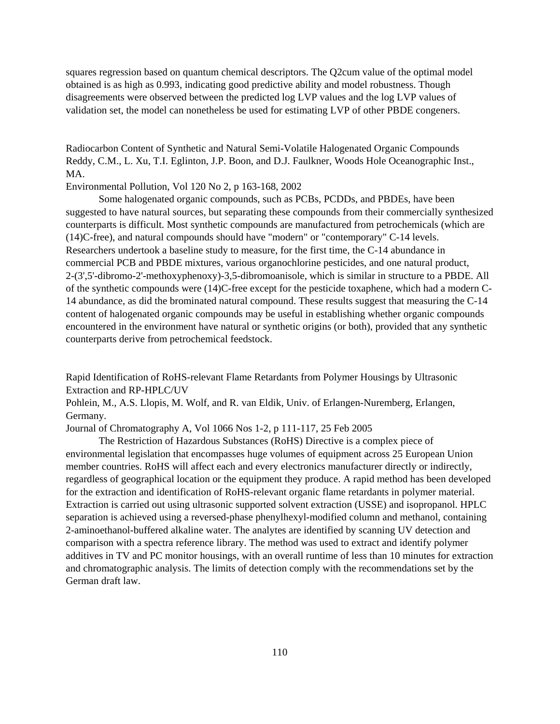squares regression based on quantum chemical descriptors. The Q2cum value of the optimal model obtained is as high as 0.993, indicating good predictive ability and model robustness. Though disagreements were observed between the predicted log LVP values and the log LVP values of validation set, the model can nonetheless be used for estimating LVP of other PBDE congeners.

Radiocarbon Content of Synthetic and Natural Semi-Volatile Halogenated Organic Compounds Reddy, C.M., L. Xu, T.I. Eglinton, J.P. Boon, and D.J. Faulkner, Woods Hole Oceanographic Inst., MA.

Environmental Pollution, Vol 120 No 2, p 163-168, 2002

Some halogenated organic compounds, such as PCBs, PCDDs, and PBDEs, have been suggested to have natural sources, but separating these compounds from their commercially synthesized counterparts is difficult. Most synthetic compounds are manufactured from petrochemicals (which are (14)C-free), and natural compounds should have "modern" or "contemporary" C-14 levels. Researchers undertook a baseline study to measure, for the first time, the C-14 abundance in commercial PCB and PBDE mixtures, various organochlorine pesticides, and one natural product, 2-(3',5'-dibromo-2'-methoxyphenoxy)-3,5-dibromoanisole, which is similar in structure to a PBDE. All of the synthetic compounds were (14)C-free except for the pesticide toxaphene, which had a modern C-14 abundance, as did the brominated natural compound. These results suggest that measuring the C-14 content of halogenated organic compounds may be useful in establishing whether organic compounds encountered in the environment have natural or synthetic origins (or both), provided that any synthetic counterparts derive from petrochemical feedstock.

Rapid Identification of RoHS-relevant Flame Retardants from Polymer Housings by Ultrasonic Extraction and RP-HPLC/UV

Pohlein, M., A.S. Llopis, M. Wolf, and R. van Eldik, Univ. of Erlangen-Nuremberg, Erlangen, Germany.

Journal of Chromatography A, Vol 1066 Nos 1-2, p 111-117, 25 Feb 2005

The Restriction of Hazardous Substances (RoHS) Directive is a complex piece of environmental legislation that encompasses huge volumes of equipment across 25 European Union member countries. RoHS will affect each and every electronics manufacturer directly or indirectly, regardless of geographical location or the equipment they produce. A rapid method has been developed for the extraction and identification of RoHS-relevant organic flame retardants in polymer material. Extraction is carried out using ultrasonic supported solvent extraction (USSE) and isopropanol. HPLC separation is achieved using a reversed-phase phenylhexyl-modified column and methanol, containing 2-aminoethanol-buffered alkaline water. The analytes are identified by scanning UV detection and comparison with a spectra reference library. The method was used to extract and identify polymer additives in TV and PC monitor housings, with an overall runtime of less than 10 minutes for extraction and chromatographic analysis. The limits of detection comply with the recommendations set by the German draft law.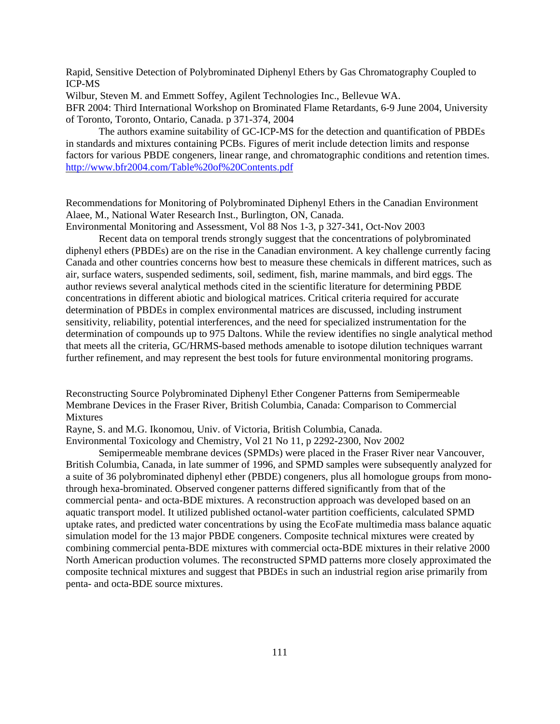Rapid, Sensitive Detection of Polybrominated Diphenyl Ethers by Gas Chromatography Coupled to ICP-MS

Wilbur, Steven M. and Emmett Soffey, Agilent Technologies Inc., Bellevue WA. BFR 2004: Third International Workshop on Brominated Flame Retardants, 6-9 June 2004, University of Toronto, Toronto, Ontario, Canada. p 371-374, 2004

The authors examine suitability of GC-ICP-MS for the detection and quantification of PBDEs in standards and mixtures containing PCBs. Figures of merit include detection limits and response factors for various PBDE congeners, linear range, and chromatographic conditions and retention times. <http://www.bfr2004.com/Table%20of%20Contents.pdf>

Recommendations for Monitoring of Polybrominated Diphenyl Ethers in the Canadian Environment Alaee, M., National Water Research Inst., Burlington, ON, Canada.

Environmental Monitoring and Assessment, Vol 88 Nos 1-3, p 327-341, Oct-Nov 2003

Recent data on temporal trends strongly suggest that the concentrations of polybrominated diphenyl ethers (PBDEs) are on the rise in the Canadian environment. A key challenge currently facing Canada and other countries concerns how best to measure these chemicals in different matrices, such as air, surface waters, suspended sediments, soil, sediment, fish, marine mammals, and bird eggs. The author reviews several analytical methods cited in the scientific literature for determining PBDE concentrations in different abiotic and biological matrices. Critical criteria required for accurate determination of PBDEs in complex environmental matrices are discussed, including instrument sensitivity, reliability, potential interferences, and the need for specialized instrumentation for the determination of compounds up to 975 Daltons. While the review identifies no single analytical method that meets all the criteria, GC/HRMS-based methods amenable to isotope dilution techniques warrant further refinement, and may represent the best tools for future environmental monitoring programs.

Reconstructing Source Polybrominated Diphenyl Ether Congener Patterns from Semipermeable Membrane Devices in the Fraser River, British Columbia, Canada: Comparison to Commercial **Mixtures** 

Rayne, S. and M.G. Ikonomou, Univ. of Victoria, British Columbia, Canada.

Environmental Toxicology and Chemistry, Vol 21 No 11, p 2292-2300, Nov 2002

Semipermeable membrane devices (SPMDs) were placed in the Fraser River near Vancouver, British Columbia, Canada, in late summer of 1996, and SPMD samples were subsequently analyzed for a suite of 36 polybrominated diphenyl ether (PBDE) congeners, plus all homologue groups from monothrough hexa-brominated. Observed congener patterns differed significantly from that of the commercial penta- and octa-BDE mixtures. A reconstruction approach was developed based on an aquatic transport model. It utilized published octanol-water partition coefficients, calculated SPMD uptake rates, and predicted water concentrations by using the EcoFate multimedia mass balance aquatic simulation model for the 13 major PBDE congeners. Composite technical mixtures were created by combining commercial penta-BDE mixtures with commercial octa-BDE mixtures in their relative 2000 North American production volumes. The reconstructed SPMD patterns more closely approximated the composite technical mixtures and suggest that PBDEs in such an industrial region arise primarily from penta- and octa-BDE source mixtures.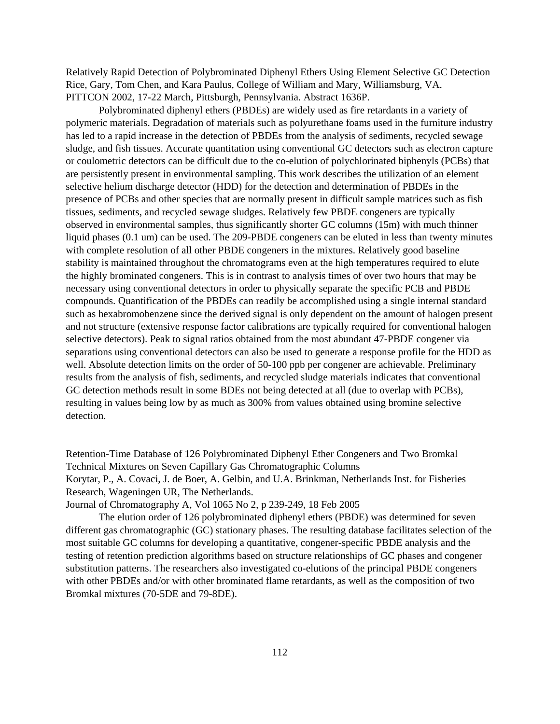Relatively Rapid Detection of Polybrominated Diphenyl Ethers Using Element Selective GC Detection Rice, Gary, Tom Chen, and Kara Paulus, College of William and Mary, Williamsburg, VA. PITTCON 2002, 17-22 March, Pittsburgh, Pennsylvania. Abstract 1636P.

Polybrominated diphenyl ethers (PBDEs) are widely used as fire retardants in a variety of polymeric materials. Degradation of materials such as polyurethane foams used in the furniture industry has led to a rapid increase in the detection of PBDEs from the analysis of sediments, recycled sewage sludge, and fish tissues. Accurate quantitation using conventional GC detectors such as electron capture or coulometric detectors can be difficult due to the co-elution of polychlorinated biphenyls (PCBs) that are persistently present in environmental sampling. This work describes the utilization of an element selective helium discharge detector (HDD) for the detection and determination of PBDEs in the presence of PCBs and other species that are normally present in difficult sample matrices such as fish tissues, sediments, and recycled sewage sludges. Relatively few PBDE congeners are typically observed in environmental samples, thus significantly shorter GC columns (15m) with much thinner liquid phases (0.1 um) can be used. The 209-PBDE congeners can be eluted in less than twenty minutes with complete resolution of all other PBDE congeners in the mixtures. Relatively good baseline stability is maintained throughout the chromatograms even at the high temperatures required to elute the highly brominated congeners. This is in contrast to analysis times of over two hours that may be necessary using conventional detectors in order to physically separate the specific PCB and PBDE compounds. Quantification of the PBDEs can readily be accomplished using a single internal standard such as hexabromobenzene since the derived signal is only dependent on the amount of halogen present and not structure (extensive response factor calibrations are typically required for conventional halogen selective detectors). Peak to signal ratios obtained from the most abundant 47-PBDE congener via separations using conventional detectors can also be used to generate a response profile for the HDD as well. Absolute detection limits on the order of 50-100 ppb per congener are achievable. Preliminary results from the analysis of fish, sediments, and recycled sludge materials indicates that conventional GC detection methods result in some BDEs not being detected at all (due to overlap with PCBs), resulting in values being low by as much as 300% from values obtained using bromine selective detection.

Retention-Time Database of 126 Polybrominated Diphenyl Ether Congeners and Two Bromkal Technical Mixtures on Seven Capillary Gas Chromatographic Columns Korytar, P., A. Covaci, J. de Boer, A. Gelbin, and U.A. Brinkman, Netherlands Inst. for Fisheries Research, Wageningen UR, The Netherlands.

Journal of Chromatography A, Vol 1065 No 2, p 239-249, 18 Feb 2005

The elution order of 126 polybrominated diphenyl ethers (PBDE) was determined for seven different gas chromatographic (GC) stationary phases. The resulting database facilitates selection of the most suitable GC columns for developing a quantitative, congener-specific PBDE analysis and the testing of retention prediction algorithms based on structure relationships of GC phases and congener substitution patterns. The researchers also investigated co-elutions of the principal PBDE congeners with other PBDEs and/or with other brominated flame retardants, as well as the composition of two Bromkal mixtures (70-5DE and 79-8DE).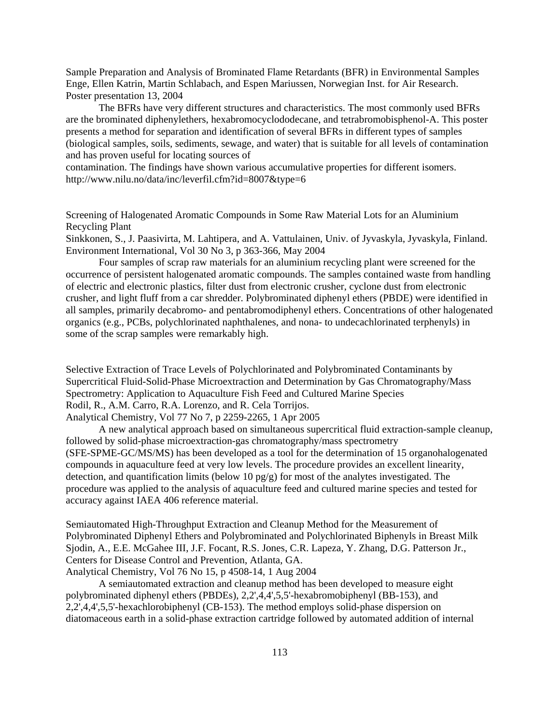Sample Preparation and Analysis of Brominated Flame Retardants (BFR) in Environmental Samples Enge, Ellen Katrin, Martin Schlabach, and Espen Mariussen, Norwegian Inst. for Air Research. Poster presentation 13, 2004

The BFRs have very different structures and characteristics. The most commonly used BFRs are the brominated diphenylethers, hexabromocyclododecane, and tetrabromobisphenol-A. This poster presents a method for separation and identification of several BFRs in different types of samples (biological samples, soils, sediments, sewage, and water) that is suitable for all levels of contamination and has proven useful for locating sources of

contamination. The findings have shown various accumulative properties for different isomers. <http://www.nilu.no/data/inc/leverfil.cfm?id=8007&type=6>

Screening of Halogenated Aromatic Compounds in Some Raw Material Lots for an Aluminium Recycling Plant

Sinkkonen, S., J. Paasivirta, M. Lahtipera, and A. Vattulainen, Univ. of Jyvaskyla, Jyvaskyla, Finland. Environment International, Vol 30 No 3, p 363-366, May 2004

Four samples of scrap raw materials for an aluminium recycling plant were screened for the occurrence of persistent halogenated aromatic compounds. The samples contained waste from handling of electric and electronic plastics, filter dust from electronic crusher, cyclone dust from electronic crusher, and light fluff from a car shredder. Polybrominated diphenyl ethers (PBDE) were identified in all samples, primarily decabromo- and pentabromodiphenyl ethers. Concentrations of other halogenated organics (e.g., PCBs, polychlorinated naphthalenes, and nona- to undecachlorinated terphenyls) in some of the scrap samples were remarkably high.

Selective Extraction of Trace Levels of Polychlorinated and Polybrominated Contaminants by Supercritical Fluid-Solid-Phase Microextraction and Determination by Gas Chromatography/Mass Spectrometry: Application to Aquaculture Fish Feed and Cultured Marine Species Rodil, R., A.M. Carro, R.A. Lorenzo, and R. Cela Torrijos. Analytical Chemistry, Vol 77 No 7, p 2259-2265, 1 Apr 2005

A new analytical approach based on simultaneous supercritical fluid extraction-sample cleanup, followed by solid-phase microextraction-gas chromatography/mass spectrometry (SFE-SPME-GC/MS/MS) has been developed as a tool for the determination of 15 organohalogenated compounds in aquaculture feed at very low levels. The procedure provides an excellent linearity, detection, and quantification limits (below 10 pg/g) for most of the analytes investigated. The procedure was applied to the analysis of aquaculture feed and cultured marine species and tested for accuracy against IAEA 406 reference material.

Semiautomated High-Throughput Extraction and Cleanup Method for the Measurement of Polybrominated Diphenyl Ethers and Polybrominated and Polychlorinated Biphenyls in Breast Milk Sjodin, A., E.E. McGahee III, J.F. Focant, R.S. Jones, C.R. Lapeza, Y. Zhang, D.G. Patterson Jr., Centers for Disease Control and Prevention, Atlanta, GA. Analytical Chemistry, Vol 76 No 15, p 4508-14, 1 Aug 2004

A semiautomated extraction and cleanup method has been developed to measure eight polybrominated diphenyl ethers (PBDEs), 2,2',4,4',5,5'-hexabromobiphenyl (BB-153), and 2,2',4,4',5,5'-hexachlorobiphenyl (CB-153). The method employs solid-phase dispersion on diatomaceous earth in a solid-phase extraction cartridge followed by automated addition of internal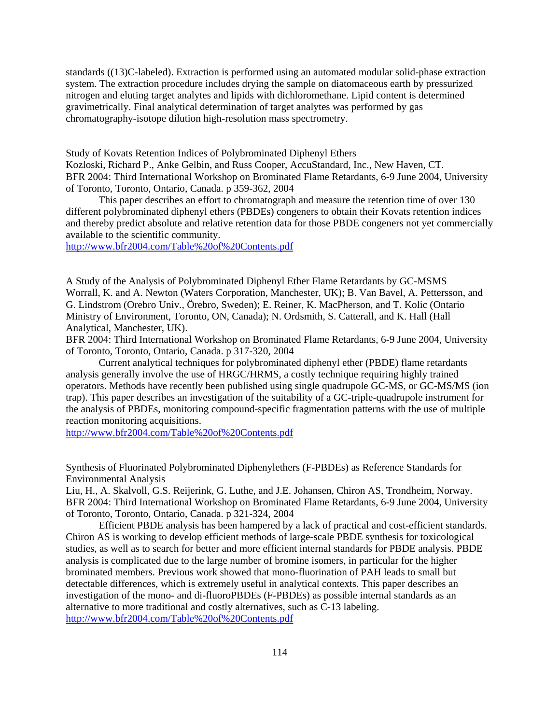standards ((13)C-labeled). Extraction is performed using an automated modular solid-phase extraction system. The extraction procedure includes drying the sample on diatomaceous earth by pressurized nitrogen and eluting target analytes and lipids with dichloromethane. Lipid content is determined gravimetrically. Final analytical determination of target analytes was performed by gas chromatography-isotope dilution high-resolution mass spectrometry.

Study of Kovats Retention Indices of Polybrominated Diphenyl Ethers

Kozloski, Richard P., Anke Gelbin, and Russ Cooper, AccuStandard, Inc., New Haven, CT. BFR 2004: Third International Workshop on Brominated Flame Retardants, 6-9 June 2004, University of Toronto, Toronto, Ontario, Canada. p 359-362, 2004

This paper describes an effort to chromatograph and measure the retention time of over 130 different polybrominated diphenyl ethers (PBDEs) congeners to obtain their Kovats retention indices and thereby predict absolute and relative retention data for those PBDE congeners not yet commercially available to the scientific community.

<http://www.bfr2004.com/Table%20of%20Contents.pdf>

A Study of the Analysis of Polybrominated Diphenyl Ether Flame Retardants by GC-MSMS Worrall, K. and A. Newton (Waters Corporation, Manchester, UK); B. Van Bavel, A. Pettersson, and G. Lindstrom (Orebro Univ., Örebro, Sweden); E. Reiner, K. MacPherson, and T. Kolic (Ontario Ministry of Environment, Toronto, ON, Canada); N. Ordsmith, S. Catterall, and K. Hall (Hall Analytical, Manchester, UK).

BFR 2004: Third International Workshop on Brominated Flame Retardants, 6-9 June 2004, University of Toronto, Toronto, Ontario, Canada. p 317-320, 2004

Current analytical techniques for polybrominated diphenyl ether (PBDE) flame retardants analysis generally involve the use of HRGC/HRMS, a costly technique requiring highly trained operators. Methods have recently been published using single quadrupole GC-MS, or GC-MS/MS (ion trap). This paper describes an investigation of the suitability of a GC-triple-quadrupole instrument for the analysis of PBDEs, monitoring compound-specific fragmentation patterns with the use of multiple reaction monitoring acquisitions.

<http://www.bfr2004.com/Table%20of%20Contents.pdf>

Synthesis of Fluorinated Polybrominated Diphenylethers (F-PBDEs) as Reference Standards for Environmental Analysis

Liu, H., A. Skalvoll, G.S. Reijerink, G. Luthe, and J.E. Johansen, Chiron AS, Trondheim, Norway. BFR 2004: Third International Workshop on Brominated Flame Retardants, 6-9 June 2004, University of Toronto, Toronto, Ontario, Canada. p 321-324, 2004

Efficient PBDE analysis has been hampered by a lack of practical and cost-efficient standards. Chiron AS is working to develop efficient methods of large-scale PBDE synthesis for toxicological studies, as well as to search for better and more efficient internal standards for PBDE analysis. PBDE analysis is complicated due to the large number of bromine isomers, in particular for the higher brominated members. Previous work showed that mono-fluorination of PAH leads to small but detectable differences, which is extremely useful in analytical contexts. This paper describes an investigation of the mono- and di-fluoroPBDEs (F-PBDEs) as possible internal standards as an alternative to more traditional and costly alternatives, such as C-13 labeling. <http://www.bfr2004.com/Table%20of%20Contents.pdf>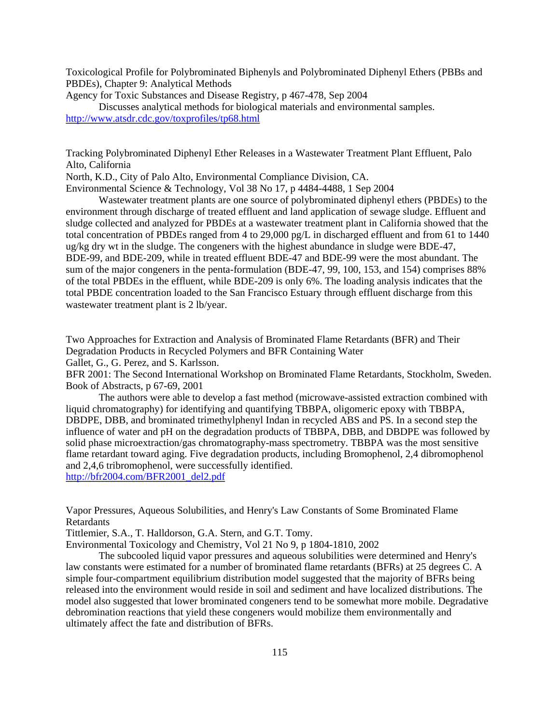Toxicological Profile for Polybrominated Biphenyls and Polybrominated Diphenyl Ethers (PBBs and PBDEs), Chapter 9: Analytical Methods

Agency for Toxic Substances and Disease Registry, p 467-478, Sep 2004

Discusses analytical methods for biological materials and environmental samples. <http://www.atsdr.cdc.gov/toxprofiles/tp68.html>

Tracking Polybrominated Diphenyl Ether Releases in a Wastewater Treatment Plant Effluent, Palo Alto, California

North, K.D., City of Palo Alto, Environmental Compliance Division, CA. Environmental Science & Technology, Vol 38 No 17, p 4484-4488, 1 Sep 2004

Wastewater treatment plants are one source of polybrominated diphenyl ethers (PBDEs) to the environment through discharge of treated effluent and land application of sewage sludge. Effluent and sludge collected and analyzed for PBDEs at a wastewater treatment plant in California showed that the total concentration of PBDEs ranged from 4 to 29,000 pg/L in discharged effluent and from 61 to 1440 ug/kg dry wt in the sludge. The congeners with the highest abundance in sludge were BDE-47, BDE-99, and BDE-209, while in treated effluent BDE-47 and BDE-99 were the most abundant. The sum of the major congeners in the penta-formulation (BDE-47, 99, 100, 153, and 154) comprises 88% of the total PBDEs in the effluent, while BDE-209 is only 6%. The loading analysis indicates that the total PBDE concentration loaded to the San Francisco Estuary through effluent discharge from this wastewater treatment plant is 2 lb/year.

Two Approaches for Extraction and Analysis of Brominated Flame Retardants (BFR) and Their Degradation Products in Recycled Polymers and BFR Containing Water Gallet, G., G. Perez, and S. Karlsson.

BFR 2001: The Second International Workshop on Brominated Flame Retardants, Stockholm, Sweden. Book of Abstracts, p 67-69, 2001

The authors were able to develop a fast method (microwave-assisted extraction combined with liquid chromatography) for identifying and quantifying TBBPA, oligomeric epoxy with TBBPA, DBDPE, DBB, and brominated trimethylphenyl Indan in recycled ABS and PS. In a second step the influence of water and pH on the degradation products of TBBPA, DBB, and DBDPE was followed by solid phase microextraction/gas chromatography-mass spectrometry. TBBPA was the most sensitive flame retardant toward aging. Five degradation products, including Bromophenol, 2,4 dibromophenol and 2,4,6 tribromophenol, were successfully identified.

[http://bfr2004.com/BFR2001\\_del2.pdf](http://bfr2004.com/BFR2001_del2.pdf)

Vapor Pressures, Aqueous Solubilities, and Henry's Law Constants of Some Brominated Flame Retardants

Tittlemier, S.A., T. Halldorson, G.A. Stern, and G.T. Tomy.

Environmental Toxicology and Chemistry, Vol 21 No 9, p 1804-1810, 2002

The subcooled liquid vapor pressures and aqueous solubilities were determined and Henry's law constants were estimated for a number of brominated flame retardants (BFRs) at 25 degrees C. A simple four-compartment equilibrium distribution model suggested that the majority of BFRs being released into the environment would reside in soil and sediment and have localized distributions. The model also suggested that lower brominated congeners tend to be somewhat more mobile. Degradative debromination reactions that yield these congeners would mobilize them environmentally and ultimately affect the fate and distribution of BFRs.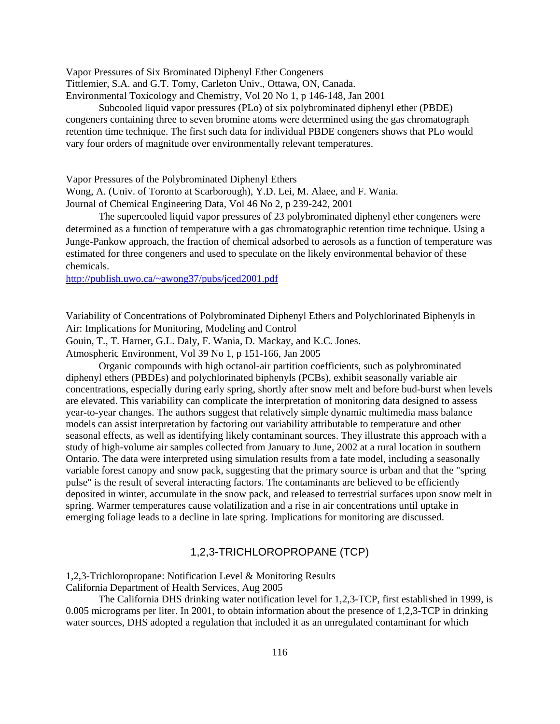Vapor Pressures of Six Brominated Diphenyl Ether Congeners

Tittlemier, S.A. and G.T. Tomy, Carleton Univ., Ottawa, ON, Canada.

Environmental Toxicology and Chemistry, Vol 20 No 1, p 146-148, Jan 2001

Subcooled liquid vapor pressures (PLo) of six polybrominated diphenyl ether (PBDE) congeners containing three to seven bromine atoms were determined using the gas chromatograph retention time technique. The first such data for individual PBDE congeners shows that PLo would vary four orders of magnitude over environmentally relevant temperatures.

Vapor Pressures of the Polybrominated Diphenyl Ethers

Wong, A. (Univ. of Toronto at Scarborough), Y.D. Lei, M. Alaee, and F. Wania. Journal of Chemical Engineering Data, Vol 46 No 2, p 239-242, 2001

The supercooled liquid vapor pressures of 23 polybrominated diphenyl ether congeners were determined as a function of temperature with a gas chromatographic retention time technique. Using a Junge-Pankow approach, the fraction of chemical adsorbed to aerosols as a function of temperature was estimated for three congeners and used to speculate on the likely environmental behavior of these chemicals.

<http://publish.uwo.ca/~awong37/pubs/jced2001.pdf>

Variability of Concentrations of Polybrominated Diphenyl Ethers and Polychlorinated Biphenyls in Air: Implications for Monitoring, Modeling and Control

Gouin, T., T. Harner, G.L. Daly, F. Wania, D. Mackay, and K.C. Jones.

Atmospheric Environment, Vol 39 No 1, p 151-166, Jan 2005

Organic compounds with high octanol-air partition coefficients, such as polybrominated diphenyl ethers (PBDEs) and polychlorinated biphenyls (PCBs), exhibit seasonally variable air concentrations, especially during early spring, shortly after snow melt and before bud-burst when levels are elevated. This variability can complicate the interpretation of monitoring data designed to assess year-to-year changes. The authors suggest that relatively simple dynamic multimedia mass balance models can assist interpretation by factoring out variability attributable to temperature and other seasonal effects, as well as identifying likely contaminant sources. They illustrate this approach with a study of high-volume air samples collected from January to June, 2002 at a rural location in southern Ontario. The data were interpreted using simulation results from a fate model, including a seasonally variable forest canopy and snow pack, suggesting that the primary source is urban and that the "spring pulse" is the result of several interacting factors. The contaminants are believed to be efficiently deposited in winter, accumulate in the snow pack, and released to terrestrial surfaces upon snow melt in spring. Warmer temperatures cause volatilization and a rise in air concentrations until uptake in emerging foliage leads to a decline in late spring. Implications for monitoring are discussed.

## 1,2,3-TRICHLOROPROPANE (TCP)

1,2,3-Trichloropropane: Notification Level & Monitoring Results California Department of Health Services, Aug 2005

The California DHS drinking water notification level for 1,2,3-TCP, first established in 1999, is 0.005 micrograms per liter. In 2001, to obtain information about the presence of 1,2,3-TCP in drinking water sources, DHS adopted a regulation that included it as an unregulated contaminant for which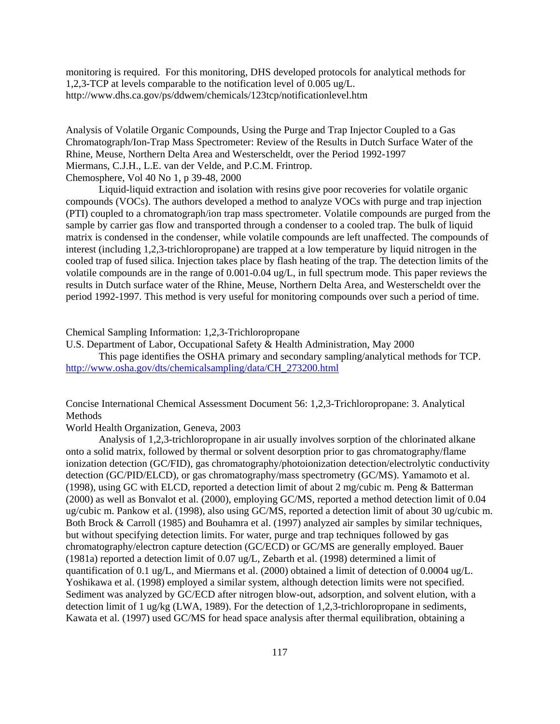monitoring is required. For this monitoring, DHS developed protocols for analytical methods for 1,2,3-TCP at levels comparable to the notification level of 0.005 ug/L. <http://www.dhs.ca.gov/ps/ddwem/chemicals/123tcp/notificationlevel.htm>

Analysis of Volatile Organic Compounds, Using the Purge and Trap Injector Coupled to a Gas Chromatograph/Ion-Trap Mass Spectrometer: Review of the Results in Dutch Surface Water of the Rhine, Meuse, Northern Delta Area and Westerscheldt, over the Period 1992-1997 Miermans, C.J.H., L.E. van der Velde, and P.C.M. Frintrop. Chemosphere, Vol 40 No 1, p 39-48, 2000

Liquid-liquid extraction and isolation with resins give poor recoveries for volatile organic compounds (VOCs). The authors developed a method to analyze VOCs with purge and trap injection (PTI) coupled to a chromatograph/ion trap mass spectrometer. Volatile compounds are purged from the sample by carrier gas flow and transported through a condenser to a cooled trap. The bulk of liquid matrix is condensed in the condenser, while volatile compounds are left unaffected. The compounds of interest (including 1,2,3-trichloropropane) are trapped at a low temperature by liquid nitrogen in the cooled trap of fused silica. Injection takes place by flash heating of the trap. The detection limits of the volatile compounds are in the range of 0.001-0.04 ug/L, in full spectrum mode. This paper reviews the results in Dutch surface water of the Rhine, Meuse, Northern Delta Area, and Westerscheldt over the period 1992-1997. This method is very useful for monitoring compounds over such a period of time.

Chemical Sampling Information: 1,2,3-Trichloropropane

U.S. Department of Labor, Occupational Safety & Health Administration, May 2000 This page identifies the OSHA primary and secondary sampling/analytical methods for TCP. [http://www.osha.gov/dts/chemicalsampling/data/CH\\_273200.html](http://www.osha.gov/dts/chemicalsampling/data/CH_273200.html) 

Concise International Chemical Assessment Document 56: 1,2,3-Trichloropropane: 3. Analytical **Methods** 

World Health Organization, Geneva, 2003

Analysis of 1,2,3-trichloropropane in air usually involves sorption of the chlorinated alkane onto a solid matrix, followed by thermal or solvent desorption prior to gas chromatography/flame ionization detection (GC/FID), gas chromatography/photoionization detection/electrolytic conductivity detection (GC/PID/ELCD), or gas chromatography/mass spectrometry (GC/MS). Yamamoto et al. (1998), using GC with ELCD, reported a detection limit of about 2 mg/cubic m. Peng & Batterman (2000) as well as Bonvalot et al. (2000), employing GC/MS, reported a method detection limit of 0.04 ug/cubic m. Pankow et al. (1998), also using GC/MS, reported a detection limit of about 30 ug/cubic m. Both Brock & Carroll (1985) and Bouhamra et al. (1997) analyzed air samples by similar techniques, but without specifying detection limits. For water, purge and trap techniques followed by gas chromatography/electron capture detection (GC/ECD) or GC/MS are generally employed. Bauer (1981a) reported a detection limit of 0.07 ug/L, Zebarth et al. (1998) determined a limit of quantification of 0.1 ug/L, and Miermans et al. (2000) obtained a limit of detection of 0.0004 ug/L. Yoshikawa et al. (1998) employed a similar system, although detection limits were not specified. Sediment was analyzed by GC/ECD after nitrogen blow-out, adsorption, and solvent elution, with a detection limit of 1 ug/kg (LWA, 1989). For the detection of 1,2,3-trichloropropane in sediments, Kawata et al. (1997) used GC/MS for head space analysis after thermal equilibration, obtaining a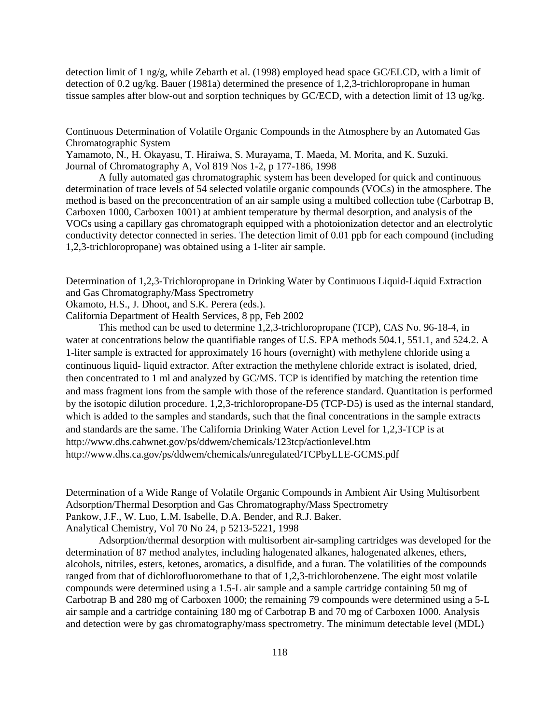detection limit of 1 ng/g, while Zebarth et al. (1998) employed head space GC/ELCD, with a limit of detection of 0.2 ug/kg. Bauer (1981a) determined the presence of 1,2,3-trichloropropane in human tissue samples after blow-out and sorption techniques by GC/ECD, with a detection limit of 13 ug/kg.

Continuous Determination of Volatile Organic Compounds in the Atmosphere by an Automated Gas Chromatographic System

Yamamoto, N., H. Okayasu, T. Hiraiwa, S. Murayama, T. Maeda, M. Morita, and K. Suzuki. Journal of Chromatography A, Vol 819 Nos 1-2, p 177-186, 1998

A fully automated gas chromatographic system has been developed for quick and continuous determination of trace levels of 54 selected volatile organic compounds (VOCs) in the atmosphere. The method is based on the preconcentration of an air sample using a multibed collection tube (Carbotrap B, Carboxen 1000, Carboxen 1001) at ambient temperature by thermal desorption, and analysis of the VOCs using a capillary gas chromatograph equipped with a photoionization detector and an electrolytic conductivity detector connected in series. The detection limit of 0.01 ppb for each compound (including 1,2,3-trichloropropane) was obtained using a 1-liter air sample.

Determination of 1,2,3-Trichloropropane in Drinking Water by Continuous Liquid-Liquid Extraction and Gas Chromatography/Mass Spectrometry

Okamoto, H.S., J. Dhoot, and S.K. Perera (eds.).

California Department of Health Services, 8 pp, Feb 2002

This method can be used to determine 1,2,3-trichloropropane (TCP), CAS No. 96-18-4, in water at concentrations below the quantifiable ranges of U.S. EPA methods 504.1, 551.1, and 524.2. A 1-liter sample is extracted for approximately 16 hours (overnight) with methylene chloride using a continuous liquid- liquid extractor. After extraction the methylene chloride extract is isolated, dried, then concentrated to 1 ml and analyzed by GC/MS. TCP is identified by matching the retention time and mass fragment ions from the sample with those of the reference standard. Quantitation is performed by the isotopic dilution procedure. 1,2,3-trichloropropane-D5 (TCP-D5) is used as the internal standard, which is added to the samples and standards, such that the final concentrations in the sample extracts and standards are the same. The California Drinking Water Action Level for 1,2,3-TCP is at <http://www.dhs.cahwnet.gov/ps/ddwem/chemicals/123tcp/actionlevel.htm> <http://www.dhs.ca.gov/ps/ddwem/chemicals/unregulated/TCPbyLLE-GCMS.pdf>

Determination of a Wide Range of Volatile Organic Compounds in Ambient Air Using Multisorbent Adsorption/Thermal Desorption and Gas Chromatography/Mass Spectrometry Pankow, J.F., W. Luo, L.M. Isabelle, D.A. Bender, and R.J. Baker. Analytical Chemistry, Vol 70 No 24, p 5213-5221, 1998

Adsorption/thermal desorption with multisorbent air-sampling cartridges was developed for the determination of 87 method analytes, including halogenated alkanes, halogenated alkenes, ethers, alcohols, nitriles, esters, ketones, aromatics, a disulfide, and a furan. The volatilities of the compounds ranged from that of dichlorofluoromethane to that of 1,2,3-trichlorobenzene. The eight most volatile compounds were determined using a 1.5-L air sample and a sample cartridge containing 50 mg of Carbotrap B and 280 mg of Carboxen 1000; the remaining 79 compounds were determined using a 5-L air sample and a cartridge containing 180 mg of Carbotrap B and 70 mg of Carboxen 1000. Analysis and detection were by gas chromatography/mass spectrometry. The minimum detectable level (MDL)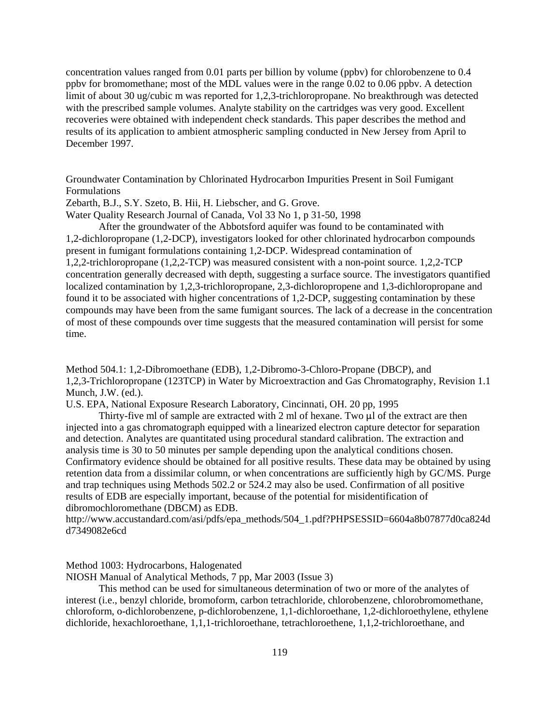concentration values ranged from 0.01 parts per billion by volume (ppbv) for chlorobenzene to 0.4 ppbv for bromomethane; most of the MDL values were in the range 0.02 to 0.06 ppbv. A detection limit of about 30 ug/cubic m was reported for 1,2,3-trichloropropane. No breakthrough was detected with the prescribed sample volumes. Analyte stability on the cartridges was very good. Excellent recoveries were obtained with independent check standards. This paper describes the method and results of its application to ambient atmospheric sampling conducted in New Jersey from April to December 1997.

Groundwater Contamination by Chlorinated Hydrocarbon Impurities Present in Soil Fumigant Formulations

Zebarth, B.J., S.Y. Szeto, B. Hii, H. Liebscher, and G. Grove.

Water Quality Research Journal of Canada, Vol 33 No 1, p 31-50, 1998

After the groundwater of the Abbotsford aquifer was found to be contaminated with 1,2-dichloropropane (1,2-DCP), investigators looked for other chlorinated hydrocarbon compounds present in fumigant formulations containing 1,2-DCP. Widespread contamination of 1,2,2-trichloropropane (1,2,2-TCP) was measured consistent with a non-point source. 1,2,2-TCP concentration generally decreased with depth, suggesting a surface source. The investigators quantified localized contamination by 1,2,3-trichloropropane, 2,3-dichloropropene and 1,3-dichloropropane and found it to be associated with higher concentrations of 1,2-DCP, suggesting contamination by these compounds may have been from the same fumigant sources. The lack of a decrease in the concentration of most of these compounds over time suggests that the measured contamination will persist for some time.

Method 504.1: 1,2-Dibromoethane (EDB), 1,2-Dibromo-3-Chloro-Propane (DBCP), and 1,2,3-Trichloropropane (123TCP) in Water by Microextraction and Gas Chromatography, Revision 1.1 Munch, J.W. (ed.).

U.S. EPA, National Exposure Research Laboratory, Cincinnati, OH. 20 pp, 1995

Thirty-five ml of sample are extracted with 2 ml of hexane. Two  $\mu$ l of the extract are then injected into a gas chromatograph equipped with a linearized electron capture detector for separation and detection. Analytes are quantitated using procedural standard calibration. The extraction and analysis time is 30 to 50 minutes per sample depending upon the analytical conditions chosen. Confirmatory evidence should be obtained for all positive results. These data may be obtained by using retention data from a dissimilar column, or when concentrations are sufficiently high by GC/MS. Purge and trap techniques using Methods 502.2 or 524.2 may also be used. Confirmation of all positive results of EDB are especially important, because of the potential for misidentification of dibromochloromethane (DBCM) as EDB.

[http://www.accustandard.com/asi/pdfs/epa\\_methods/504\\_1.pdf?PHPSESSID=6604a8b07877d0ca824d](http://www.accustandard.com/asi/pdfs/epa_methods/504_1.pdf?PHPSESSID=6604a8b07877d0ca824d) d7349082e6cd

Method 1003: Hydrocarbons, Halogenated

NIOSH Manual of Analytical Methods, 7 pp, Mar 2003 (Issue 3)

This method can be used for simultaneous determination of two or more of the analytes of interest (i.e., benzyl chloride, bromoform, carbon tetrachloride, chlorobenzene, chlorobromomethane, chloroform, o-dichlorobenzene, p-dichlorobenzene, 1,1-dichloroethane, 1,2-dichloroethylene, ethylene dichloride, hexachloroethane, 1,1,1-trichloroethane, tetrachloroethene, 1,1,2-trichloroethane, and